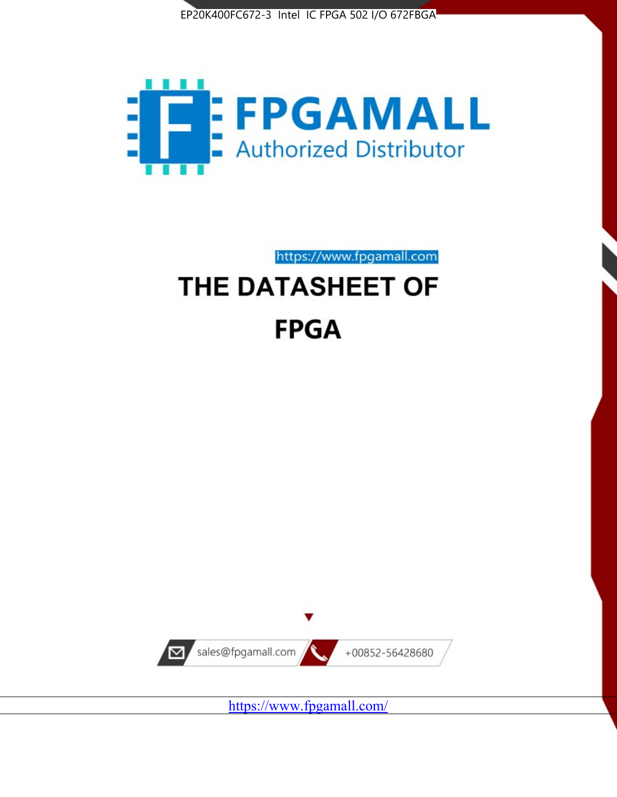



https://www.fpgamall.com

# THE DATASHEET OF **FPGA**



<https://www.fpgamall.com/>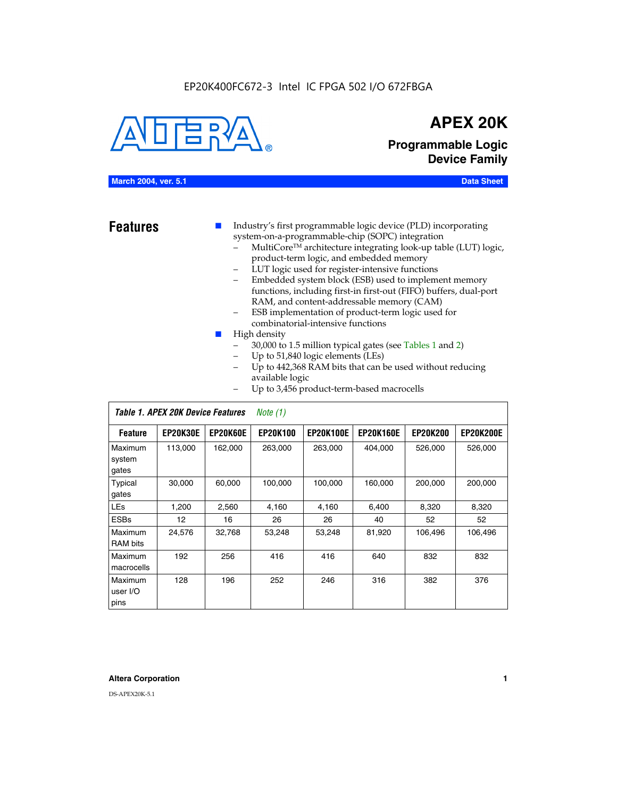#### EP20K400FC672-3 Intel IC FPGA 502 I/O 672FBGA



## **APEX 20K**

**Programmable Logic Device Family**

#### **March 2004, ver. 5.1 Data Sheet**

**Features ■** Industry's first programmable logic device (PLD) incorporating system-on-a-programmable-chip (SOPC) integration

- MultiCore™ architecture integrating look-up table (LUT) logic, product-term logic, and embedded memory
- LUT logic used for register-intensive functions
- Embedded system block (ESB) used to implement memory functions, including first-in first-out (FIFO) buffers, dual-port RAM, and content-addressable memory (CAM)
- ESB implementation of product-term logic used for combinatorial-intensive functions
- High density
	- 30,000 to 1.5 million typical gates (see Tables 1 and 2)
	- Up to 51,840 logic elements (LEs)
	- Up to 442,368 RAM bits that can be used without reducing available logic
	- Up to 3,456 product-term-based macrocells

|                             | Table 1. APEX 20K Device Features<br>Note $(1)$ |                 |                 |                  |                  |                 |                  |  |  |  |
|-----------------------------|-------------------------------------------------|-----------------|-----------------|------------------|------------------|-----------------|------------------|--|--|--|
| <b>Feature</b>              | <b>EP20K30E</b>                                 | <b>EP20K60E</b> | <b>EP20K100</b> | <b>EP20K100E</b> | <b>EP20K160E</b> | <b>EP20K200</b> | <b>EP20K200E</b> |  |  |  |
| Maximum<br>system<br>gates  | 113,000                                         | 162,000         | 263.000         | 263,000          | 404.000          | 526,000         | 526,000          |  |  |  |
| Typical<br>gates            | 30,000                                          | 60,000          | 100,000         | 100,000          | 160,000          | 200,000         | 200,000          |  |  |  |
| <b>LEs</b>                  | 1,200                                           | 2,560           | 4,160           | 4,160            | 6.400            | 8,320           | 8,320            |  |  |  |
| <b>ESBs</b>                 | 12                                              | 16              | 26              | 26               | 40               | 52              | 52               |  |  |  |
| Maximum<br><b>RAM</b> bits  | 24,576                                          | 32,768          | 53,248          | 53,248           | 81,920           | 106,496         | 106,496          |  |  |  |
| Maximum<br>macrocells       | 192                                             | 256             | 416             | 416              | 640              | 832             | 832              |  |  |  |
| Maximum<br>user I/O<br>pins | 128                                             | 196             | 252             | 246              | 316              | 382             | 376              |  |  |  |

#### **Altera Corporation 1**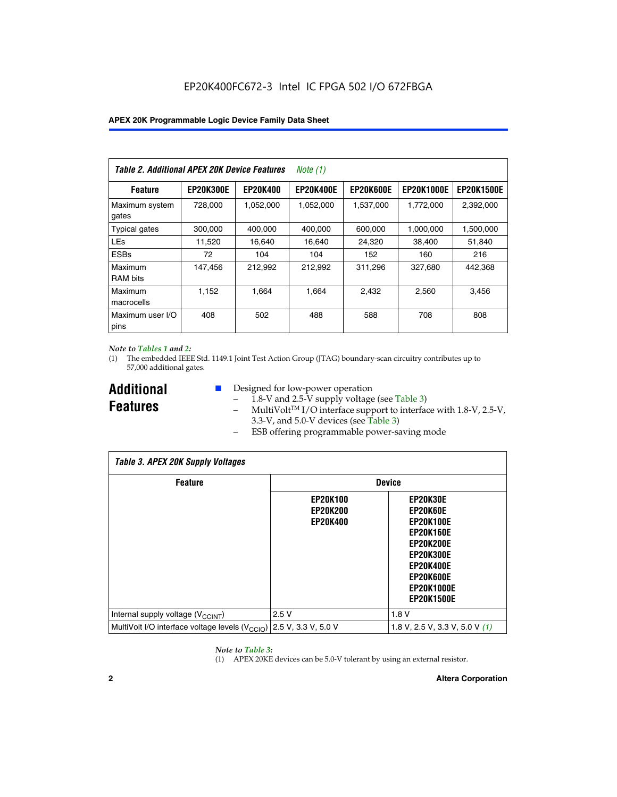| Table 2. Additional APEX 20K Device Features |                  |                 | <i>Note</i> $(1)$ |                  |                   |                   |
|----------------------------------------------|------------------|-----------------|-------------------|------------------|-------------------|-------------------|
| <b>Feature</b>                               | <b>EP20K300E</b> | <b>EP20K400</b> | <b>EP20K400E</b>  | <b>EP20K600E</b> | <b>EP20K1000E</b> | <b>EP20K1500E</b> |
| Maximum system<br>gates                      | 728,000          | 1,052,000       | 1,052,000         | 1,537,000        | 1,772,000         | 2,392,000         |
| <b>Typical gates</b>                         | 300,000          | 400,000         | 400,000           | 600,000          | 1,000,000         | 1,500,000         |
| <b>LEs</b>                                   | 11,520           | 16.640          | 16,640            | 24,320           | 38,400            | 51,840            |
| <b>ESBs</b>                                  | 72               | 104             | 104               | 152              | 160               | 216               |
| Maximum<br><b>RAM bits</b>                   | 147,456          | 212,992         | 212.992           | 311,296          | 327,680           | 442.368           |
| Maximum<br>macrocells                        | 1,152            | 1,664           | 1,664             | 2.432            | 2,560             | 3,456             |
| Maximum user I/O<br>pins                     | 408              | 502             | 488               | 588              | 708               | 808               |

#### *Note to Tables 1 and 2:*

*Table 3. APEX 20K Supply Voltages*

(1) The embedded IEEE Std. 1149.1 Joint Test Action Group (JTAG) boundary-scan circuitry contributes up to 57,000 additional gates.

**Additional Features**

 $\mathbf{I}$ 

- Designed for low-power operation
	- $1.8-V$  and 2.5-V supply voltage (see Table 3)
	- $-$  MultiVolt<sup>TM</sup> I/O interface support to interface with 1.8-V, 2.5-V, 3.3-V, and 5.0-V devices (see Table 3)
	- ESB offering programmable power-saving mode

| Tadie 3. Apex zuk Supply voltages                                               |                                                       |                                                                                                                                                                                 |  |  |  |  |  |  |
|---------------------------------------------------------------------------------|-------------------------------------------------------|---------------------------------------------------------------------------------------------------------------------------------------------------------------------------------|--|--|--|--|--|--|
| <b>Feature</b>                                                                  | <b>Device</b>                                         |                                                                                                                                                                                 |  |  |  |  |  |  |
|                                                                                 | <b>EP20K100</b><br><b>EP20K200</b><br><b>EP20K400</b> | EP20K30E<br>EP20K60E<br><b>EP20K100E</b><br><b>EP20K160E</b><br><b>EP20K200E</b><br><b>EP20K300E</b><br><b>EP20K400E</b><br>EP20K600E<br><b>EP20K1000E</b><br><b>EP20K1500E</b> |  |  |  |  |  |  |
| Internal supply voltage (V <sub>CCINT</sub> )                                   | 2.5V                                                  | 1.8V                                                                                                                                                                            |  |  |  |  |  |  |
| MultiVolt I/O interface voltage levels (V <sub>CCIO</sub> ) 2.5 V, 3.3 V, 5.0 V |                                                       | 1.8 V, 2.5 V, 3.3 V, 5.0 V (1)                                                                                                                                                  |  |  |  |  |  |  |

#### *Note to Table 3:*

(1) APEX 20KE devices can be 5.0-V tolerant by using an external resistor.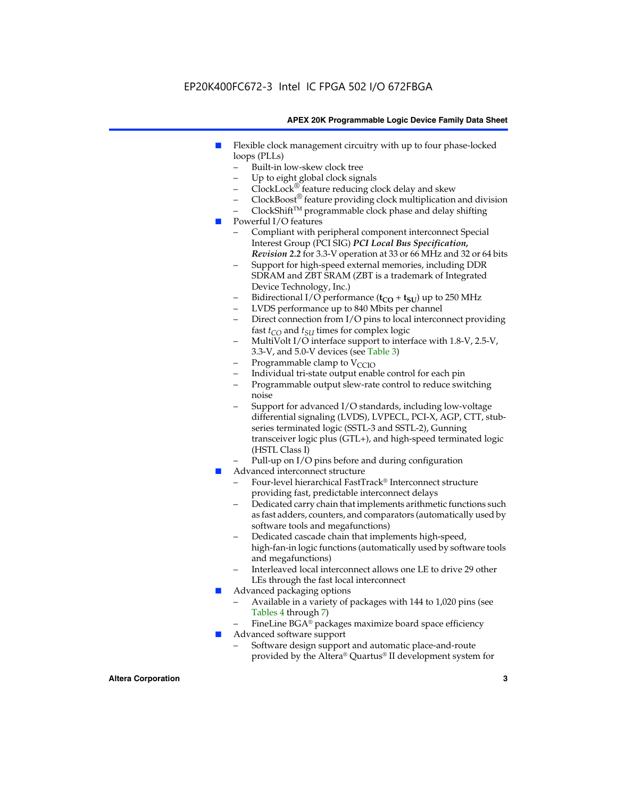### EP20K400FC672-3 Intel IC FPGA 502 I/O 672FBGA

#### **APEX 20K Programmable Logic Device Family Data Sheet**

- Flexible clock management circuitry with up to four phase-locked loops (PLLs)
	- Built-in low-skew clock tree
	- Up to eight global clock signals
	- $ClockLock^{\circledR}$  feature reducing clock delay and skew
	- $ClockBoost^{\circledR}$  feature providing clock multiplication and division
	- ClockShiftTM programmable clock phase and delay shifting
- Powerful I/O features
	- Compliant with peripheral component interconnect Special Interest Group (PCI SIG) *PCI Local Bus Specification, Revision 2.2* for 3.3-V operation at 33 or 66 MHz and 32 or 64 bits
	- Support for high-speed external memories, including DDR SDRAM and ZBT SRAM (ZBT is a trademark of Integrated Device Technology, Inc.)
	- Bidirectional I/O performance  $(t_{CO} + t_{SU})$  up to 250 MHz
	- LVDS performance up to 840 Mbits per channel
	- Direct connection from I/O pins to local interconnect providing fast  $t_{CO}$  and  $t_{SU}$  times for complex logic
	- MultiVolt I/O interface support to interface with 1.8-V, 2.5-V, 3.3-V, and 5.0-V devices (see Table 3)
	- Programmable clamp to  $V_{\text{C}CD}$
	- Individual tri-state output enable control for each pin
	- Programmable output slew-rate control to reduce switching noise
	- Support for advanced I/O standards, including low-voltage differential signaling (LVDS), LVPECL, PCI-X, AGP, CTT, stubseries terminated logic (SSTL-3 and SSTL-2), Gunning transceiver logic plus (GTL+), and high-speed terminated logic (HSTL Class I)
	- Pull-up on I/O pins before and during configuration
- Advanced interconnect structure
	- Four-level hierarchical FastTrack® Interconnect structure providing fast, predictable interconnect delays
	- Dedicated carry chain that implements arithmetic functions such as fast adders, counters, and comparators (automatically used by software tools and megafunctions)
	- Dedicated cascade chain that implements high-speed, high-fan-in logic functions (automatically used by software tools and megafunctions)
	- Interleaved local interconnect allows one LE to drive 29 other LEs through the fast local interconnect
- Advanced packaging options
	- Available in a variety of packages with 144 to 1,020 pins (see Tables 4 through 7)
	- FineLine BGA® packages maximize board space efficiency
- Advanced software support
	- Software design support and automatic place-and-route provided by the Altera® Quartus® II development system for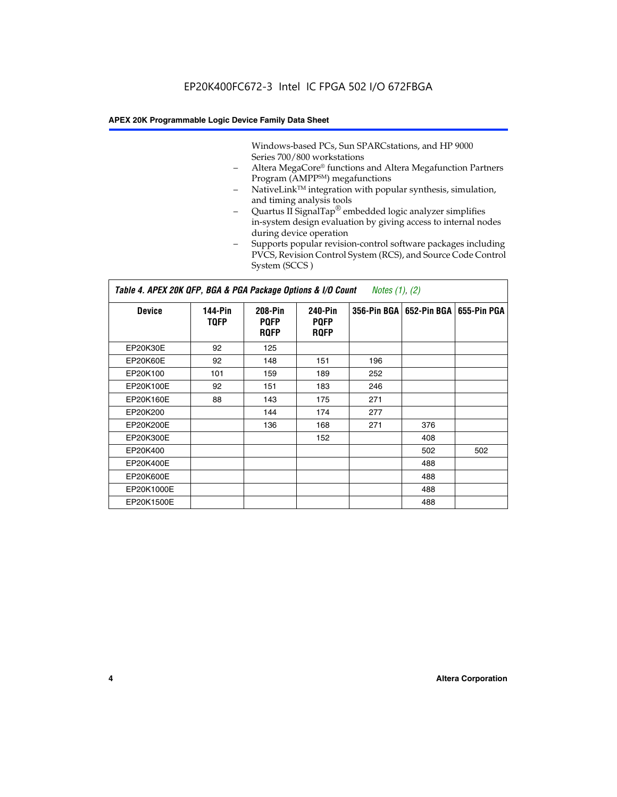Windows-based PCs, Sun SPARCstations, and HP 9000 Series 700/800 workstations

- Altera MegaCore® functions and Altera Megafunction Partners Program (AMPP<sup>SM</sup>) megafunctions
- NativeLink™ integration with popular synthesis, simulation, and timing analysis tools
- Quartus II SignalTap® embedded logic analyzer simplifies in-system design evaluation by giving access to internal nodes during device operation
- Supports popular revision-control software packages including PVCS, Revision Control System (RCS), and Source Code Control System (SCCS )

#### *Table 4. APEX 20K QFP, BGA & PGA Package Options & I/O Count Notes (1), (2)*

| <b>Device</b>   | 144-Pin<br><b>TQFP</b> | 208-Pin<br><b>PQFP</b><br><b>ROFP</b> | 240-Pin<br><b>PQFP</b><br><b>ROFP</b> |     | 356-Pin BGA   652-Pin BGA | 655-Pin PGA |
|-----------------|------------------------|---------------------------------------|---------------------------------------|-----|---------------------------|-------------|
| EP20K30E        | 92                     | 125                                   |                                       |     |                           |             |
| <b>EP20K60E</b> | 92                     | 148                                   | 151                                   | 196 |                           |             |
| EP20K100        | 101                    | 159                                   | 189                                   | 252 |                           |             |
| EP20K100E       | 92                     | 151                                   | 183                                   | 246 |                           |             |
| EP20K160E       | 88                     | 143                                   | 175                                   | 271 |                           |             |
| EP20K200        |                        | 144                                   | 174                                   | 277 |                           |             |
| EP20K200E       |                        | 136                                   | 168                                   | 271 | 376                       |             |
| EP20K300E       |                        |                                       | 152                                   |     | 408                       |             |
| EP20K400        |                        |                                       |                                       |     | 502                       | 502         |
| EP20K400E       |                        |                                       |                                       |     | 488                       |             |
| EP20K600E       |                        |                                       |                                       |     | 488                       |             |
| EP20K1000E      |                        |                                       |                                       |     | 488                       |             |
| EP20K1500E      |                        |                                       |                                       |     | 488                       |             |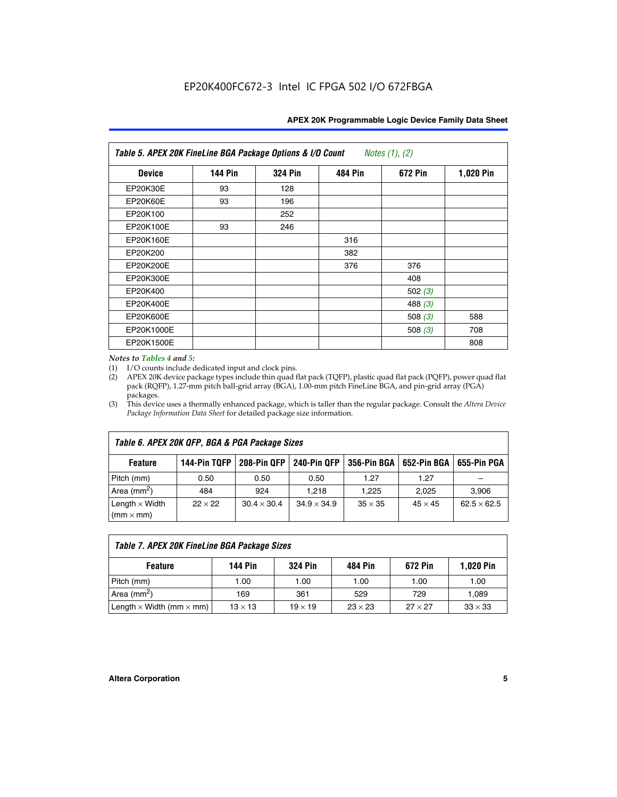| Table 5. APEX 20K FineLine BGA Package Options & I/O Count<br>Notes $(1)$ , $(2)$ |                |                |                |           |           |  |  |  |
|-----------------------------------------------------------------------------------|----------------|----------------|----------------|-----------|-----------|--|--|--|
| <b>Device</b>                                                                     | <b>144 Pin</b> | <b>324 Pin</b> | <b>484 Pin</b> | 672 Pin   | 1,020 Pin |  |  |  |
| EP20K30E                                                                          | 93             | 128            |                |           |           |  |  |  |
| <b>EP20K60E</b>                                                                   | 93             | 196            |                |           |           |  |  |  |
| EP20K100                                                                          |                | 252            |                |           |           |  |  |  |
| EP20K100E                                                                         | 93             | 246            |                |           |           |  |  |  |
| EP20K160E                                                                         |                |                | 316            |           |           |  |  |  |
| EP20K200                                                                          |                |                | 382            |           |           |  |  |  |
| EP20K200E                                                                         |                |                | 376            | 376       |           |  |  |  |
| EP20K300E                                                                         |                |                |                | 408       |           |  |  |  |
| EP20K400                                                                          |                |                |                | 502 $(3)$ |           |  |  |  |
| EP20K400E                                                                         |                |                |                | 488 $(3)$ |           |  |  |  |
| EP20K600E                                                                         |                |                |                | 508 $(3)$ | 588       |  |  |  |
| EP20K1000E                                                                        |                |                |                | 508 $(3)$ | 708       |  |  |  |
| EP20K1500E                                                                        |                |                |                |           | 808       |  |  |  |

#### *Notes to Tables 4 and 5:*

(1) I/O counts include dedicated input and clock pins.

(2) APEX 20K device package types include thin quad flat pack (TQFP), plastic quad flat pack (PQFP), power quad flat pack (RQFP), 1.27-mm pitch ball-grid array (BGA), 1.00-mm pitch FineLine BGA, and pin-grid array (PGA) packages.

(3) This device uses a thermally enhanced package, which is taller than the regular package. Consult the *Altera Device Package Information Data Sheet* for detailed package size information.

| Table 6. APEX 20K QFP, BGA & PGA Package Sizes                                                            |                |                    |                    |                |                |                    |  |  |  |  |
|-----------------------------------------------------------------------------------------------------------|----------------|--------------------|--------------------|----------------|----------------|--------------------|--|--|--|--|
| 208-Pin QFP<br>240-Pin OFP<br>652-Pin BGA<br>356-Pin BGA<br>655-Pin PGA<br>144-Pin TQFP<br><b>Feature</b> |                |                    |                    |                |                |                    |  |  |  |  |
| Pitch (mm)                                                                                                | 0.50           | 0.50               | 0.50               | 1.27           | 1.27           |                    |  |  |  |  |
| Area $\text{(mm}^2)$                                                                                      | 484            | 924                | 1.218              | 1.225          | 2.025          | 3,906              |  |  |  |  |
| Length $\times$ Width<br>$(mm \times mm)$                                                                 | $22 \times 22$ | $30.4 \times 30.4$ | $34.9 \times 34.9$ | $35 \times 35$ | $45 \times 45$ | $62.5 \times 62.5$ |  |  |  |  |

| Table 7. APEX 20K FineLine BGA Package Sizes                                                 |                |                |                |                |                |  |  |  |
|----------------------------------------------------------------------------------------------|----------------|----------------|----------------|----------------|----------------|--|--|--|
| <b>324 Pin</b><br><b>144 Pin</b><br>672 Pin<br><b>1,020 Pin</b><br><b>Feature</b><br>484 Pin |                |                |                |                |                |  |  |  |
| Pitch (mm)                                                                                   | 1.00           | 1.00           | 1.00           | 1.00           | 1.00           |  |  |  |
| Area ( $mm2$ )                                                                               | 169            | 361            | 529            | 729            | 1,089          |  |  |  |
| Length $\times$ Width (mm $\times$ mm)                                                       | $13 \times 13$ | $19 \times 19$ | $23 \times 23$ | $27 \times 27$ | $33 \times 33$ |  |  |  |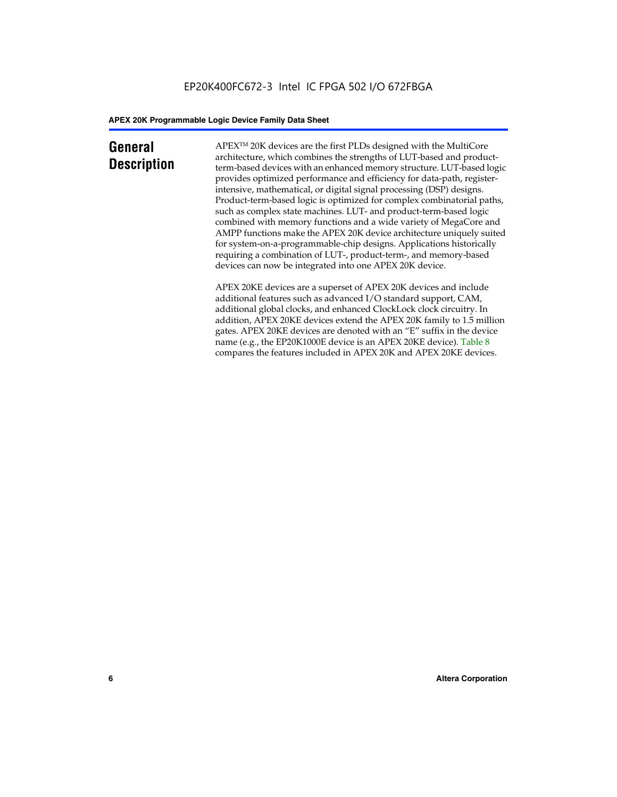### **General Description**

APEXTM 20K devices are the first PLDs designed with the MultiCore architecture, which combines the strengths of LUT-based and productterm-based devices with an enhanced memory structure. LUT-based logic provides optimized performance and efficiency for data-path, registerintensive, mathematical, or digital signal processing (DSP) designs. Product-term-based logic is optimized for complex combinatorial paths, such as complex state machines. LUT- and product-term-based logic combined with memory functions and a wide variety of MegaCore and AMPP functions make the APEX 20K device architecture uniquely suited for system-on-a-programmable-chip designs. Applications historically requiring a combination of LUT-, product-term-, and memory-based devices can now be integrated into one APEX 20K device.

APEX 20KE devices are a superset of APEX 20K devices and include additional features such as advanced I/O standard support, CAM, additional global clocks, and enhanced ClockLock clock circuitry. In addition, APEX 20KE devices extend the APEX 20K family to 1.5 million gates. APEX 20KE devices are denoted with an "E" suffix in the device name (e.g., the EP20K1000E device is an APEX 20KE device). Table 8 compares the features included in APEX 20K and APEX 20KE devices.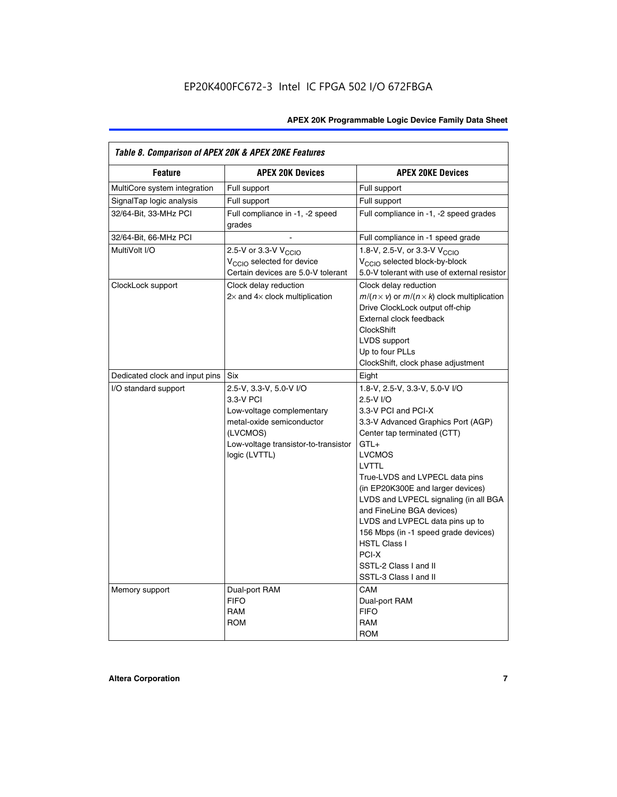| Table 8. Comparison of APEX 20K & APEX 20KE Features |                                                                                                                                                                     |                                                                                                                                                                                                                                                                                                                                                                                                                                                                                       |  |  |  |  |  |  |
|------------------------------------------------------|---------------------------------------------------------------------------------------------------------------------------------------------------------------------|---------------------------------------------------------------------------------------------------------------------------------------------------------------------------------------------------------------------------------------------------------------------------------------------------------------------------------------------------------------------------------------------------------------------------------------------------------------------------------------|--|--|--|--|--|--|
| <b>Feature</b>                                       | <b>APEX 20K Devices</b>                                                                                                                                             | <b>APEX 20KE Devices</b>                                                                                                                                                                                                                                                                                                                                                                                                                                                              |  |  |  |  |  |  |
| MultiCore system integration                         | Full support                                                                                                                                                        | Full support                                                                                                                                                                                                                                                                                                                                                                                                                                                                          |  |  |  |  |  |  |
| SignalTap logic analysis                             | Full support                                                                                                                                                        | Full support                                                                                                                                                                                                                                                                                                                                                                                                                                                                          |  |  |  |  |  |  |
| 32/64-Bit, 33-MHz PCI                                | Full compliance in -1, -2 speed<br>grades                                                                                                                           | Full compliance in -1, -2 speed grades                                                                                                                                                                                                                                                                                                                                                                                                                                                |  |  |  |  |  |  |
| 32/64-Bit, 66-MHz PCI                                |                                                                                                                                                                     | Full compliance in -1 speed grade                                                                                                                                                                                                                                                                                                                                                                                                                                                     |  |  |  |  |  |  |
| MultiVolt I/O                                        | 2.5-V or 3.3-V V <sub>CCIO</sub><br>V <sub>CCIO</sub> selected for device<br>Certain devices are 5.0-V tolerant                                                     | 1.8-V, 2.5-V, or 3.3-V V <sub>CCIO</sub><br>V <sub>CCIO</sub> selected block-by-block<br>5.0-V tolerant with use of external resistor                                                                                                                                                                                                                                                                                                                                                 |  |  |  |  |  |  |
| ClockLock support                                    | Clock delay reduction<br>$2\times$ and $4\times$ clock multiplication                                                                                               | Clock delay reduction<br>$m/(n \times v)$ or $m/(n \times k)$ clock multiplication<br>Drive ClockLock output off-chip<br>External clock feedback<br><b>ClockShift</b><br>LVDS support<br>Up to four PLLs<br>ClockShift, clock phase adjustment                                                                                                                                                                                                                                        |  |  |  |  |  |  |
| Dedicated clock and input pins                       | <b>Six</b>                                                                                                                                                          | Eight                                                                                                                                                                                                                                                                                                                                                                                                                                                                                 |  |  |  |  |  |  |
| I/O standard support                                 | 2.5-V, 3.3-V, 5.0-V I/O<br>3.3-V PCI<br>Low-voltage complementary<br>metal-oxide semiconductor<br>(LVCMOS)<br>Low-voltage transistor-to-transistor<br>logic (LVTTL) | 1.8-V, 2.5-V, 3.3-V, 5.0-V I/O<br>2.5-V I/O<br>3.3-V PCI and PCI-X<br>3.3-V Advanced Graphics Port (AGP)<br>Center tap terminated (CTT)<br>$GTL+$<br><b>LVCMOS</b><br>LVTTL<br>True-LVDS and LVPECL data pins<br>(in EP20K300E and larger devices)<br>LVDS and LVPECL signaling (in all BGA<br>and FineLine BGA devices)<br>LVDS and LVPECL data pins up to<br>156 Mbps (in -1 speed grade devices)<br><b>HSTL Class I</b><br>PCI-X<br>SSTL-2 Class I and II<br>SSTL-3 Class I and II |  |  |  |  |  |  |
| Memory support                                       | Dual-port RAM<br><b>FIFO</b><br><b>RAM</b><br><b>ROM</b>                                                                                                            | CAM<br>Dual-port RAM<br><b>FIFO</b><br>RAM<br><b>ROM</b>                                                                                                                                                                                                                                                                                                                                                                                                                              |  |  |  |  |  |  |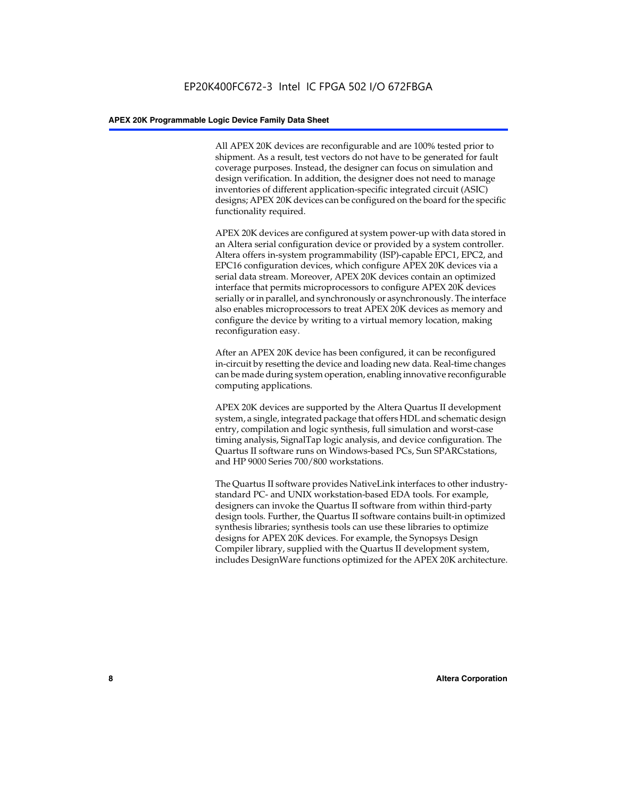All APEX 20K devices are reconfigurable and are 100% tested prior to shipment. As a result, test vectors do not have to be generated for fault coverage purposes. Instead, the designer can focus on simulation and design verification. In addition, the designer does not need to manage inventories of different application-specific integrated circuit (ASIC) designs; APEX 20K devices can be configured on the board for the specific functionality required.

APEX 20K devices are configured at system power-up with data stored in an Altera serial configuration device or provided by a system controller. Altera offers in-system programmability (ISP)-capable EPC1, EPC2, and EPC16 configuration devices, which configure APEX 20K devices via a serial data stream. Moreover, APEX 20K devices contain an optimized interface that permits microprocessors to configure APEX 20K devices serially or in parallel, and synchronously or asynchronously. The interface also enables microprocessors to treat APEX 20K devices as memory and configure the device by writing to a virtual memory location, making reconfiguration easy.

After an APEX 20K device has been configured, it can be reconfigured in-circuit by resetting the device and loading new data. Real-time changes can be made during system operation, enabling innovative reconfigurable computing applications.

APEX 20K devices are supported by the Altera Quartus II development system, a single, integrated package that offers HDL and schematic design entry, compilation and logic synthesis, full simulation and worst-case timing analysis, SignalTap logic analysis, and device configuration. The Quartus II software runs on Windows-based PCs, Sun SPARCstations, and HP 9000 Series 700/800 workstations.

The Quartus II software provides NativeLink interfaces to other industrystandard PC- and UNIX workstation-based EDA tools. For example, designers can invoke the Quartus II software from within third-party design tools. Further, the Quartus II software contains built-in optimized synthesis libraries; synthesis tools can use these libraries to optimize designs for APEX 20K devices. For example, the Synopsys Design Compiler library, supplied with the Quartus II development system, includes DesignWare functions optimized for the APEX 20K architecture.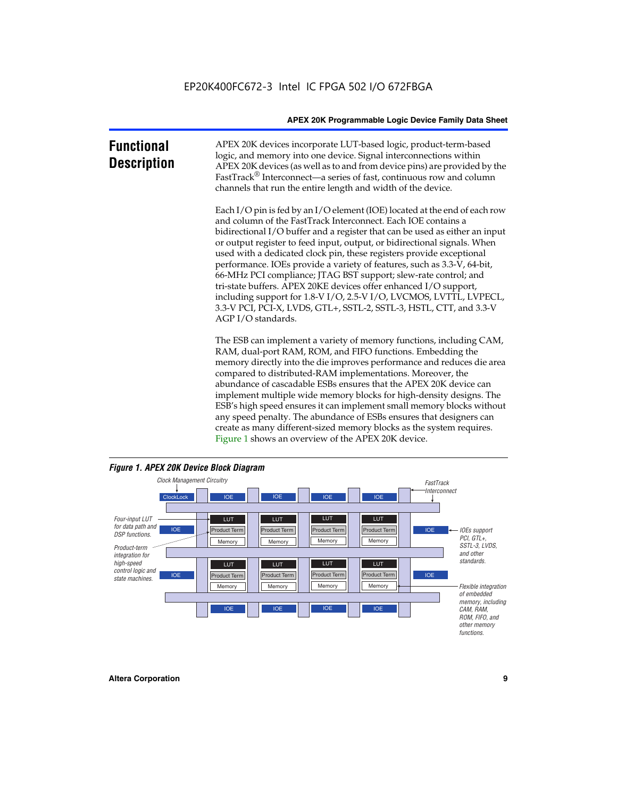| <b>Functional</b><br><b>Description</b> | APEX 20K devices incorporate LUT-based logic, product-term-based<br>logic, and memory into one device. Signal interconnections within<br>APEX 20K devices (as well as to and from device pins) are provided by the<br>FastTrack <sup>®</sup> Interconnect—a series of fast, continuous row and column<br>channels that run the entire length and width of the device.                                                                                                                                                                                                                                                                                                                                                                                              |
|-----------------------------------------|--------------------------------------------------------------------------------------------------------------------------------------------------------------------------------------------------------------------------------------------------------------------------------------------------------------------------------------------------------------------------------------------------------------------------------------------------------------------------------------------------------------------------------------------------------------------------------------------------------------------------------------------------------------------------------------------------------------------------------------------------------------------|
|                                         | Each I/O pin is fed by an I/O element (IOE) located at the end of each row<br>and column of the FastTrack Interconnect. Each IOE contains a<br>bidirectional I/O buffer and a register that can be used as either an input<br>or output register to feed input, output, or bidirectional signals. When<br>used with a dedicated clock pin, these registers provide exceptional<br>performance. IOEs provide a variety of features, such as 3.3-V, 64-bit,<br>66-MHz PCI compliance; JTAG BST support; slew-rate control; and<br>tri-state buffers. APEX 20KE devices offer enhanced I/O support,<br>including support for 1.8-V I/O, 2.5-V I/O, LVCMOS, LVTTL, LVPECL,<br>3.3-V PCI, PCI-X, LVDS, GTL+, SSTL-2, SSTL-3, HSTL, CTT, and 3.3-V<br>AGP I/O standards. |
|                                         | The ESB can implement a variety of memory functions, including CAM,<br>RAM, dual-port RAM, ROM, and FIFO functions. Embedding the<br>memory directly into the die improves performance and reduces die area<br>compared to distributed-RAM implementations. Moreover, the<br>abundance of cascadable ESBs ensures that the APEX 20K device can<br>implement multiple wide memory blocks for high-density designs. The<br>ESB's high speed ensures it can implement small memory blocks without<br>any speed penalty. The abundance of ESBs ensures that designers can<br>create as many different-sized memory blocks as the system requires.                                                                                                                      |



Figure 1 shows an overview of the APEX 20K device.

#### *Figure 1. APEX 20K Device Block Diagram*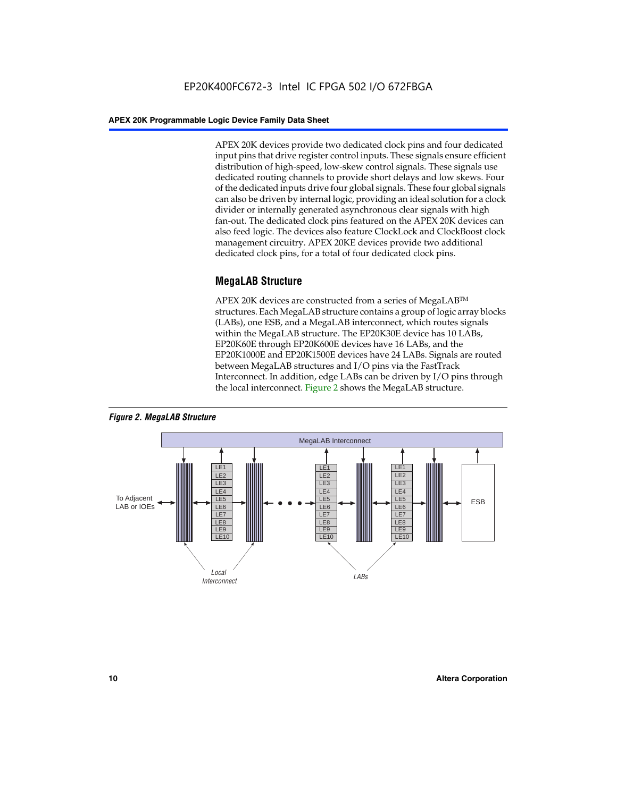APEX 20K devices provide two dedicated clock pins and four dedicated input pins that drive register control inputs. These signals ensure efficient distribution of high-speed, low-skew control signals. These signals use dedicated routing channels to provide short delays and low skews. Four of the dedicated inputs drive four global signals. These four global signals can also be driven by internal logic, providing an ideal solution for a clock divider or internally generated asynchronous clear signals with high fan-out. The dedicated clock pins featured on the APEX 20K devices can also feed logic. The devices also feature ClockLock and ClockBoost clock management circuitry. APEX 20KE devices provide two additional dedicated clock pins, for a total of four dedicated clock pins.

#### **MegaLAB Structure**

APEX 20K devices are constructed from a series of MegaLAB<sup>™</sup> structures. Each MegaLAB structure contains a group of logic array blocks (LABs), one ESB, and a MegaLAB interconnect, which routes signals within the MegaLAB structure. The EP20K30E device has 10 LABs, EP20K60E through EP20K600E devices have 16 LABs, and the EP20K1000E and EP20K1500E devices have 24 LABs. Signals are routed between MegaLAB structures and I/O pins via the FastTrack Interconnect. In addition, edge LABs can be driven by I/O pins through the local interconnect. Figure 2 shows the MegaLAB structure.



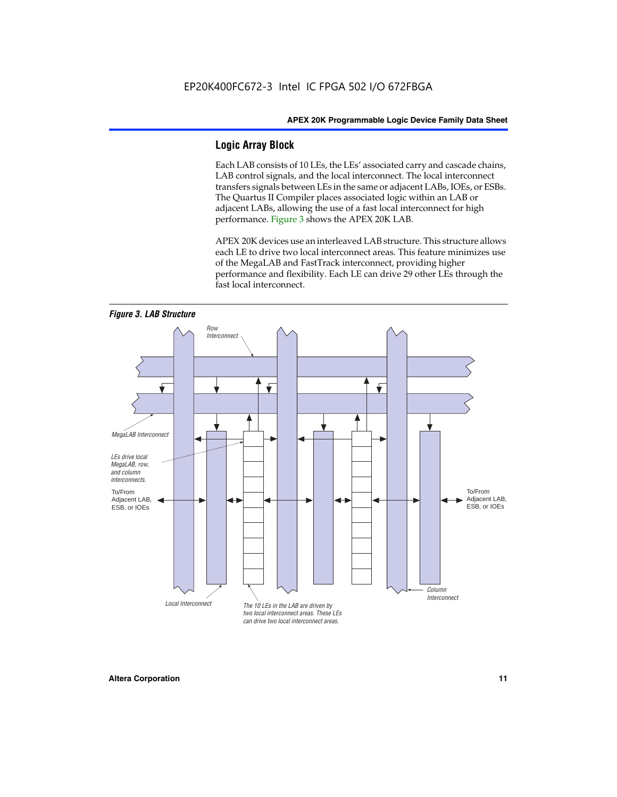#### **Logic Array Block**

Each LAB consists of 10 LEs, the LEs' associated carry and cascade chains, LAB control signals, and the local interconnect. The local interconnect transfers signals between LEs in the same or adjacent LABs, IOEs, or ESBs. The Quartus II Compiler places associated logic within an LAB or adjacent LABs, allowing the use of a fast local interconnect for high performance. Figure 3 shows the APEX 20K LAB.

APEX 20K devices use an interleaved LAB structure. This structure allows each LE to drive two local interconnect areas. This feature minimizes use of the MegaLAB and FastTrack interconnect, providing higher performance and flexibility. Each LE can drive 29 other LEs through the fast local interconnect.

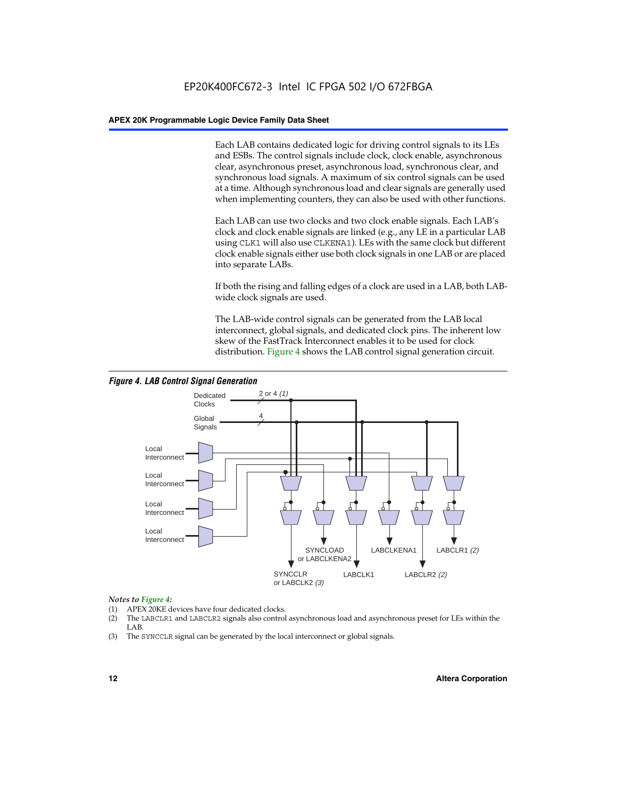Each LAB contains dedicated logic for driving control signals to its LEs and ESBs. The control signals include clock, clock enable, asynchronous clear, asynchronous preset, asynchronous load, synchronous clear, and synchronous load signals. A maximum of six control signals can be used at a time. Although synchronous load and clear signals are generally used when implementing counters, they can also be used with other functions.

Each LAB can use two clocks and two clock enable signals. Each LAB's clock and clock enable signals are linked (e.g., any LE in a particular LAB using CLK1 will also use CLKENA1). LEs with the same clock but different clock enable signals either use both clock signals in one LAB or are placed into separate LABs.

If both the rising and falling edges of a clock are used in a LAB, both LABwide clock signals are used.

The LAB-wide control signals can be generated from the LAB local interconnect, global signals, and dedicated clock pins. The inherent low skew of the FastTrack Interconnect enables it to be used for clock distribution. Figure 4 shows the LAB control signal generation circuit.



#### *Figure 4. LAB Control Signal Generation*

#### *Notes to Figure 4:*

- (1) APEX 20KE devices have four dedicated clocks.
- (2) The LABCLR1 and LABCLR2 signals also control asynchronous load and asynchronous preset for LEs within the LAB.
- (3) The SYNCCLR signal can be generated by the local interconnect or global signals.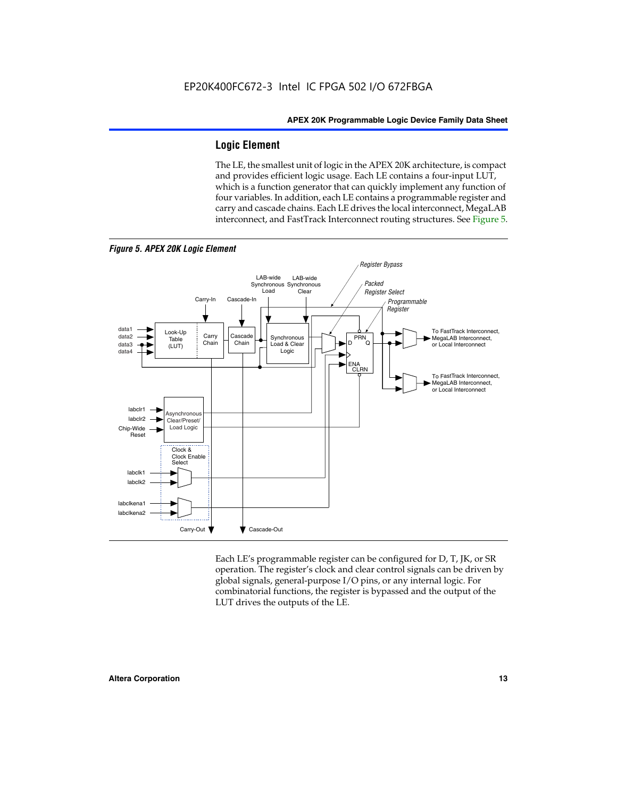#### **Logic Element**

The LE, the smallest unit of logic in the APEX 20K architecture, is compact and provides efficient logic usage. Each LE contains a four-input LUT, which is a function generator that can quickly implement any function of four variables. In addition, each LE contains a programmable register and carry and cascade chains. Each LE drives the local interconnect, MegaLAB interconnect, and FastTrack Interconnect routing structures. See Figure 5.



Each LE's programmable register can be configured for D, T, JK, or SR operation. The register's clock and clear control signals can be driven by global signals, general-purpose I/O pins, or any internal logic. For combinatorial functions, the register is bypassed and the output of the LUT drives the outputs of the LE.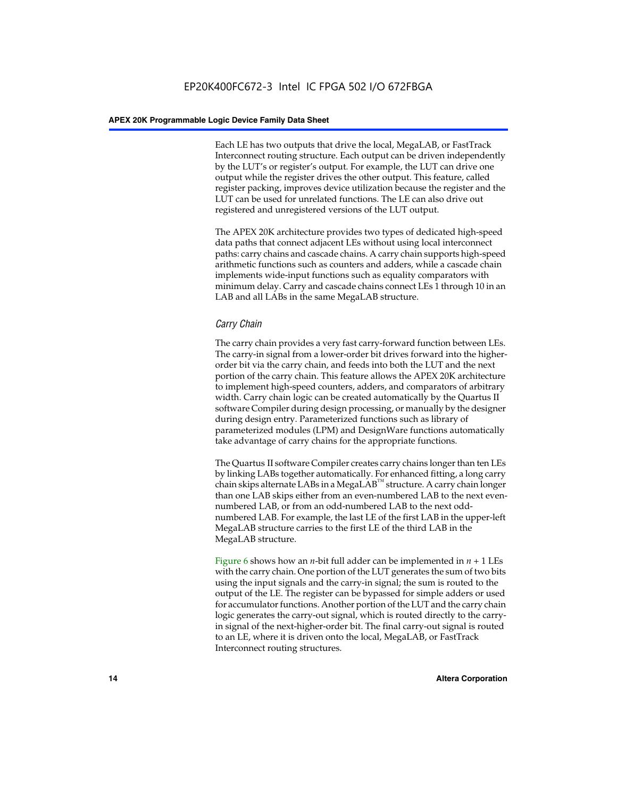Each LE has two outputs that drive the local, MegaLAB, or FastTrack Interconnect routing structure. Each output can be driven independently by the LUT's or register's output. For example, the LUT can drive one output while the register drives the other output. This feature, called register packing, improves device utilization because the register and the LUT can be used for unrelated functions. The LE can also drive out registered and unregistered versions of the LUT output.

The APEX 20K architecture provides two types of dedicated high-speed data paths that connect adjacent LEs without using local interconnect paths: carry chains and cascade chains. A carry chain supports high-speed arithmetic functions such as counters and adders, while a cascade chain implements wide-input functions such as equality comparators with minimum delay. Carry and cascade chains connect LEs 1 through 10 in an LAB and all LABs in the same MegaLAB structure.

#### *Carry Chain*

The carry chain provides a very fast carry-forward function between LEs. The carry-in signal from a lower-order bit drives forward into the higherorder bit via the carry chain, and feeds into both the LUT and the next portion of the carry chain. This feature allows the APEX 20K architecture to implement high-speed counters, adders, and comparators of arbitrary width. Carry chain logic can be created automatically by the Quartus II software Compiler during design processing, or manually by the designer during design entry. Parameterized functions such as library of parameterized modules (LPM) and DesignWare functions automatically take advantage of carry chains for the appropriate functions.

The Quartus II software Compiler creates carry chains longer than ten LEs by linking LABs together automatically. For enhanced fitting, a long carry chain skips alternate LABs in a MegaLAB<sup>™</sup> structure. A carry chain longer than one LAB skips either from an even-numbered LAB to the next evennumbered LAB, or from an odd-numbered LAB to the next oddnumbered LAB. For example, the last LE of the first LAB in the upper-left MegaLAB structure carries to the first LE of the third LAB in the MegaLAB structure.

Figure 6 shows how an *n*-bit full adder can be implemented in *n* + 1 LEs with the carry chain. One portion of the LUT generates the sum of two bits using the input signals and the carry-in signal; the sum is routed to the output of the LE. The register can be bypassed for simple adders or used for accumulator functions. Another portion of the LUT and the carry chain logic generates the carry-out signal, which is routed directly to the carryin signal of the next-higher-order bit. The final carry-out signal is routed to an LE, where it is driven onto the local, MegaLAB, or FastTrack Interconnect routing structures.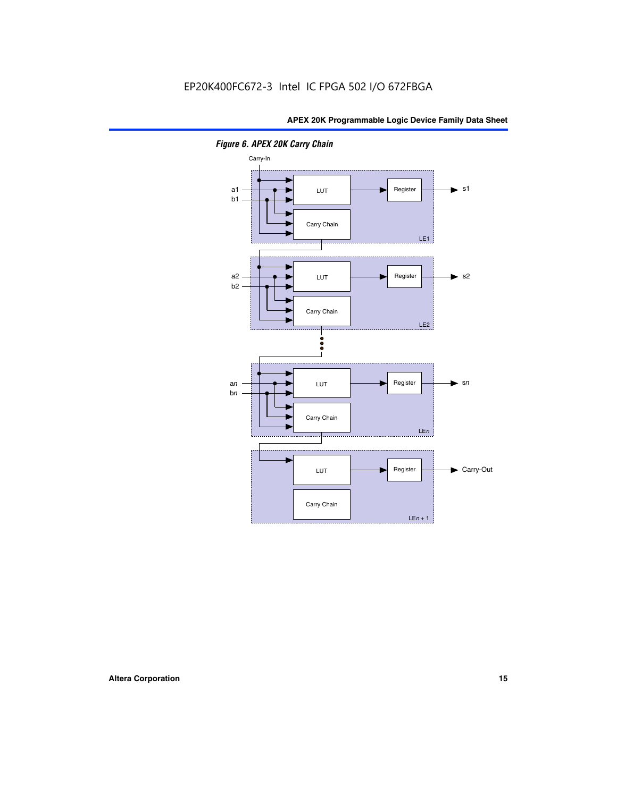

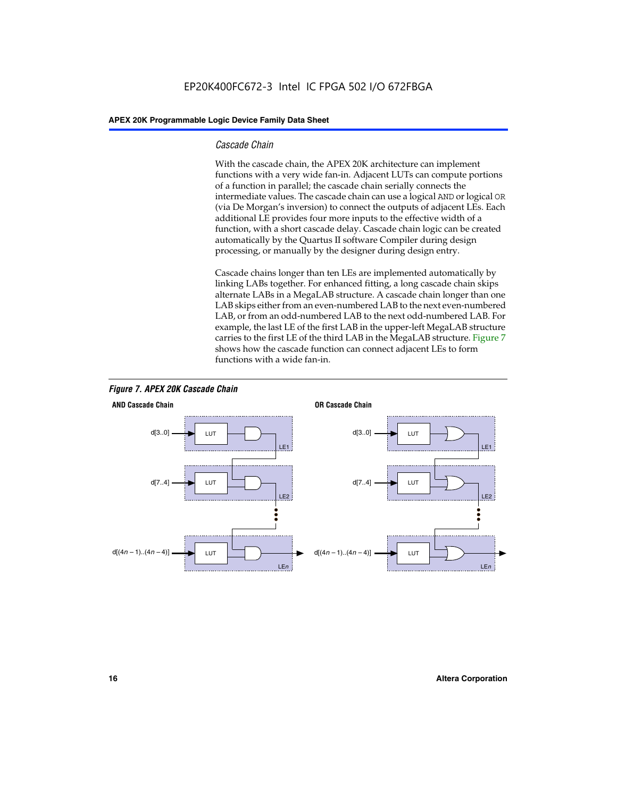#### *Cascade Chain*

With the cascade chain, the APEX 20K architecture can implement functions with a very wide fan-in. Adjacent LUTs can compute portions of a function in parallel; the cascade chain serially connects the intermediate values. The cascade chain can use a logical AND or logical OR (via De Morgan's inversion) to connect the outputs of adjacent LEs. Each additional LE provides four more inputs to the effective width of a function, with a short cascade delay. Cascade chain logic can be created automatically by the Quartus II software Compiler during design processing, or manually by the designer during design entry.

Cascade chains longer than ten LEs are implemented automatically by linking LABs together. For enhanced fitting, a long cascade chain skips alternate LABs in a MegaLAB structure. A cascade chain longer than one LAB skips either from an even-numbered LAB to the next even-numbered LAB, or from an odd-numbered LAB to the next odd-numbered LAB. For example, the last LE of the first LAB in the upper-left MegaLAB structure carries to the first LE of the third LAB in the MegaLAB structure. Figure 7 shows how the cascade function can connect adjacent LEs to form functions with a wide fan-in.



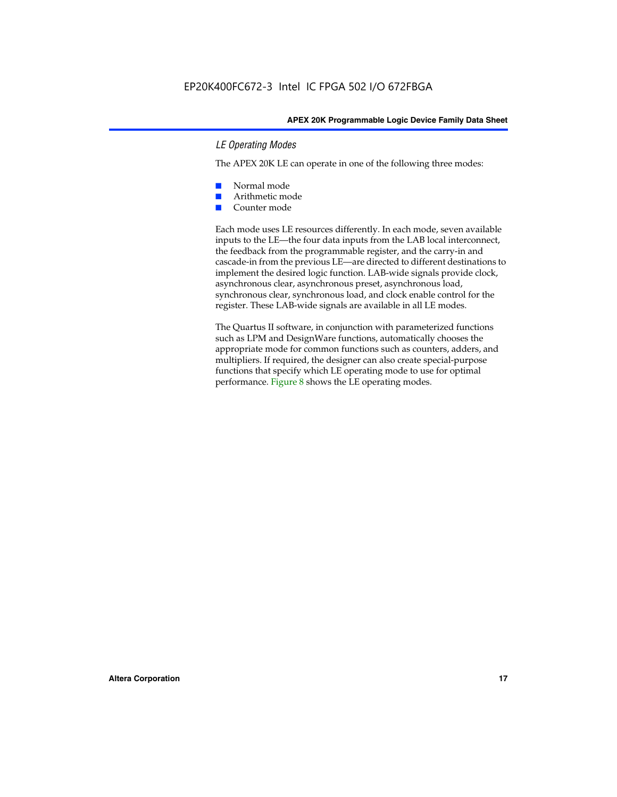#### *LE Operating Modes*

The APEX 20K LE can operate in one of the following three modes:

- Normal mode
- Arithmetic mode
- Counter mode

Each mode uses LE resources differently. In each mode, seven available inputs to the LE—the four data inputs from the LAB local interconnect, the feedback from the programmable register, and the carry-in and cascade-in from the previous LE—are directed to different destinations to implement the desired logic function. LAB-wide signals provide clock, asynchronous clear, asynchronous preset, asynchronous load, synchronous clear, synchronous load, and clock enable control for the register. These LAB-wide signals are available in all LE modes.

The Quartus II software, in conjunction with parameterized functions such as LPM and DesignWare functions, automatically chooses the appropriate mode for common functions such as counters, adders, and multipliers. If required, the designer can also create special-purpose functions that specify which LE operating mode to use for optimal performance. Figure 8 shows the LE operating modes.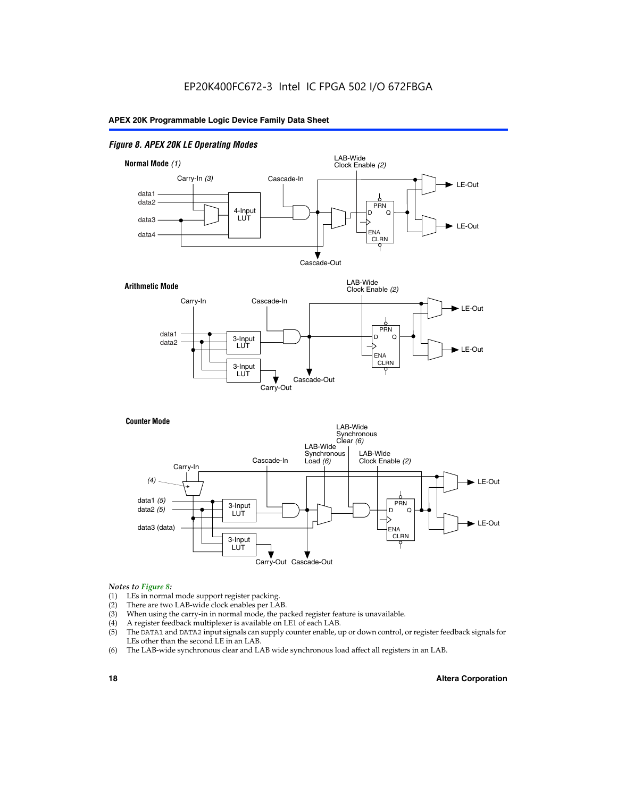#### *Figure 8. APEX 20K LE Operating Modes*



#### *Notes to Figure 8:*

- (1) LEs in normal mode support register packing.
- (2) There are two LAB-wide clock enables per LAB.
- (3) When using the carry-in in normal mode, the packed register feature is unavailable.
- (4) A register feedback multiplexer is available on LE1 of each LAB.
- (5) The DATA1 and DATA2 input signals can supply counter enable, up or down control, or register feedback signals for LEs other than the second LE in an LAB.
- (6) The LAB-wide synchronous clear and LAB wide synchronous load affect all registers in an LAB.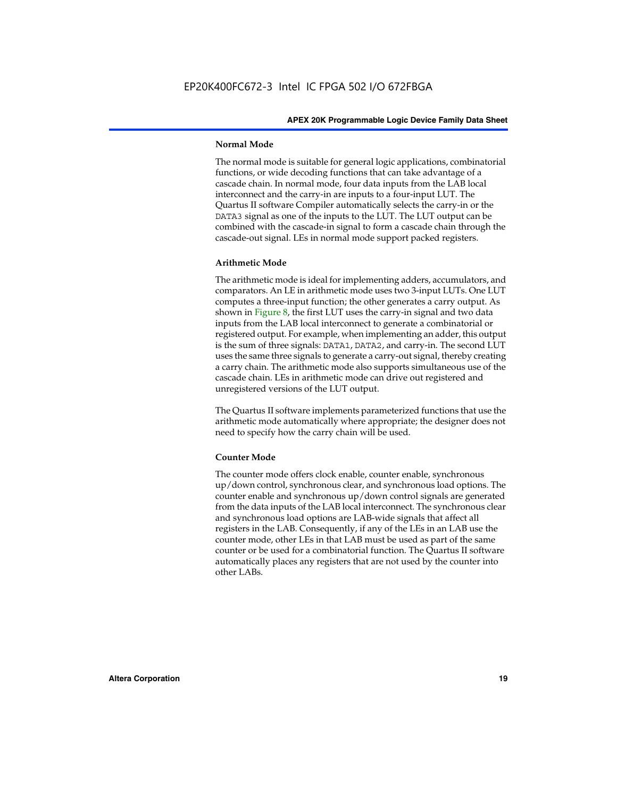#### **Normal Mode**

The normal mode is suitable for general logic applications, combinatorial functions, or wide decoding functions that can take advantage of a cascade chain. In normal mode, four data inputs from the LAB local interconnect and the carry-in are inputs to a four-input LUT. The Quartus II software Compiler automatically selects the carry-in or the DATA3 signal as one of the inputs to the LUT. The LUT output can be combined with the cascade-in signal to form a cascade chain through the cascade-out signal. LEs in normal mode support packed registers.

#### **Arithmetic Mode**

The arithmetic mode is ideal for implementing adders, accumulators, and comparators. An LE in arithmetic mode uses two 3-input LUTs. One LUT computes a three-input function; the other generates a carry output. As shown in Figure 8, the first LUT uses the carry-in signal and two data inputs from the LAB local interconnect to generate a combinatorial or registered output. For example, when implementing an adder, this output is the sum of three signals: DATA1, DATA2, and carry-in. The second LUT uses the same three signals to generate a carry-out signal, thereby creating a carry chain. The arithmetic mode also supports simultaneous use of the cascade chain. LEs in arithmetic mode can drive out registered and unregistered versions of the LUT output.

The Quartus II software implements parameterized functions that use the arithmetic mode automatically where appropriate; the designer does not need to specify how the carry chain will be used.

#### **Counter Mode**

The counter mode offers clock enable, counter enable, synchronous up/down control, synchronous clear, and synchronous load options. The counter enable and synchronous up/down control signals are generated from the data inputs of the LAB local interconnect. The synchronous clear and synchronous load options are LAB-wide signals that affect all registers in the LAB. Consequently, if any of the LEs in an LAB use the counter mode, other LEs in that LAB must be used as part of the same counter or be used for a combinatorial function. The Quartus II software automatically places any registers that are not used by the counter into other LABs.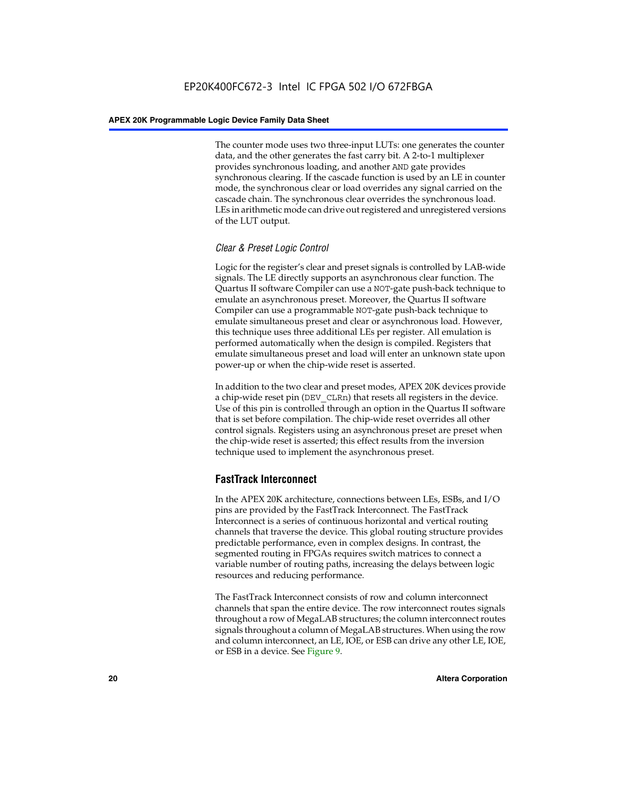The counter mode uses two three-input LUTs: one generates the counter data, and the other generates the fast carry bit. A 2-to-1 multiplexer provides synchronous loading, and another AND gate provides synchronous clearing. If the cascade function is used by an LE in counter mode, the synchronous clear or load overrides any signal carried on the cascade chain. The synchronous clear overrides the synchronous load. LEs in arithmetic mode can drive out registered and unregistered versions of the LUT output.

#### *Clear & Preset Logic Control*

Logic for the register's clear and preset signals is controlled by LAB-wide signals. The LE directly supports an asynchronous clear function. The Quartus II software Compiler can use a NOT-gate push-back technique to emulate an asynchronous preset. Moreover, the Quartus II software Compiler can use a programmable NOT-gate push-back technique to emulate simultaneous preset and clear or asynchronous load. However, this technique uses three additional LEs per register. All emulation is performed automatically when the design is compiled. Registers that emulate simultaneous preset and load will enter an unknown state upon power-up or when the chip-wide reset is asserted.

In addition to the two clear and preset modes, APEX 20K devices provide a chip-wide reset pin (DEV\_CLRn) that resets all registers in the device. Use of this pin is controlled through an option in the Quartus II software that is set before compilation. The chip-wide reset overrides all other control signals. Registers using an asynchronous preset are preset when the chip-wide reset is asserted; this effect results from the inversion technique used to implement the asynchronous preset.

#### **FastTrack Interconnect**

In the APEX 20K architecture, connections between LEs, ESBs, and I/O pins are provided by the FastTrack Interconnect. The FastTrack Interconnect is a series of continuous horizontal and vertical routing channels that traverse the device. This global routing structure provides predictable performance, even in complex designs. In contrast, the segmented routing in FPGAs requires switch matrices to connect a variable number of routing paths, increasing the delays between logic resources and reducing performance.

The FastTrack Interconnect consists of row and column interconnect channels that span the entire device. The row interconnect routes signals throughout a row of MegaLAB structures; the column interconnect routes signals throughout a column of MegaLAB structures. When using the row and column interconnect, an LE, IOE, or ESB can drive any other LE, IOE, or ESB in a device. See Figure 9.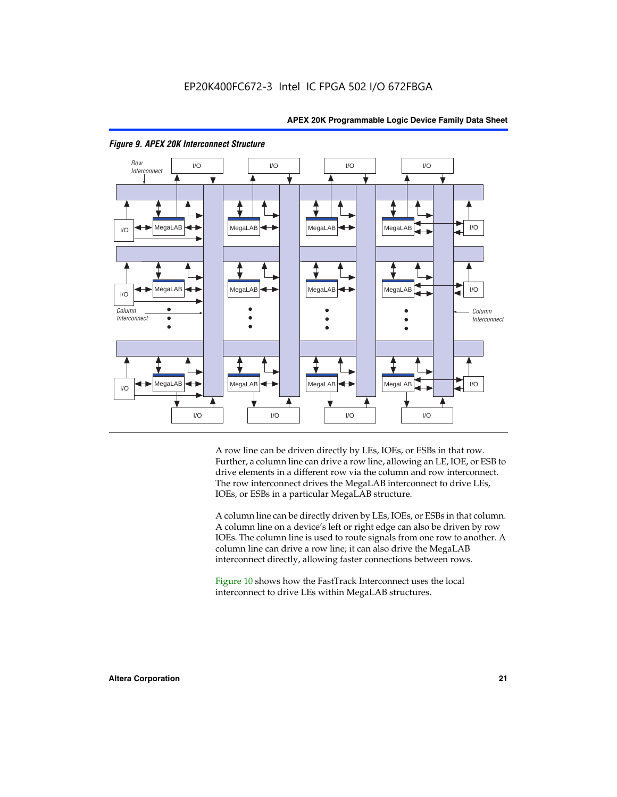

#### *Figure 9. APEX 20K Interconnect Structure*

A row line can be driven directly by LEs, IOEs, or ESBs in that row. Further, a column line can drive a row line, allowing an LE, IOE, or ESB to drive elements in a different row via the column and row interconnect. The row interconnect drives the MegaLAB interconnect to drive LEs, IOEs, or ESBs in a particular MegaLAB structure.

A column line can be directly driven by LEs, IOEs, or ESBs in that column. A column line on a device's left or right edge can also be driven by row IOEs. The column line is used to route signals from one row to another. A column line can drive a row line; it can also drive the MegaLAB interconnect directly, allowing faster connections between rows.

Figure 10 shows how the FastTrack Interconnect uses the local interconnect to drive LEs within MegaLAB structures.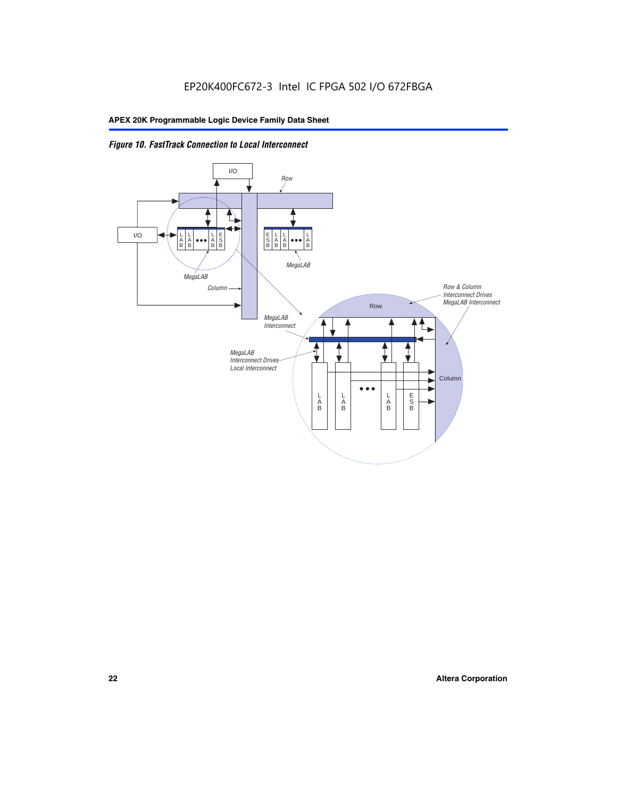

*Figure 10. FastTrack Connection to Local Interconnect*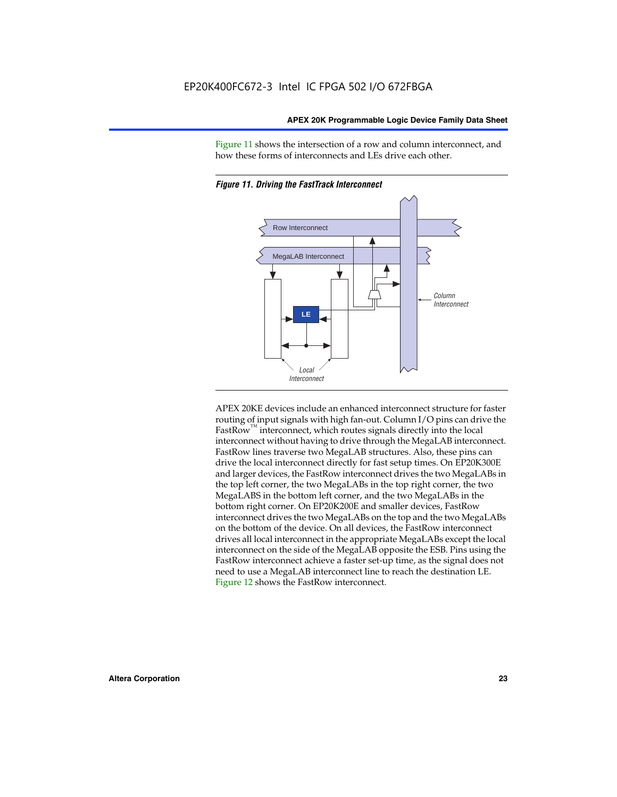Figure 11 shows the intersection of a row and column interconnect, and how these forms of interconnects and LEs drive each other.



*Figure 11. Driving the FastTrack Interconnect*

APEX 20KE devices include an enhanced interconnect structure for faster routing of input signals with high fan-out. Column I/O pins can drive the FastRow<sup>™</sup> interconnect, which routes signals directly into the local interconnect without having to drive through the MegaLAB interconnect. FastRow lines traverse two MegaLAB structures. Also, these pins can drive the local interconnect directly for fast setup times. On EP20K300E and larger devices, the FastRow interconnect drives the two MegaLABs in the top left corner, the two MegaLABs in the top right corner, the two MegaLABS in the bottom left corner, and the two MegaLABs in the bottom right corner. On EP20K200E and smaller devices, FastRow interconnect drives the two MegaLABs on the top and the two MegaLABs on the bottom of the device. On all devices, the FastRow interconnect drives all local interconnect in the appropriate MegaLABs except the local interconnect on the side of the MegaLAB opposite the ESB. Pins using the FastRow interconnect achieve a faster set-up time, as the signal does not need to use a MegaLAB interconnect line to reach the destination LE. Figure 12 shows the FastRow interconnect.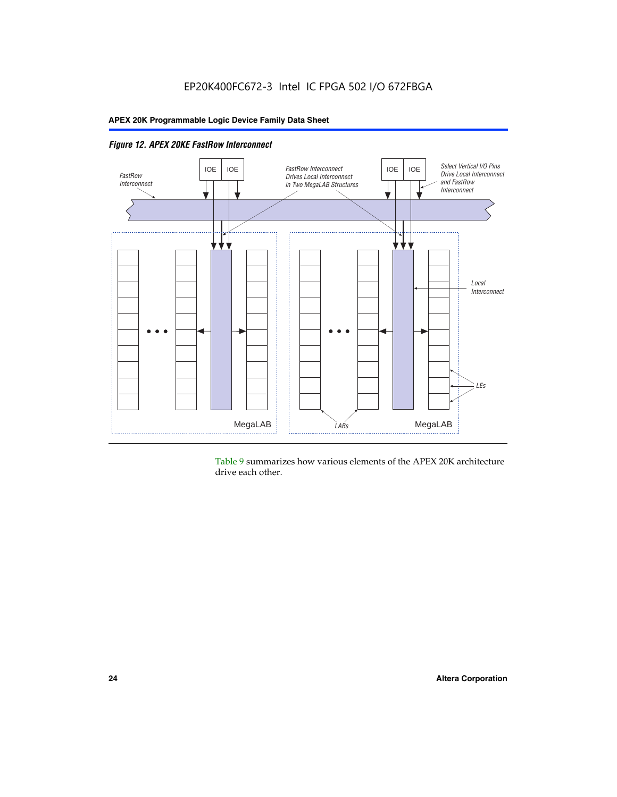

Table 9 summarizes how various elements of the APEX 20K architecture drive each other.

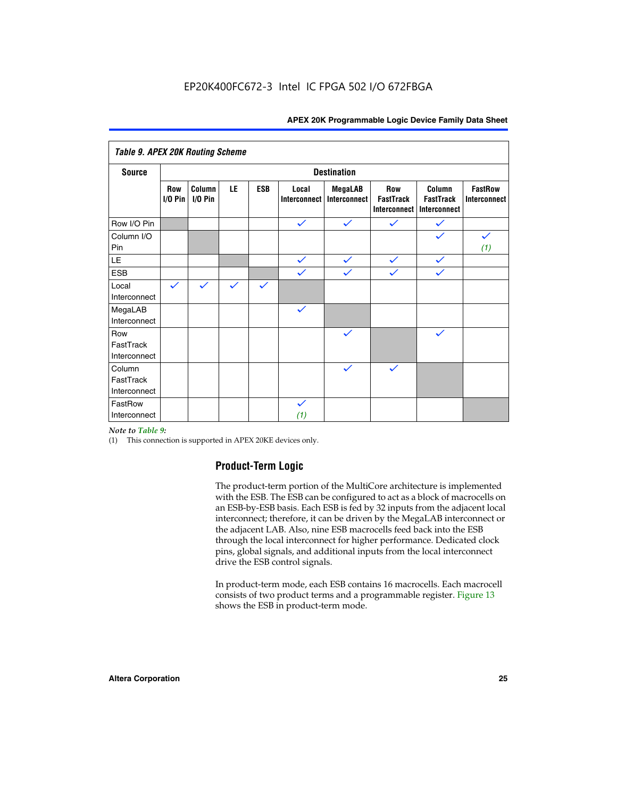| <b>Table 9. APEX 20K Routing Scheme</b> |                    |                      |              |              |                              |                                |                                                |                                            |                                       |
|-----------------------------------------|--------------------|----------------------|--------------|--------------|------------------------------|--------------------------------|------------------------------------------------|--------------------------------------------|---------------------------------------|
| <b>Source</b>                           | <b>Destination</b> |                      |              |              |                              |                                |                                                |                                            |                                       |
|                                         | Row<br>$1/0$ Pin   | Column<br>$I/O P$ in | LE           | <b>ESB</b>   | Local<br><b>Interconnect</b> | <b>MegaLAB</b><br>Interconnect | Row<br><b>FastTrack</b><br><b>Interconnect</b> | Column<br><b>FastTrack</b><br>Interconnect | <b>FastRow</b><br><b>Interconnect</b> |
| Row I/O Pin                             |                    |                      |              |              | $\checkmark$                 | $\checkmark$                   | $\checkmark$                                   | $\checkmark$                               |                                       |
| Column I/O<br>Pin                       |                    |                      |              |              |                              |                                |                                                | $\checkmark$                               | $\checkmark$<br>(1)                   |
| LE                                      |                    |                      |              |              | $\checkmark$                 | $\checkmark$                   | $\checkmark$                                   | $\checkmark$                               |                                       |
| <b>ESB</b>                              |                    |                      |              |              | $\checkmark$                 | $\checkmark$                   | $\checkmark$                                   | $\checkmark$                               |                                       |
| Local<br>Interconnect                   | $\checkmark$       | $\checkmark$         | $\checkmark$ | $\checkmark$ |                              |                                |                                                |                                            |                                       |
| MegaLAB<br>Interconnect                 |                    |                      |              |              | $\checkmark$                 |                                |                                                |                                            |                                       |
| Row<br>FastTrack<br>Interconnect        |                    |                      |              |              |                              | $\checkmark$                   |                                                | $\checkmark$                               |                                       |
| Column<br>FastTrack<br>Interconnect     |                    |                      |              |              |                              | $\checkmark$                   | $\checkmark$                                   |                                            |                                       |
| FastRow<br>Interconnect                 |                    |                      |              |              | $\checkmark$<br>(1)          |                                |                                                |                                            |                                       |

#### *Note to Table 9:*

(1) This connection is supported in APEX 20KE devices only.

#### **Product-Term Logic**

The product-term portion of the MultiCore architecture is implemented with the ESB. The ESB can be configured to act as a block of macrocells on an ESB-by-ESB basis. Each ESB is fed by 32 inputs from the adjacent local interconnect; therefore, it can be driven by the MegaLAB interconnect or the adjacent LAB. Also, nine ESB macrocells feed back into the ESB through the local interconnect for higher performance. Dedicated clock pins, global signals, and additional inputs from the local interconnect drive the ESB control signals.

In product-term mode, each ESB contains 16 macrocells. Each macrocell consists of two product terms and a programmable register. Figure 13 shows the ESB in product-term mode.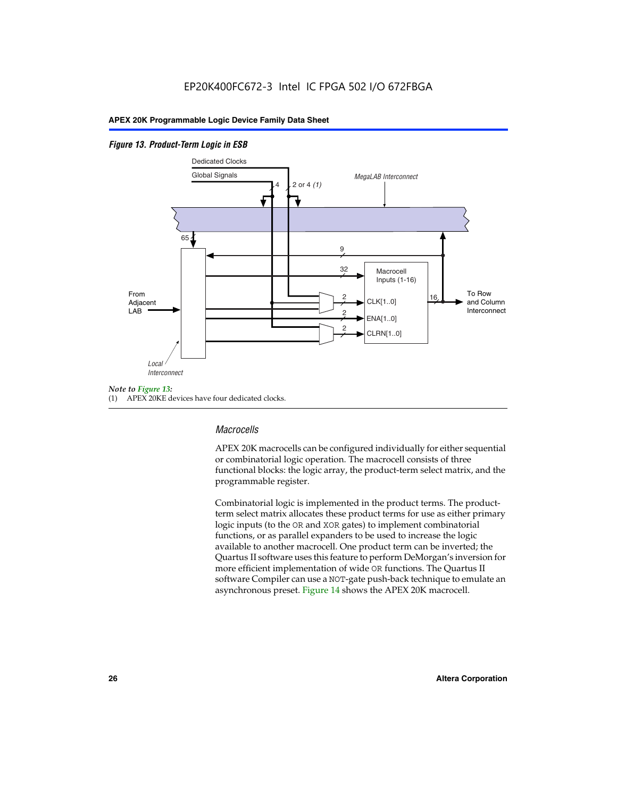#### *Figure 13. Product-Term Logic in ESB*



(1) APEX 20KE devices have four dedicated clocks.

#### *Macrocells*

APEX 20K macrocells can be configured individually for either sequential or combinatorial logic operation. The macrocell consists of three functional blocks: the logic array, the product-term select matrix, and the programmable register.

Combinatorial logic is implemented in the product terms. The productterm select matrix allocates these product terms for use as either primary logic inputs (to the OR and XOR gates) to implement combinatorial functions, or as parallel expanders to be used to increase the logic available to another macrocell. One product term can be inverted; the Quartus II software uses this feature to perform DeMorgan's inversion for more efficient implementation of wide OR functions. The Quartus II software Compiler can use a NOT-gate push-back technique to emulate an asynchronous preset. Figure 14 shows the APEX 20K macrocell.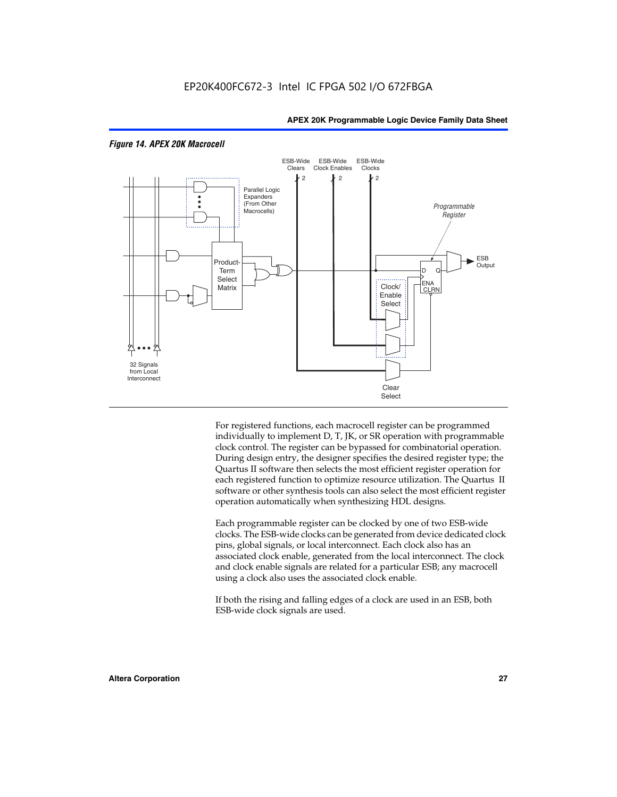

#### *Figure 14. APEX 20K Macrocell*

For registered functions, each macrocell register can be programmed individually to implement D, T, JK, or SR operation with programmable clock control. The register can be bypassed for combinatorial operation. During design entry, the designer specifies the desired register type; the Quartus II software then selects the most efficient register operation for each registered function to optimize resource utilization. The Quartus II software or other synthesis tools can also select the most efficient register operation automatically when synthesizing HDL designs.

Each programmable register can be clocked by one of two ESB-wide clocks. The ESB-wide clocks can be generated from device dedicated clock pins, global signals, or local interconnect. Each clock also has an associated clock enable, generated from the local interconnect. The clock and clock enable signals are related for a particular ESB; any macrocell using a clock also uses the associated clock enable.

If both the rising and falling edges of a clock are used in an ESB, both ESB-wide clock signals are used.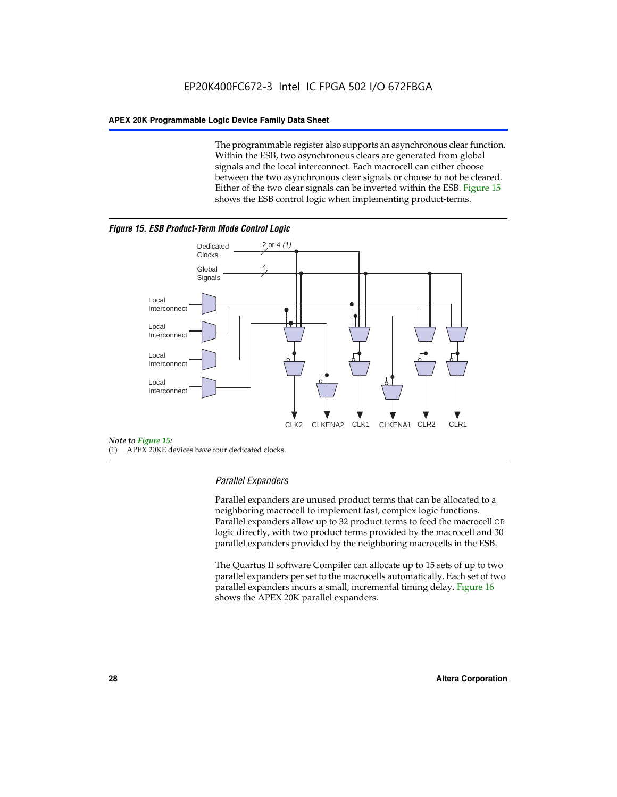The programmable register also supports an asynchronous clear function. Within the ESB, two asynchronous clears are generated from global signals and the local interconnect. Each macrocell can either choose between the two asynchronous clear signals or choose to not be cleared. Either of the two clear signals can be inverted within the ESB. Figure 15 shows the ESB control logic when implementing product-terms.





(1) APEX 20KE devices have four dedicated clocks.

#### *Parallel Expanders*

Parallel expanders are unused product terms that can be allocated to a neighboring macrocell to implement fast, complex logic functions. Parallel expanders allow up to 32 product terms to feed the macrocell OR logic directly, with two product terms provided by the macrocell and 30 parallel expanders provided by the neighboring macrocells in the ESB.

The Quartus II software Compiler can allocate up to 15 sets of up to two parallel expanders per set to the macrocells automatically. Each set of two parallel expanders incurs a small, incremental timing delay. Figure 16 shows the APEX 20K parallel expanders.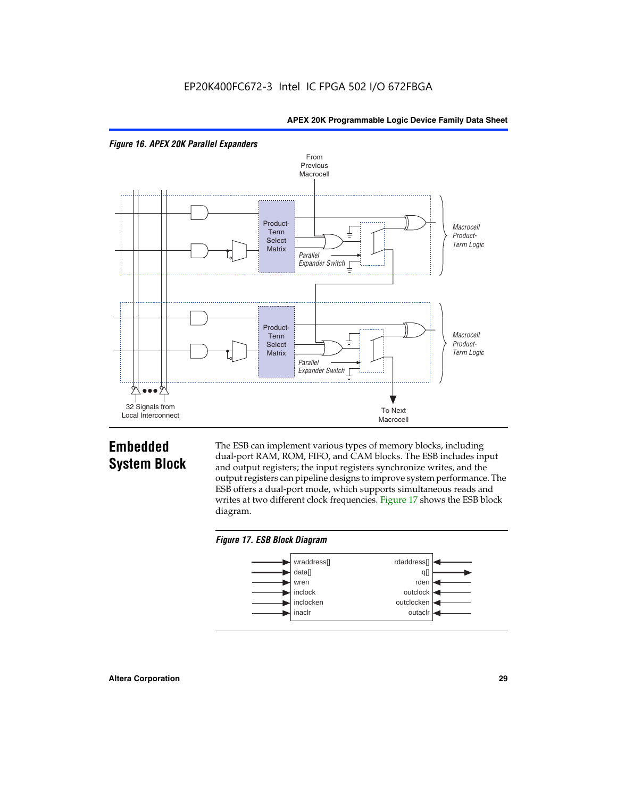



## **Embedded System Block**

The ESB can implement various types of memory blocks, including dual-port RAM, ROM, FIFO, and CAM blocks. The ESB includes input and output registers; the input registers synchronize writes, and the output registers can pipeline designs to improve system performance. The ESB offers a dual-port mode, which supports simultaneous reads and writes at two different clock frequencies. Figure 17 shows the ESB block diagram.



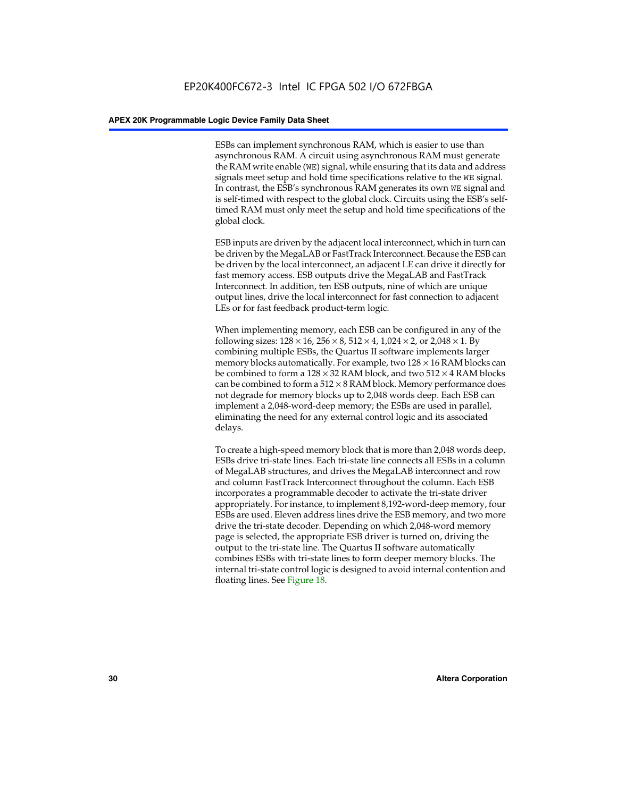ESBs can implement synchronous RAM, which is easier to use than asynchronous RAM. A circuit using asynchronous RAM must generate the RAM write enable (WE) signal, while ensuring that its data and address signals meet setup and hold time specifications relative to the WE signal. In contrast, the ESB's synchronous RAM generates its own WE signal and is self-timed with respect to the global clock. Circuits using the ESB's selftimed RAM must only meet the setup and hold time specifications of the global clock.

ESB inputs are driven by the adjacent local interconnect, which in turn can be driven by the MegaLAB or FastTrack Interconnect. Because the ESB can be driven by the local interconnect, an adjacent LE can drive it directly for fast memory access. ESB outputs drive the MegaLAB and FastTrack Interconnect. In addition, ten ESB outputs, nine of which are unique output lines, drive the local interconnect for fast connection to adjacent LEs or for fast feedback product-term logic.

When implementing memory, each ESB can be configured in any of the following sizes:  $128 \times 16$ ,  $256 \times 8$ ,  $512 \times 4$ ,  $1,024 \times 2$ , or  $2,048 \times 1$ . By combining multiple ESBs, the Quartus II software implements larger memory blocks automatically. For example, two  $128 \times 16$  RAM blocks can be combined to form a  $128 \times 32$  RAM block, and two  $512 \times 4$  RAM blocks can be combined to form a  $512 \times 8$  RAM block. Memory performance does not degrade for memory blocks up to 2,048 words deep. Each ESB can implement a 2,048-word-deep memory; the ESBs are used in parallel, eliminating the need for any external control logic and its associated delays.

To create a high-speed memory block that is more than 2,048 words deep, ESBs drive tri-state lines. Each tri-state line connects all ESBs in a column of MegaLAB structures, and drives the MegaLAB interconnect and row and column FastTrack Interconnect throughout the column. Each ESB incorporates a programmable decoder to activate the tri-state driver appropriately. For instance, to implement 8,192-word-deep memory, four ESBs are used. Eleven address lines drive the ESB memory, and two more drive the tri-state decoder. Depending on which 2,048-word memory page is selected, the appropriate ESB driver is turned on, driving the output to the tri-state line. The Quartus II software automatically combines ESBs with tri-state lines to form deeper memory blocks. The internal tri-state control logic is designed to avoid internal contention and floating lines. See Figure 18.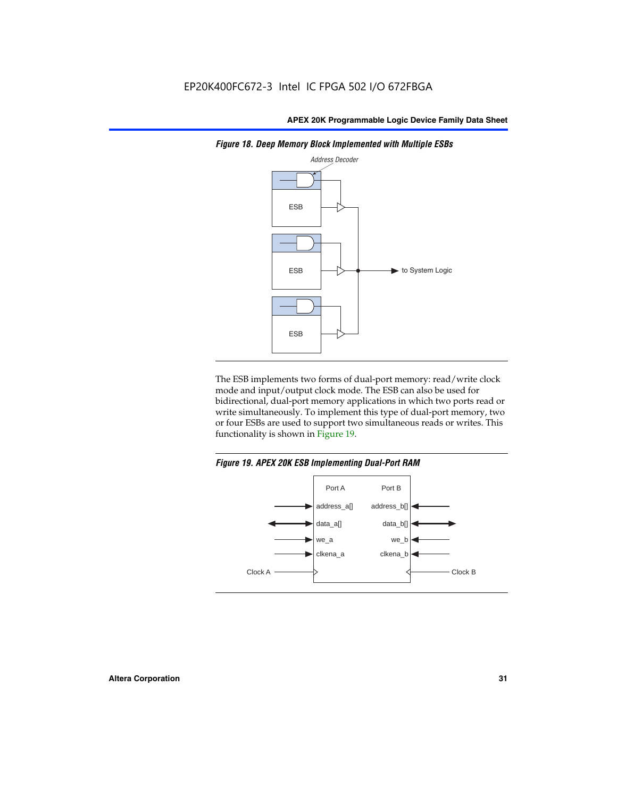

*Figure 18. Deep Memory Block Implemented with Multiple ESBs*

The ESB implements two forms of dual-port memory: read/write clock mode and input/output clock mode. The ESB can also be used for bidirectional, dual-port memory applications in which two ports read or write simultaneously. To implement this type of dual-port memory, two or four ESBs are used to support two simultaneous reads or writes. This functionality is shown in Figure 19.

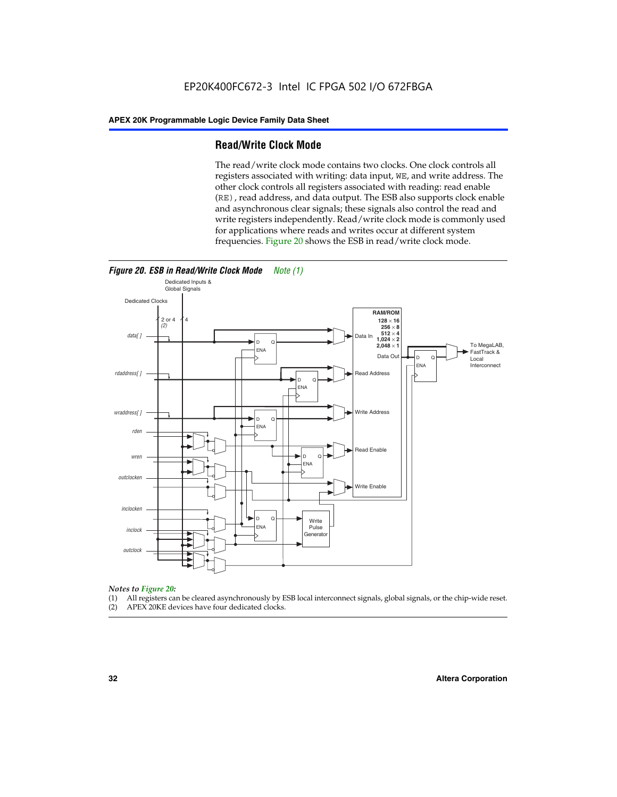#### **Read/Write Clock Mode**

The read/write clock mode contains two clocks. One clock controls all registers associated with writing: data input, WE, and write address. The other clock controls all registers associated with reading: read enable (RE), read address, and data output. The ESB also supports clock enable and asynchronous clear signals; these signals also control the read and write registers independently. Read/write clock mode is commonly used for applications where reads and writes occur at different system frequencies. Figure 20 shows the ESB in read/write clock mode.



### *Notes to Figure 20:*

- (1) All registers can be cleared asynchronously by ESB local interconnect signals, global signals, or the chip-wide reset.
- (2) APEX 20KE devices have four dedicated clocks.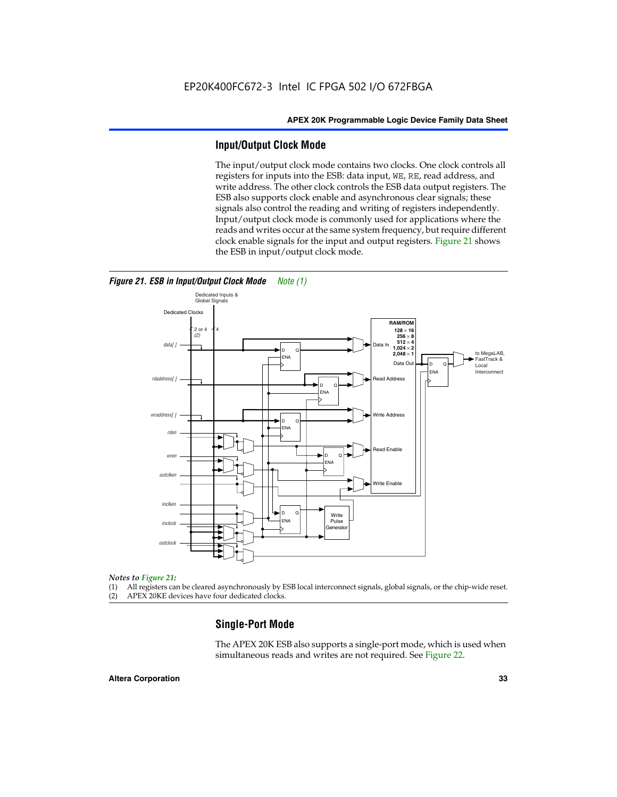#### **Input/Output Clock Mode**

The input/output clock mode contains two clocks. One clock controls all registers for inputs into the ESB: data input, WE, RE, read address, and write address. The other clock controls the ESB data output registers. The ESB also supports clock enable and asynchronous clear signals; these signals also control the reading and writing of registers independently. Input/output clock mode is commonly used for applications where the reads and writes occur at the same system frequency, but require different clock enable signals for the input and output registers. Figure 21 shows the ESB in input/output clock mode.



*Figure 21. ESB in Input/Output Clock Mode Note (1)*

#### *Notes to Figure 21:*

(1) All registers can be cleared asynchronously by ESB local interconnect signals, global signals, or the chip-wide reset.

(2) APEX 20KE devices have four dedicated clocks.

#### **Single-Port Mode**

The APEX 20K ESB also supports a single-port mode, which is used when simultaneous reads and writes are not required. See Figure 22.

#### **Altera Corporation 33**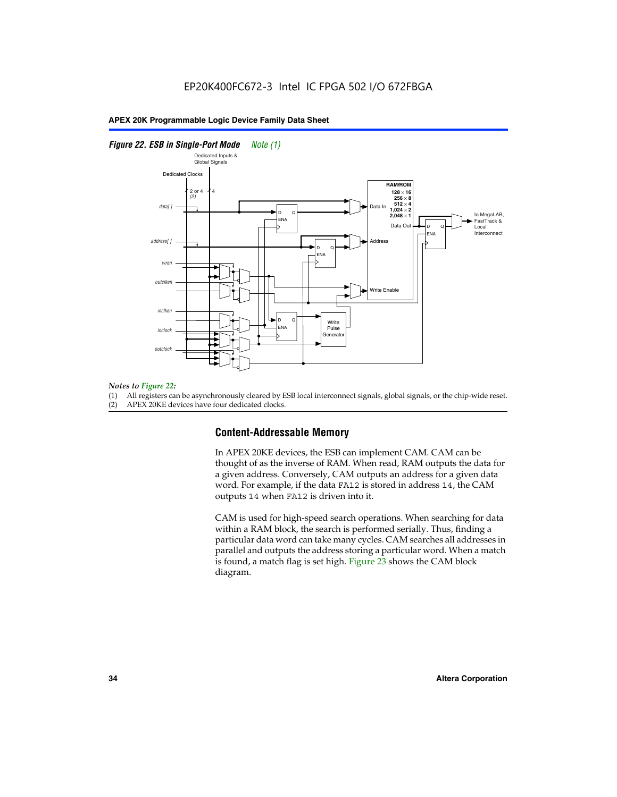#### *Figure 22. ESB in Single-Port Mode Note (1)*



#### *Notes to Figure 22:*

(1) All registers can be asynchronously cleared by ESB local interconnect signals, global signals, or the chip-wide reset.

(2) APEX 20KE devices have four dedicated clocks.

#### **Content-Addressable Memory**

In APEX 20KE devices, the ESB can implement CAM. CAM can be thought of as the inverse of RAM. When read, RAM outputs the data for a given address. Conversely, CAM outputs an address for a given data word. For example, if the data FA12 is stored in address 14, the CAM outputs 14 when FA12 is driven into it.

CAM is used for high-speed search operations. When searching for data within a RAM block, the search is performed serially. Thus, finding a particular data word can take many cycles. CAM searches all addresses in parallel and outputs the address storing a particular word. When a match is found, a match flag is set high. Figure 23 shows the CAM block diagram.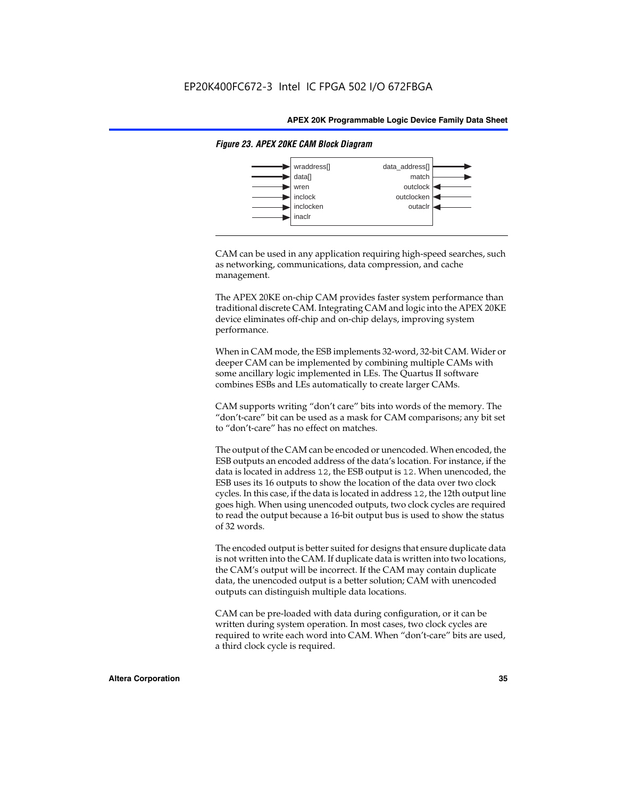

#### *Figure 23. APEX 20KE CAM Block Diagram*

CAM can be used in any application requiring high-speed searches, such as networking, communications, data compression, and cache management.

The APEX 20KE on-chip CAM provides faster system performance than traditional discrete CAM. Integrating CAM and logic into the APEX 20KE device eliminates off-chip and on-chip delays, improving system performance.

When in CAM mode, the ESB implements 32-word, 32-bit CAM. Wider or deeper CAM can be implemented by combining multiple CAMs with some ancillary logic implemented in LEs. The Quartus II software combines ESBs and LEs automatically to create larger CAMs.

CAM supports writing "don't care" bits into words of the memory. The "don't-care" bit can be used as a mask for CAM comparisons; any bit set to "don't-care" has no effect on matches.

The output of the CAM can be encoded or unencoded. When encoded, the ESB outputs an encoded address of the data's location. For instance, if the data is located in address 12, the ESB output is 12. When unencoded, the ESB uses its 16 outputs to show the location of the data over two clock cycles. In this case, if the data is located in address 12, the 12th output line goes high. When using unencoded outputs, two clock cycles are required to read the output because a 16-bit output bus is used to show the status of 32 words.

The encoded output is better suited for designs that ensure duplicate data is not written into the CAM. If duplicate data is written into two locations, the CAM's output will be incorrect. If the CAM may contain duplicate data, the unencoded output is a better solution; CAM with unencoded outputs can distinguish multiple data locations.

CAM can be pre-loaded with data during configuration, or it can be written during system operation. In most cases, two clock cycles are required to write each word into CAM. When "don't-care" bits are used, a third clock cycle is required.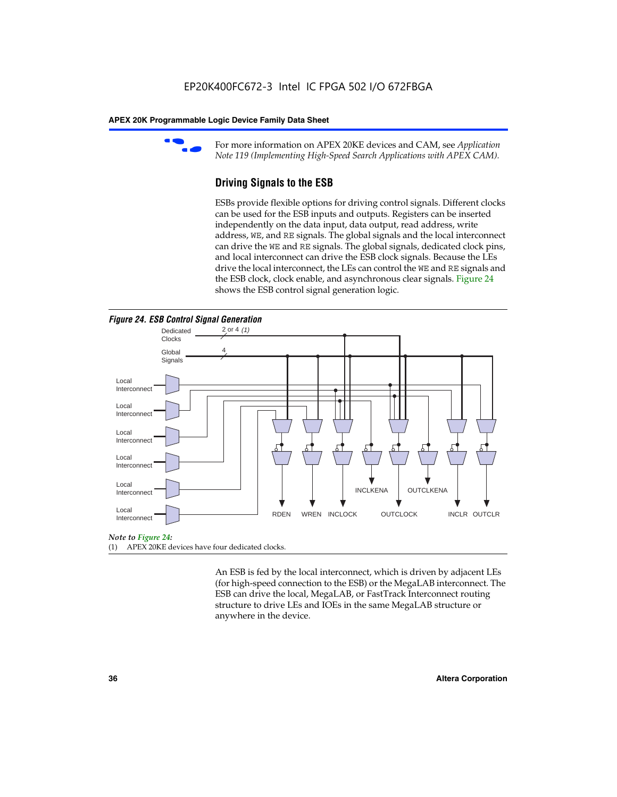

For more information on APEX 20KE devices and CAM, see *Application Note 119 (Implementing High-Speed Search Applications with APEX CAM).*

# **Driving Signals to the ESB**

ESBs provide flexible options for driving control signals. Different clocks can be used for the ESB inputs and outputs. Registers can be inserted independently on the data input, data output, read address, write address, WE, and RE signals. The global signals and the local interconnect can drive the WE and RE signals. The global signals, dedicated clock pins, and local interconnect can drive the ESB clock signals. Because the LEs drive the local interconnect, the LEs can control the WE and RE signals and the ESB clock, clock enable, and asynchronous clear signals. Figure 24 shows the ESB control signal generation logic.





#### *Note to Figure 24:*

(1) APEX 20KE devices have four dedicated clocks.

An ESB is fed by the local interconnect, which is driven by adjacent LEs (for high-speed connection to the ESB) or the MegaLAB interconnect. The ESB can drive the local, MegaLAB, or FastTrack Interconnect routing structure to drive LEs and IOEs in the same MegaLAB structure or anywhere in the device.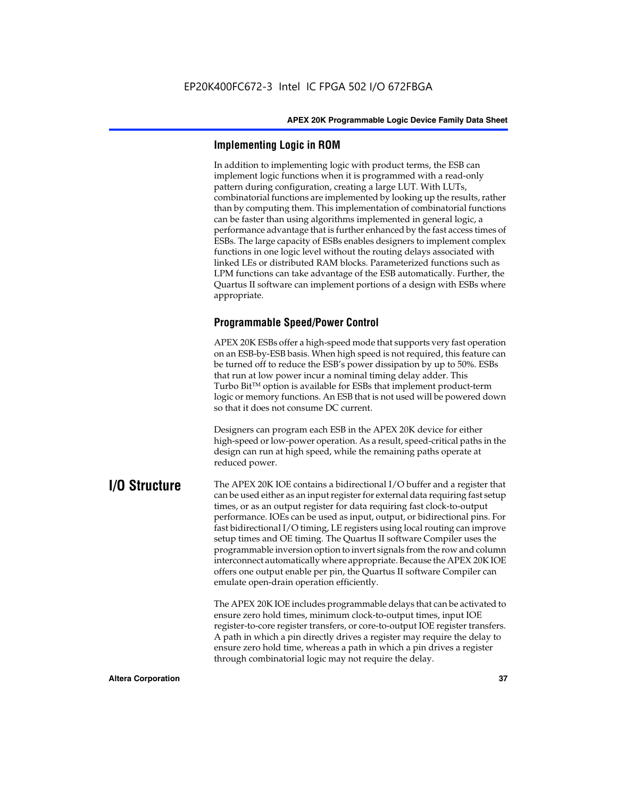# **Implementing Logic in ROM**

In addition to implementing logic with product terms, the ESB can implement logic functions when it is programmed with a read-only pattern during configuration, creating a large LUT. With LUTs, combinatorial functions are implemented by looking up the results, rather than by computing them. This implementation of combinatorial functions can be faster than using algorithms implemented in general logic, a performance advantage that is further enhanced by the fast access times of ESBs. The large capacity of ESBs enables designers to implement complex functions in one logic level without the routing delays associated with linked LEs or distributed RAM blocks. Parameterized functions such as LPM functions can take advantage of the ESB automatically. Further, the Quartus II software can implement portions of a design with ESBs where appropriate.

# **Programmable Speed/Power Control**

APEX 20K ESBs offer a high-speed mode that supports very fast operation on an ESB-by-ESB basis. When high speed is not required, this feature can be turned off to reduce the ESB's power dissipation by up to 50%. ESBs that run at low power incur a nominal timing delay adder. This Turbo  $Bit^{TM}$  option is available for ESBs that implement product-term logic or memory functions. An ESB that is not used will be powered down so that it does not consume DC current.

Designers can program each ESB in the APEX 20K device for either high-speed or low-power operation. As a result, speed-critical paths in the design can run at high speed, while the remaining paths operate at reduced power.

**I/O Structure** The APEX 20K IOE contains a bidirectional I/O buffer and a register that can be used either as an input register for external data requiring fast setup times, or as an output register for data requiring fast clock-to-output performance. IOEs can be used as input, output, or bidirectional pins. For fast bidirectional I/O timing, LE registers using local routing can improve setup times and OE timing. The Quartus II software Compiler uses the programmable inversion option to invert signals from the row and column interconnect automatically where appropriate. Because the APEX 20K IOE offers one output enable per pin, the Quartus II software Compiler can emulate open-drain operation efficiently.

> The APEX 20K IOE includes programmable delays that can be activated to ensure zero hold times, minimum clock-to-output times, input IOE register-to-core register transfers, or core-to-output IOE register transfers. A path in which a pin directly drives a register may require the delay to ensure zero hold time, whereas a path in which a pin drives a register through combinatorial logic may not require the delay.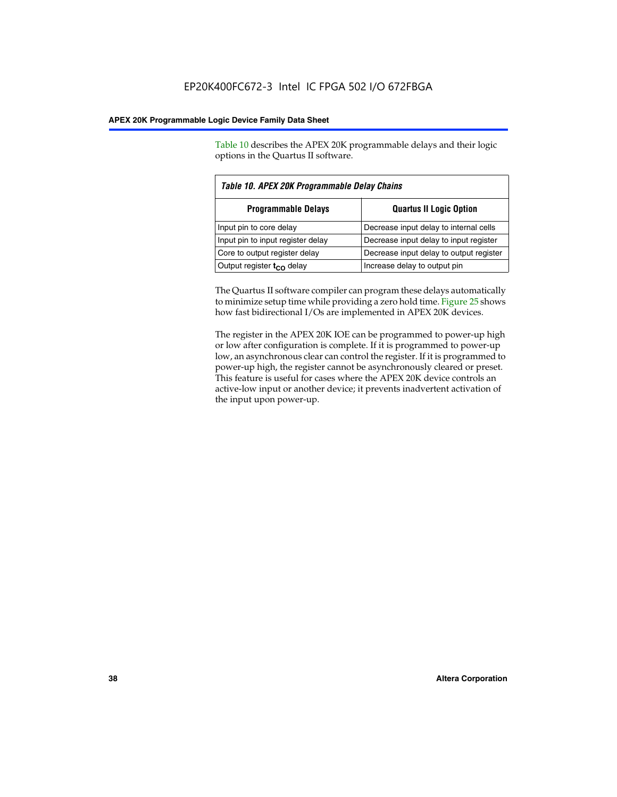Table 10 describes the APEX 20K programmable delays and their logic options in the Quartus II software.

| Table 10. APEX 20K Programmable Delay Chains |                                         |  |  |
|----------------------------------------------|-----------------------------------------|--|--|
| <b>Programmable Delays</b>                   | <b>Quartus II Logic Option</b>          |  |  |
| Input pin to core delay                      | Decrease input delay to internal cells  |  |  |
| Input pin to input register delay            | Decrease input delay to input register  |  |  |
| Core to output register delay                | Decrease input delay to output register |  |  |
| Output register $t_{\rm CO}$ delay           | Increase delay to output pin            |  |  |

The Quartus II software compiler can program these delays automatically to minimize setup time while providing a zero hold time. Figure 25 shows how fast bidirectional I/Os are implemented in APEX 20K devices.

The register in the APEX 20K IOE can be programmed to power-up high or low after configuration is complete. If it is programmed to power-up low, an asynchronous clear can control the register. If it is programmed to power-up high, the register cannot be asynchronously cleared or preset. This feature is useful for cases where the APEX 20K device controls an active-low input or another device; it prevents inadvertent activation of the input upon power-up.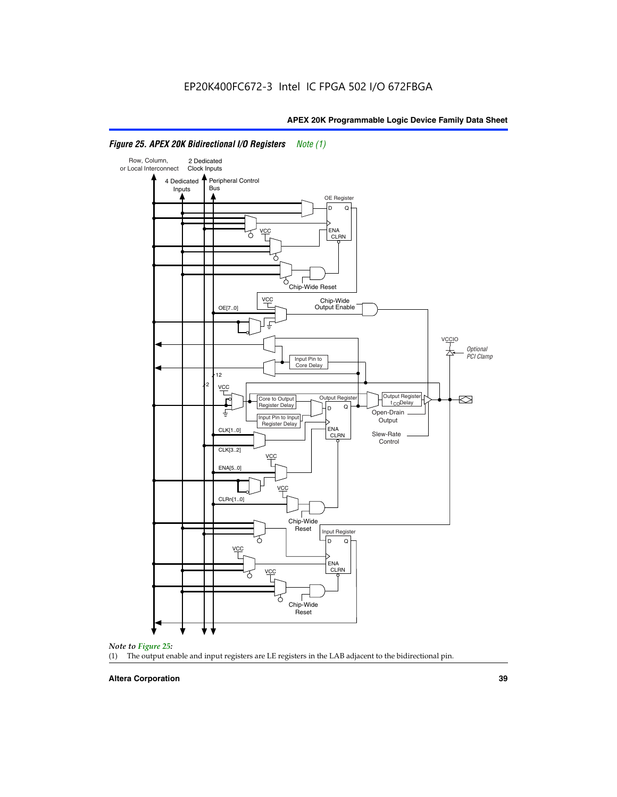

# *Figure 25. APEX 20K Bidirectional I/O Registers Note (1)*



#### **Altera Corporation 39**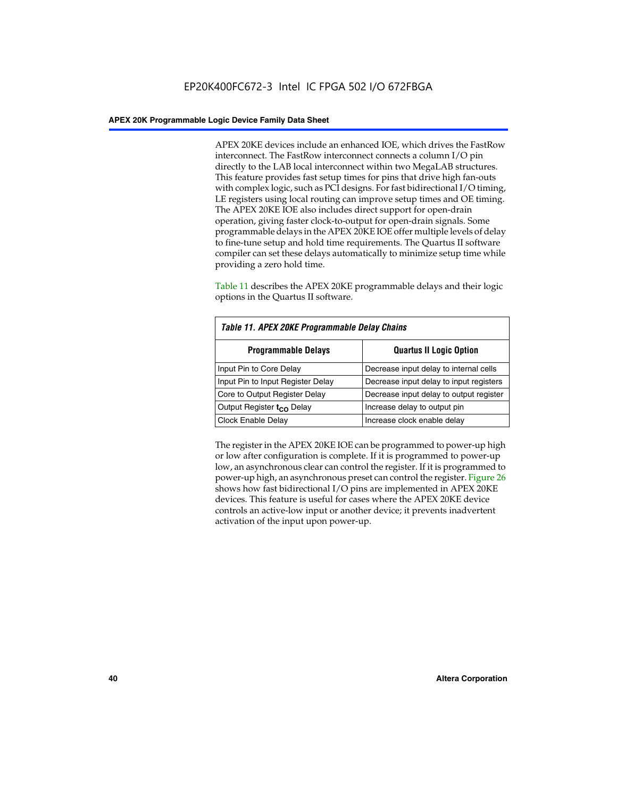APEX 20KE devices include an enhanced IOE, which drives the FastRow interconnect. The FastRow interconnect connects a column I/O pin directly to the LAB local interconnect within two MegaLAB structures. This feature provides fast setup times for pins that drive high fan-outs with complex logic, such as PCI designs. For fast bidirectional I/O timing, LE registers using local routing can improve setup times and OE timing. The APEX 20KE IOE also includes direct support for open-drain operation, giving faster clock-to-output for open-drain signals. Some programmable delays in the APEX 20KE IOE offer multiple levels of delay to fine-tune setup and hold time requirements. The Quartus II software compiler can set these delays automatically to minimize setup time while providing a zero hold time.

Table 11 describes the APEX 20KE programmable delays and their logic options in the Quartus II software.

| Table 11. APEX 20KE Programmable Delay Chains |                                         |  |  |  |
|-----------------------------------------------|-----------------------------------------|--|--|--|
| <b>Programmable Delays</b>                    | <b>Quartus II Logic Option</b>          |  |  |  |
| Input Pin to Core Delay                       | Decrease input delay to internal cells  |  |  |  |
| Input Pin to Input Register Delay             | Decrease input delay to input registers |  |  |  |
| Core to Output Register Delay                 | Decrease input delay to output register |  |  |  |
| Output Register t <sub>CO</sub> Delay         | Increase delay to output pin            |  |  |  |
| <b>Clock Enable Delay</b>                     | Increase clock enable delay             |  |  |  |

The register in the APEX 20KE IOE can be programmed to power-up high or low after configuration is complete. If it is programmed to power-up low, an asynchronous clear can control the register. If it is programmed to power-up high, an asynchronous preset can control the register. Figure 26 shows how fast bidirectional I/O pins are implemented in APEX 20KE devices. This feature is useful for cases where the APEX 20KE device controls an active-low input or another device; it prevents inadvertent activation of the input upon power-up.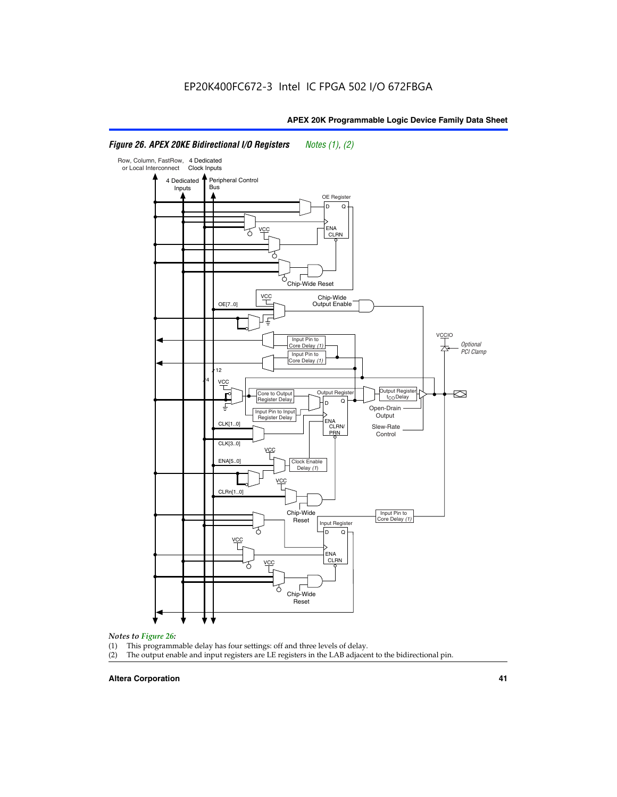#### Row, Column, FastRow, 4 Dedicated or Local Interconnect Clock Inputs Peripheral Control 4 Dedicated **Bus** Inputs OE Register D Q ENA VCC CLRN 7 Chip-Wide Reset YCC Chip-Wide Output Enable OE[7..0] VC Input Pin to **Optional** Core Delay (1) PCI Clamp Input Pin to Core Delay (1) 12 4 **VCC** Output Register **Output Registe**  $\approx$ Core to Output | Output Hegister | Durbut Tropieding | Contput Tropieding | Durbut Tropieding | Output Tropied<br>Register Delay | Durbut Tropieding | Contput Tropieding | Contput Tropieding | O t<sub>CO</sub>Delay  $D$  Q ŧ Open-Drain Input Pin to Input **Output** Register Delay ENA CLK[1..0] CLRN/ Slew-Rate PR<sub>N</sub> Control CLK[3..0] VCC ENA[5..0] Clock Enable Delay (1) VCC CLRn[1..0] Chip-Wide Input Pin to Core Delay (1) Reset Input Register D Q <u>vcc</u> .<br>ENA CLRN **VCC** Chip-Wide Reset

# *Figure 26. APEX 20KE Bidirectional I/O Registers Notes (1), (2)*

#### *Notes to Figure 26:*

- (1) This programmable delay has four settings: off and three levels of delay.<br>(2) The output enable and input registers are LE registers in the LAB adjacer
- The output enable and input registers are LE registers in the LAB adjacent to the bidirectional pin.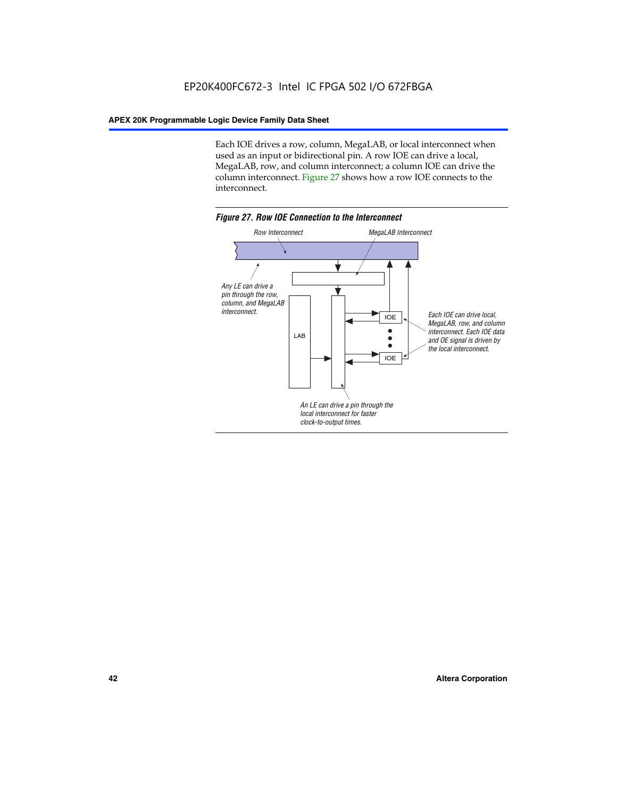Each IOE drives a row, column, MegaLAB, or local interconnect when used as an input or bidirectional pin. A row IOE can drive a local, MegaLAB, row, and column interconnect; a column IOE can drive the column interconnect. Figure 27 shows how a row IOE connects to the interconnect.

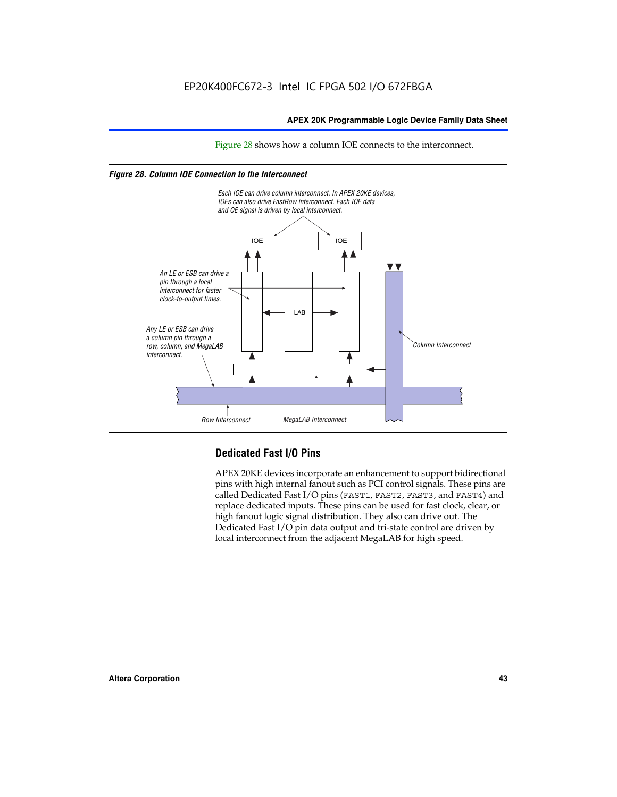Figure 28 shows how a column IOE connects to the interconnect.

# *Figure 28. Column IOE Connection to the Interconnect*



# **Dedicated Fast I/O Pins**

APEX 20KE devices incorporate an enhancement to support bidirectional pins with high internal fanout such as PCI control signals. These pins are called Dedicated Fast I/O pins (FAST1, FAST2, FAST3, and FAST4) and replace dedicated inputs. These pins can be used for fast clock, clear, or high fanout logic signal distribution. They also can drive out. The Dedicated Fast I/O pin data output and tri-state control are driven by local interconnect from the adjacent MegaLAB for high speed.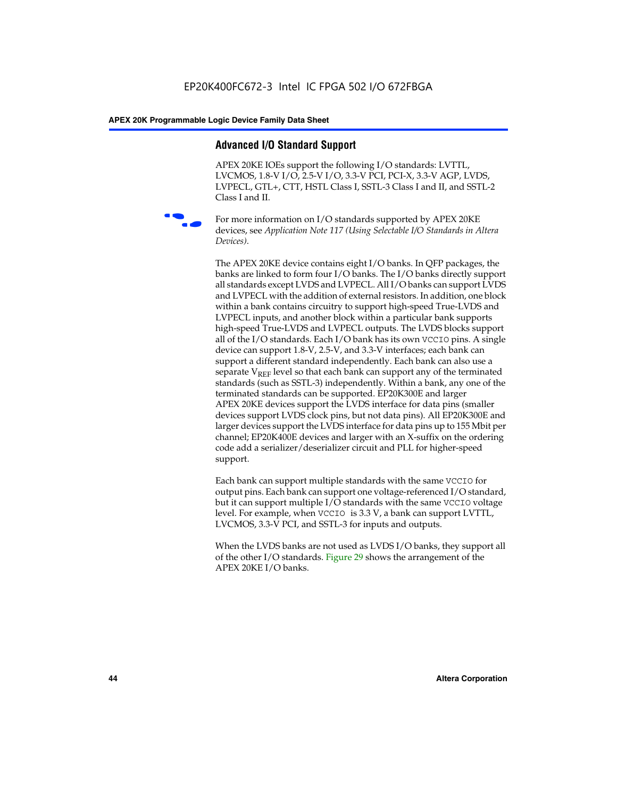# **Advanced I/O Standard Support**

APEX 20KE IOEs support the following I/O standards: LVTTL, LVCMOS, 1.8-V I/O, 2.5-V I/O, 3.3-V PCI, PCI-X, 3.3-V AGP, LVDS, LVPECL, GTL+, CTT, HSTL Class I, SSTL-3 Class I and II, and SSTL-2 Class I and II.



For more information on I/O standards supported by APEX 20KE devices, see *Application Note 117 (Using Selectable I/O Standards in Altera Devices)*.

The APEX 20KE device contains eight I/O banks. In QFP packages, the banks are linked to form four I/O banks. The I/O banks directly support all standards except LVDS and LVPECL. All I/O banks can support LVDS and LVPECL with the addition of external resistors. In addition, one block within a bank contains circuitry to support high-speed True-LVDS and LVPECL inputs, and another block within a particular bank supports high-speed True-LVDS and LVPECL outputs. The LVDS blocks support all of the I/O standards. Each I/O bank has its own VCCIO pins. A single device can support 1.8-V, 2.5-V, and 3.3-V interfaces; each bank can support a different standard independently. Each bank can also use a separate  $V_{\text{REF}}$  level so that each bank can support any of the terminated standards (such as SSTL-3) independently. Within a bank, any one of the terminated standards can be supported. EP20K300E and larger APEX 20KE devices support the LVDS interface for data pins (smaller devices support LVDS clock pins, but not data pins). All EP20K300E and larger devices support the LVDS interface for data pins up to 155 Mbit per channel; EP20K400E devices and larger with an X-suffix on the ordering code add a serializer/deserializer circuit and PLL for higher-speed support.

Each bank can support multiple standards with the same VCCIO for output pins. Each bank can support one voltage-referenced I/O standard, but it can support multiple I/O standards with the same VCCIO voltage level. For example, when VCCIO is 3.3 V, a bank can support LVTTL, LVCMOS, 3.3-V PCI, and SSTL-3 for inputs and outputs.

When the LVDS banks are not used as LVDS I/O banks, they support all of the other I/O standards. Figure 29 shows the arrangement of the APEX 20KE I/O banks.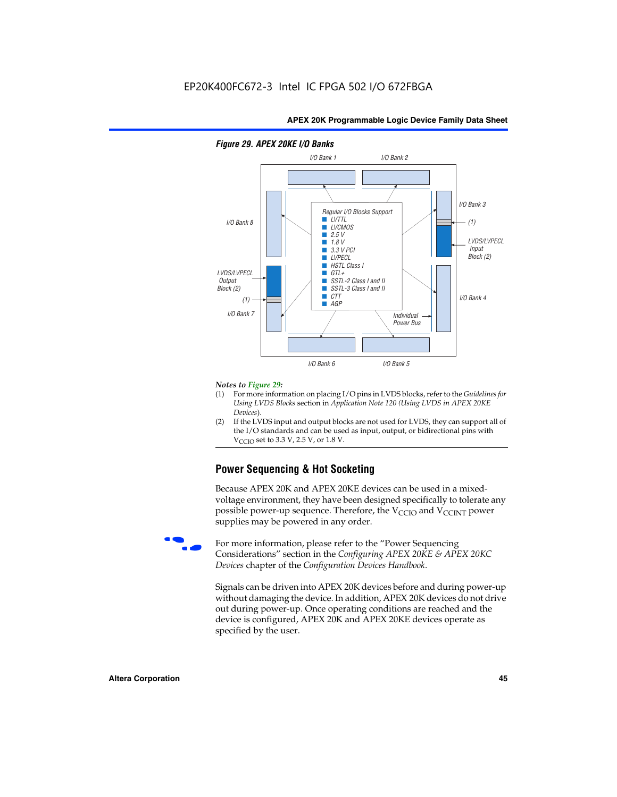

### *Figure 29. APEX 20KE I/O Banks*

#### *Notes to Figure 29:*

- (1) For more information on placing I/O pins in LVDS blocks, refer to the *Guidelines for Using LVDS Blocks* section in *Application Note 120 (Using LVDS in APEX 20KE Devices*).
- (2) If the LVDS input and output blocks are not used for LVDS, they can support all of the I/O standards and can be used as input, output, or bidirectional pins with  $V_{\text{C} \cap \text{O}}$  set to 3.3 V, 2.5 V, or 1.8 V.

# **Power Sequencing & Hot Socketing**

Because APEX 20K and APEX 20KE devices can be used in a mixedvoltage environment, they have been designed specifically to tolerate any possible power-up sequence. Therefore, the  $V_{\text{CCIO}}$  and  $V_{\text{CCINT}}$  power supplies may be powered in any order.

For more information, please refer to the "Power Sequencing Considerations" section in the *Configuring APEX 20KE & APEX 20KC Devices* chapter of the *Configuration Devices Handbook*.

Signals can be driven into APEX 20K devices before and during power-up without damaging the device. In addition, APEX 20K devices do not drive out during power-up. Once operating conditions are reached and the device is configured, APEX 20K and APEX 20KE devices operate as specified by the user.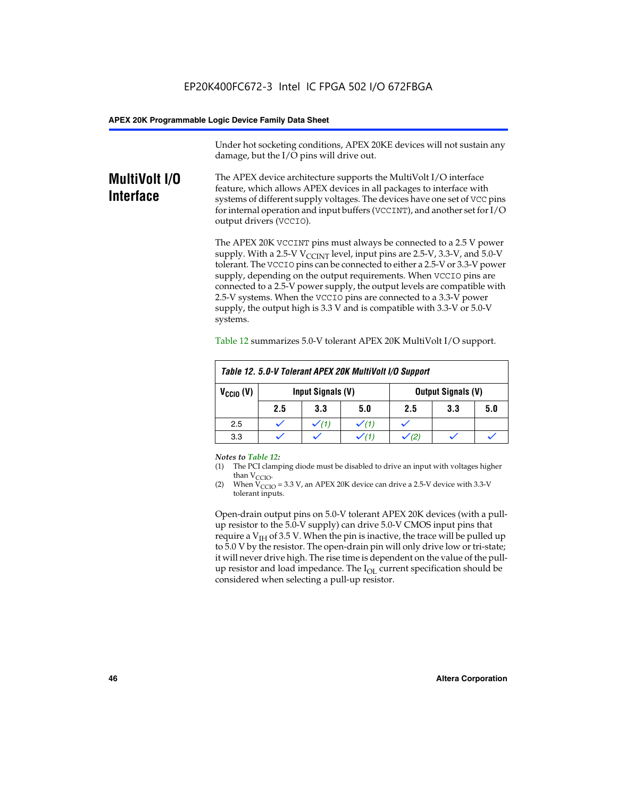Under hot socketing conditions, APEX 20KE devices will not sustain any damage, but the I/O pins will drive out.

# **MultiVolt I/O Interface**

The APEX device architecture supports the MultiVolt I/O interface feature, which allows APEX devices in all packages to interface with systems of different supply voltages. The devices have one set of VCC pins for internal operation and input buffers (VCCINT), and another set for I/O output drivers (VCCIO).

The APEX 20K VCCINT pins must always be connected to a 2.5 V power supply. With a 2.5-V  $V_{\text{CCMT}}$  level, input pins are 2.5-V, 3.3-V, and 5.0-V tolerant. The VCCIO pins can be connected to either a 2.5-V or 3.3-V power supply, depending on the output requirements. When VCCIO pins are connected to a 2.5-V power supply, the output levels are compatible with 2.5-V systems. When the VCCIO pins are connected to a 3.3-V power supply, the output high is 3.3 V and is compatible with 3.3-V or 5.0-V systems.

| Table 12. 5.0-V Tolerant APEX 20K MultiVolt I/O Support |                                                |                  |     |     |     |     |
|---------------------------------------------------------|------------------------------------------------|------------------|-----|-----|-----|-----|
| $V_{\text{CCIO}}(V)$                                    | Input Signals (V)<br><b>Output Signals (V)</b> |                  |     |     |     |     |
|                                                         | 2.5                                            | 3.3              | 5.0 | 2.5 | 3.3 | 5.0 |
| 2.5                                                     |                                                | $\checkmark$ (1) |     |     |     |     |
| 3.3                                                     |                                                |                  |     |     |     |     |

Table 12 summarizes 5.0-V tolerant APEX 20K MultiVolt I/O support.

#### *Notes to Table 12:*

- (1) The PCI clamping diode must be disabled to drive an input with voltages higher than  $V_{CCIO}$ .
- (2) When  $V_{CCIO} = 3.3 V$ , an APEX 20K device can drive a 2.5-V device with 3.3-V tolerant inputs.

Open-drain output pins on 5.0-V tolerant APEX 20K devices (with a pullup resistor to the 5.0-V supply) can drive 5.0-V CMOS input pins that require a  $V_{IH}$  of 3.5 V. When the pin is inactive, the trace will be pulled up to 5.0 V by the resistor. The open-drain pin will only drive low or tri-state; it will never drive high. The rise time is dependent on the value of the pullup resistor and load impedance. The  $I_{OI}$  current specification should be considered when selecting a pull-up resistor.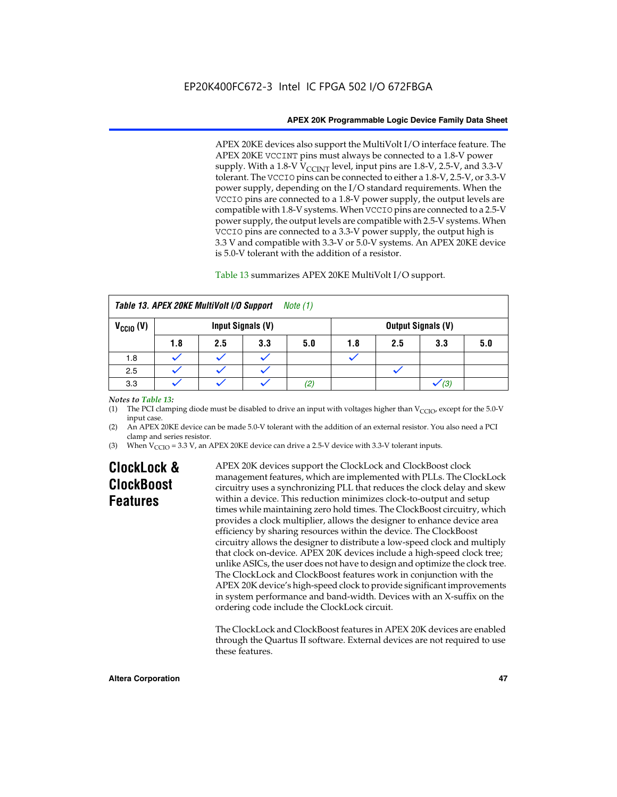APEX 20KE devices also support the MultiVolt I/O interface feature. The APEX 20KE VCCINT pins must always be connected to a 1.8-V power supply. With a 1.8-V  $V_{\text{CCINT}}$  level, input pins are 1.8-V, 2.5-V, and 3.3-V tolerant. The VCCIO pins can be connected to either a 1.8-V, 2.5-V, or 3.3-V power supply, depending on the I/O standard requirements. When the VCCIO pins are connected to a 1.8-V power supply, the output levels are compatible with 1.8-V systems. When VCCIO pins are connected to a 2.5-V power supply, the output levels are compatible with 2.5-V systems. When VCCIO pins are connected to a 3.3-V power supply, the output high is 3.3 V and compatible with 3.3-V or 5.0-V systems. An APEX 20KE device is 5.0-V tolerant with the addition of a resistor.

# Table 13 summarizes APEX 20KE MultiVolt I/O support.

|                                           | Table 13. APEX 20KE MultiVolt I/O Support<br><i>Note</i> $(1)$ |     |     |     |     |     |                           |     |
|-------------------------------------------|----------------------------------------------------------------|-----|-----|-----|-----|-----|---------------------------|-----|
| $V_{\text{CCIO}}(V)$<br>Input Signals (V) |                                                                |     |     |     |     |     | <b>Output Signals (V)</b> |     |
|                                           | 1.8                                                            | 2.5 | 3.3 | 5.0 | 1.8 | 2.5 | 3.3                       | 5.0 |
| 1.8                                       |                                                                |     |     |     |     |     |                           |     |
| 2.5                                       |                                                                |     |     |     |     |     |                           |     |
| 3.3                                       |                                                                |     |     | (2) |     |     | (3)                       |     |

# *Notes to Table 13:*

(1) The PCI clamping diode must be disabled to drive an input with voltages higher than  $V_{CCIO}$ , except for the 5.0-V input case.

(2) An APEX 20KE device can be made 5.0-V tolerant with the addition of an external resistor. You also need a PCI clamp and series resistor.

(3) When  $V_{\text{CCIO}} = 3.3$  V, an APEX 20KE device can drive a 2.5-V device with 3.3-V tolerant inputs.

# **ClockLock & ClockBoost Features**

APEX 20K devices support the ClockLock and ClockBoost clock management features, which are implemented with PLLs. The ClockLock circuitry uses a synchronizing PLL that reduces the clock delay and skew within a device. This reduction minimizes clock-to-output and setup times while maintaining zero hold times. The ClockBoost circuitry, which provides a clock multiplier, allows the designer to enhance device area efficiency by sharing resources within the device. The ClockBoost circuitry allows the designer to distribute a low-speed clock and multiply that clock on-device. APEX 20K devices include a high-speed clock tree; unlike ASICs, the user does not have to design and optimize the clock tree. The ClockLock and ClockBoost features work in conjunction with the APEX 20K device's high-speed clock to provide significant improvements in system performance and band-width. Devices with an X-suffix on the ordering code include the ClockLock circuit.

The ClockLock and ClockBoost features in APEX 20K devices are enabled through the Quartus II software. External devices are not required to use these features.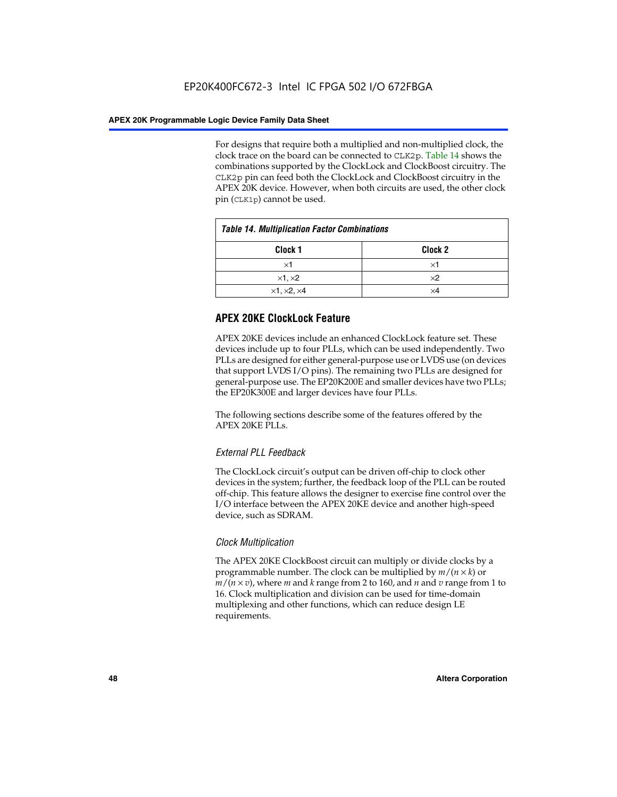For designs that require both a multiplied and non-multiplied clock, the clock trace on the board can be connected to CLK2p. Table 14 shows the combinations supported by the ClockLock and ClockBoost circuitry. The CLK2p pin can feed both the ClockLock and ClockBoost circuitry in the APEX 20K device. However, when both circuits are used, the other clock pin (CLK1p) cannot be used.

| <b>Table 14. Multiplication Factor Combinations</b> |                    |  |
|-----------------------------------------------------|--------------------|--|
| Clock <sub>1</sub>                                  | Clock <sub>2</sub> |  |
| $\times$ 1                                          | ×1                 |  |
| $\times$ 1, $\times$ 2                              | $\times 2$         |  |
| $\times$ 1, $\times$ 2, $\times$ 4                  | ×4                 |  |

# **APEX 20KE ClockLock Feature**

APEX 20KE devices include an enhanced ClockLock feature set. These devices include up to four PLLs, which can be used independently. Two PLLs are designed for either general-purpose use or LVDS use (on devices that support LVDS I/O pins). The remaining two PLLs are designed for general-purpose use. The EP20K200E and smaller devices have two PLLs; the EP20K300E and larger devices have four PLLs.

The following sections describe some of the features offered by the APEX 20KE PLLs.

# *External PLL Feedback*

The ClockLock circuit's output can be driven off-chip to clock other devices in the system; further, the feedback loop of the PLL can be routed off-chip. This feature allows the designer to exercise fine control over the I/O interface between the APEX 20KE device and another high-speed device, such as SDRAM.

# *Clock Multiplication*

The APEX 20KE ClockBoost circuit can multiply or divide clocks by a programmable number. The clock can be multiplied by *m*/(*n* × *k*) or  $m/(n \times v)$ , where *m* and *k* range from 2 to 160, and *n* and *v* range from 1 to 16. Clock multiplication and division can be used for time-domain multiplexing and other functions, which can reduce design LE requirements.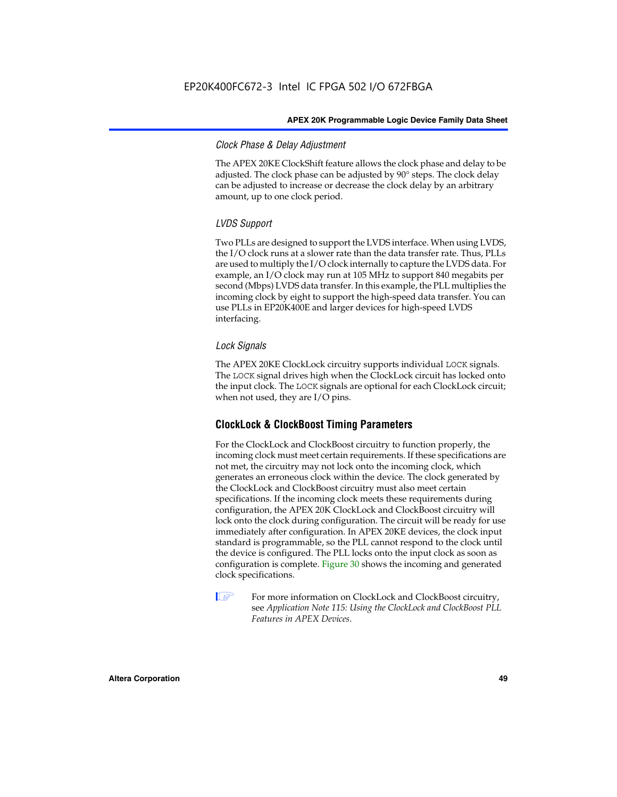# *Clock Phase & Delay Adjustment*

The APEX 20KE ClockShift feature allows the clock phase and delay to be adjusted. The clock phase can be adjusted by 90° steps. The clock delay can be adjusted to increase or decrease the clock delay by an arbitrary amount, up to one clock period.

# *LVDS Support*

Two PLLs are designed to support the LVDS interface. When using LVDS, the I/O clock runs at a slower rate than the data transfer rate. Thus, PLLs are used to multiply the I/O clock internally to capture the LVDS data. For example, an I/O clock may run at 105 MHz to support 840 megabits per second (Mbps) LVDS data transfer. In this example, the PLL multiplies the incoming clock by eight to support the high-speed data transfer. You can use PLLs in EP20K400E and larger devices for high-speed LVDS interfacing.

# *Lock Signals*

The APEX 20KE ClockLock circuitry supports individual LOCK signals. The LOCK signal drives high when the ClockLock circuit has locked onto the input clock. The LOCK signals are optional for each ClockLock circuit; when not used, they are I/O pins.

# **ClockLock & ClockBoost Timing Parameters**

For the ClockLock and ClockBoost circuitry to function properly, the incoming clock must meet certain requirements. If these specifications are not met, the circuitry may not lock onto the incoming clock, which generates an erroneous clock within the device. The clock generated by the ClockLock and ClockBoost circuitry must also meet certain specifications. If the incoming clock meets these requirements during configuration, the APEX 20K ClockLock and ClockBoost circuitry will lock onto the clock during configuration. The circuit will be ready for use immediately after configuration. In APEX 20KE devices, the clock input standard is programmable, so the PLL cannot respond to the clock until the device is configured. The PLL locks onto the input clock as soon as configuration is complete. Figure 30 shows the incoming and generated clock specifications.

 $\mathbb{I} \mathcal{F}$  For more information on ClockLock and ClockBoost circuitry, see *Application Note 115: Using the ClockLock and ClockBoost PLL Features in APEX Devices*.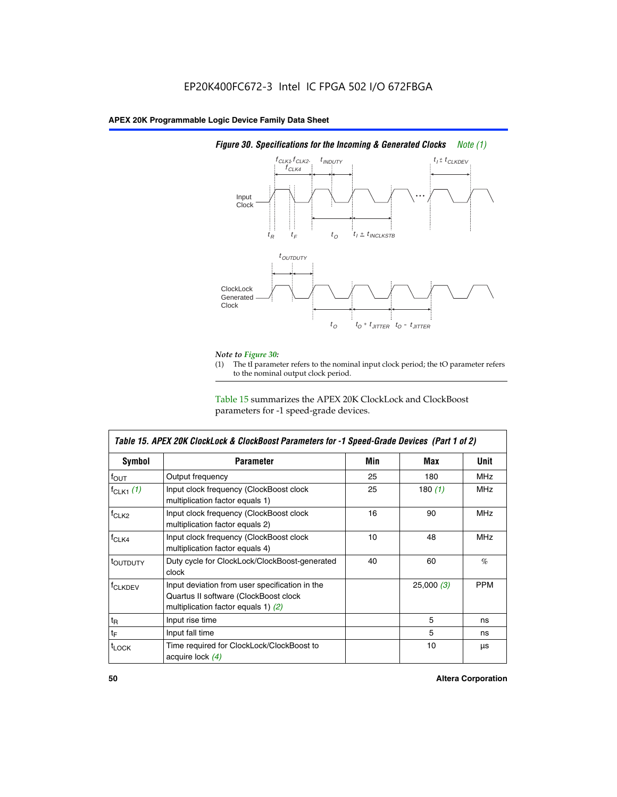

# *Figure 30. Specifications for the Incoming & Generated Clocks Note (1)*

# *Note to Figure 30:*

The tI parameter refers to the nominal input clock period; the tO parameter refers to the nominal output clock period.

Table 15 summarizes the APEX 20K ClockLock and ClockBoost parameters for -1 speed-grade devices.

| <b>Symbol</b>                                                                                                                                       | <b>Parameter</b>                                                           | Min | Max       | <b>Unit</b> |
|-----------------------------------------------------------------------------------------------------------------------------------------------------|----------------------------------------------------------------------------|-----|-----------|-------------|
| $f_{OUT}$                                                                                                                                           | Output frequency                                                           | 25  | 180       | MHz         |
| $f_{CLK1}$ $(1)$                                                                                                                                    | Input clock frequency (ClockBoost clock<br>multiplication factor equals 1) | 25  | 180 $(1)$ | <b>MHz</b>  |
| $f_{CLK2}$                                                                                                                                          | Input clock frequency (ClockBoost clock<br>multiplication factor equals 2) | 16  | 90        | <b>MHz</b>  |
| $f_{CLK4}$                                                                                                                                          | Input clock frequency (ClockBoost clock<br>multiplication factor equals 4) | 10  | 48        | <b>MHz</b>  |
| toutputy                                                                                                                                            | Duty cycle for ClockLock/ClockBoost-generated<br>clock                     | 40  | 60        | %           |
| Input deviation from user specification in the<br><b>f</b> CLKDEV<br>Quartus II software (ClockBoost clock<br>multiplication factor equals 1) $(2)$ |                                                                            |     | 25,000(3) | <b>PPM</b>  |
| $t_{\mathsf{R}}$                                                                                                                                    | Input rise time                                                            |     | 5         | ns          |
| $t_{\mathsf{F}}$                                                                                                                                    | Input fall time                                                            |     | 5         | ns          |
| <sup>t</sup> LOCK                                                                                                                                   | Time required for ClockLock/ClockBoost to<br>acquire lock (4)              |     | 10        | μs          |

 $\mathsf I$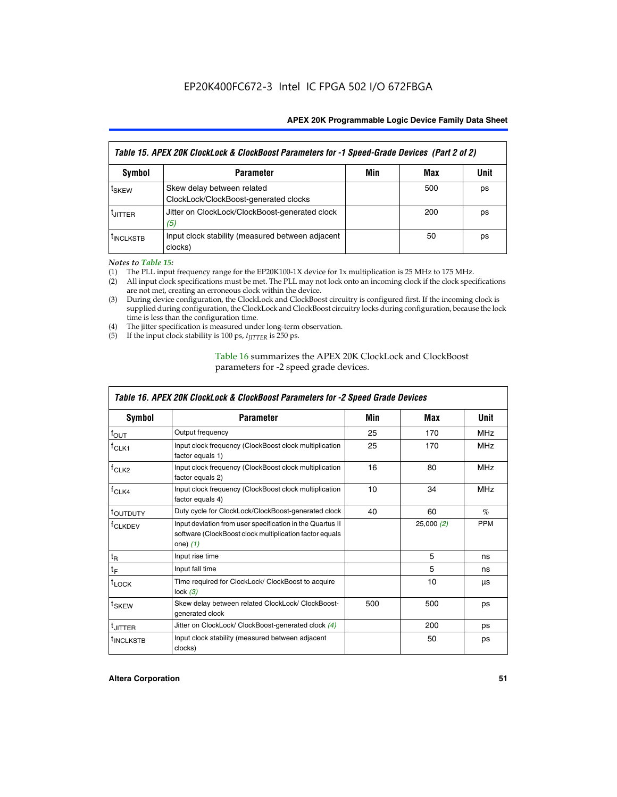| Table 15. APEX 20K ClockLock & ClockBoost Parameters for -1 Speed-Grade Devices (Part 2 of 2) |                                                                     |     |     |      |
|-----------------------------------------------------------------------------------------------|---------------------------------------------------------------------|-----|-----|------|
| <b>Symbol</b>                                                                                 | <b>Parameter</b>                                                    | Min | Max | Unit |
| t <sub>SKEW</sub>                                                                             | Skew delay between related<br>ClockLock/ClockBoost-generated clocks |     | 500 | ps   |
| <b>UITTER</b>                                                                                 | Jitter on ClockLock/ClockBoost-generated clock<br>(5)               |     | 200 | ps   |
| <b>INCLKSTB</b>                                                                               | Input clock stability (measured between adjacent<br>clocks)         |     | 50  | ps   |

*Notes to Table 15:*

- (1) The PLL input frequency range for the EP20K100-1X device for 1x multiplication is 25 MHz to 175 MHz.
- (2) All input clock specifications must be met. The PLL may not lock onto an incoming clock if the clock specifications are not met, creating an erroneous clock within the device.
- (3) During device configuration, the ClockLock and ClockBoost circuitry is configured first. If the incoming clock is supplied during configuration, the ClockLock and ClockBoost circuitry locks during configuration, because the lock time is less than the configuration time.
- (4) The jitter specification is measured under long-term observation.
- (5) If the input clock stability is 100 ps,  $t_{\text{JITTER}}$  is 250 ps.

# Table 16 summarizes the APEX 20K ClockLock and ClockBoost parameters for -2 speed grade devices.

| Symbol                                                                                                                                                    | <b>Parameter</b>                                                           | Min             | Max       | Unit       |
|-----------------------------------------------------------------------------------------------------------------------------------------------------------|----------------------------------------------------------------------------|-----------------|-----------|------------|
| $f_{\text{OUT}}$                                                                                                                                          | Output frequency                                                           | 25              | 170       | <b>MHz</b> |
| <sup>T</sup> CLK1                                                                                                                                         | Input clock frequency (ClockBoost clock multiplication<br>factor equals 1) | 25              | 170       | <b>MHz</b> |
| Input clock frequency (ClockBoost clock multiplication<br>f <sub>CLK2</sub><br>factor equals 2)                                                           |                                                                            | 16              | 80        | <b>MHz</b> |
| $f_{CLK4}$<br>Input clock frequency (ClockBoost clock multiplication<br>factor equals 4)                                                                  |                                                                            | 10 <sup>1</sup> | 34        | <b>MHz</b> |
| <sup>τ</sup> ουτρυτγ                                                                                                                                      | Duty cycle for ClockLock/ClockBoost-generated clock                        | 40              | 60        | $\%$       |
| Input deviation from user specification in the Quartus II<br><sup>†</sup> CLKDEV<br>software (ClockBoost clock multiplication factor equals<br>one) $(1)$ |                                                                            |                 | 25,000(2) | <b>PPM</b> |
| $t_{\mathsf{R}}$                                                                                                                                          | Input rise time                                                            |                 | 5         | ns         |
| $t_F$                                                                                                                                                     | Input fall time                                                            |                 | 5         | ns         |
| $t_{\text{LOCK}}$                                                                                                                                         | Time required for ClockLock/ ClockBoost to acquire<br>lock $(3)$           |                 | 10        | μs         |
| t <sub>SKEW</sub>                                                                                                                                         | Skew delay between related ClockLock/ ClockBoost-<br>generated clock       | 500             | 500       | ps         |
| t <sub>JITTER</sub>                                                                                                                                       | Jitter on ClockLock/ ClockBoost-generated clock (4)                        |                 | 200       | ps         |
| <sup>I</sup> INCLKSTB                                                                                                                                     | Input clock stability (measured between adjacent<br>clocks)                |                 | 50        | ps         |

# *Table 16. APEX 20K ClockLock & ClockBoost Parameters for -2 Speed Grade Devices*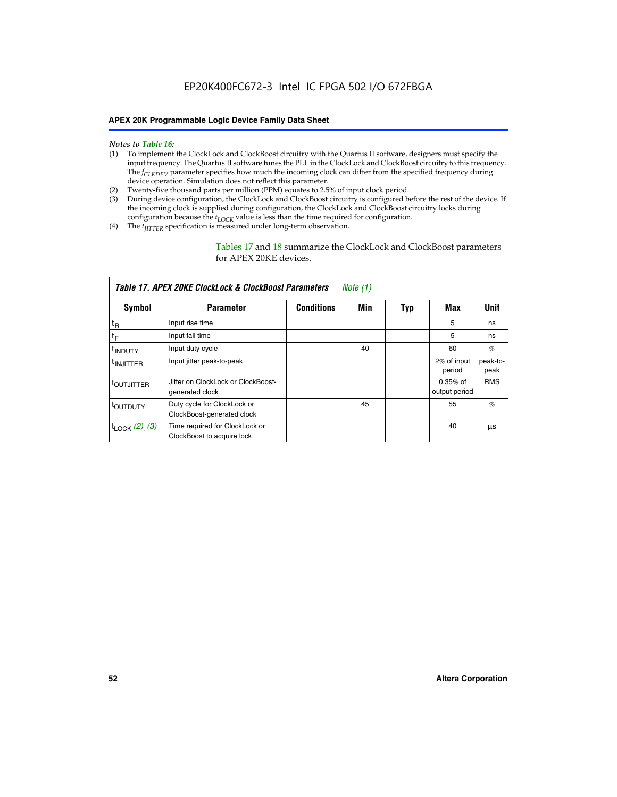#### *Notes to Table 16:*

- (1) To implement the ClockLock and ClockBoost circuitry with the Quartus II software, designers must specify the input frequency. The Quartus II software tunes the PLL in the ClockLock and ClockBoost circuitry to this frequency. The *f<sub>CLKDEV</sub>* parameter specifies how much the incoming clock can differ from the specified frequency during device operation. Simulation does not reflect this parameter.
- (2) Twenty-five thousand parts per million (PPM) equates to 2.5% of input clock period.
- (3) During device configuration, the ClockLock and ClockBoost circuitry is configured before the rest of the device. If the incoming clock is supplied during configuration, the ClockLock and ClockBoost circuitry locks during configuration because the  $t_{LOCK}$  value is less than the time required for configuration.
- (4) The  $t_{\text{ITTTER}}$  specification is measured under long-term observation.

Tables 17 and 18 summarize the ClockLock and ClockBoost parameters for APEX 20KE devices.

|                            | Table 17. APEX 20KE ClockLock & ClockBoost Parameters        |                   | Note (1) |     |                             |                  |
|----------------------------|--------------------------------------------------------------|-------------------|----------|-----|-----------------------------|------------------|
| Symbol                     | <b>Parameter</b>                                             | <b>Conditions</b> | Min      | Typ | Max                         | <b>Unit</b>      |
| $t_{R}$                    | Input rise time                                              |                   |          |     | 5                           | ns               |
| tF                         | Input fall time                                              |                   |          |     | 5                           | ns               |
| <sup>t</sup> INDUTY        | Input duty cycle                                             |                   | 40       |     | 60                          | %                |
| <sup>t</sup> INJITTER      | Input jitter peak-to-peak                                    |                   |          |     | 2% of input<br>period       | peak-to-<br>peak |
| <sup>t</sup> OUTJITTER     | Jitter on ClockLock or ClockBoost-<br>generated clock        |                   |          |     | $0.35%$ of<br>output period | <b>RMS</b>       |
| t <sub>outputy</sub>       | Duty cycle for ClockLock or<br>ClockBoost-generated clock    |                   | 45       |     | 55                          | $\%$             |
| $t_{\text{LOCK}}$ (2), (3) | Time required for ClockLock or<br>ClockBoost to acquire lock |                   |          |     | 40                          | μs               |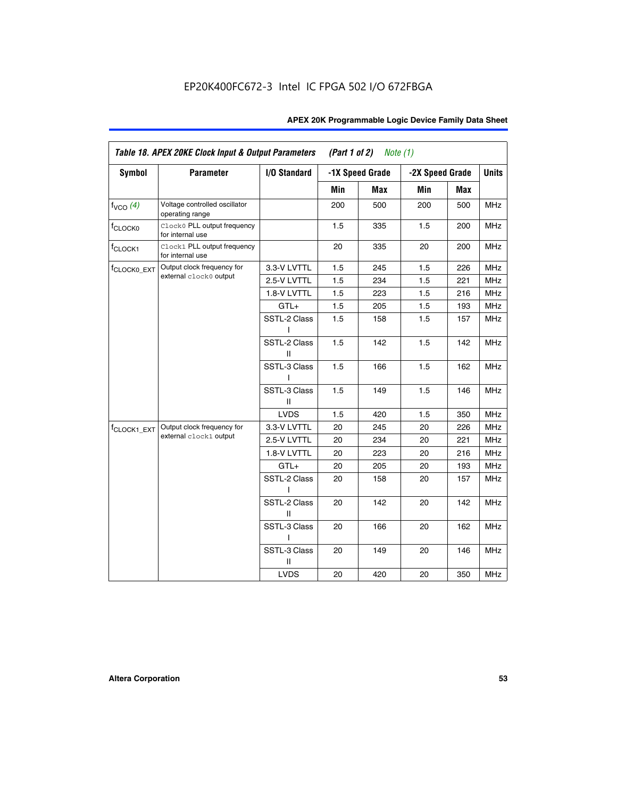| <b>Symbol</b>           | <b>Parameter</b>                                 | I/O Standard      |     | -1X Speed Grade |                 |     | <b>Units</b> |
|-------------------------|--------------------------------------------------|-------------------|-----|-----------------|-----------------|-----|--------------|
|                         |                                                  |                   |     |                 | -2X Speed Grade |     |              |
|                         |                                                  |                   | Min | Max             | Min             | Max |              |
| $f_{VCO}$ $(4)$         | Voltage controlled oscillator<br>operating range |                   | 200 | 500             | 200             | 500 | <b>MHz</b>   |
| f <sub>CLOCK0</sub>     | Clock0 PLL output frequency<br>for internal use  |                   | 1.5 | 335             | 1.5             | 200 | MHz          |
| f <sub>CLOCK1</sub>     | Clock1 PLL output frequency<br>for internal use  |                   | 20  | 335             | 20              | 200 | MHz          |
| f <sub>CLOCK0_EXT</sub> | Output clock frequency for                       | 3.3-V LVTTL       | 1.5 | 245             | 1.5             | 226 | <b>MHz</b>   |
|                         | external clock0 output                           | 2.5-V LVTTL       | 1.5 | 234             | 1.5             | 221 | <b>MHz</b>   |
|                         |                                                  | 1.8-V LVTTL       | 1.5 | 223             | 1.5             | 216 | <b>MHz</b>   |
|                         |                                                  | $GTL+$            | 1.5 | 205             | 1.5             | 193 | <b>MHz</b>   |
|                         |                                                  | SSTL-2 Class<br>L | 1.5 | 158             | 1.5             | 157 | <b>MHz</b>   |
|                         |                                                  | SSTL-2 Class<br>Ш | 1.5 | 142             | 1.5             | 142 | <b>MHz</b>   |
|                         |                                                  | SSTL-3 Class<br>I | 1.5 | 166             | 1.5             | 162 | <b>MHz</b>   |
|                         |                                                  | SSTL-3 Class<br>Ш | 1.5 | 149             | 1.5             | 146 | <b>MHz</b>   |
|                         |                                                  | <b>LVDS</b>       | 1.5 | 420             | 1.5             | 350 | <b>MHz</b>   |
| f <sub>CLOCK1_EXT</sub> | Output clock frequency for                       | 3.3-V LVTTL       | 20  | 245             | 20              | 226 | <b>MHz</b>   |
|                         | external clock1 output                           | 2.5-V LVTTL       | 20  | 234             | 20              | 221 | <b>MHz</b>   |
|                         |                                                  | 1.8-V LVTTL       | 20  | 223             | 20              | 216 | <b>MHz</b>   |
|                         |                                                  | $GTL+$            | 20  | 205             | 20              | 193 | MHz          |
|                         |                                                  | SSTL-2 Class      | 20  | 158             | 20              | 157 | <b>MHz</b>   |
|                         |                                                  | SSTL-2 Class<br>Ш | 20  | 142             | 20              | 142 | <b>MHz</b>   |
|                         |                                                  | SSTL-3 Class      | 20  | 166             | 20              | 162 | <b>MHz</b>   |
|                         |                                                  | SSTL-3 Class<br>Ш | 20  | 149             | 20              | 146 | <b>MHz</b>   |
|                         |                                                  | <b>LVDS</b>       | 20  | 420             | 20              | 350 | MHz          |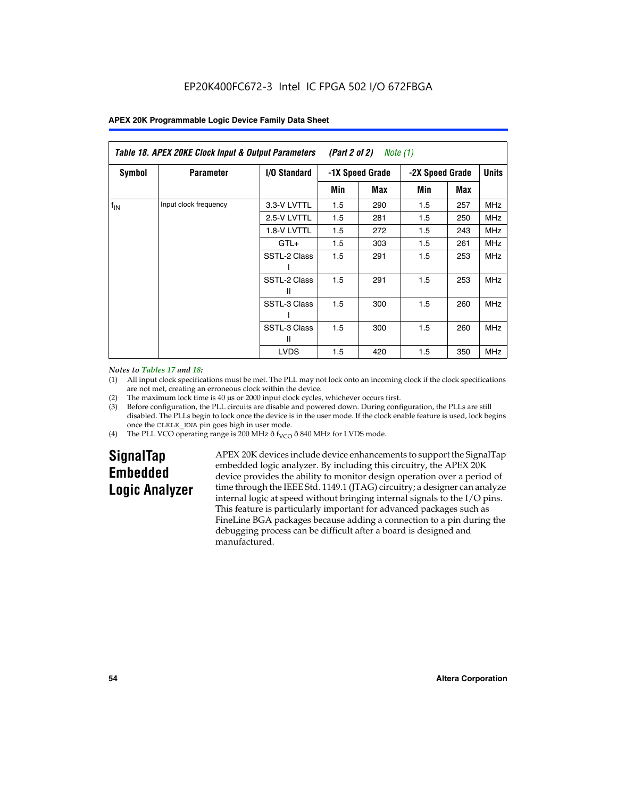|               | Table 18. APEX 20KE Clock Input & Output Parameters<br>(Part 2 of 2)<br>Note (1) |                     |     |                 |     |                 |              |
|---------------|----------------------------------------------------------------------------------|---------------------|-----|-----------------|-----|-----------------|--------------|
| <b>Symbol</b> | <b>Parameter</b>                                                                 | <b>I/O Standard</b> |     | -1X Speed Grade |     | -2X Speed Grade | <b>Units</b> |
|               |                                                                                  |                     | Min | Max             | Min | Max             |              |
| $f_{IN}$      | Input clock frequency                                                            | 3.3-V LVTTL         | 1.5 | 290             | 1.5 | 257             | <b>MHz</b>   |
|               |                                                                                  | 2.5-V LVTTL         | 1.5 | 281             | 1.5 | 250             | MHz          |
|               |                                                                                  | 1.8-V LVTTL         | 1.5 | 272             | 1.5 | 243             | <b>MHz</b>   |
|               |                                                                                  | $GTL+$              | 1.5 | 303             | 1.5 | 261             | <b>MHz</b>   |
|               |                                                                                  | SSTL-2 Class        | 1.5 | 291             | 1.5 | 253             | <b>MHz</b>   |
|               |                                                                                  | SSTL-2 Class<br>Ш   | 1.5 | 291             | 1.5 | 253             | <b>MHz</b>   |
|               |                                                                                  | SSTL-3 Class        | 1.5 | 300             | 1.5 | 260             | <b>MHz</b>   |
|               |                                                                                  | SSTL-3 Class<br>Ш   | 1.5 | 300             | 1.5 | 260             | <b>MHz</b>   |
|               |                                                                                  | <b>LVDS</b>         | 1.5 | 420             | 1.5 | 350             | <b>MHz</b>   |

#### *Notes to Tables 17 and 18:*

(1) All input clock specifications must be met. The PLL may not lock onto an incoming clock if the clock specifications are not met, creating an erroneous clock within the device.

- (2) The maximum lock time is 40 µs or 2000 input clock cycles, whichever occurs first.
- (3) Before configuration, the PLL circuits are disable and powered down. During configuration, the PLLs are still disabled. The PLLs begin to lock once the device is in the user mode. If the clock enable feature is used, lock begins once the CLKLK\_ENA pin goes high in user mode.
- (4) The PLL VCO operating range is 200 MHz  $\eth$  f<sub>VCO</sub>  $\eth$  840 MHz for LVDS mode.

# **SignalTap Embedded Logic Analyzer**

APEX 20K devices include device enhancements to support the SignalTap embedded logic analyzer. By including this circuitry, the APEX 20K device provides the ability to monitor design operation over a period of time through the IEEE Std. 1149.1 (JTAG) circuitry; a designer can analyze internal logic at speed without bringing internal signals to the I/O pins. This feature is particularly important for advanced packages such as FineLine BGA packages because adding a connection to a pin during the debugging process can be difficult after a board is designed and manufactured.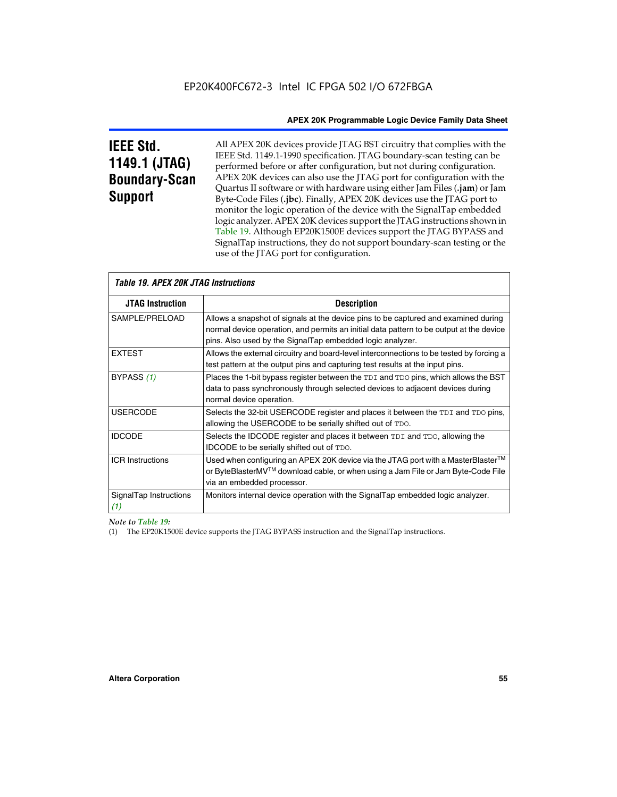# **IEEE Std. 1149.1 (JTAG) Boundary-Scan Support**

All APEX 20K devices provide JTAG BST circuitry that complies with the IEEE Std. 1149.1-1990 specification. JTAG boundary-scan testing can be performed before or after configuration, but not during configuration. APEX 20K devices can also use the JTAG port for configuration with the Quartus II software or with hardware using either Jam Files (**.jam**) or Jam Byte-Code Files (**.jbc**). Finally, APEX 20K devices use the JTAG port to monitor the logic operation of the device with the SignalTap embedded logic analyzer. APEX 20K devices support the JTAG instructions shown in Table 19. Although EP20K1500E devices support the JTAG BYPASS and SignalTap instructions, they do not support boundary-scan testing or the use of the JTAG port for configuration.

| <i><b>Table 19. APEX 20K JTAG Instructions</b></i> |                                                                                                                                                                                                                                            |
|----------------------------------------------------|--------------------------------------------------------------------------------------------------------------------------------------------------------------------------------------------------------------------------------------------|
| <b>JTAG Instruction</b>                            | <b>Description</b>                                                                                                                                                                                                                         |
| SAMPLE/PRELOAD                                     | Allows a snapshot of signals at the device pins to be captured and examined during<br>normal device operation, and permits an initial data pattern to be output at the device<br>pins. Also used by the SignalTap embedded logic analyzer. |
| <b>EXTEST</b>                                      | Allows the external circuitry and board-level interconnections to be tested by forcing a<br>test pattern at the output pins and capturing test results at the input pins.                                                                  |
| BYPASS (1)                                         | Places the 1-bit bypass register between the TDI and TDO pins, which allows the BST<br>data to pass synchronously through selected devices to adjacent devices during<br>normal device operation.                                          |
| <b>USERCODE</b>                                    | Selects the 32-bit USERCODE register and places it between the TDI and TDO pins,<br>allowing the USERCODE to be serially shifted out of TDO.                                                                                               |
| <b>IDCODE</b>                                      | Selects the IDCODE register and places it between TDI and TDO, allowing the<br>IDCODE to be serially shifted out of TDO.                                                                                                                   |
| <b>ICR Instructions</b>                            | Used when configuring an APEX 20K device via the JTAG port with a MasterBlaster™<br>or ByteBlasterMV™ download cable, or when using a Jam File or Jam Byte-Code File<br>via an embedded processor.                                         |
| SignalTap Instructions<br>(1)                      | Monitors internal device operation with the SignalTap embedded logic analyzer.                                                                                                                                                             |

 $\overline{\phantom{a}}$ 

*Note to Table 19:*

(1) The EP20K1500E device supports the JTAG BYPASS instruction and the SignalTap instructions.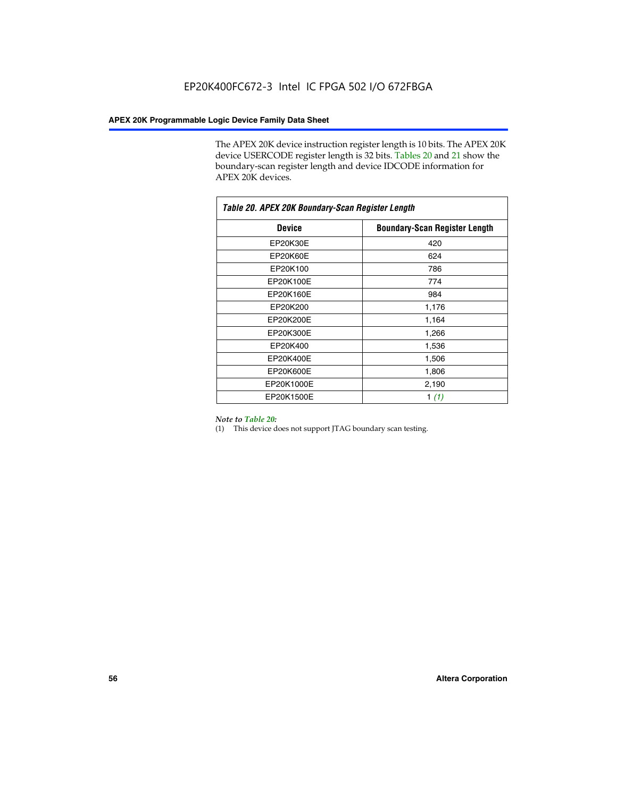The APEX 20K device instruction register length is 10 bits. The APEX 20K device USERCODE register length is 32 bits. Tables 20 and 21 show the boundary-scan register length and device IDCODE information for APEX 20K devices.

| Table 20. APEX 20K Boundary-Scan Register Length |                                      |  |  |  |
|--------------------------------------------------|--------------------------------------|--|--|--|
| <b>Device</b>                                    | <b>Boundary-Scan Register Length</b> |  |  |  |
| EP20K30E                                         | 420                                  |  |  |  |
| EP20K60E                                         | 624                                  |  |  |  |
| EP20K100                                         | 786                                  |  |  |  |
| EP20K100E                                        | 774                                  |  |  |  |
| EP20K160E                                        | 984                                  |  |  |  |
| EP20K200                                         | 1,176                                |  |  |  |
| EP20K200E                                        | 1,164                                |  |  |  |
| EP20K300E                                        | 1,266                                |  |  |  |
| EP20K400                                         | 1,536                                |  |  |  |
| EP20K400E                                        | 1,506                                |  |  |  |
| EP20K600E                                        | 1,806                                |  |  |  |
| EP20K1000E                                       | 2,190                                |  |  |  |
| EP20K1500E                                       | 1 $(1)$                              |  |  |  |

#### *Note to Table 20:*

(1) This device does not support JTAG boundary scan testing.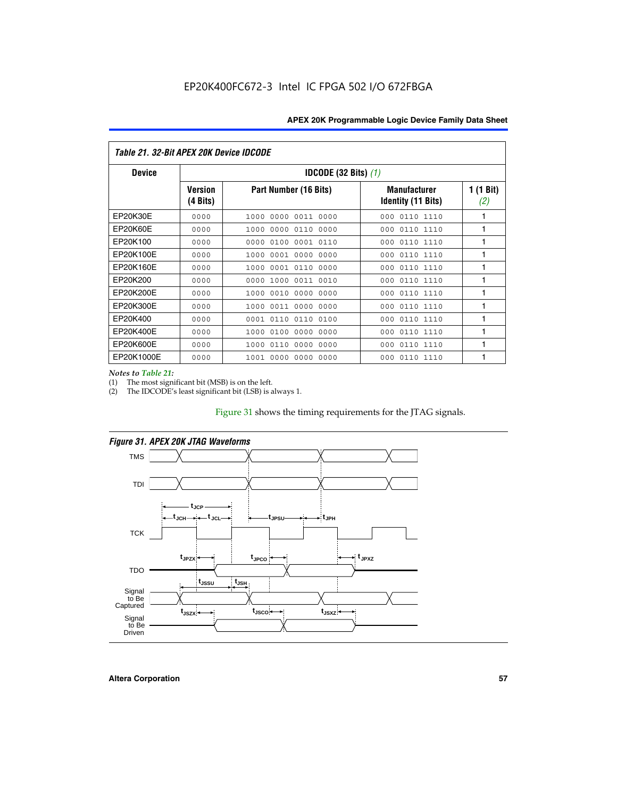| Table 21. 32-Bit APEX 20K Device IDCODE |                                          |                              |                                                  |                  |  |  |
|-----------------------------------------|------------------------------------------|------------------------------|--------------------------------------------------|------------------|--|--|
| <b>Device</b>                           | <b>IDCODE (32 Bits) <math>(1)</math></b> |                              |                                                  |                  |  |  |
|                                         | <b>Version</b><br>(4 Bits)               | Part Number (16 Bits)        | <b>Manufacturer</b><br><b>Identity (11 Bits)</b> | 1 (1 Bit)<br>(2) |  |  |
| EP20K30E                                | 0000                                     | 0000 0011 0000<br>1000       | 0110 1110<br>000                                 | 1                |  |  |
| EP20K60E                                | 0000                                     | 1000<br>0000 0110<br>0000    | 0110 1110<br>000                                 | 1                |  |  |
| EP20K100                                | 0000                                     | 0000<br>0100<br>0001 0110    | 000<br>0110 1110                                 | 1                |  |  |
| EP20K100E                               | 0000                                     | 1000<br>0001 0000<br>0000    | 0110 1110<br>000                                 | 1                |  |  |
| EP20K160E                               | 0000                                     | 0001 0110<br>0000<br>1000    | 000<br>0110 1110                                 | 1                |  |  |
| EP20K200                                | 0000                                     | 1000<br>0011 0010<br>0000    | 0110 1110<br>000                                 | 1                |  |  |
| EP20K200E                               | 0000                                     | 0010<br>0000<br>0000<br>1000 | 0110 1110<br>000                                 | 1                |  |  |
| EP20K300E                               | 0000                                     | 0011 0000<br>0000<br>1000    | 0110 1110<br>000                                 | 1                |  |  |
| EP20K400                                | 0000                                     | 0001<br>0110<br>0110<br>0100 | 0110 1110<br>000                                 | 1                |  |  |
| EP20K400E                               | 0000                                     | 0100<br>0000<br>0000<br>1000 | 0110 1110<br>000                                 | 1                |  |  |
| EP20K600E                               | 0000                                     | 1000<br>0110<br>0000<br>0000 | 0110 1110<br>000                                 | 1                |  |  |
| EP20K1000E                              | 0000                                     | 0000<br>0000<br>0000<br>1001 | 000<br>0110 1110                                 | 1                |  |  |

*Notes to Table 21:*

The most significant bit (MSB) is on the left.

(2) The IDCODE's least significant bit (LSB) is always 1.

# Figure 31 shows the timing requirements for the JTAG signals.



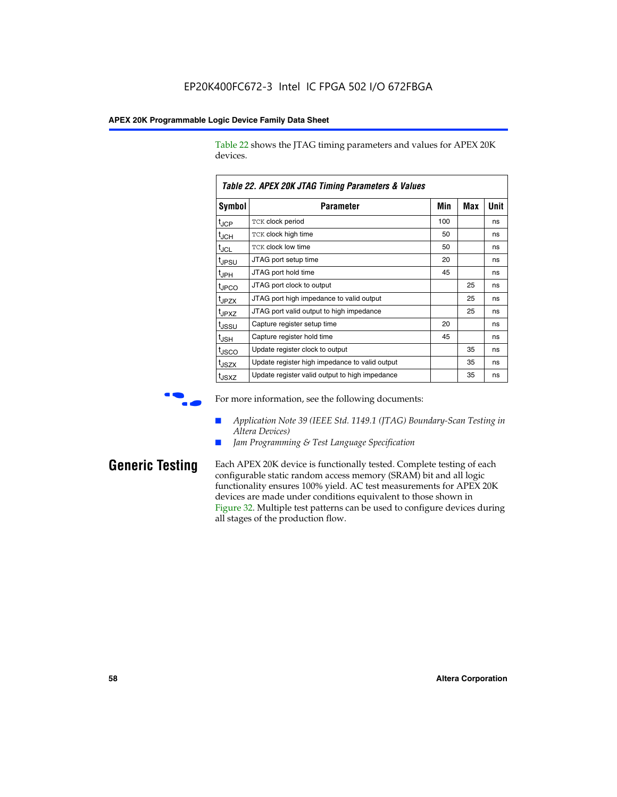Table 22 shows the JTAG timing parameters and values for APEX 20K devices.

|                   | TADIG LL. AF LA LUN JTAU THIIHIY FAIAHIGIGIS & VAIUGS |     |     |      |  |  |  |
|-------------------|-------------------------------------------------------|-----|-----|------|--|--|--|
| Symbol            | Parameter                                             | Min | Max | Unit |  |  |  |
| $t_{JCP}$         | <b>TCK clock period</b>                               | 100 |     | ns   |  |  |  |
| $t_{\text{JCH}}$  | TCK clock high time                                   | 50  |     | ns   |  |  |  |
| $t_{JCL}$         | TCK clock low time                                    | 50  |     | ns   |  |  |  |
| t <sub>JPSU</sub> | JTAG port setup time                                  | 20  |     | ns   |  |  |  |
| $t_{\rm JPH}$     | JTAG port hold time                                   | 45  |     | ns   |  |  |  |
| <sup>t</sup> JPCO | JTAG port clock to output                             |     | 25  | ns   |  |  |  |
| t <sub>JPZX</sub> | JTAG port high impedance to valid output              |     | 25  | ns   |  |  |  |
| t <sub>JPXZ</sub> | JTAG port valid output to high impedance              |     | 25  | ns   |  |  |  |
| tussu             | Capture register setup time                           | 20  |     | ns   |  |  |  |
| $t_{\rm JSH}$     | Capture register hold time                            | 45  |     | ns   |  |  |  |
| t <sub>JSCO</sub> | Update register clock to output                       |     | 35  | ns   |  |  |  |
| t <sub>JSZX</sub> | Update register high impedance to valid output        |     | 35  | ns   |  |  |  |
| t <sub>JSXZ</sub> | Update register valid output to high impedance        |     | 35  | ns   |  |  |  |

*Table 22. APEX 20K JTAG Timing Parameters & Values*

For more information, see the following documents:

- *Application Note 39 (IEEE Std. 1149.1 (JTAG) Boundary-Scan Testing in Altera Devices)*
- Jam Programming & Test Language Specification

**Generic Testing** Each APEX 20K device is functionally tested. Complete testing of each configurable static random access memory (SRAM) bit and all logic functionality ensures 100% yield. AC test measurements for APEX 20K devices are made under conditions equivalent to those shown in Figure 32. Multiple test patterns can be used to configure devices during all stages of the production flow.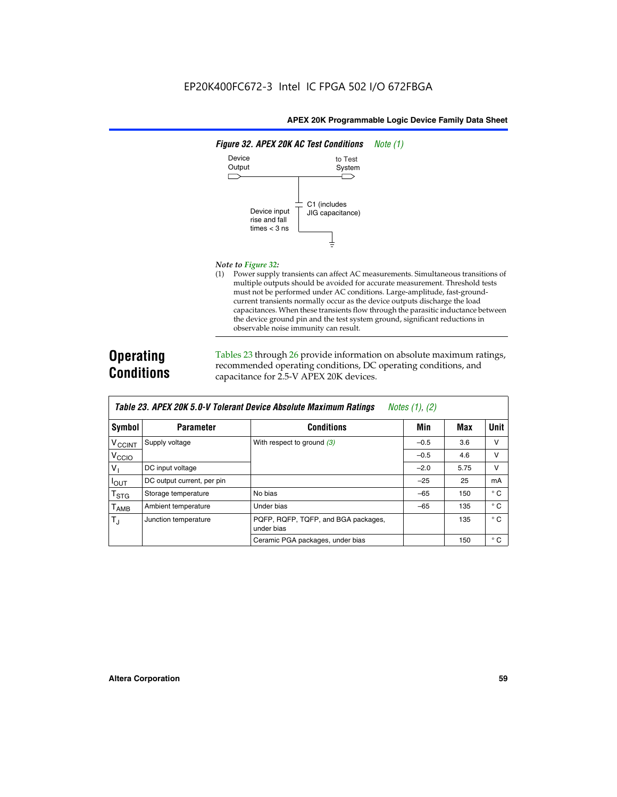

#### *Note to Figure 32:*

(1) Power supply transients can affect AC measurements. Simultaneous transitions of multiple outputs should be avoided for accurate measurement. Threshold tests must not be performed under AC conditions. Large-amplitude, fast-groundcurrent transients normally occur as the device outputs discharge the load capacitances. When these transients flow through the parasitic inductance between the device ground pin and the test system ground, significant reductions in observable noise immunity can result.

# **Operating Conditions**

Tables 23 through 26 provide information on absolute maximum ratings, recommended operating conditions, DC operating conditions, and capacitance for 2.5-V APEX 20K devices.

|                          |                            |                                                   | $1.00100 + 1.011 + 1.001$ |      |              |
|--------------------------|----------------------------|---------------------------------------------------|---------------------------|------|--------------|
| Symbol                   | <b>Parameter</b>           | <b>Conditions</b>                                 | Min                       | Max  | Unit         |
| <b>V<sub>CCINT</sub></b> | Supply voltage             | With respect to ground $(3)$                      | $-0.5$                    | 3.6  | $\vee$       |
| V <sub>CCIO</sub>        |                            |                                                   | $-0.5$                    | 4.6  | v            |
| $V_{1}$                  | DC input voltage           |                                                   | $-2.0$                    | 5.75 | v            |
| $I_{\text{OUT}}$         | DC output current, per pin |                                                   | $-25$                     | 25   | mA           |
| $T_{\rm STG}$            | Storage temperature        | No bias                                           | $-65$                     | 150  | $^{\circ}$ C |
| Т <sub>АМВ</sub>         | Ambient temperature        | Under bias                                        | $-65$                     | 135  | $^{\circ}$ C |
| $T_{\rm J}$              | Junction temperature       | PQFP, RQFP, TQFP, and BGA packages,<br>under bias |                           | 135  | $^{\circ}$ C |
|                          |                            | Ceramic PGA packages, under bias                  |                           | 150  | $^{\circ}$ C |

| <b>Table 23. APEX 20K 5.0-V Tolerant Device Absolute Maximum Ratings</b> Notes (1), (2) |  |
|-----------------------------------------------------------------------------------------|--|
|-----------------------------------------------------------------------------------------|--|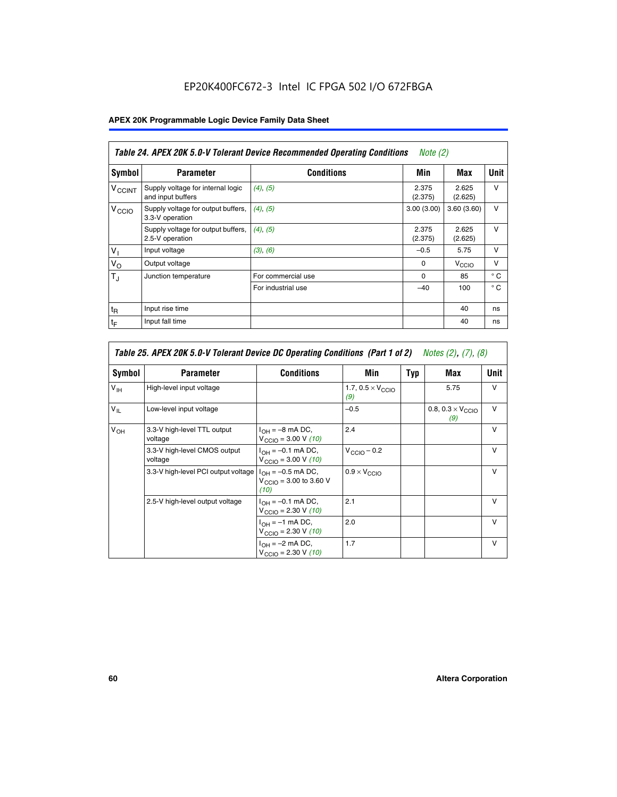# EP20K400FC672-3 Intel IC FPGA 502 I/O 672FBGA

# **APEX 20K Programmable Logic Device Family Data Sheet**

|                          | Table 24. APEX 20K 5.0-V Tolerant Device Recommended Operating Conditions<br><i>Note</i> $(2)$ |                    |                  |                  |              |  |
|--------------------------|------------------------------------------------------------------------------------------------|--------------------|------------------|------------------|--------------|--|
| Symbol                   | <b>Parameter</b>                                                                               | <b>Conditions</b>  | Min              | Max              | <b>Unit</b>  |  |
| <b>V<sub>CCINT</sub></b> | Supply voltage for internal logic<br>and input buffers                                         | $(4)$ , $(5)$      | 2.375<br>(2.375) | 2.625<br>(2.625) | $\vee$       |  |
| V <sub>CCIO</sub>        | Supply voltage for output buffers,<br>3.3-V operation                                          | (4), (5)           | 3.00(3.00)       | 3.60(3.60)       | $\vee$       |  |
|                          | Supply voltage for output buffers,<br>2.5-V operation                                          | (4), (5)           | 2.375<br>(2.375) | 2.625<br>(2.625) | $\vee$       |  |
| $V_1$                    | Input voltage                                                                                  | (3), (6)           | $-0.5$           | 5.75             | $\vee$       |  |
| $V_{\rm O}$              | Output voltage                                                                                 |                    | $\Omega$         | V <sub>CCO</sub> | $\vee$       |  |
| $T_{\rm J}$              | Junction temperature                                                                           | For commercial use | 0                | 85               | $^{\circ}$ C |  |
|                          |                                                                                                | For industrial use | $-40$            | 100              | $^{\circ}$ C |  |
| $t_{R}$                  | Input rise time                                                                                |                    |                  | 40               | ns           |  |
| $t_{\mathsf{F}}$         | Input fall time                                                                                |                    |                  | 40               | ns           |  |

| Table 25. APEX 20K 5.0-V Tolerant Device DC Operating Conditions (Part 1 of 2) Notes (2), (7), (8) |                                         |                                                                        |                                          |     |                                          |              |  |
|----------------------------------------------------------------------------------------------------|-----------------------------------------|------------------------------------------------------------------------|------------------------------------------|-----|------------------------------------------|--------------|--|
| Symbol                                                                                             | <b>Parameter</b>                        | <b>Conditions</b>                                                      | Min                                      | Typ | Max                                      | Unit         |  |
| $V_{\text{IH}}$                                                                                    | High-level input voltage                |                                                                        | 1.7, $0.5 \times V_{\text{CCIO}}$<br>(9) |     | 5.75                                     | $\mathsf{V}$ |  |
| $V_{\parallel}$                                                                                    | Low-level input voltage                 |                                                                        | $-0.5$                                   |     | 0.8, $0.3 \times V_{\text{CCIO}}$<br>(9) | $\mathsf{V}$ |  |
| $V_{OH}$                                                                                           | 3.3-V high-level TTL output<br>voltage  | $I_{OH} = -8$ mA DC,<br>$V_{\text{CCIO}} = 3.00 V (10)$                | 2.4                                      |     |                                          | $\mathsf{V}$ |  |
|                                                                                                    | 3.3-V high-level CMOS output<br>voltage | $I_{OH} = -0.1$ mA DC,<br>$V_{\text{CCIO}} = 3.00 \text{ V} (10)$      | $V_{\text{CCIO}} - 0.2$                  |     |                                          | $\mathsf{v}$ |  |
|                                                                                                    | 3.3-V high-level PCI output voltage     | $I_{OH} = -0.5$ mA DC,<br>$V_{\text{GClO}} = 3.00$ to 3.60 V<br>(10)   | $0.9 \times V_{\text{CCIO}}$             |     |                                          | $\mathsf{V}$ |  |
|                                                                                                    | 2.5-V high-level output voltage         | $I_{OH} = -0.1$ mA DC,<br>$V_{\text{CCIO}} = 2.30 \text{ V} (10)$      | 2.1                                      |     |                                          | $\mathsf{V}$ |  |
|                                                                                                    |                                         | $I_{\text{OH}} = -1 \text{ mA DC},$<br>$V_{\text{CCIO}} = 2.30 V (10)$ | 2.0                                      |     |                                          | v            |  |
|                                                                                                    |                                         | $I_{OH} = -2$ mA DC,<br>$V_{\text{CCIO}} = 2.30 V (10)$                | 1.7                                      |     |                                          | v            |  |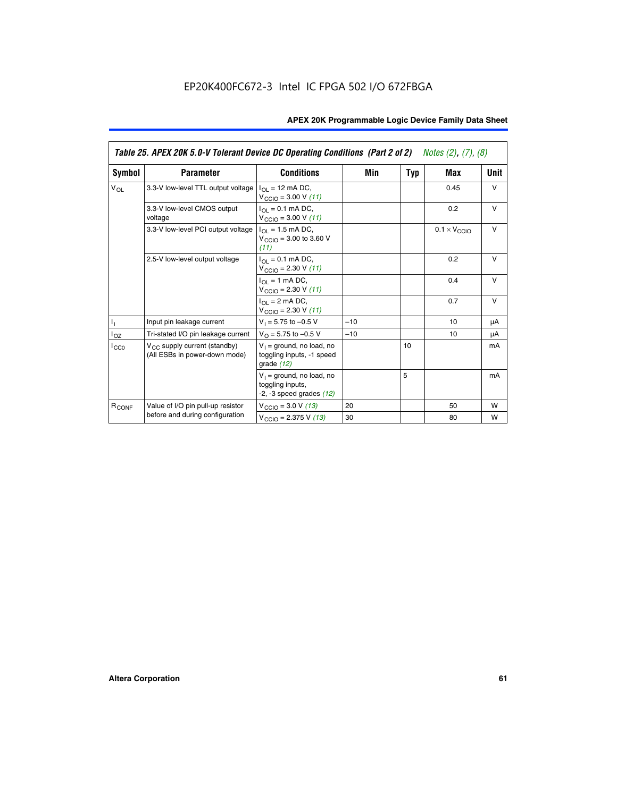|                   | Table 25. APEX 20K 5.0-V Tolerant Device DC Operating Conditions (Part 2 of 2) Notes (2), (7), (8) |                                                                                    |       |     |                              |        |  |
|-------------------|----------------------------------------------------------------------------------------------------|------------------------------------------------------------------------------------|-------|-----|------------------------------|--------|--|
| Symbol            | <b>Parameter</b>                                                                                   | <b>Conditions</b>                                                                  | Min   | Typ | Max                          | Unit   |  |
| $V_{OL}$          | 3.3-V low-level TTL output voltage                                                                 | $I_{\Omega}$ = 12 mA DC,<br>$V_{\text{CCIO}} = 3.00 V (11)$                        |       |     | 0.45                         | $\vee$ |  |
|                   | 3.3-V low-level CMOS output<br>voltage                                                             | $I_{\Omega I} = 0.1$ mA DC,<br>$V_{\text{CCIO}} = 3.00 V (11)$                     |       |     | 0.2                          | $\vee$ |  |
|                   | 3.3-V low-level PCI output voltage                                                                 | $I_{\Omega}$ = 1.5 mA DC,<br>$V_{CClO}$ = 3.00 to 3.60 V<br>(11)                   |       |     | $0.1 \times V_{\text{CCLO}}$ | $\vee$ |  |
|                   | 2.5-V low-level output voltage                                                                     | $I_{\Omega I} = 0.1$ mA DC,<br>$V_{\text{CCIO}} = 2.30 V (11)$                     |       |     | 0.2                          | $\vee$ |  |
|                   |                                                                                                    | $I_{\Omega}$ = 1 mA DC,<br>$V_{\text{CCIO}} = 2.30 V (11)$                         |       |     | 0.4                          | $\vee$ |  |
|                   |                                                                                                    | $I_{\Omega}$ = 2 mA DC,<br>$V_{\text{CCIO}} = 2.30 V (11)$                         |       |     | 0.7                          | $\vee$ |  |
| Τ,                | Input pin leakage current                                                                          | $V_1 = 5.75$ to $-0.5$ V                                                           | $-10$ |     | 10                           | μA     |  |
| $I_{OZ}$          | Tri-stated I/O pin leakage current                                                                 | $V_{\Omega}$ = 5.75 to -0.5 V                                                      | $-10$ |     | 10                           | μA     |  |
| $I_{CC0}$         | $V_{CC}$ supply current (standby)<br>(All ESBs in power-down mode)                                 | $V_1$ = ground, no load, no<br>toggling inputs, -1 speed<br>grade $(12)$           |       | 10  |                              | mA     |  |
|                   |                                                                                                    | $V_1$ = ground, no load, no<br>toggling inputs,<br>$-2$ , $-3$ speed grades $(12)$ |       | 5   |                              | mA     |  |
| R <sub>CONF</sub> | Value of I/O pin pull-up resistor                                                                  | $V_{\text{CCIO}} = 3.0 V (13)$                                                     | 20    |     | 50                           | W      |  |
|                   | before and during configuration                                                                    | $V_{\text{CCIO}} = 2.375 \text{ V} (13)$                                           | 30    |     | 80                           | W      |  |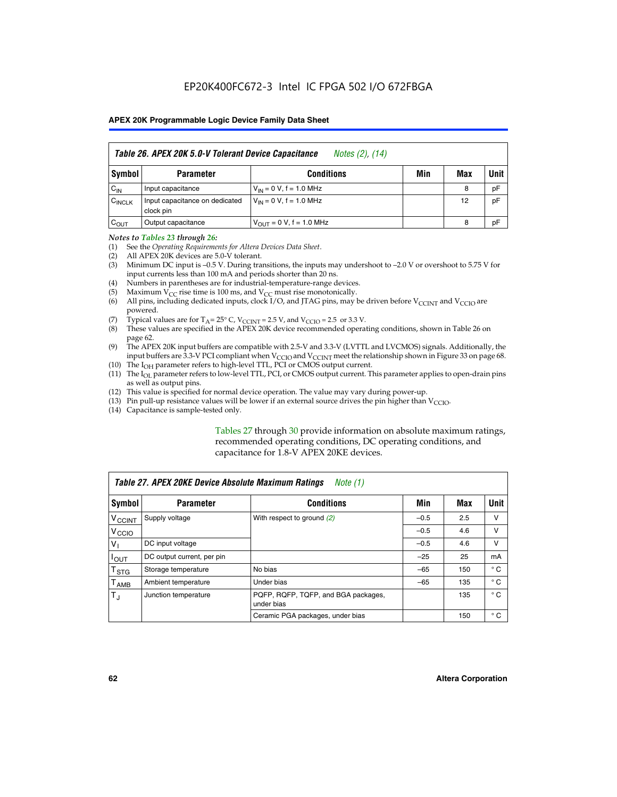|                    | Table 26. APEX 20K 5.0-V Tolerant Device Capacitance<br>Notes (2), (14) |                                     |     |     |      |  |
|--------------------|-------------------------------------------------------------------------|-------------------------------------|-----|-----|------|--|
| Symbol             | <b>Parameter</b>                                                        | <b>Conditions</b>                   | Min | Max | Unit |  |
| $C_{IN}$           | Input capacitance                                                       | $V_{1N} = 0 V$ , f = 1.0 MHz        |     | 8   | pF   |  |
| $C_{\text{INCLK}}$ | Input capacitance on dedicated<br>clock pin                             | $V_{IN} = 0 V$ , f = 1.0 MHz        |     | 12  | pF   |  |
| $C_{OUT}$          | Output capacitance                                                      | $V_{\text{OUT}} = 0 V, f = 1.0 MHz$ |     | 8   | pF   |  |

#### *Notes to Tables 23 through 26:*

- (1) See the *Operating Requirements for Altera Devices Data Sheet*.
- (2) All APEX 20K devices are 5.0-V tolerant.
- (3) Minimum DC input is –0.5 V. During transitions, the inputs may undershoot to –2.0 V or overshoot to 5.75 V for input currents less than 100 mA and periods shorter than 20 ns.
- (4) Numbers in parentheses are for industrial-temperature-range devices.
- (5) Maximum  $V_{CC}$  rise time is 100 ms, and  $V_{CC}$  must rise monotonically.<br>(6) All pins, including dedicated inputs, clock I/O, and JTAG pins, may b
- All pins, including dedicated inputs, clock I/O, and JTAG pins, may be driven before  $V_{\text{CCINT}}$  and  $V_{\text{CCIO}}$  are powered.
- (7) Typical values are for  $T_A = 25^\circ$  C, V<sub>CCINT</sub> = 2.5 V, and V<sub>CCIO</sub> = 2.5 or 3.3 V.<br>(8) These values are specified in the APEX 20K device recommended operat
- These values are specified in the APEX 20K device recommended operating conditions, shown in Table 26 on page 62.
- (9) The APEX 20K input buffers are compatible with 2.5-V and 3.3-V (LVTTL and LVCMOS) signals. Additionally, the input buffers are 3.3-V PCI compliant when  $V_{\text{CCIO}}$  and  $V_{\text{CCINI}}$  meet the relationship shown in Figure 33 on page 68.
- (10) The  $I<sub>OH</sub>$  parameter refers to high-level TTL, PCI or CMOS output current.
- (11) The I<sub>OL</sub> parameter refers to low-level TTL, PCI, or CMOS output current. This parameter applies to open-drain pins as well as output pins.
- (12) This value is specified for normal device operation. The value may vary during power-up.
- (13) Pin pull-up resistance values will be lower if an external source drives the pin higher than  $V_{\text{CCIO}}$ .
- (14) Capacitance is sample-tested only.

Tables 27 through 30 provide information on absolute maximum ratings, recommended operating conditions, DC operating conditions, and capacitance for 1.8-V APEX 20KE devices.

| Table 27. APEX 20KE Device Absolute Maximum Ratings<br>Note (1) |                            |                                                   |        |     |              |  |
|-----------------------------------------------------------------|----------------------------|---------------------------------------------------|--------|-----|--------------|--|
| Symbol                                                          | <b>Parameter</b>           | <b>Conditions</b>                                 | Min    | Max | Unit         |  |
| $V_{\text{CCINT}}$                                              | Supply voltage             | With respect to ground (2)                        | $-0.5$ | 2.5 | v            |  |
| V <sub>CCIO</sub>                                               |                            |                                                   | $-0.5$ | 4.6 | v            |  |
| $V_{1}$                                                         | DC input voltage           |                                                   | $-0.5$ | 4.6 | $\vee$       |  |
| $I_{OUT}$                                                       | DC output current, per pin |                                                   | $-25$  | 25  | mA           |  |
| $\mathsf{T}_{\texttt{STG}}$                                     | Storage temperature        | No bias                                           | $-65$  | 150 | $^{\circ}$ C |  |
| Т <sub>АМВ</sub>                                                | Ambient temperature        | Under bias                                        | $-65$  | 135 | $^{\circ}$ C |  |
| $\mathsf{T}_{\text{d}}$                                         | Junction temperature       | PQFP, RQFP, TQFP, and BGA packages,<br>under bias |        | 135 | $^{\circ}$ C |  |
|                                                                 |                            | Ceramic PGA packages, under bias                  |        | 150 | $^{\circ}$ C |  |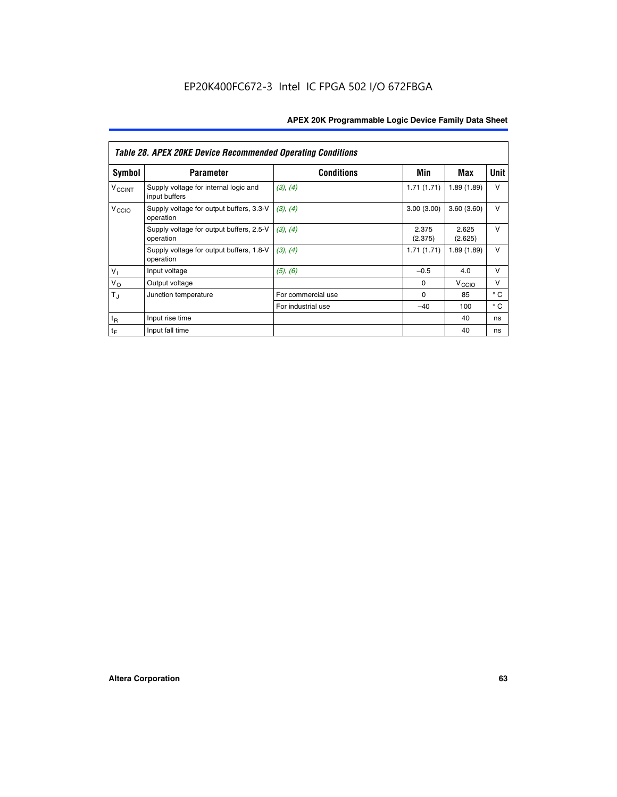|                             | <b>Table 28. APEX 20KE Device Recommended Operating Conditions</b> |                    |                  |                   |              |  |  |
|-----------------------------|--------------------------------------------------------------------|--------------------|------------------|-------------------|--------------|--|--|
| <b>Symbol</b>               | <b>Parameter</b>                                                   | <b>Conditions</b>  | Min              | Max               | <b>Unit</b>  |  |  |
| <b>V<sub>CCINT</sub></b>    | Supply voltage for internal logic and<br>input buffers             | (3), (4)           | 1.71(1.71)       | 1.89(1.89)        | $\vee$       |  |  |
| V <sub>CCIO</sub>           | Supply voltage for output buffers, 3.3-V<br>operation              | (3), (4)           | 3.00(3.00)       | 3.60(3.60)        | $\vee$       |  |  |
|                             | Supply voltage for output buffers, 2.5-V<br>operation              | (3), (4)           | 2.375<br>(2.375) | 2.625<br>(2.625)  | $\vee$       |  |  |
|                             | Supply voltage for output buffers, 1.8-V<br>operation              | (3), (4)           | 1.71(1.71)       | 1.89(1.89)        | $\vee$       |  |  |
| $V_1$                       | Input voltage                                                      | (5), (6)           | $-0.5$           | 4.0               | $\vee$       |  |  |
| $V_{\rm O}$                 | Output voltage                                                     |                    | $\Omega$         | V <sub>CCIO</sub> | v            |  |  |
| $T_{\rm J}$                 | Junction temperature                                               | For commercial use | $\Omega$         | 85                | $^{\circ}$ C |  |  |
|                             |                                                                    | For industrial use | $-40$            | 100               | $^{\circ}$ C |  |  |
| $t_{R}$                     | Input rise time                                                    |                    |                  | 40                | ns           |  |  |
| $\mathfrak{t}_{\mathsf{F}}$ | Input fall time                                                    |                    |                  | 40                | ns           |  |  |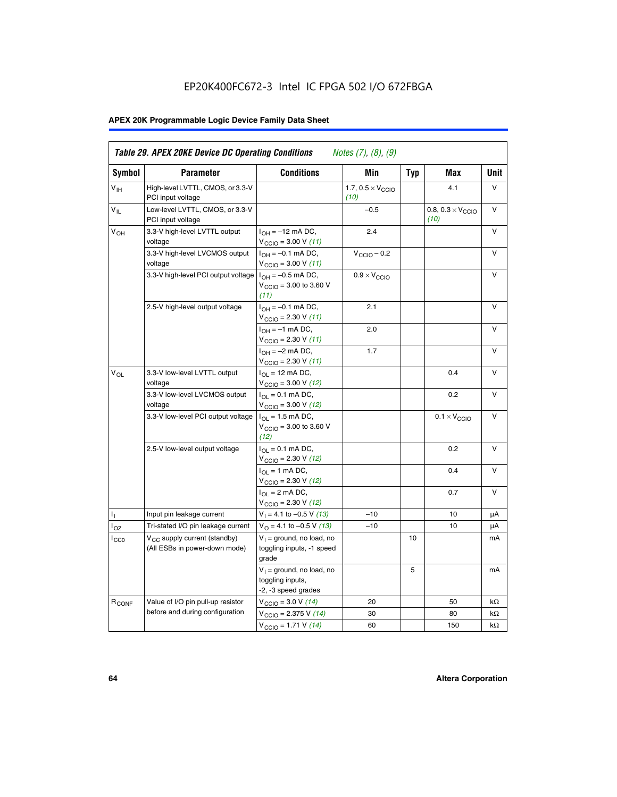# EP20K400FC672-3 Intel IC FPGA 502 I/O 672FBGA

# **APEX 20K Programmable Logic Device Family Data Sheet**

| <b>Symbol</b>     | <b>Parameter</b>                                                          | <b>Conditions</b>                                                       | Min                                       | <b>Typ</b> | Max                                       | Unit      |
|-------------------|---------------------------------------------------------------------------|-------------------------------------------------------------------------|-------------------------------------------|------------|-------------------------------------------|-----------|
| $V_{\text{IH}}$   | High-level LVTTL, CMOS, or 3.3-V<br>PCI input voltage                     |                                                                         | 1.7, $0.5 \times V_{\text{CCIO}}$<br>(10) |            | 4.1                                       | V         |
| $V_{IL}$          | Low-level LVTTL, CMOS, or 3.3-V<br>PCI input voltage                      |                                                                         | $-0.5$                                    |            | 0.8, $0.3 \times V_{\text{CCIO}}$<br>(10) | $\vee$    |
| V <sub>OH</sub>   | 3.3-V high-level LVTTL output<br>voltage                                  | $I_{OH} = -12$ mA DC,<br>$V_{\text{CCIO}} = 3.00 V (11)$                | 2.4                                       |            |                                           | v         |
|                   | 3.3-V high-level LVCMOS output<br>voltage                                 | $I_{OH} = -0.1$ mA DC,<br>$V_{\text{CCIO}} = 3.00 V (11)$               | $V_{\text{CGIO}} - 0.2$                   |            |                                           | V         |
|                   | 3.3-V high-level PCI output voltage $ I_{OH} = -0.5$ mA DC,               | $V_{\text{CCIO}} = 3.00$ to 3.60 V<br>(11)                              | $0.9 \times V_{\text{CCIO}}$              |            |                                           | V         |
|                   | 2.5-V high-level output voltage                                           | $I_{OH} = -0.1$ mA DC,<br>$V_{\text{CCIO}} = 2.30 V (11)$               | 2.1                                       |            |                                           | v         |
|                   |                                                                           | $I_{OH} = -1$ mA DC,<br>$V_{\text{CCIO}} = 2.30 V (11)$                 | 2.0                                       |            |                                           | v         |
|                   |                                                                           | $I_{OH} = -2$ mA DC,<br>$V_{\text{CCIO}} = 2.30 V (11)$                 | 1.7                                       |            |                                           | V         |
| $V_{\Omega L}$    | 3.3-V low-level LVTTL output<br>voltage                                   | $I_{OL}$ = 12 mA DC,<br>$V_{\text{CCIO}} = 3.00 \text{ V} (12)$         |                                           |            | 0.4                                       | v         |
|                   | 3.3-V low-level LVCMOS output<br>voltage                                  | $I_{\Omega} = 0.1$ mA DC,<br>$V_{\text{CCIO}} = 3.00 \text{ V} (12)$    |                                           |            | 0.2                                       | v         |
|                   | 3.3-V low-level PCI output voltage                                        | $I_{\Omega}$ = 1.5 mA DC,<br>$V_{\text{CGIO}} = 3.00$ to 3.60 V<br>(12) |                                           |            | $0.1 \times V_{\text{CCIO}}$              | v         |
|                   | 2.5-V low-level output voltage                                            | $I_{OL} = 0.1$ mA DC,<br>$V_{\text{CCIO}} = 2.30 V (12)$                |                                           |            | 0.2                                       | v         |
|                   |                                                                           | $I_{\Omega}$ = 1 mA DC,<br>$V_{\text{CCIO}} = 2.30 V (12)$              |                                           |            | 0.4                                       | $\vee$    |
|                   |                                                                           | $I_{OL}$ = 2 mA DC,<br>$V_{\text{CCIO}} = 2.30 V (12)$                  |                                           |            | 0.7                                       | v         |
| Τ,                | Input pin leakage current                                                 | $V_1 = 4.1$ to -0.5 V (13)                                              | $-10$                                     |            | 10                                        | μA        |
| l <sub>OZ</sub>   | Tri-stated I/O pin leakage current                                        | $V_{\Omega}$ = 4.1 to -0.5 V (13)                                       | $-10$                                     |            | 10                                        | μA        |
| $_{\rm l_{CC0}}$  | V <sub>CC</sub> supply current (standby)<br>(All ESBs in power-down mode) | $V_1$ = ground, no load, no<br>toggling inputs, -1 speed<br>grade       |                                           | 10         |                                           | mA        |
|                   |                                                                           | $V_1$ = ground, no load, no<br>toggling inputs,<br>-2, -3 speed grades  |                                           | 5          |                                           | mA        |
| R <sub>CONF</sub> | Value of I/O pin pull-up resistor                                         | $V_{\text{CCIO}} = 3.0 V (14)$                                          | 20                                        |            | 50                                        | $k\Omega$ |
|                   | before and during configuration                                           | $V_{\text{CCIO}} = 2.375 V (14)$                                        | 30                                        |            | 80                                        | kΩ        |
|                   |                                                                           | $V_{\text{CCIO}} = 1.71 V (14)$                                         | 60                                        |            | 150                                       | kΩ        |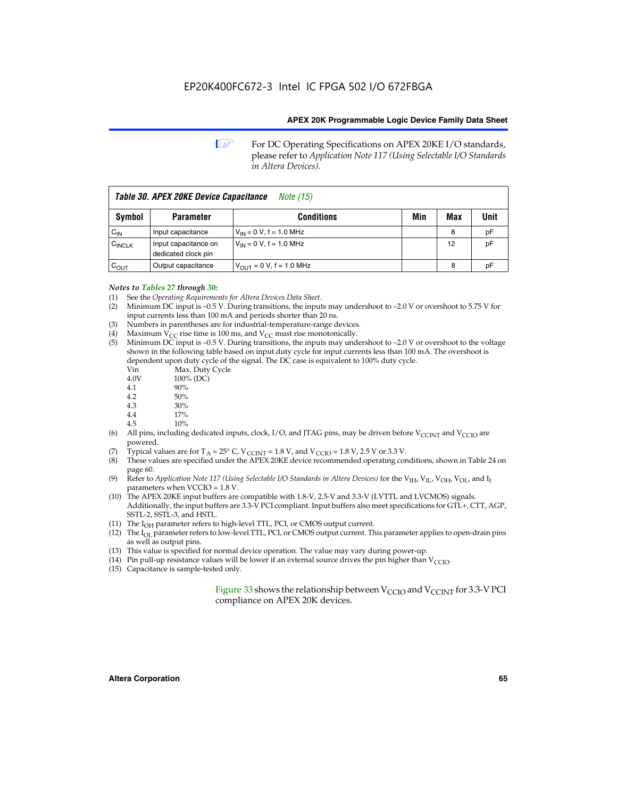**1 For DC Operating Specifications on APEX 20KE I/O standards,** please refer to *Application Note 117 (Using Selectable I/O Standards in Altera Devices).*

| Table 30. APEX 20KE Device Capacitance<br><i>Note (15)</i> |                                             |                                |     |     |      |  |
|------------------------------------------------------------|---------------------------------------------|--------------------------------|-----|-----|------|--|
| <b>Symbol</b>                                              | <b>Parameter</b>                            | <b>Conditions</b>              | Min | Max | Unit |  |
| $C_{\text{IN}}$                                            | Input capacitance                           | $V_{IN} = 0 V$ , f = 1.0 MHz   |     | 8   | рF   |  |
| $C_{\text{INCLK}}$                                         | Input capacitance on<br>dedicated clock pin | $V_{IN} = 0 V$ , f = 1.0 MHz   |     | 12  | pF   |  |
| $C_{OUT}$                                                  | Output capacitance                          | $V_{OUIT} = 0 V$ , f = 1.0 MHz |     | 8   | рF   |  |

- *Notes to Tables 27 through 30:* (1) See the *Operating Requirements for Altera Devices Data Sheet*.
- (2) Minimum DC input is –0.5 V. During transitions, the inputs may undershoot to –2.0 V or overshoot to 5.75 V for input currents less than 100 mA and periods shorter than 20 ns.
- (3) Numbers in parentheses are for industrial-temperature-range devices.
- (4) Maximum  $V_{CC}$  rise time is 100 ms, and  $V_{CC}$  must rise monotonically.<br>(5) Minimum DC input is -0.5 V. During transitions, the inputs may und
- Minimum DC input is  $-0.5$  V. During transitions, the inputs may undershoot to  $-2.0$  V or overshoot to the voltage shown in the following table based on input duty cycle for input currents less than 100 mA. The overshoot is dependent upon duty cycle of the signal. The DC case is equivalent to 100% duty cycle.

| Vin  | Max. Duty Cycle |
|------|-----------------|
| 4.0V | 100% (DC)       |
| 4.1  | 90%             |
| 4.2  | 50%             |
| 4.3  | 30%             |
| . .  |                 |

- 4.4  $17\%$ <br>4.5  $10\%$
- 10%
- (6) All pins, including dedicated inputs, clock, I/O, and JTAG pins, may be driven before  $V_{\text{CCINT}}$  and  $V_{\text{CCIO}}$  are powered.
- (7) Typical values are for  $T_A = 25^\circ$  C, V<sub>CCINT</sub> = 1.8 V, and V<sub>CCIO</sub> = 1.8 V, 2.5 V or 3.3 V.
- (8) These values are specified under the APEX 20KE device recommended operating conditions, shown in Table 24 on page 60.
- (9) Refer to *Application Note 117 (Using Selectable I/O Standards in Altera Devices)* for the V<sub>IH</sub>, V<sub>IL</sub>, V<sub>OH</sub>, V<sub>OL</sub>, and I<sub>I</sub> parameters when VCCIO = 1.8 V.
- (10) The APEX 20KE input buffers are compatible with 1.8-V, 2.5-V and 3.3-V (LVTTL and LVCMOS) signals. Additionally, the input buffers are 3.3-V PCI compliant. Input buffers also meet specifications for GTL+, CTT, AGP, SSTL-2, SSTL-3, and HSTL.
- (11) The  $I_{OH}$  parameter refers to high-level TTL, PCI, or CMOS output current.
- (12) The I<sub>OL</sub> parameter refers to low-level TTL, PCI, or CMOS output current. This parameter applies to open-drain pins as well as output pins.
- (13) This value is specified for normal device operation. The value may vary during power-up.
- (14) Pin pull-up resistance values will be lower if an external source drives the pin higher than  $V_{CCIO}$ .
- (15) Capacitance is sample-tested only.

Figure 33 shows the relationship between  $V_{\text{CCIO}}$  and  $V_{\text{CCINT}}$  for 3.3-V PCI compliance on APEX 20K devices.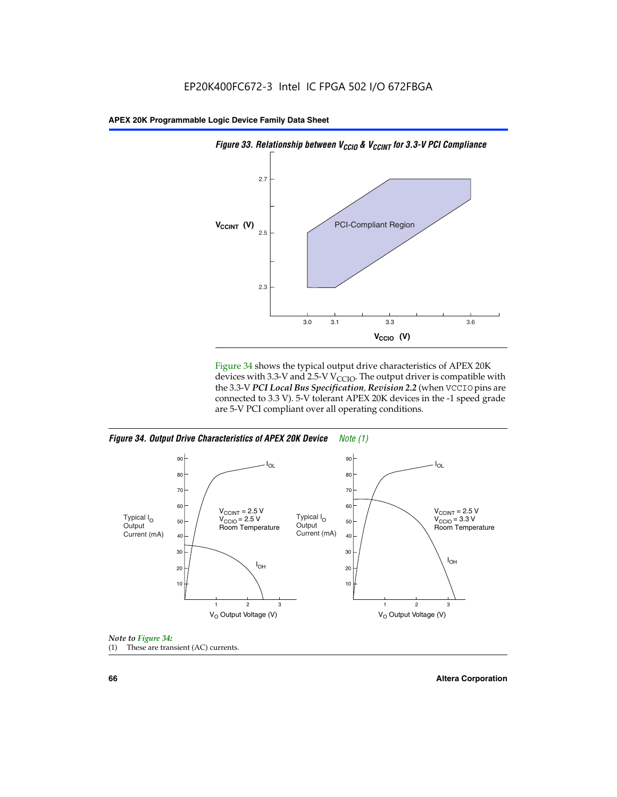

Figure 34 shows the typical output drive characteristics of APEX 20K devices with 3.3-V and 2.5-V V<sub>CCIO</sub>. The output driver is compatible with the 3.3-V *PCI Local Bus Specification, Revision 2.2* (when VCCIO pins are connected to 3.3 V). 5-V tolerant APEX 20K devices in the -1 speed grade are 5-V PCI compliant over all operating conditions.







**66 Altera Corporation**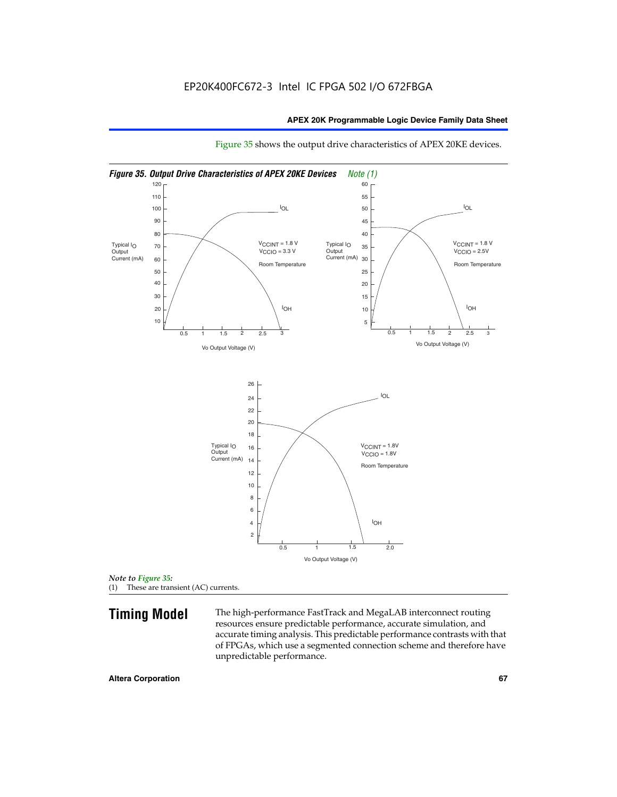

Figure 35 shows the output drive characteristics of APEX 20KE devices.

*Note to Figure 35:* (1) These are transient (AC) currents.

**Timing Model** The high-performance FastTrack and MegaLAB interconnect routing resources ensure predictable performance, accurate simulation, and accurate timing analysis. This predictable performance contrasts with that of FPGAs, which use a segmented connection scheme and therefore have unpredictable performance.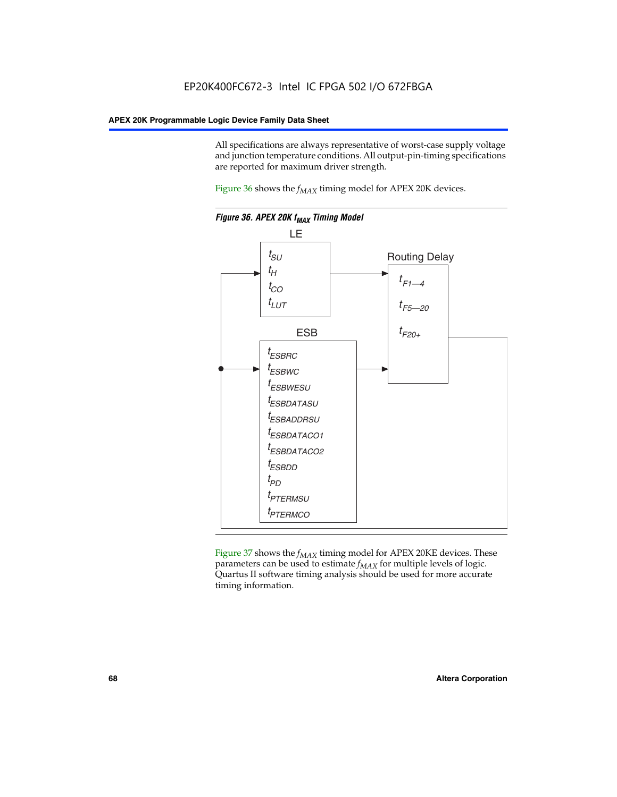All specifications are always representative of worst-case supply voltage and junction temperature conditions. All output-pin-timing specifications are reported for maximum driver strength.

Figure  $36$  shows the  $f_{MAX}$  timing model for APEX 20K devices.



Figure 37 shows the  $f_{MAX}$  timing model for APEX 20KE devices. These parameters can be used to estimate  $f_{MAX}$  for multiple levels of logic. Quartus II software timing analysis should be used for more accurate timing information.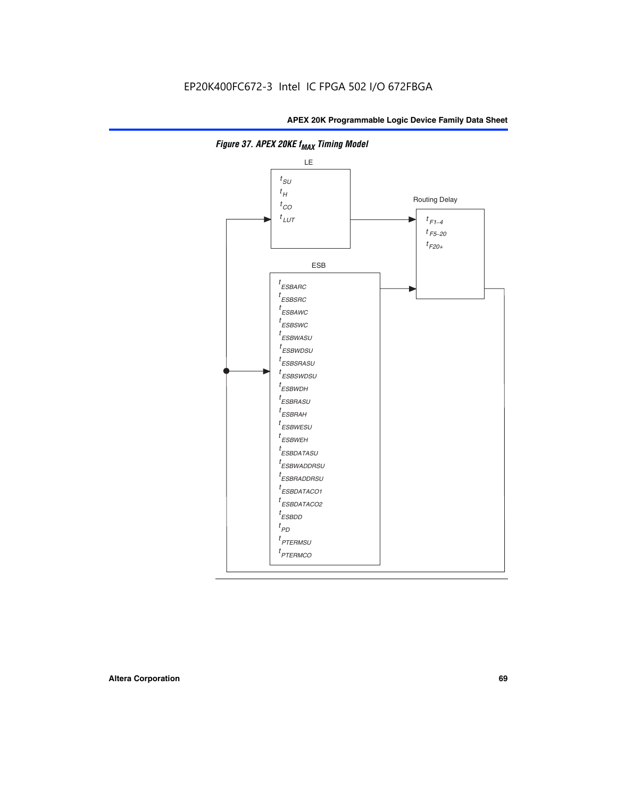

**Figure 37. APEX 20KE f<sub>MAX</sub> Timing Model**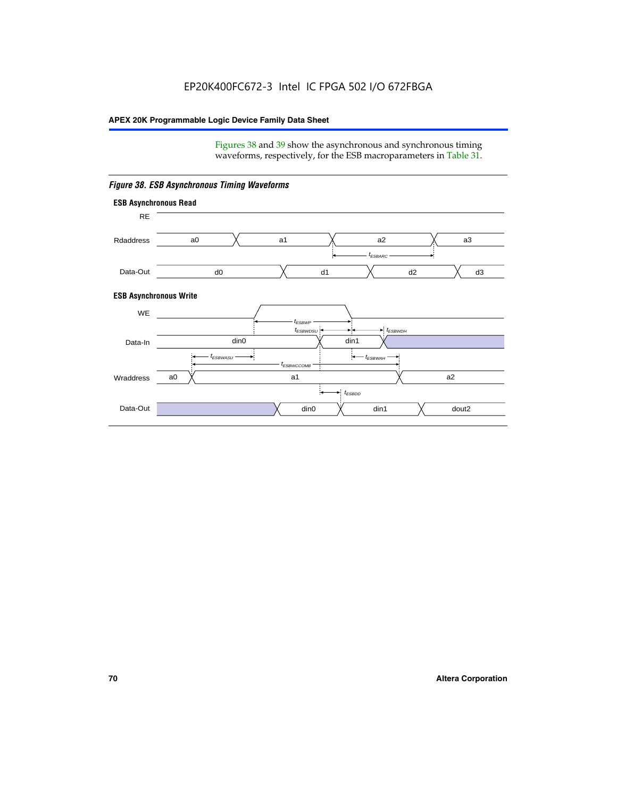Figures 38 and 39 show the asynchronous and synchronous timing waveforms, respectively, for the ESB macroparameters in Table 31.



*Figure 38. ESB Asynchronous Timing Waveforms*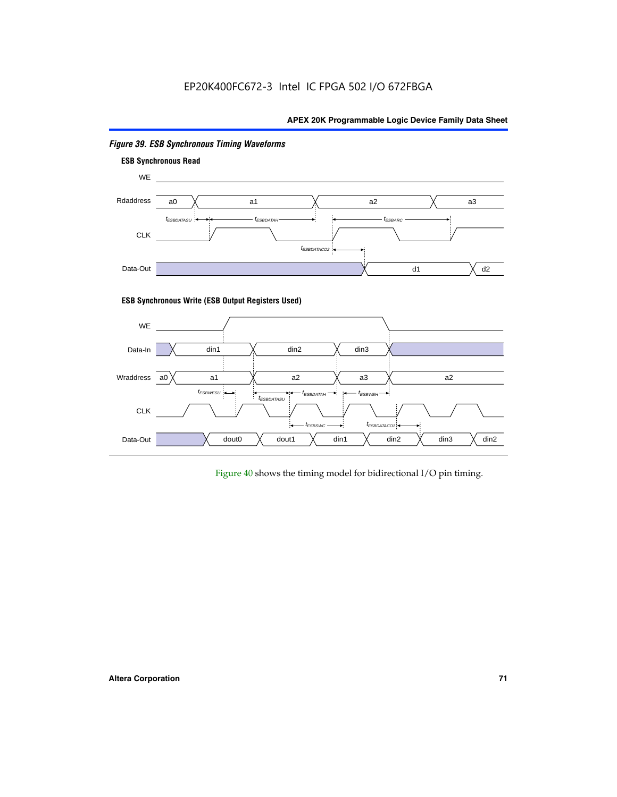

# *Figure 39. ESB Synchronous Timing Waveforms*

# **ESB Synchronous Write (ESB Output Registers Used)**



Figure 40 shows the timing model for bidirectional I/O pin timing.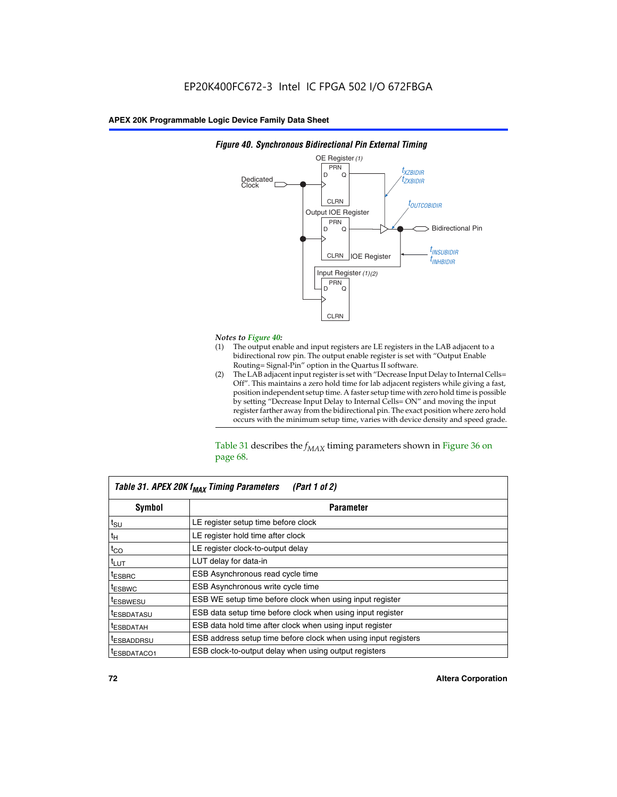

## *Figure 40. Synchronous Bidirectional Pin External Timing*

# *Notes to Figure 40:*

- The output enable and input registers are LE registers in the LAB adjacent to a bidirectional row pin. The output enable register is set with "Output Enable Routing= Signal-Pin" option in the Quartus II software.
- (2) The LAB adjacent input register is set with "Decrease Input Delay to Internal Cells= Off". This maintains a zero hold time for lab adjacent registers while giving a fast, position independent setup time. A faster setup time with zero hold time is possible by setting "Decrease Input Delay to Internal Cells= ON" and moving the input register farther away from the bidirectional pin. The exact position where zero hold occurs with the minimum setup time, varies with device density and speed grade.

Table 31 describes the  $f_{MAX}$  timing parameters shown in Figure 36 on page 68.

| Table 31. APEX 20K f <sub>MAX</sub> Timing Parameters<br>(Part 1 of 2) |                                                                |  |  |  |  |
|------------------------------------------------------------------------|----------------------------------------------------------------|--|--|--|--|
| Symbol                                                                 | <b>Parameter</b>                                               |  |  |  |  |
| $t_{\text{SU}}$                                                        | LE register setup time before clock                            |  |  |  |  |
| $t_H$                                                                  | LE register hold time after clock                              |  |  |  |  |
| $t_{CO}$                                                               | LE register clock-to-output delay                              |  |  |  |  |
| t <sub>LUT</sub>                                                       | LUT delay for data-in                                          |  |  |  |  |
| <sup>t</sup> ESBRC                                                     | ESB Asynchronous read cycle time                               |  |  |  |  |
| <sup>t</sup> ESBWC                                                     | ESB Asynchronous write cycle time                              |  |  |  |  |
| <sup>t</sup> ESBWESU                                                   | ESB WE setup time before clock when using input register       |  |  |  |  |
| <sup>t</sup> ESBDATASU                                                 | ESB data setup time before clock when using input register     |  |  |  |  |
| <sup>t</sup> ESBDATAH                                                  | ESB data hold time after clock when using input register       |  |  |  |  |
| <sup>t</sup> ESBADDRSU                                                 | ESB address setup time before clock when using input registers |  |  |  |  |
| ESBDATACO1                                                             | ESB clock-to-output delay when using output registers          |  |  |  |  |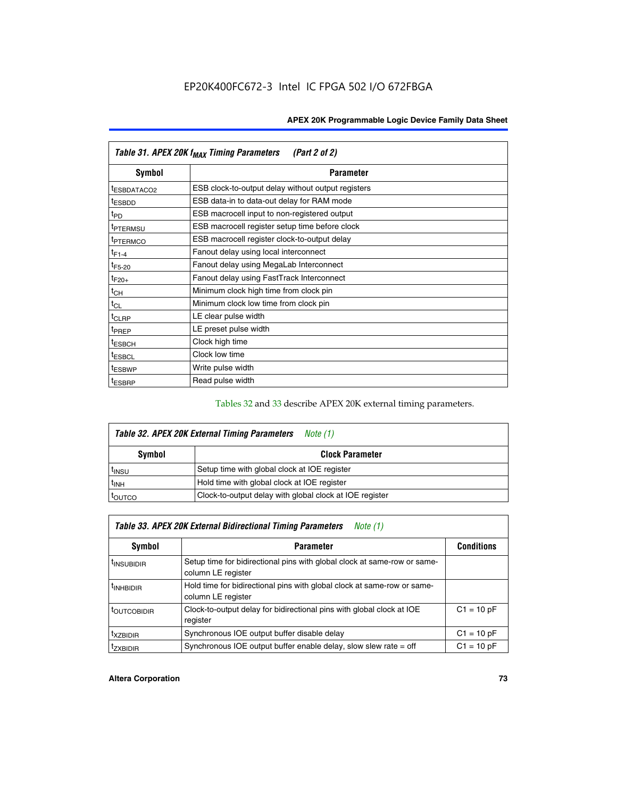| Table 31. APEX 20K f <sub>MAX</sub> Timing Parameters<br>(Part 2 of 2) |                                                    |  |  |  |  |
|------------------------------------------------------------------------|----------------------------------------------------|--|--|--|--|
| Symbol                                                                 | <b>Parameter</b>                                   |  |  |  |  |
| <sup>t</sup> ESBDATACO2                                                | ESB clock-to-output delay without output registers |  |  |  |  |
| <sup>t</sup> ESBDD                                                     | ESB data-in to data-out delay for RAM mode         |  |  |  |  |
| t <sub>PD</sub>                                                        | ESB macrocell input to non-registered output       |  |  |  |  |
| <sup>t</sup> PTERMSU                                                   | ESB macrocell register setup time before clock     |  |  |  |  |
| <sup>t</sup> PTERMCO                                                   | ESB macrocell register clock-to-output delay       |  |  |  |  |
| $t_{F1-4}$                                                             | Fanout delay using local interconnect              |  |  |  |  |
| $t_{F5-20}$                                                            | Fanout delay using MegaLab Interconnect            |  |  |  |  |
| $t_{F20+}$                                                             | Fanout delay using FastTrack Interconnect          |  |  |  |  |
| $t_{CH}$                                                               | Minimum clock high time from clock pin             |  |  |  |  |
| $t_{CL}$                                                               | Minimum clock low time from clock pin              |  |  |  |  |
| $t_{CLRP}$                                                             | LE clear pulse width                               |  |  |  |  |
| t <sub>PREP</sub>                                                      | LE preset pulse width                              |  |  |  |  |
| <sup>t</sup> ESBCH                                                     | Clock high time                                    |  |  |  |  |
| <sup>t</sup> ESBCL                                                     | Clock low time                                     |  |  |  |  |
| <sup>t</sup> ESBWP                                                     | Write pulse width                                  |  |  |  |  |
| <sup>t</sup> ESBRP                                                     | Read pulse width                                   |  |  |  |  |

## Tables 32 and 33 describe APEX 20K external timing parameters.

| Table 32. APEX 20K External Timing Parameters<br>Note (1) |                                                         |  |  |  |  |
|-----------------------------------------------------------|---------------------------------------------------------|--|--|--|--|
| Symbol                                                    | <b>Clock Parameter</b>                                  |  |  |  |  |
| <sup>t</sup> insu                                         | Setup time with global clock at IOE register            |  |  |  |  |
| $t_{\mathsf{INH}}$                                        | Hold time with global clock at IOE register             |  |  |  |  |
| toutco                                                    | Clock-to-output delay with global clock at IOE register |  |  |  |  |

| Table 33. APEX 20K External Bidirectional Timing Parameters<br>Note (1) |                                                                                                |              |  |  |  |  |
|-------------------------------------------------------------------------|------------------------------------------------------------------------------------------------|--------------|--|--|--|--|
| Symbol                                                                  | <b>Conditions</b><br><b>Parameter</b>                                                          |              |  |  |  |  |
| <sup>I</sup> INSUBIDIR                                                  | Setup time for bidirectional pins with global clock at same-row or same-<br>column LE register |              |  |  |  |  |
| <sup>t</sup> INHBIDIR                                                   | Hold time for bidirectional pins with global clock at same-row or same-<br>column LE register  |              |  |  |  |  |
| <sup>t</sup> OUTCOBIDIR                                                 | Clock-to-output delay for bidirectional pins with global clock at IOE<br>register              | $C1 = 10 pF$ |  |  |  |  |
| <sup>T</sup> XZBIDIR                                                    | Synchronous IOE output buffer disable delay                                                    | $C1 = 10 pF$ |  |  |  |  |
| <sup>I</sup> ZXBIDIR                                                    | Synchronous IOE output buffer enable delay, slow slew rate $=$ off                             | $C1 = 10 pF$ |  |  |  |  |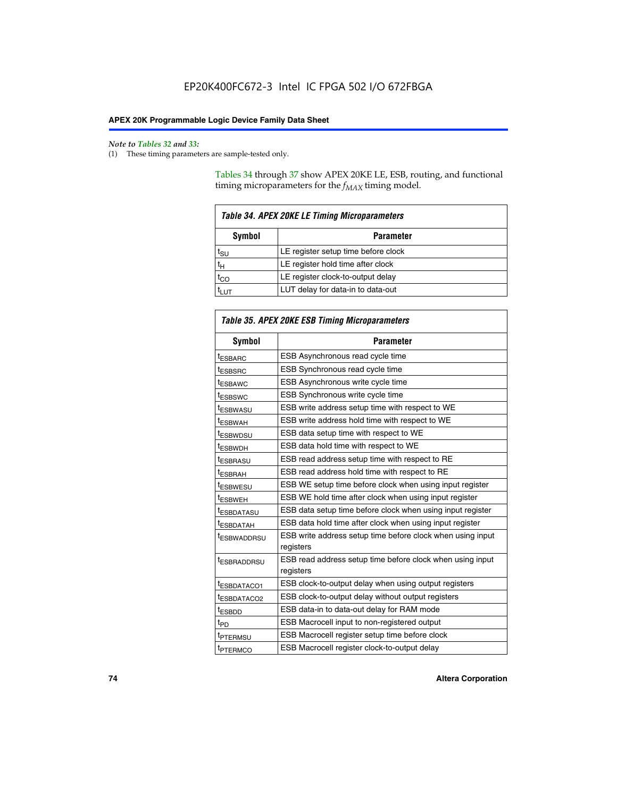**F** 

#### *Note to Tables 32 and 33:*

(1) These timing parameters are sample-tested only.

Tables 34 through 37 show APEX 20KE LE, ESB, routing, and functional timing microparameters for the  $f_{MAX}$  timing model.

| Table 34. APEX 20KE LE Timing Microparameters |                                     |  |  |  |
|-----------------------------------------------|-------------------------------------|--|--|--|
| Symbol<br><b>Parameter</b>                    |                                     |  |  |  |
| t <sub>SU</sub>                               | LE register setup time before clock |  |  |  |
| $t_H$                                         | LE register hold time after clock   |  |  |  |
| $t_{CO}$                                      | LE register clock-to-output delay   |  |  |  |
| $t_{LUT}$                                     | LUT delay for data-in to data-out   |  |  |  |

| Table 35. APEX 20KE ESB Timing Microparameters |                                                            |  |  |  |
|------------------------------------------------|------------------------------------------------------------|--|--|--|
| Symbol                                         | <b>Parameter</b>                                           |  |  |  |
| tESBARC                                        | ESB Asynchronous read cycle time                           |  |  |  |
| <sup>t</sup> ESBSRC                            | ESB Synchronous read cycle time                            |  |  |  |
| t <sub>ESBAWC</sub>                            | ESB Asynchronous write cycle time                          |  |  |  |
| t <sub>ESBSWC</sub>                            | ESB Synchronous write cycle time                           |  |  |  |
| t <sub>ESBWASU</sub>                           | ESB write address setup time with respect to WE            |  |  |  |
| <sup>t</sup> ESBWAH                            | ESB write address hold time with respect to WE             |  |  |  |
| <sup>t</sup> ESBWDSU                           | ESB data setup time with respect to WE                     |  |  |  |
| t <sub>ESBWDH</sub>                            | ESB data hold time with respect to WE                      |  |  |  |
| tESBRASU                                       | ESB read address setup time with respect to RE             |  |  |  |
| t <sub>ESBRAH</sub>                            | ESB read address hold time with respect to RE              |  |  |  |
| t <sub>ESBWESU</sub>                           | ESB WE setup time before clock when using input register   |  |  |  |
| <sup>t</sup> ESBWEH                            | ESB WE hold time after clock when using input register     |  |  |  |
| <sup>t</sup> ESBDATASU                         | ESB data setup time before clock when using input register |  |  |  |
| t <sub>ESBDATAH</sub>                          | ESB data hold time after clock when using input register   |  |  |  |
| t <sub>ESBWADDRSU</sub>                        | ESB write address setup time before clock when using input |  |  |  |
|                                                | registers                                                  |  |  |  |
| <i>t</i> ESBRADDRSU                            | ESB read address setup time before clock when using input  |  |  |  |
|                                                | registers                                                  |  |  |  |
| t <sub>ESBDATACO1</sub>                        | ESB clock-to-output delay when using output registers      |  |  |  |
| tESBDATACO2                                    | ESB clock-to-output delay without output registers         |  |  |  |
| $t_{ESBDD}$                                    | ESB data-in to data-out delay for RAM mode                 |  |  |  |
| $t_{PD}$                                       | ESB Macrocell input to non-registered output               |  |  |  |
| t <sub>PTERMSU</sub>                           | ESB Macrocell register setup time before clock             |  |  |  |
| t <sub>PTERMCO</sub>                           | ESB Macrocell register clock-to-output delay               |  |  |  |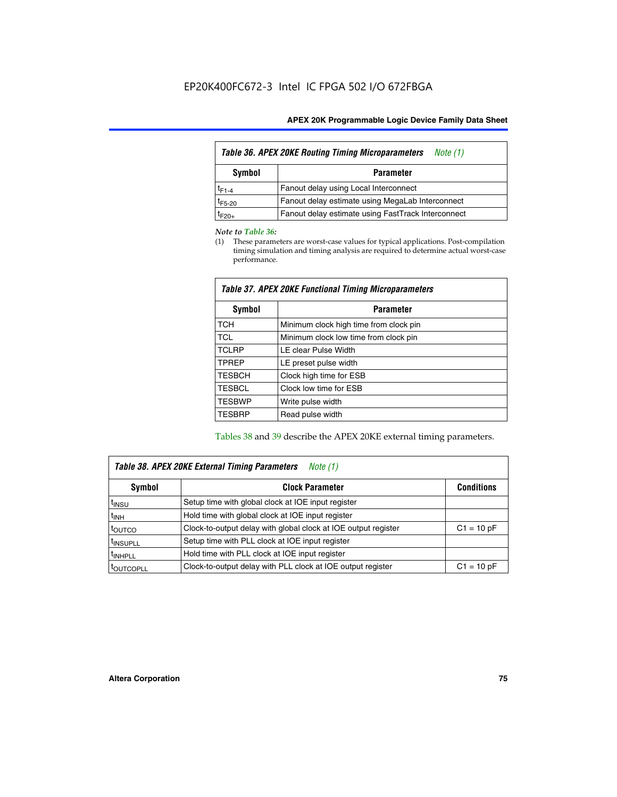| Table 36. APEX 20KE Routing Timing Microparameters<br>Note (1) |                                                    |  |  |  |  |
|----------------------------------------------------------------|----------------------------------------------------|--|--|--|--|
| Symbol<br><b>Parameter</b>                                     |                                                    |  |  |  |  |
| $t_{F1-4}$                                                     | Fanout delay using Local Interconnect              |  |  |  |  |
| $t_{F5-20}$                                                    | Fanout delay estimate using MegaLab Interconnect   |  |  |  |  |
| t <sub>F20+</sub>                                              | Fanout delay estimate using FastTrack Interconnect |  |  |  |  |

#### *Note to Table 36:*

(1) These parameters are worst-case values for typical applications. Post-compilation timing simulation and timing analysis are required to determine actual worst-case performance.

| Symbol        | <b>Parameter</b>                       |  |  |  |  |  |
|---------------|----------------------------------------|--|--|--|--|--|
| <b>TCH</b>    | Minimum clock high time from clock pin |  |  |  |  |  |
| <b>TCL</b>    | Minimum clock low time from clock pin  |  |  |  |  |  |
| <b>TCLRP</b>  | LE clear Pulse Width                   |  |  |  |  |  |
| <b>TPREP</b>  | LE preset pulse width                  |  |  |  |  |  |
| <b>TESBCH</b> | Clock high time for ESB                |  |  |  |  |  |
| <b>TESBCL</b> | Clock low time for ESB                 |  |  |  |  |  |
| <b>TESBWP</b> | Write pulse width                      |  |  |  |  |  |
| <b>TESBRP</b> | Read pulse width                       |  |  |  |  |  |

## *Table 37. APEX 20KE Functional Timing Microparameters*

Tables 38 and 39 describe the APEX 20KE external timing parameters.

| Table 38. APEX 20KE External Timing Parameters<br>Note (1) |                                                                |              |  |  |  |
|------------------------------------------------------------|----------------------------------------------------------------|--------------|--|--|--|
| <b>Clock Parameter</b><br>Symbol<br><b>Conditions</b>      |                                                                |              |  |  |  |
| <sup>t</sup> insu                                          | Setup time with global clock at IOE input register             |              |  |  |  |
| $t_{\text{INH}}$                                           | Hold time with global clock at IOE input register              |              |  |  |  |
| toutco                                                     | Clock-to-output delay with global clock at IOE output register | $C1 = 10 pF$ |  |  |  |
| <sup>t</sup> INSUPLL                                       | Setup time with PLL clock at IOE input register                |              |  |  |  |
| <sup>t</sup> INHPLL                                        | Hold time with PLL clock at IOE input register                 |              |  |  |  |
| <sup>I</sup> OUTCOPLL                                      | Clock-to-output delay with PLL clock at IOE output register    | $C1 = 10 pF$ |  |  |  |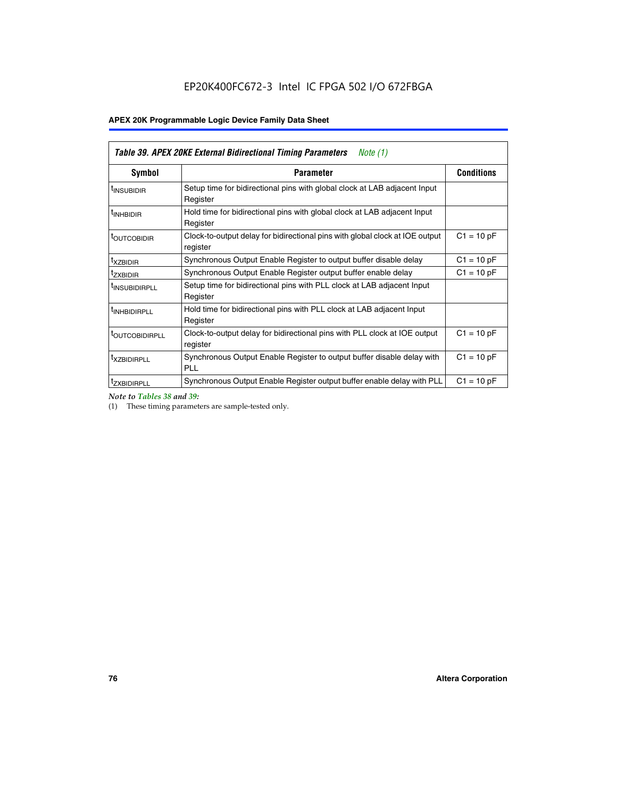| <b>Table 39. APEX 20KE External Bidirectional Timing Parameters</b><br>Note (1) |                                                                                                          |              |  |  |  |  |  |  |
|---------------------------------------------------------------------------------|----------------------------------------------------------------------------------------------------------|--------------|--|--|--|--|--|--|
| Symbol                                                                          | <b>Conditions</b><br><b>Parameter</b>                                                                    |              |  |  |  |  |  |  |
| <sup>t</sup> INSUBIDIR                                                          | Setup time for bidirectional pins with global clock at LAB adjacent Input<br>Register                    |              |  |  |  |  |  |  |
| <sup>t</sup> INHBIDIR                                                           | Hold time for bidirectional pins with global clock at LAB adjacent Input<br>Register                     |              |  |  |  |  |  |  |
| <sup>t</sup> OUTCOBIDIR                                                         | $C1 = 10 pF$<br>Clock-to-output delay for bidirectional pins with global clock at IOE output<br>register |              |  |  |  |  |  |  |
| <sup>t</sup> xzbidir                                                            | $C1 = 10 pF$<br>Synchronous Output Enable Register to output buffer disable delay                        |              |  |  |  |  |  |  |
| <sup>t</sup> zxbidir                                                            | Synchronous Output Enable Register output buffer enable delay                                            | $C1 = 10 pF$ |  |  |  |  |  |  |
| <sup>I</sup> INSUBIDIRPLL                                                       | Setup time for bidirectional pins with PLL clock at LAB adjacent Input<br>Register                       |              |  |  |  |  |  |  |
| <sup>t</sup> INHBIDIRPLL                                                        | Hold time for bidirectional pins with PLL clock at LAB adjacent Input<br>Register                        |              |  |  |  |  |  |  |
| <sup>t</sup> OUTCOBIDIRPLL                                                      | Clock-to-output delay for bidirectional pins with PLL clock at IOE output<br>register                    | $C1 = 10 pF$ |  |  |  |  |  |  |
| <sup>t</sup> XZBIDIRPLL                                                         | Synchronous Output Enable Register to output buffer disable delay with<br><b>PLL</b>                     | $C1 = 10 pF$ |  |  |  |  |  |  |
| <sup>I</sup> ZXBIDIRPLL                                                         | Synchronous Output Enable Register output buffer enable delay with PLL                                   | $C1 = 10 pF$ |  |  |  |  |  |  |

*Note to Tables 38 and 39:*

(1) These timing parameters are sample-tested only.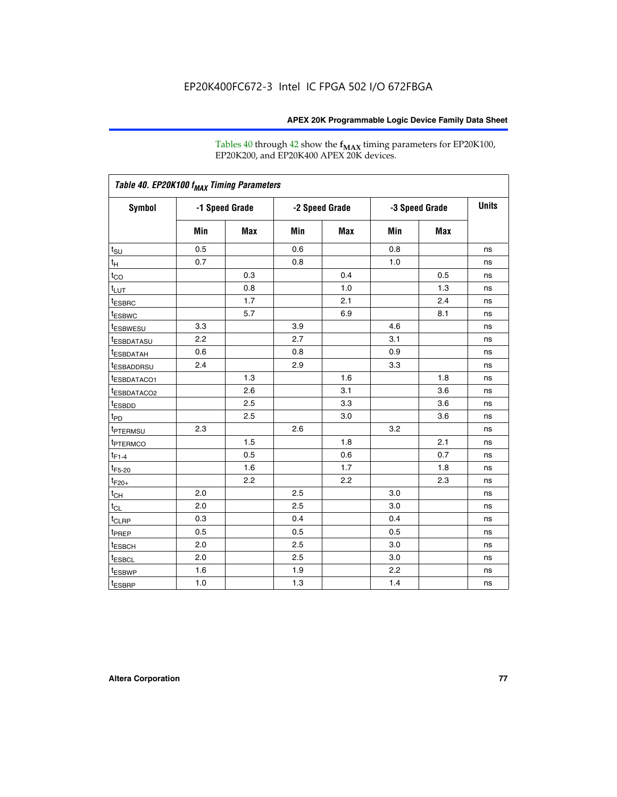Tables 40 through 42 show the **f<sub>MAX</sub>** timing parameters for EP20K100, EP20K200, and EP20K400 APEX 20K devices.

| Table 40. EP20K100 f <sub>MAX</sub> Timing Parameters |                |     |                |     |                |     |              |
|-------------------------------------------------------|----------------|-----|----------------|-----|----------------|-----|--------------|
| <b>Symbol</b>                                         | -1 Speed Grade |     | -2 Speed Grade |     | -3 Speed Grade |     | <b>Units</b> |
|                                                       | Min            | Max | Min            | Max | Min            | Max |              |
| $t_{\text{SU}}$                                       | 0.5            |     | 0.6            |     | 0.8            |     | ns           |
| $t_H$                                                 | 0.7            |     | 0.8            |     | 1.0            |     | ns           |
| $t_{CO}$                                              |                | 0.3 |                | 0.4 |                | 0.5 | ns           |
| $t_{LUT}$                                             |                | 0.8 |                | 1.0 |                | 1.3 | ns           |
| <sup>t</sup> ESBRC                                    |                | 1.7 |                | 2.1 |                | 2.4 | ns           |
| t <sub>ESBWC</sub>                                    |                | 5.7 |                | 6.9 |                | 8.1 | ns           |
| t <sub>ESBWESU</sub>                                  | 3.3            |     | 3.9            |     | 4.6            |     | ns           |
| <sup>t</sup> ESBDATASU                                | 2.2            |     | 2.7            |     | 3.1            |     | ns           |
| t <sub>ESBDATAH</sub>                                 | 0.6            |     | 0.8            |     | 0.9            |     | ns           |
| <sup>t</sup> ESBADDRSU                                | 2.4            |     | 2.9            |     | 3.3            |     | ns           |
| t <sub>ESBDATACO1</sub>                               |                | 1.3 |                | 1.6 |                | 1.8 | ns           |
| t <sub>ESBDATACO2</sub>                               |                | 2.6 |                | 3.1 |                | 3.6 | ns           |
| t <sub>ESBDD</sub>                                    |                | 2.5 |                | 3.3 |                | 3.6 | ns           |
| t <sub>PD</sub>                                       |                | 2.5 |                | 3.0 |                | 3.6 | ns           |
| <sup>t</sup> PTERMSU                                  | 2.3            |     | 2.6            |     | 3.2            |     | ns           |
| t <sub>PTERMCO</sub>                                  |                | 1.5 |                | 1.8 |                | 2.1 | ns           |
| $t_{F1-4}$                                            |                | 0.5 |                | 0.6 |                | 0.7 | ns           |
| $t_{F5-20}$                                           |                | 1.6 |                | 1.7 |                | 1.8 | ns           |
| $t_{F20+}$                                            |                | 2.2 |                | 2.2 |                | 2.3 | ns           |
| $t_{\mathsf{CH}}$                                     | 2.0            |     | 2.5            |     | 3.0            |     | ns           |
| $t_{CL}$                                              | 2.0            |     | 2.5            |     | 3.0            |     | ns           |
| t <sub>CLRP</sub>                                     | 0.3            |     | 0.4            |     | 0.4            |     | ns           |
| t <sub>PREP</sub>                                     | 0.5            |     | 0.5            |     | 0.5            |     | ns           |
| t <sub>ESBCH</sub>                                    | 2.0            |     | 2.5            |     | 3.0            |     | ns           |
| t <sub>ESBCL</sub>                                    | 2.0            |     | 2.5            |     | 3.0            |     | ns           |
| t <sub>ESBWP</sub>                                    | 1.6            |     | 1.9            |     | 2.2            |     | ns           |
| $t_{ESBRP}$                                           | 1.0            |     | 1.3            |     | 1.4            |     | ns           |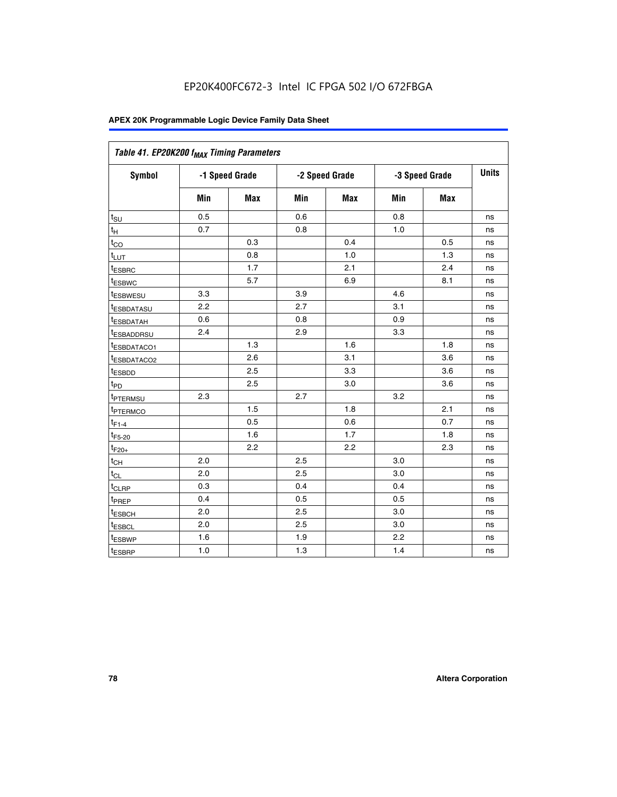| Table 41. EP20K200 f <sub>MAX</sub> Timing Parameters |                |     |     |                |     |                |    |
|-------------------------------------------------------|----------------|-----|-----|----------------|-----|----------------|----|
| Symbol                                                | -1 Speed Grade |     |     | -2 Speed Grade |     | -3 Speed Grade |    |
|                                                       | Min            | Max | Min | <b>Max</b>     | Min | Max            |    |
| $t_{\text{SU}}$                                       | 0.5            |     | 0.6 |                | 0.8 |                | ns |
| $t_H$                                                 | 0.7            |     | 0.8 |                | 1.0 |                | ns |
| $t_{CO}$                                              |                | 0.3 |     | 0.4            |     | 0.5            | ns |
| $t_{LUT}$                                             |                | 0.8 |     | 1.0            |     | 1.3            | ns |
| t <sub>ESBRC</sub>                                    |                | 1.7 |     | 2.1            |     | 2.4            | ns |
| t <sub>ESBWC</sub>                                    |                | 5.7 |     | 6.9            |     | 8.1            | ns |
| t <sub>ESBWESU</sub>                                  | 3.3            |     | 3.9 |                | 4.6 |                | ns |
| <sup>t</sup> ESBDATASU                                | 2.2            |     | 2.7 |                | 3.1 |                | ns |
| t <sub>ESBDATAH</sub>                                 | 0.6            |     | 0.8 |                | 0.9 |                | ns |
| t <sub>ESBADDRSU</sub>                                | 2.4            |     | 2.9 |                | 3.3 |                | ns |
| <u>t<sub>ESBDATACO1</sub></u>                         |                | 1.3 |     | 1.6            |     | 1.8            | ns |
| <sup>t</sup> ESBDATACO2                               |                | 2.6 |     | 3.1            |     | 3.6            | ns |
| t <sub>ESBDD</sub>                                    |                | 2.5 |     | 3.3            |     | 3.6            | ns |
| t <sub>PD</sub>                                       |                | 2.5 |     | 3.0            |     | 3.6            | ns |
| t <sub>PTERMSU</sub>                                  | 2.3            |     | 2.7 |                | 3.2 |                | ns |
| t <sub>PTERMCO</sub>                                  |                | 1.5 |     | 1.8            |     | 2.1            | ns |
| $t_{F1-4}$                                            |                | 0.5 |     | 0.6            |     | 0.7            | ns |
| $t_{F5-20}$                                           |                | 1.6 |     | 1.7            |     | 1.8            | ns |
| $t_{F20+}$                                            |                | 2.2 |     | 2.2            |     | 2.3            | ns |
| $\textnormal{t}_{\textnormal{CH}}$                    | 2.0            |     | 2.5 |                | 3.0 |                | ns |
| $t_{CL}$                                              | 2.0            |     | 2.5 |                | 3.0 |                | ns |
| t <sub>CLRP</sub>                                     | 0.3            |     | 0.4 |                | 0.4 |                | ns |
| t <sub>PREP</sub>                                     | 0.4            |     | 0.5 |                | 0.5 |                | ns |
| t <sub>ESBCH</sub>                                    | 2.0            |     | 2.5 |                | 3.0 |                | ns |
| t <sub>ESBCL</sub>                                    | 2.0            |     | 2.5 |                | 3.0 |                | ns |
| t <sub>ESBWP</sub>                                    | 1.6            |     | 1.9 |                | 2.2 |                | ns |
| t <sub>ESBRP</sub>                                    | 1.0            |     | 1.3 |                | 1.4 |                | ns |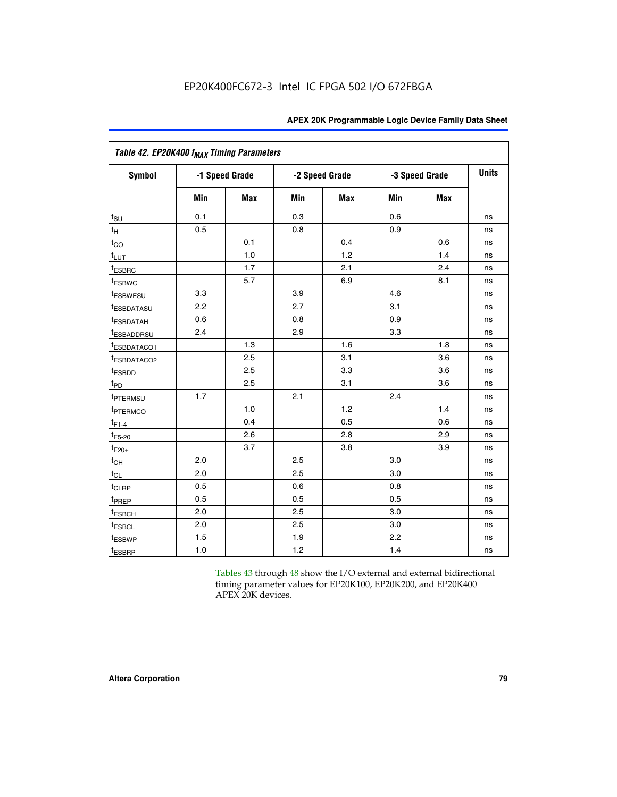| Table 42. EP20K400 f <sub>MAX</sub> Timing Parameters |     |                |     |                |     |                |              |  |  |  |  |
|-------------------------------------------------------|-----|----------------|-----|----------------|-----|----------------|--------------|--|--|--|--|
| <b>Symbol</b>                                         |     | -1 Speed Grade |     | -2 Speed Grade |     | -3 Speed Grade | <b>Units</b> |  |  |  |  |
|                                                       | Min | Max            | Min | <b>Max</b>     | Min | <b>Max</b>     |              |  |  |  |  |
| $t_{\text{SU}}$                                       | 0.1 |                | 0.3 |                | 0.6 |                | ns           |  |  |  |  |
| $t_H$                                                 | 0.5 |                | 0.8 |                | 0.9 |                | ns           |  |  |  |  |
| $t_{CO}$                                              |     | 0.1            |     | 0.4            |     | 0.6            | ns           |  |  |  |  |
| t <sub>LUT</sub>                                      |     | 1.0            |     | 1.2            |     | 1.4            | ns           |  |  |  |  |
| t <sub>ESBRC</sub>                                    |     | 1.7            |     | 2.1            |     | 2.4            | ns           |  |  |  |  |
| <sup>t</sup> ESBWC                                    |     | 5.7            |     | 6.9            |     | 8.1            | ns           |  |  |  |  |
| <i>t</i> ESBWESU                                      | 3.3 |                | 3.9 |                | 4.6 |                | ns           |  |  |  |  |
| <sup>t</sup> ESBDATASU                                | 2.2 |                | 2.7 |                | 3.1 |                | ns           |  |  |  |  |
| <sup>t</sup> ESBDATAH                                 | 0.6 |                | 0.8 |                | 0.9 |                | ns           |  |  |  |  |
| <sup>t</sup> ESBADDRSU                                | 2.4 |                | 2.9 |                | 3.3 |                | ns           |  |  |  |  |
| t <sub>ESBDATACO1</sub>                               |     | 1.3            |     | 1.6            |     | 1.8            | ns           |  |  |  |  |
| <sup>t</sup> ESBDATACO2                               |     | 2.5            |     | 3.1            |     | 3.6            | ns           |  |  |  |  |
| t <sub>ESBDD</sub>                                    |     | 2.5            |     | 3.3            |     | 3.6            | ns           |  |  |  |  |
| $t_{PD}$                                              |     | 2.5            |     | 3.1            |     | 3.6            | ns           |  |  |  |  |
| t <sub>PTERMSU</sub>                                  | 1.7 |                | 2.1 |                | 2.4 |                | ns           |  |  |  |  |
| t <sub>PTERMCO</sub>                                  |     | 1.0            |     | 1.2            |     | 1.4            | ns           |  |  |  |  |
| $t_{F1-4}$                                            |     | 0.4            |     | 0.5            |     | 0.6            | ns           |  |  |  |  |
| $t_{F5-20}$                                           |     | 2.6            |     | 2.8            |     | 2.9            | ns           |  |  |  |  |
| $t_{F20+}$                                            |     | 3.7            |     | 3.8            |     | 3.9            | ns           |  |  |  |  |
| $t_{CH}$                                              | 2.0 |                | 2.5 |                | 3.0 |                | ns           |  |  |  |  |
| $t_{CL}$                                              | 2.0 |                | 2.5 |                | 3.0 |                | ns           |  |  |  |  |
| t <sub>CLRP</sub>                                     | 0.5 |                | 0.6 |                | 0.8 |                | ns           |  |  |  |  |
| t <sub>PREP</sub>                                     | 0.5 |                | 0.5 |                | 0.5 |                | ns           |  |  |  |  |
| t <sub>ESBCH</sub>                                    | 2.0 |                | 2.5 |                | 3.0 |                | ns           |  |  |  |  |
| <b><i><u>LESBCL</u></i></b>                           | 2.0 |                | 2.5 |                | 3.0 |                | ns           |  |  |  |  |
| t <sub>ESBWP</sub>                                    | 1.5 |                | 1.9 |                | 2.2 |                | ns           |  |  |  |  |
| t <sub>ESBRP</sub>                                    | 1.0 |                | 1.2 |                | 1.4 |                | ns           |  |  |  |  |

Tables 43 through 48 show the I/O external and external bidirectional timing parameter values for EP20K100, EP20K200, and EP20K400 APEX 20K devices.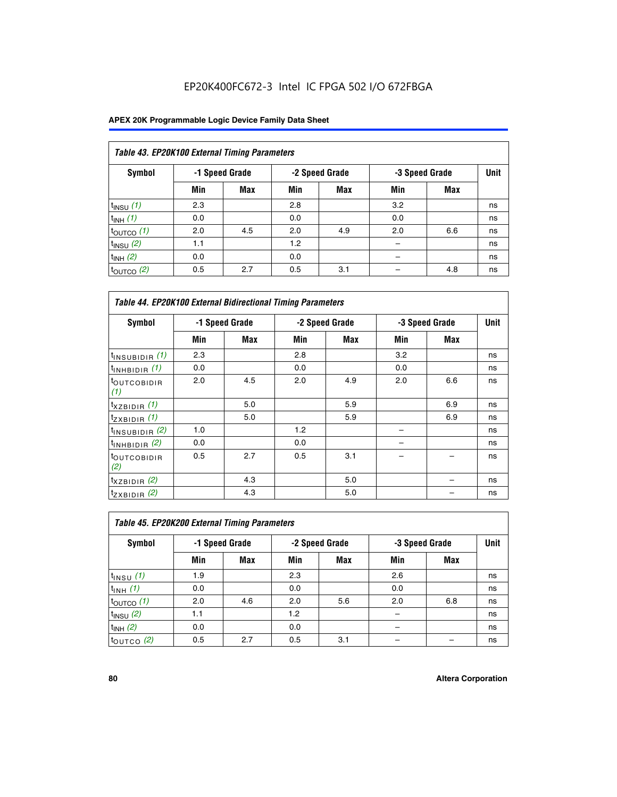## EP20K400FC672-3 Intel IC FPGA 502 I/O 672FBGA

| Table 43. EP20K100 External Timing Parameters |     |                |     |                |     |                |             |  |  |  |  |
|-----------------------------------------------|-----|----------------|-----|----------------|-----|----------------|-------------|--|--|--|--|
| Symbol                                        |     | -1 Speed Grade |     | -2 Speed Grade |     | -3 Speed Grade | <b>Unit</b> |  |  |  |  |
|                                               | Min | Max            | Min | <b>Max</b>     | Min | <b>Max</b>     |             |  |  |  |  |
| $t_{INSU}$ (1)                                | 2.3 |                | 2.8 |                | 3.2 |                | ns          |  |  |  |  |
| $t_{INH}$ (1)                                 | 0.0 |                | 0.0 |                | 0.0 |                | ns          |  |  |  |  |
| $t_{\text{OUTCO}}(1)$                         | 2.0 | 4.5            | 2.0 | 4.9            | 2.0 | 6.6            | ns          |  |  |  |  |
| $t_{IN}$ su $(2)$                             | 1.1 |                | 1.2 |                |     |                | ns          |  |  |  |  |
| $t_{INH}$ (2)                                 | 0.0 |                | 0.0 |                |     |                | ns          |  |  |  |  |
| $t_{\text{OUTCO}}$ (2)                        | 0.5 | 2.7            | 0.5 | 3.1            |     | 4.8            | ns          |  |  |  |  |

|                                | <b>Table 44. EP20K100 External Bidirectional Timing Parameters</b> |     |     |                |     |                |    |  |  |  |  |
|--------------------------------|--------------------------------------------------------------------|-----|-----|----------------|-----|----------------|----|--|--|--|--|
| Symbol                         | -1 Speed Grade                                                     |     |     | -2 Speed Grade |     | -3 Speed Grade |    |  |  |  |  |
|                                | Min                                                                | Max | Min | Max            | Min | <b>Max</b>     |    |  |  |  |  |
| $t_{\text{INSUBIDIR}}(1)$      | 2.3                                                                |     | 2.8 |                | 3.2 |                | ns |  |  |  |  |
| $t_{INHBIDIR}$ (1)             | 0.0                                                                |     | 0.0 |                | 0.0 |                | ns |  |  |  |  |
| <sup>t</sup> OUTCOBIDIR<br>(1) | 2.0                                                                | 4.5 | 2.0 | 4.9            | 2.0 | 6.6            | ns |  |  |  |  |
| $t_{XZBIDIR}$ (1)              |                                                                    | 5.0 |     | 5.9            |     | 6.9            | ns |  |  |  |  |
| $t_{ZXBIDIR}$ (1)              |                                                                    | 5.0 |     | 5.9            |     | 6.9            | ns |  |  |  |  |
| $t_{INSUBIDIR}$ (2)            | 1.0                                                                |     | 1.2 |                |     |                | ns |  |  |  |  |
| $t_{INHBIDIR}$ (2)             | 0.0                                                                |     | 0.0 |                |     |                | ns |  |  |  |  |
| <sup>t</sup> OUTCOBIDIR<br>(2) | 0.5                                                                | 2.7 | 0.5 | 3.1            |     |                | ns |  |  |  |  |
| $t_{XZBIDIR}$ (2)              |                                                                    | 4.3 |     | 5.0            |     |                | ns |  |  |  |  |
| $t_{ZXBIDIR}$ (2)              |                                                                    | 4.3 |     | 5.0            |     |                | ns |  |  |  |  |

| Table 45. EP20K200 External Timing Parameters |     |                |     |                |     |                |             |  |  |  |  |
|-----------------------------------------------|-----|----------------|-----|----------------|-----|----------------|-------------|--|--|--|--|
| Symbol                                        |     | -1 Speed Grade |     | -2 Speed Grade |     | -3 Speed Grade | <b>Unit</b> |  |  |  |  |
|                                               | Min | Max            | Min | Max            | Min | Max            |             |  |  |  |  |
| $t$ <sub>INSU</sub> $(1)$                     | 1.9 |                | 2.3 |                | 2.6 |                | ns          |  |  |  |  |
| $t_{INH}$ (1)                                 | 0.0 |                | 0.0 |                | 0.0 |                | ns          |  |  |  |  |
| $t_{\text{OUTCO}}(1)$                         | 2.0 | 4.6            | 2.0 | 5.6            | 2.0 | 6.8            | ns          |  |  |  |  |
| $t_{\text{INSU}}(2)$                          | 1.1 |                | 1.2 |                |     |                | ns          |  |  |  |  |
| $t_{INH}$ (2)                                 | 0.0 |                | 0.0 |                |     |                | ns          |  |  |  |  |
| $t_{\text{OUTCO}}$ (2)                        | 0.5 | 2.7            | 0.5 | 3.1            |     |                | ns          |  |  |  |  |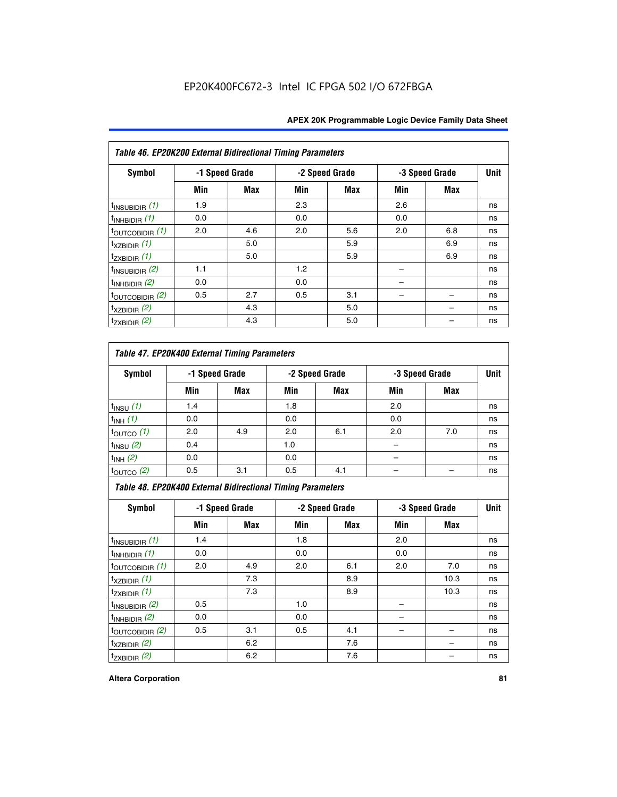| Table 46. EP20K200 External Bidirectional Timing Parameters |     |                |     |                |     |                |             |
|-------------------------------------------------------------|-----|----------------|-----|----------------|-----|----------------|-------------|
| Symbol                                                      |     | -1 Speed Grade |     | -2 Speed Grade |     | -3 Speed Grade | <b>Unit</b> |
|                                                             | Min | Max            | Min | Max            | Min | <b>Max</b>     |             |
| $t_{\text{INSUBIDIR}}(1)$                                   | 1.9 |                | 2.3 |                | 2.6 |                | ns          |
| $t_{INHBIDIR}$ (1)                                          | 0.0 |                | 0.0 |                | 0.0 |                | ns          |
| $t_{\text{OUTCOBIDIR}}(1)$                                  | 2.0 | 4.6            | 2.0 | 5.6            | 2.0 | 6.8            | ns          |
| $t_{XZBIDIR}$ (1)                                           |     | 5.0            |     | 5.9            |     | 6.9            | ns          |
| $t_{ZXBIDIR}$ (1)                                           |     | 5.0            |     | 5.9            |     | 6.9            | ns          |
| $t_{INSUBIDIR}$ (2)                                         | 1.1 |                | 1.2 |                |     |                | ns          |
| $t_{INHBIDIR}$ (2)                                          | 0.0 |                | 0.0 |                |     |                | ns          |
| $t_{\text{OUTCOBIDIR}}$ (2)                                 | 0.5 | 2.7            | 0.5 | 3.1            |     |                | ns          |
| $t_{XZBIDIR}$ (2)                                           |     | 4.3            |     | 5.0            |     |                | ns          |
| $t_{ZXBIDIR}$ (2)                                           |     | 4.3            |     | 5.0            |     |                | ns          |

## *Table 47. EP20K400 External Timing Parameters*

| Symbol                |     | -1 Speed Grade |     | -2 Speed Grade | -3 Speed Grade |            | <b>Unit</b> |
|-----------------------|-----|----------------|-----|----------------|----------------|------------|-------------|
|                       | Min | <b>Max</b>     | Min | <b>Max</b>     | Min            | <b>Max</b> |             |
| $t_{INSU}$ (1)        | 1.4 |                | 1.8 |                | 2.0            |            | ns          |
| $t_{INH}$ (1)         | 0.0 |                | 0.0 |                | 0.0            |            | ns          |
| $t_{\text{OUTCO}}(1)$ | 2.0 | 4.9            | 2.0 | 6.1            | 2.0            | 7.0        | ns          |
| $t_{INSU}$ (2)        | 0.4 |                | 1.0 |                |                |            | ns          |
| $t_{INH}$ (2)         | 0.0 |                | 0.0 |                |                |            | ns          |
| $t_{\text{OUTCO}}(2)$ | 0.5 | 3.1            | 0.5 | 4.1            |                |            | ns          |

*Table 48. EP20K400 External Bidirectional Timing Parameters*

| Symbol                      | -1 Speed Grade |     | -2 Speed Grade |     |     | -3 Speed Grade | <b>Unit</b> |
|-----------------------------|----------------|-----|----------------|-----|-----|----------------|-------------|
|                             | Min            | Max | Min            | Max | Min | Max            |             |
| $t_{\text{INSUBIDIR}}(1)$   | 1.4            |     | 1.8            |     | 2.0 |                | ns          |
| $t_{INHBIDIR}$ (1)          | 0.0            |     | 0.0            |     | 0.0 |                | ns          |
| $t_{\text{OUTCOBIDIR}}(1)$  | 2.0            | 4.9 | 2.0            | 6.1 | 2.0 | 7.0            | ns          |
| $t_{XZBIDIR}$ (1)           |                | 7.3 |                | 8.9 |     | 10.3           | ns          |
| $t_{ZXBIDIR}$ (1)           |                | 7.3 |                | 8.9 |     | 10.3           | ns          |
| $t_{\text{INSUBIDIR}}(2)$   | 0.5            |     | 1.0            |     |     |                | ns          |
| $t_{INHBIDIR}$ (2)          | 0.0            |     | 0.0            |     |     |                | ns          |
| $t_{\text{OUTCOBIDIR}}$ (2) | 0.5            | 3.1 | 0.5            | 4.1 |     |                | ns          |
| $t_{XZBIDIR}$ (2)           |                | 6.2 |                | 7.6 |     |                | ns          |
| $t_{ZXBIDIR}$ (2)           |                | 6.2 |                | 7.6 |     |                | ns          |

### **Altera Corporation 81**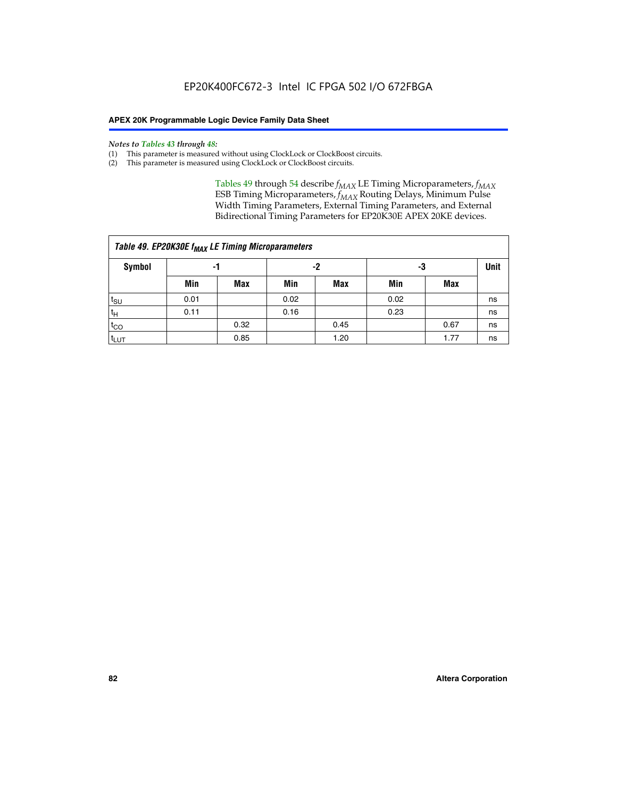#### *Notes to Tables 43 through 48:*

- (1) This parameter is measured without using ClockLock or ClockBoost circuits.
- (2) This parameter is measured using ClockLock or ClockBoost circuits.

Tables 49 through 54 describe  $f_{MAX}$  LE Timing Microparameters,  $f_{MAX}$ ESB Timing Microparameters, *f<sub>MAX</sub>* Routing Delays, Minimum Pulse Width Timing Parameters, External Timing Parameters, and External Bidirectional Timing Parameters for EP20K30E APEX 20KE devices.

| Table 49. EP20K30E f <sub>MAX</sub> LE Timing Microparameters |      |                |      |            |      |             |    |  |  |  |  |
|---------------------------------------------------------------|------|----------------|------|------------|------|-------------|----|--|--|--|--|
| <b>Symbol</b>                                                 |      | -2<br>-3<br>-1 |      |            |      | <b>Unit</b> |    |  |  |  |  |
|                                                               | Min  | Max            | Min  | <b>Max</b> | Min  | Max         |    |  |  |  |  |
| t <sub>SU</sub>                                               | 0.01 |                | 0.02 |            | 0.02 |             | ns |  |  |  |  |
| $t_H$                                                         | 0.11 |                | 0.16 |            | 0.23 |             | ns |  |  |  |  |
| $t_{CO}$                                                      |      | 0.32           |      | 0.45       |      | 0.67        | ns |  |  |  |  |
| t <sub>LUT</sub>                                              |      | 0.85           |      | 1.20       |      | 1.77        | ns |  |  |  |  |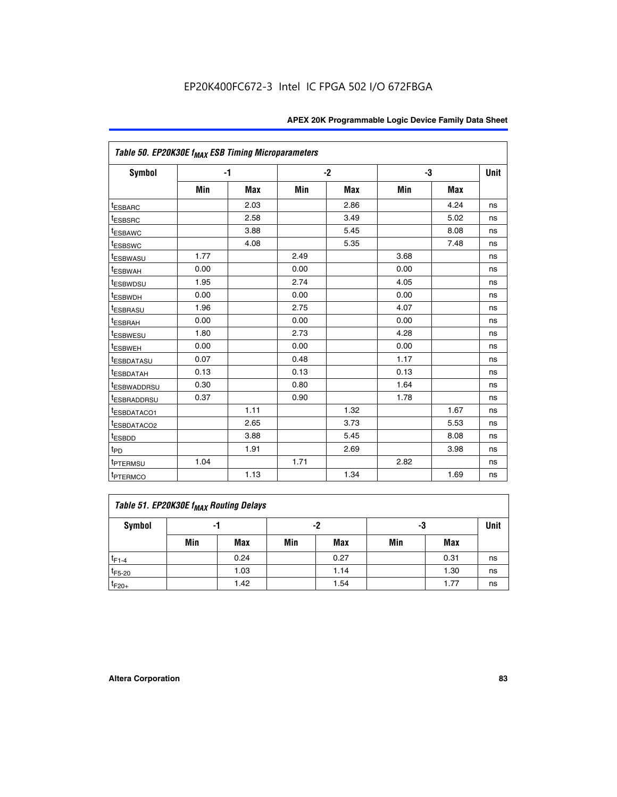| Table 50. EP20K30E f <sub>MAX</sub> ESB Timing Microparameters |      |            |      |            |      |            |             |
|----------------------------------------------------------------|------|------------|------|------------|------|------------|-------------|
| <b>Symbol</b>                                                  |      | $-1$       |      | $-2$       |      | -3         | <b>Unit</b> |
|                                                                | Min  | <b>Max</b> | Min  | <b>Max</b> | Min  | <b>Max</b> |             |
| <sup>t</sup> ESBARC                                            |      | 2.03       |      | 2.86       |      | 4.24       | ns          |
| <sup>t</sup> ESBSRC                                            |      | 2.58       |      | 3.49       |      | 5.02       | ns          |
| <sup>t</sup> ESBAWC                                            |      | 3.88       |      | 5.45       |      | 8.08       | ns          |
| <sup>t</sup> ESBSWC                                            |      | 4.08       |      | 5.35       |      | 7.48       | ns          |
| <sup>t</sup> ESBWASU                                           | 1.77 |            | 2.49 |            | 3.68 |            | ns          |
| <sup>t</sup> ESBWAH                                            | 0.00 |            | 0.00 |            | 0.00 |            | ns          |
| <sup>t</sup> ESBWDSU                                           | 1.95 |            | 2.74 |            | 4.05 |            | ns          |
| t <sub>ESBWDH</sub>                                            | 0.00 |            | 0.00 |            | 0.00 |            | ns          |
| <b>ESBRASU</b>                                                 | 1.96 |            | 2.75 |            | 4.07 |            | ns          |
| t <sub>ESBRAH</sub>                                            | 0.00 |            | 0.00 |            | 0.00 |            | ns          |
| t <sub>ESBWESU</sub>                                           | 1.80 |            | 2.73 |            | 4.28 |            | ns          |
| <sup>I</sup> ESBWEH                                            | 0.00 |            | 0.00 |            | 0.00 |            | ns          |
| <sup>t</sup> ESBDATASU                                         | 0.07 |            | 0.48 |            | 1.17 |            | ns          |
| <b>ESBDATAH</b>                                                | 0.13 |            | 0.13 |            | 0.13 |            | ns          |
| <sup>t</sup> ESBWADDRSU                                        | 0.30 |            | 0.80 |            | 1.64 |            | ns          |
| <sup>I</sup> ESBRADDRSU                                        | 0.37 |            | 0.90 |            | 1.78 |            | ns          |
| ESBDATACO1                                                     |      | 1.11       |      | 1.32       |      | 1.67       | ns          |
| <sup>t</sup> ESBDATACO <sub>2</sub>                            |      | 2.65       |      | 3.73       |      | 5.53       | ns          |
| t <sub>ESBDD</sub>                                             |      | 3.88       |      | 5.45       |      | 8.08       | ns          |
| $t_{\text{PD}}$                                                |      | 1.91       |      | 2.69       |      | 3.98       | ns          |
| <sup>t</sup> PTERMSU                                           | 1.04 |            | 1.71 |            | 2.82 |            | ns          |
| t <sub>PTERMCO</sub>                                           |      | 1.13       |      | 1.34       |      | 1.69       | ns          |

## **Table 51. EP20K30E f<sub>MAX</sub> Routing Delays**

| Symbol      | - 1 |            | -2  |            | -3  |      | Unit |
|-------------|-----|------------|-----|------------|-----|------|------|
|             | Min | <b>Max</b> | Min | <b>Max</b> | Min | Max  |      |
| $t_{F1-4}$  |     | 0.24       |     | 0.27       |     | 0.31 | ns   |
| $t_{F5-20}$ |     | 1.03       |     | 1.14       |     | 1.30 | ns   |
| $t_{F20+}$  |     | 1.42       |     | 1.54       |     | 1.77 | ns   |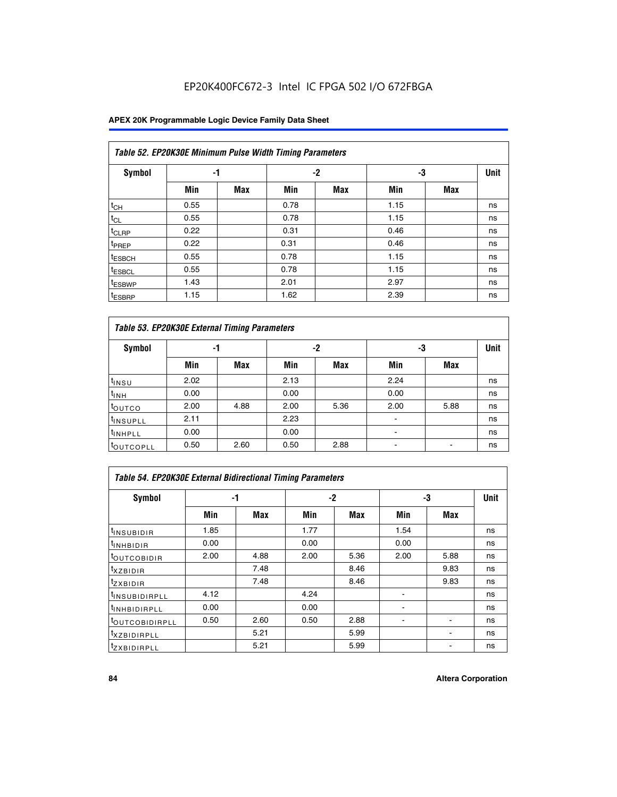## EP20K400FC672-3 Intel IC FPGA 502 I/O 672FBGA

## **APEX 20K Programmable Logic Device Family Data Sheet**

|                    | Table 52. EP20K30E Minimum Pulse Width Timing Parameters |            |      |            |      |            |             |  |  |  |  |  |
|--------------------|----------------------------------------------------------|------------|------|------------|------|------------|-------------|--|--|--|--|--|
| <b>Symbol</b>      | -1                                                       |            |      | $-2$       | -3   |            | <b>Unit</b> |  |  |  |  |  |
|                    | Min                                                      | <b>Max</b> | Min  | <b>Max</b> | Min  | <b>Max</b> |             |  |  |  |  |  |
| $t_{CH}$           | 0.55                                                     |            | 0.78 |            | 1.15 |            | ns          |  |  |  |  |  |
| $t_{CL}$           | 0.55                                                     |            | 0.78 |            | 1.15 |            | ns          |  |  |  |  |  |
| $t_{CLRP}$         | 0.22                                                     |            | 0.31 |            | 0.46 |            | ns          |  |  |  |  |  |
| <sup>t</sup> PREP  | 0.22                                                     |            | 0.31 |            | 0.46 |            | ns          |  |  |  |  |  |
| <sup>t</sup> ESBCH | 0.55                                                     |            | 0.78 |            | 1.15 |            | ns          |  |  |  |  |  |
| <sup>t</sup> ESBCL | 0.55                                                     |            | 0.78 |            | 1.15 |            | ns          |  |  |  |  |  |
| <sup>t</sup> ESBWP | 1.43                                                     |            | 2.01 |            | 2.97 |            | ns          |  |  |  |  |  |
| <sup>t</sup> ESBRP | 1.15                                                     |            | 1.62 |            | 2.39 |            | ns          |  |  |  |  |  |

| Table 53. EP20K30E External Timing Parameters |      |            |      |            |                |            |             |  |  |  |  |
|-----------------------------------------------|------|------------|------|------------|----------------|------------|-------------|--|--|--|--|
| <b>Symbol</b>                                 | -1   |            |      | -2         |                | -3         | <b>Unit</b> |  |  |  |  |
|                                               | Min  | <b>Max</b> | Min  | <b>Max</b> | Min            | <b>Max</b> |             |  |  |  |  |
| $t_{INSU}$                                    | 2.02 |            | 2.13 |            | 2.24           |            | ns          |  |  |  |  |
| $t_{\rm INH}$                                 | 0.00 |            | 0.00 |            | 0.00           |            | ns          |  |  |  |  |
| <b>t</b> outco                                | 2.00 | 4.88       | 2.00 | 5.36       | 2.00           | 5.88       | ns          |  |  |  |  |
| <sup>t</sup> INSUPLL                          | 2.11 |            | 2.23 |            |                |            | ns          |  |  |  |  |
| <sup>t</sup> INHPLL                           | 0.00 |            | 0.00 |            | $\blacksquare$ |            | ns          |  |  |  |  |
| <b>LOUTCOPLL</b>                              | 0.50 | 2.60       | 0.50 | 2.88       | -              |            | ns          |  |  |  |  |

| Table 54. EP20K30E External Bidirectional Timing Parameters |      |      |      |      |                          |      |    |  |  |  |
|-------------------------------------------------------------|------|------|------|------|--------------------------|------|----|--|--|--|
| Symbol                                                      |      | -1   |      | $-2$ |                          | -3   |    |  |  |  |
|                                                             | Min  | Max  | Min  | Max  | Min                      | Max  |    |  |  |  |
| <sup>t</sup> INSUBIDIR                                      | 1.85 |      | 1.77 |      | 1.54                     |      | ns |  |  |  |
| <b>INHBIDIR</b>                                             | 0.00 |      | 0.00 |      | 0.00                     |      | ns |  |  |  |
| <b>LOUTCOBIDIR</b>                                          | 2.00 | 4.88 | 2.00 | 5.36 | 2.00                     | 5.88 | ns |  |  |  |
| <sup>T</sup> XZBIDIR                                        |      | 7.48 |      | 8.46 |                          | 9.83 | ns |  |  |  |
| <sup>t</sup> zxbidir                                        |      | 7.48 |      | 8.46 |                          | 9.83 | ns |  |  |  |
| <sup>I</sup> INSUBIDIRPLL                                   | 4.12 |      | 4.24 |      | $\overline{\phantom{0}}$ |      | ns |  |  |  |
| <b>INHBIDIRPLL</b>                                          | 0.00 |      | 0.00 |      |                          |      | ns |  |  |  |
| <b><i>COUTCOBIDIRPLL</i></b>                                | 0.50 | 2.60 | 0.50 | 2.88 |                          |      | ns |  |  |  |
| <sup>I</sup> XZBIDIRPLL                                     |      | 5.21 |      | 5.99 |                          |      | ns |  |  |  |
| <sup>I</sup> ZXBIDIRPLL                                     |      | 5.21 |      | 5.99 |                          |      | ns |  |  |  |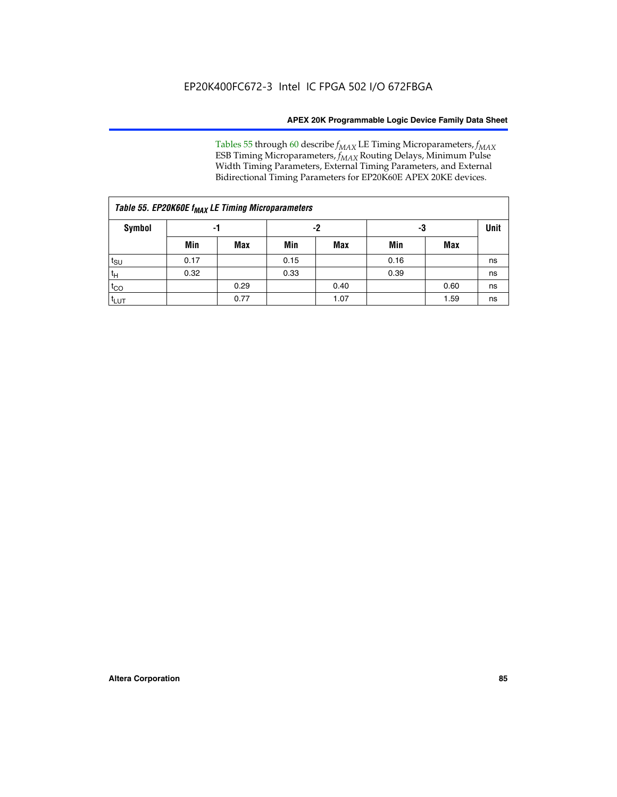Tables 55 through 60 describe *f<sub>MAX</sub>* LE Timing Microparameters, *f<sub>MAX</sub>* ESB Timing Microparameters, *f<sub>MAX</sub>* Routing Delays, Minimum Pulse Width Timing Parameters, External Timing Parameters, and External Bidirectional Timing Parameters for EP20K60E APEX 20KE devices.

|                  | Table 55. EP20K60E f <sub>MAX</sub> LE Timing Microparameters |      |      |      |      |             |    |  |  |  |  |  |
|------------------|---------------------------------------------------------------|------|------|------|------|-------------|----|--|--|--|--|--|
| <b>Symbol</b>    | -1                                                            |      |      | -2   | -3   | <b>Unit</b> |    |  |  |  |  |  |
|                  | Min                                                           | Max  | Min  | Max  | Min  | Max         |    |  |  |  |  |  |
| $t_{\text{SU}}$  | 0.17                                                          |      | 0.15 |      | 0.16 |             | ns |  |  |  |  |  |
| $t_H$            | 0.32                                                          |      | 0.33 |      | 0.39 |             | ns |  |  |  |  |  |
| $t_{CO}$         |                                                               | 0.29 |      | 0.40 |      | 0.60        | ns |  |  |  |  |  |
| t <sub>lut</sub> |                                                               | 0.77 |      | 1.07 |      | 1.59        | ns |  |  |  |  |  |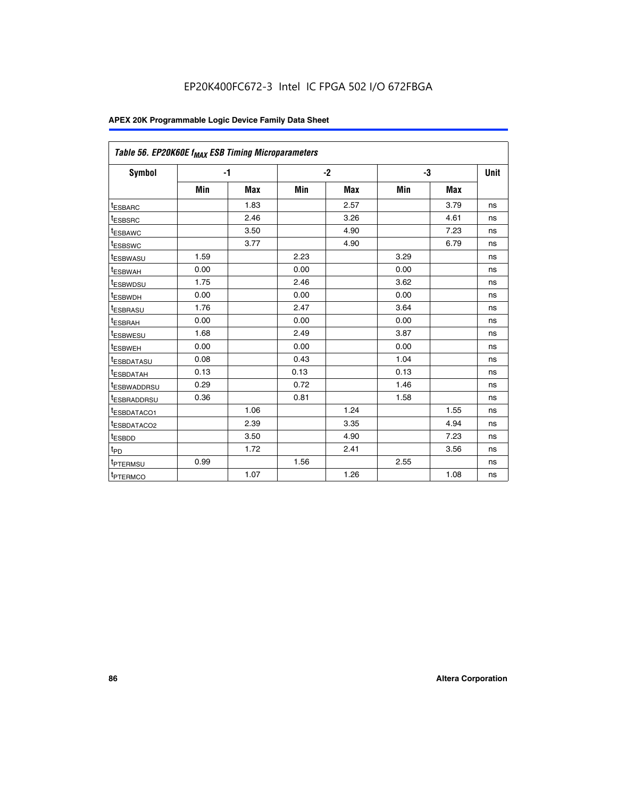| Table 56. EP20K60E f <sub>MAX</sub> ESB Timing Microparameters |      |            |      |            |      |            |             |
|----------------------------------------------------------------|------|------------|------|------------|------|------------|-------------|
| <b>Symbol</b>                                                  |      | $-1$       |      | $-2$       |      | -3         | <b>Unit</b> |
|                                                                | Min  | <b>Max</b> | Min  | <b>Max</b> | Min  | <b>Max</b> |             |
| <sup>t</sup> ESBARC                                            |      | 1.83       |      | 2.57       |      | 3.79       | ns          |
| t <sub>ESBSRC</sub>                                            |      | 2.46       |      | 3.26       |      | 4.61       | ns          |
| <sup>t</sup> ESBAWC                                            |      | 3.50       |      | 4.90       |      | 7.23       | ns          |
| <sup>t</sup> ESBSWC                                            |      | 3.77       |      | 4.90       |      | 6.79       | ns          |
| <sup>t</sup> ESBWASU                                           | 1.59 |            | 2.23 |            | 3.29 |            | ns          |
| <sup>t</sup> ESBWAH                                            | 0.00 |            | 0.00 |            | 0.00 |            | ns          |
| t <sub>ESBWDSU</sub>                                           | 1.75 |            | 2.46 |            | 3.62 |            | ns          |
| <sup>t</sup> ESBWDH                                            | 0.00 |            | 0.00 |            | 0.00 |            | ns          |
| t <sub>ESBRASU</sub>                                           | 1.76 |            | 2.47 |            | 3.64 |            | ns          |
| <sup>t</sup> ESBRAH                                            | 0.00 |            | 0.00 |            | 0.00 |            | ns          |
| t <sub>ESBWESU</sub>                                           | 1.68 |            | 2.49 |            | 3.87 |            | ns          |
| t <sub>ESBWEH</sub>                                            | 0.00 |            | 0.00 |            | 0.00 |            | ns          |
| <sup>t</sup> ESBDATASU                                         | 0.08 |            | 0.43 |            | 1.04 |            | ns          |
| t <sub>ESBDATAH</sub>                                          | 0.13 |            | 0.13 |            | 0.13 |            | ns          |
| <sup>t</sup> ESBWADDRSU                                        | 0.29 |            | 0.72 |            | 1.46 |            | ns          |
| <sup>t</sup> ESBRADDRSU                                        | 0.36 |            | 0.81 |            | 1.58 |            | ns          |
| <sup>I</sup> ESBDATACO1                                        |      | 1.06       |      | 1.24       |      | 1.55       | ns          |
| <sup>t</sup> ESBDATACO2                                        |      | 2.39       |      | 3.35       |      | 4.94       | ns          |
| <sup>t</sup> ESBDD                                             |      | 3.50       |      | 4.90       |      | 7.23       | ns          |
| t <sub>PD</sub>                                                |      | 1.72       |      | 2.41       |      | 3.56       | ns          |
| t <sub>PTERMSU</sub>                                           | 0.99 |            | 1.56 |            | 2.55 |            | ns          |
| t <sub>PTERMCO</sub>                                           |      | 1.07       |      | 1.26       |      | 1.08       | ns          |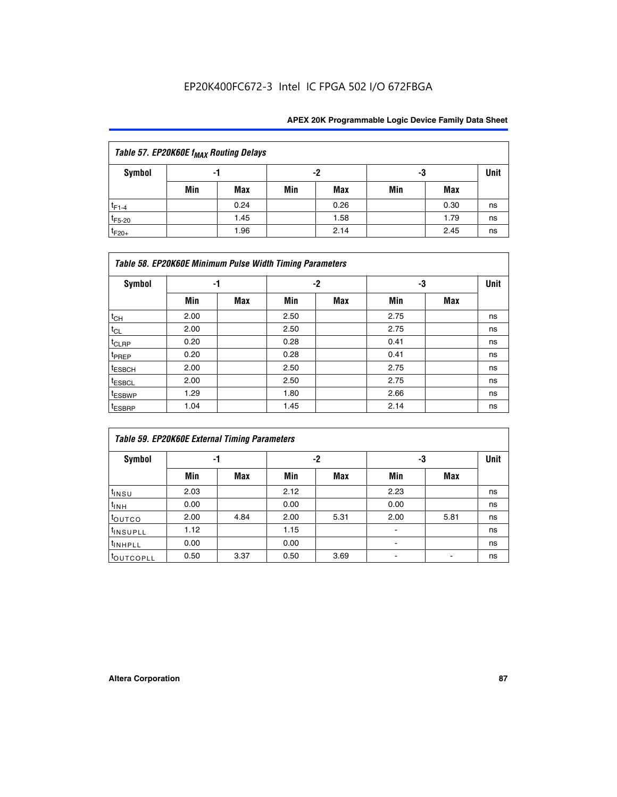## EP20K400FC672-3 Intel IC FPGA 502 I/O 672FBGA

| Table 57. EP20K60E f <sub>MAX</sub> Routing Delays |     |      |     |      |     |      |             |  |  |  |  |  |
|----------------------------------------------------|-----|------|-----|------|-----|------|-------------|--|--|--|--|--|
| Symbol                                             | -1  |      |     | -2   | -3  |      | <b>Unit</b> |  |  |  |  |  |
|                                                    | Min | Max  | Min | Max  | Min | Max  |             |  |  |  |  |  |
| $t_{F1-4}$                                         |     | 0.24 |     | 0.26 |     | 0.30 | ns          |  |  |  |  |  |
| $t_{F5-20}$                                        |     | 1.45 |     | 1.58 |     | 1.79 | ns          |  |  |  |  |  |
| $t_{F20+}$                                         |     | 1.96 |     | 2.14 |     | 2.45 | ns          |  |  |  |  |  |

|                    | Table 58. EP20K60E Minimum Pulse Width Timing Parameters |            |      |     |      |     |    |  |  |  |  |  |
|--------------------|----------------------------------------------------------|------------|------|-----|------|-----|----|--|--|--|--|--|
| Symbol             |                                                          | -1         |      | -2  |      | -3  |    |  |  |  |  |  |
|                    | Min                                                      | <b>Max</b> | Min  | Max | Min  | Max |    |  |  |  |  |  |
| $t_{CH}$           | 2.00                                                     |            | 2.50 |     | 2.75 |     | ns |  |  |  |  |  |
| $t_{CL}$           | 2.00                                                     |            | 2.50 |     | 2.75 |     | ns |  |  |  |  |  |
| $t_{CLRP}$         | 0.20                                                     |            | 0.28 |     | 0.41 |     | ns |  |  |  |  |  |
| t <sub>PREP</sub>  | 0.20                                                     |            | 0.28 |     | 0.41 |     | ns |  |  |  |  |  |
| <sup>t</sup> ESBCH | 2.00                                                     |            | 2.50 |     | 2.75 |     | ns |  |  |  |  |  |
| <sup>t</sup> ESBCL | 2.00                                                     |            | 2.50 |     | 2.75 |     | ns |  |  |  |  |  |
| <sup>t</sup> ESBWP | 1.29                                                     |            | 1.80 |     | 2.66 |     | ns |  |  |  |  |  |
| <sup>t</sup> ESBRP | 1.04                                                     |            | 1.45 |     | 2.14 |     | ns |  |  |  |  |  |

| Table 59. EP20K60E External Timing Parameters |      |      |      |      |      |      |      |  |  |  |  |
|-----------------------------------------------|------|------|------|------|------|------|------|--|--|--|--|
| Symbol                                        | -1   |      |      | -2   | -3   |      | Unit |  |  |  |  |
|                                               | Min  | Max  | Min  | Max  | Min  | Max  |      |  |  |  |  |
| $t_{INSU}$                                    | 2.03 |      | 2.12 |      | 2.23 |      | ns   |  |  |  |  |
| t <sub>INH</sub>                              | 0.00 |      | 0.00 |      | 0.00 |      | ns   |  |  |  |  |
| toutco                                        | 2.00 | 4.84 | 2.00 | 5.31 | 2.00 | 5.81 | ns   |  |  |  |  |
| <sup>t</sup> INSUPLL                          | 1.12 |      | 1.15 |      |      |      | ns   |  |  |  |  |
| <sup>t</sup> INHPLL                           | 0.00 |      | 0.00 |      | ۰    |      | ns   |  |  |  |  |
| toutcopll                                     | 0.50 | 3.37 | 0.50 | 3.69 |      |      | ns   |  |  |  |  |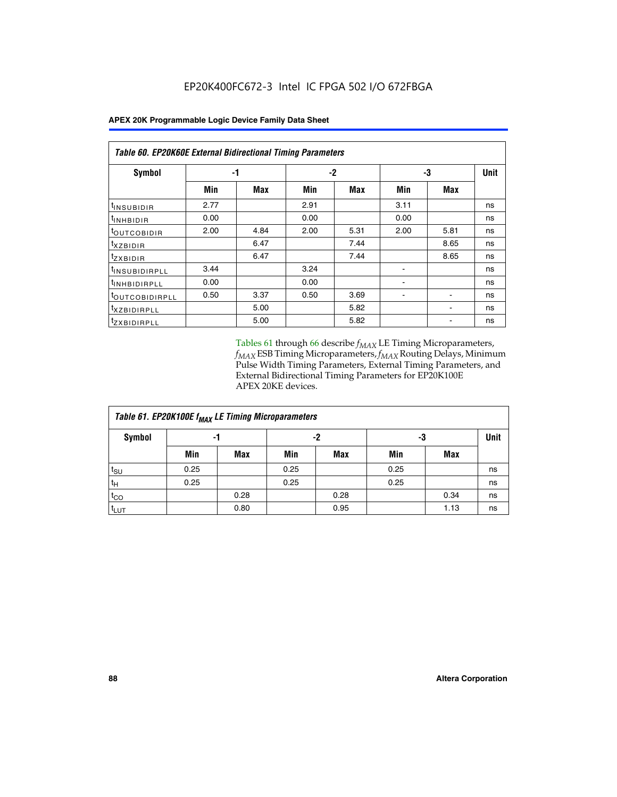| <b>APEX 20K Programmable Logic Device Family Data Sheet</b> |  |
|-------------------------------------------------------------|--|
|-------------------------------------------------------------|--|

| Table 60. EP20K60E External Bidirectional Timing Parameters |      |      |      |      |      |      |    |  |  |  |
|-------------------------------------------------------------|------|------|------|------|------|------|----|--|--|--|
| <b>Symbol</b>                                               | -1   |      |      | -2   |      | -3   |    |  |  |  |
|                                                             | Min  | Max  | Min  | Max  | Min  | Max  |    |  |  |  |
| t <sub>INSUBIDIR</sub>                                      | 2.77 |      | 2.91 |      | 3.11 |      | ns |  |  |  |
| $t_{\rm INHBIDIR}$                                          | 0.00 |      | 0.00 |      | 0.00 |      | ns |  |  |  |
| <sup>t</sup> OUTCOBIDIR                                     | 2.00 | 4.84 | 2.00 | 5.31 | 2.00 | 5.81 | ns |  |  |  |
| $t_{XZBIDIR}$                                               |      | 6.47 |      | 7.44 |      | 8.65 | ns |  |  |  |
| tzxbidir                                                    |      | 6.47 |      | 7.44 |      | 8.65 | ns |  |  |  |
| <sup>t</sup> INSUBIDIRPLL                                   | 3.44 |      | 3.24 |      |      |      | ns |  |  |  |
| <sup>t</sup> INHBIDIRPLL                                    | 0.00 |      | 0.00 |      |      |      | ns |  |  |  |
| <sup>t</sup> OUTCOBIDIRPLL                                  | 0.50 | 3.37 | 0.50 | 3.69 |      |      | ns |  |  |  |
| <sup>t</sup> XZBIDIRPLL                                     |      | 5.00 |      | 5.82 |      |      | ns |  |  |  |
| <sup>t</sup> zxbidirpll                                     |      | 5.00 |      | 5.82 |      |      | ns |  |  |  |

Tables 61 through 66 describe  $f_{MAX}$  LE Timing Microparameters, *fMAX* ESB Timing Microparameters, *fMAX* Routing Delays, Minimum Pulse Width Timing Parameters, External Timing Parameters, and External Bidirectional Timing Parameters for EP20K100E APEX 20KE devices.

| Table 61. EP20K100E f <sub>MAX</sub> LE Timing Microparameters |      |      |      |            |      |            |             |  |  |  |  |
|----------------------------------------------------------------|------|------|------|------------|------|------------|-------------|--|--|--|--|
| <b>Symbol</b>                                                  |      | -1   |      | -2         | -3   |            | <b>Unit</b> |  |  |  |  |
|                                                                | Min  | Max  | Min  | <b>Max</b> | Min  | <b>Max</b> |             |  |  |  |  |
| $t_{\text{SU}}$                                                | 0.25 |      | 0.25 |            | 0.25 |            | ns          |  |  |  |  |
| tμ                                                             | 0.25 |      | 0.25 |            | 0.25 |            | ns          |  |  |  |  |
| $t_{CO}$                                                       |      | 0.28 |      | 0.28       |      | 0.34       | ns          |  |  |  |  |
| t <sub>LUT</sub>                                               |      | 0.80 |      | 0.95       |      | 1.13       | ns          |  |  |  |  |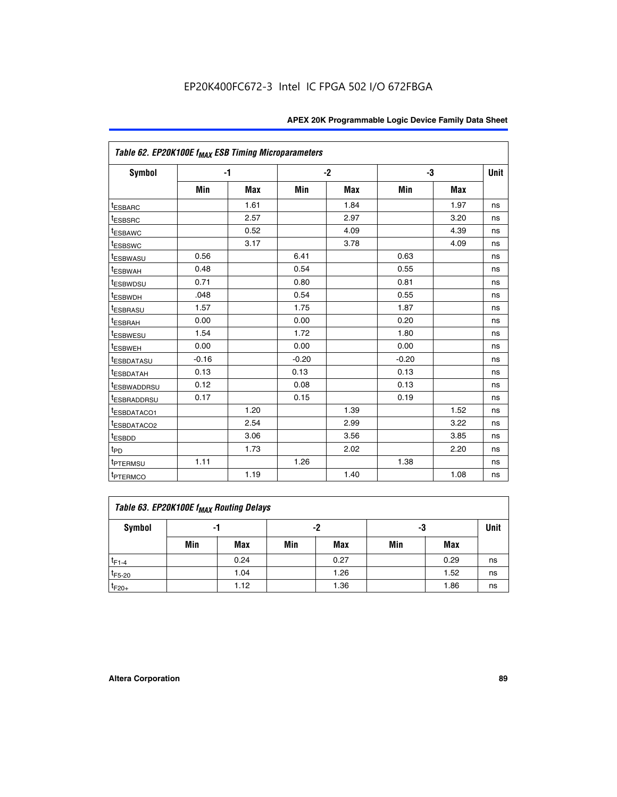|                         | Table 62. EP20K100E f <sub>MAX</sub> ESB Timing Microparameters |            |         |            |         |            |             |  |  |  |  |
|-------------------------|-----------------------------------------------------------------|------------|---------|------------|---------|------------|-------------|--|--|--|--|
| <b>Symbol</b>           |                                                                 | $-1$       |         | $-2$       |         | -3         | <b>Unit</b> |  |  |  |  |
|                         | Min                                                             | <b>Max</b> | Min     | <b>Max</b> | Min     | <b>Max</b> |             |  |  |  |  |
| <sup>t</sup> ESBARC     |                                                                 | 1.61       |         | 1.84       |         | 1.97       | ns          |  |  |  |  |
| <sup>t</sup> ESBSRC     |                                                                 | 2.57       |         | 2.97       |         | 3.20       | ns          |  |  |  |  |
| <sup>t</sup> ESBAWC     |                                                                 | 0.52       |         | 4.09       |         | 4.39       | ns          |  |  |  |  |
| <sup>t</sup> ESBSWC     |                                                                 | 3.17       |         | 3.78       |         | 4.09       | ns          |  |  |  |  |
| <b><i>ESBWASU</i></b>   | 0.56                                                            |            | 6.41    |            | 0.63    |            | ns          |  |  |  |  |
| <sup>t</sup> ESBWAH     | 0.48                                                            |            | 0.54    |            | 0.55    |            | ns          |  |  |  |  |
| <sup>t</sup> ESBWDSU    | 0.71                                                            |            | 0.80    |            | 0.81    |            | ns          |  |  |  |  |
| <sup>t</sup> ESBWDH     | .048                                                            |            | 0.54    |            | 0.55    |            | ns          |  |  |  |  |
| <sup>t</sup> ESBRASU    | 1.57                                                            |            | 1.75    |            | 1.87    |            | ns          |  |  |  |  |
| <sup>t</sup> ESBRAH     | 0.00                                                            |            | 0.00    |            | 0.20    |            | ns          |  |  |  |  |
| t <sub>ESBWESU</sub>    | 1.54                                                            |            | 1.72    |            | 1.80    |            | ns          |  |  |  |  |
| <sup>t</sup> ESBWEH     | 0.00                                                            |            | 0.00    |            | 0.00    |            | ns          |  |  |  |  |
| <sup>t</sup> ESBDATASU  | $-0.16$                                                         |            | $-0.20$ |            | $-0.20$ |            | ns          |  |  |  |  |
| <b>ESBDATAH</b>         | 0.13                                                            |            | 0.13    |            | 0.13    |            | ns          |  |  |  |  |
| <sup>t</sup> ESBWADDRSU | 0.12                                                            |            | 0.08    |            | 0.13    |            | ns          |  |  |  |  |
| <sup>I</sup> ESBRADDRSU | 0.17                                                            |            | 0.15    |            | 0.19    |            | ns          |  |  |  |  |
| ESBDATACO1              |                                                                 | 1.20       |         | 1.39       |         | 1.52       | ns          |  |  |  |  |
| <sup>t</sup> ESBDATACO2 |                                                                 | 2.54       |         | 2.99       |         | 3.22       | ns          |  |  |  |  |
| t <sub>ESBDD</sub>      |                                                                 | 3.06       |         | 3.56       |         | 3.85       | ns          |  |  |  |  |
| t <sub>PD</sub>         |                                                                 | 1.73       |         | 2.02       |         | 2.20       | ns          |  |  |  |  |
| <sup>t</sup> PTERMSU    | 1.11                                                            |            | 1.26    |            | 1.38    |            | ns          |  |  |  |  |
| t <sub>PTERMCO</sub>    |                                                                 | 1.19       |         | 1.40       |         | 1.08       | ns          |  |  |  |  |

| Table 63. EP20K100E f <sub>MAX</sub> Routing Delays |     |      |     |            |     |      |             |  |  |  |  |
|-----------------------------------------------------|-----|------|-----|------------|-----|------|-------------|--|--|--|--|
| Symbol                                              | -1  |      |     | -2         | -3  |      | <b>Unit</b> |  |  |  |  |
|                                                     | Min | Max  | Min | <b>Max</b> | Min | Max  |             |  |  |  |  |
| $t_{F1-4}$                                          |     | 0.24 |     | 0.27       |     | 0.29 | ns          |  |  |  |  |
| $t_{F5-20}$                                         |     | 1.04 |     | 1.26       |     | 1.52 | ns          |  |  |  |  |
| $t_{F20+}$                                          |     | 1.12 |     | 1.36       |     | 1.86 | ns          |  |  |  |  |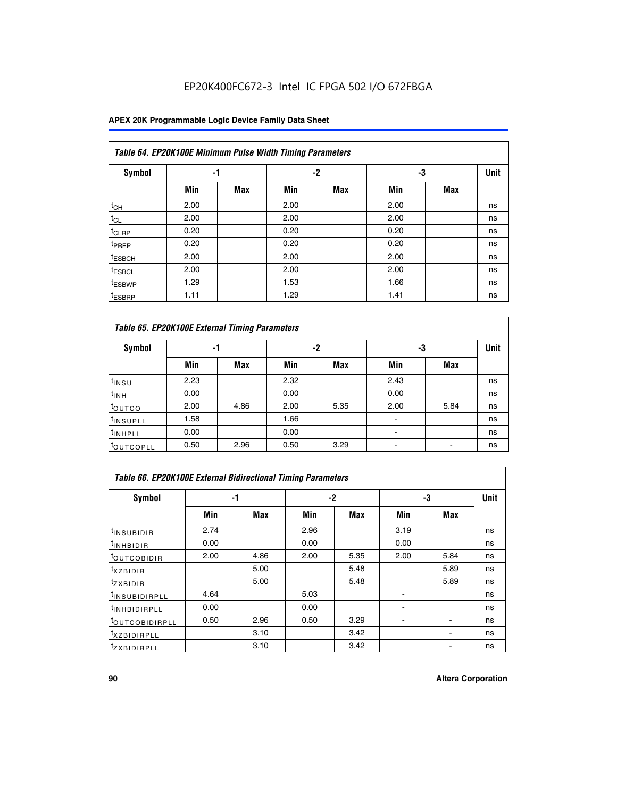## EP20K400FC672-3 Intel IC FPGA 502 I/O 672FBGA

## **APEX 20K Programmable Logic Device Family Data Sheet**

|                    | Table 64. EP20K100E Minimum Pulse Width Timing Parameters |            |      |            |      |            |             |  |  |  |  |  |
|--------------------|-----------------------------------------------------------|------------|------|------------|------|------------|-------------|--|--|--|--|--|
| <b>Symbol</b>      | -1                                                        |            |      | $-2$       | -3   |            | <b>Unit</b> |  |  |  |  |  |
|                    | Min                                                       | <b>Max</b> | Min  | <b>Max</b> | Min  | <b>Max</b> |             |  |  |  |  |  |
| $t_{CH}$           | 2.00                                                      |            | 2.00 |            | 2.00 |            | ns          |  |  |  |  |  |
| $t_{CL}$           | 2.00                                                      |            | 2.00 |            | 2.00 |            | ns          |  |  |  |  |  |
| t <sub>CLRP</sub>  | 0.20                                                      |            | 0.20 |            | 0.20 |            | ns          |  |  |  |  |  |
| t <sub>PREP</sub>  | 0.20                                                      |            | 0.20 |            | 0.20 |            | ns          |  |  |  |  |  |
| <sup>t</sup> ESBCH | 2.00                                                      |            | 2.00 |            | 2.00 |            | ns          |  |  |  |  |  |
| <sup>t</sup> ESBCL | 2.00                                                      |            | 2.00 |            | 2.00 |            | ns          |  |  |  |  |  |
| <sup>t</sup> ESBWP | 1.29                                                      |            | 1.53 |            | 1.66 |            | ns          |  |  |  |  |  |
| <sup>t</sup> ESBRP | 1.11                                                      |            | 1.29 |            | 1.41 |            | ns          |  |  |  |  |  |

|                      | Table 65. EP20K100E External Timing Parameters |            |      |            |                          |            |    |  |  |  |  |  |
|----------------------|------------------------------------------------|------------|------|------------|--------------------------|------------|----|--|--|--|--|--|
| <b>Symbol</b>        | -1                                             |            |      | -2         |                          | -3         |    |  |  |  |  |  |
|                      | Min                                            | <b>Max</b> | Min  | <b>Max</b> | Min                      | <b>Max</b> |    |  |  |  |  |  |
| t <sub>INSU</sub>    | 2.23                                           |            | 2.32 |            | 2.43                     |            | ns |  |  |  |  |  |
| $t_{\rm INH}$        | 0.00                                           |            | 0.00 |            | 0.00                     |            | ns |  |  |  |  |  |
| toutco               | 2.00                                           | 4.86       | 2.00 | 5.35       | 2.00                     | 5.84       | ns |  |  |  |  |  |
| <sup>t</sup> INSUPLL | 1.58                                           |            | 1.66 |            |                          |            | ns |  |  |  |  |  |
| <sup>t</sup> INHPLL  | 0.00                                           |            | 0.00 |            | $\overline{\phantom{a}}$ |            | ns |  |  |  |  |  |
| <b>LOUTCOPLL</b>     | 0.50                                           | 2.96       | 0.50 | 3.29       | -                        |            | ns |  |  |  |  |  |

|                              | Table 66. EP20K100E External Bidirectional Timing Parameters |      |      |      |      |            |      |  |  |  |  |
|------------------------------|--------------------------------------------------------------|------|------|------|------|------------|------|--|--|--|--|
| Symbol                       |                                                              | -1   |      | $-2$ | -3   |            | Unit |  |  |  |  |
|                              | Min                                                          | Max  | Min  | Max  | Min  | <b>Max</b> |      |  |  |  |  |
| <sup>t</sup> INSUBIDIR       | 2.74                                                         |      | 2.96 |      | 3.19 |            | ns   |  |  |  |  |
| <b>TINHBIDIR</b>             | 0.00                                                         |      | 0.00 |      | 0.00 |            | ns   |  |  |  |  |
| <b>LOUTCOBIDIR</b>           | 2.00                                                         | 4.86 | 2.00 | 5.35 | 2.00 | 5.84       | ns   |  |  |  |  |
| <sup>T</sup> XZBIDIR         |                                                              | 5.00 |      | 5.48 |      | 5.89       | ns   |  |  |  |  |
| $I_{Z}$ XBIDIR               |                                                              | 5.00 |      | 5.48 |      | 5.89       | ns   |  |  |  |  |
| <sup>t</sup> INSUBIDIRPLL    | 4.64                                                         |      | 5.03 |      |      |            | ns   |  |  |  |  |
| <sup>I</sup> INHBIDIRPLL     | 0.00                                                         |      | 0.00 |      |      |            | ns   |  |  |  |  |
| <b><i>COUTCOBIDIRPLL</i></b> | 0.50                                                         | 2.96 | 0.50 | 3.29 |      |            | ns   |  |  |  |  |
| <sup>I</sup> XZBIDIRPLL      |                                                              | 3.10 |      | 3.42 |      |            | ns   |  |  |  |  |
| <sup>I</sup> ZXBIDIRPLL      |                                                              | 3.10 |      | 3.42 |      |            | ns   |  |  |  |  |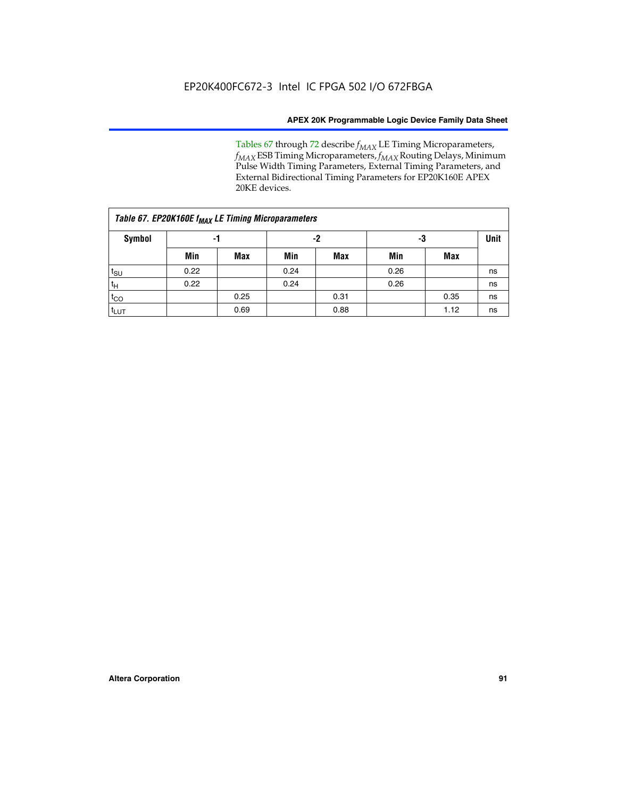Tables 67 through 72 describe *f<sub>MAX</sub>* LE Timing Microparameters, *f<sub>MAX</sub>* ESB Timing Microparameters, *f<sub>MAX</sub>* Routing Delays, Minimum Pulse Width Timing Parameters, External Timing Parameters, and External Bidirectional Timing Parameters for EP20K160E APEX 20KE devices.

|                  | Table 67. EP20K160E f <sub>MAX</sub> LE Timing Microparameters |            |      |            |      |      |             |  |  |  |  |  |
|------------------|----------------------------------------------------------------|------------|------|------------|------|------|-------------|--|--|--|--|--|
| Symbol           | -1                                                             |            |      | -2         |      | -3   | <b>Unit</b> |  |  |  |  |  |
|                  | Min                                                            | <b>Max</b> | Min  | <b>Max</b> | Min  | Max  |             |  |  |  |  |  |
| $t_{\text{SU}}$  | 0.22                                                           |            | 0.24 |            | 0.26 |      | ns          |  |  |  |  |  |
| $t_H$            | 0.22                                                           |            | 0.24 |            | 0.26 |      | ns          |  |  |  |  |  |
| $t_{CO}$         |                                                                | 0.25       |      | 0.31       |      | 0.35 | ns          |  |  |  |  |  |
| t <sub>lut</sub> |                                                                | 0.69       |      | 0.88       |      | 1.12 | ns          |  |  |  |  |  |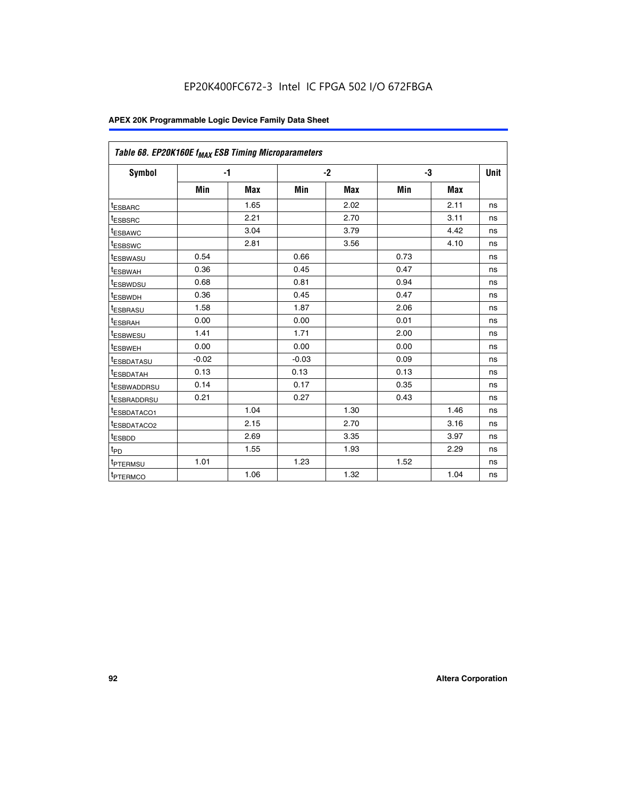| Table 68. EP20K160E f <sub>MAX</sub> ESB Timing Microparameters |         |            |         |            |      |      |      |
|-----------------------------------------------------------------|---------|------------|---------|------------|------|------|------|
| <b>Symbol</b>                                                   |         | $-1$       |         | $-2$       |      | -3   | Unit |
|                                                                 | Min     | <b>Max</b> | Min     | <b>Max</b> | Min  | Max  |      |
| <sup>t</sup> ESBARC                                             |         | 1.65       |         | 2.02       |      | 2.11 | ns   |
| t <sub>ESBSRC</sub>                                             |         | 2.21       |         | 2.70       |      | 3.11 | ns   |
| <sup>t</sup> ESBAWC                                             |         | 3.04       |         | 3.79       |      | 4.42 | ns   |
| t <sub>ESBSWC</sub>                                             |         | 2.81       |         | 3.56       |      | 4.10 | ns   |
| <sup>t</sup> ESBWASU                                            | 0.54    |            | 0.66    |            | 0.73 |      | ns   |
| <sup>t</sup> ESBWAH                                             | 0.36    |            | 0.45    |            | 0.47 |      | ns   |
| t <sub>ESBWDSU</sub>                                            | 0.68    |            | 0.81    |            | 0.94 |      | ns   |
| <sup>t</sup> ESBWDH                                             | 0.36    |            | 0.45    |            | 0.47 |      | ns   |
| t <sub>ESBRASU</sub>                                            | 1.58    |            | 1.87    |            | 2.06 |      | ns   |
| <sup>t</sup> ESBRAH                                             | 0.00    |            | 0.00    |            | 0.01 |      | ns   |
| <sup>t</sup> ESBWESU                                            | 1.41    |            | 1.71    |            | 2.00 |      | ns   |
| t <sub>ESBWEH</sub>                                             | 0.00    |            | 0.00    |            | 0.00 |      | ns   |
| t <sub>ESBDATASU</sub>                                          | $-0.02$ |            | $-0.03$ |            | 0.09 |      | ns   |
| t <sub>ESBDATAH</sub>                                           | 0.13    |            | 0.13    |            | 0.13 |      | ns   |
| t <sub>ESBWADDRSU</sub>                                         | 0.14    |            | 0.17    |            | 0.35 |      | ns   |
| <sup>t</sup> ESBRADDRSU                                         | 0.21    |            | 0.27    |            | 0.43 |      | ns   |
| <sup>I</sup> ESBDATACO1                                         |         | 1.04       |         | 1.30       |      | 1.46 | ns   |
| t <sub>ESBDATACO2</sub>                                         |         | 2.15       |         | 2.70       |      | 3.16 | ns   |
| <sup>t</sup> ESBDD                                              |         | 2.69       |         | 3.35       |      | 3.97 | ns   |
| $t_{\mathsf{PD}}$                                               |         | 1.55       |         | 1.93       |      | 2.29 | ns   |
| t <sub>PTERMSU</sub>                                            | 1.01    |            | 1.23    |            | 1.52 |      | ns   |
| t <sub>PTERMCO</sub>                                            |         | 1.06       |         | 1.32       |      | 1.04 | ns   |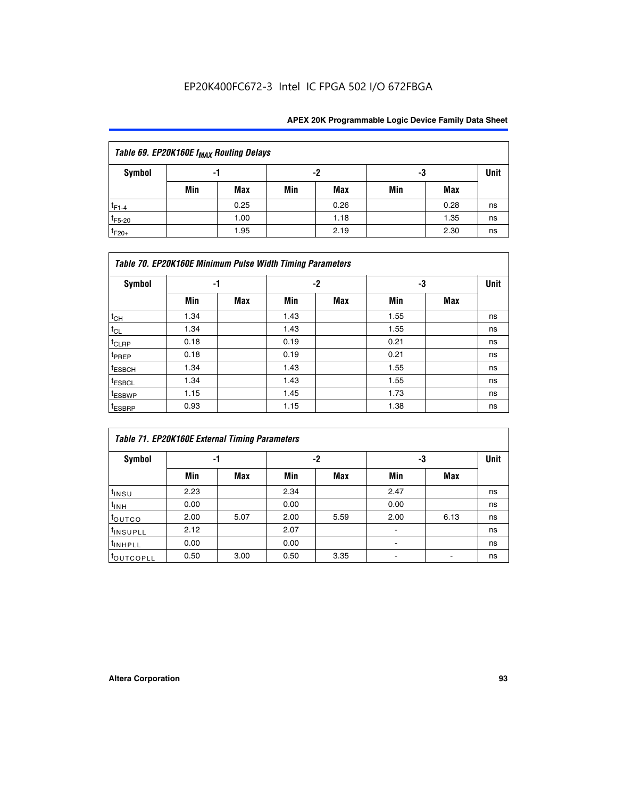## EP20K400FC672-3 Intel IC FPGA 502 I/O 672FBGA

| Table 69. EP20K160E f <sub>MAX</sub> Routing Delays |     |      |     |      |     |      |    |  |  |  |  |
|-----------------------------------------------------|-----|------|-----|------|-----|------|----|--|--|--|--|
| Symbol                                              | -1  |      |     | -2   |     | -3   |    |  |  |  |  |
|                                                     | Min | Max  | Min | Max  | Min | Max  |    |  |  |  |  |
| $t_{F1-4}$                                          |     | 0.25 |     | 0.26 |     | 0.28 | ns |  |  |  |  |
| $t_{F5-20}$                                         |     | 1.00 |     | 1.18 |     | 1.35 | ns |  |  |  |  |
| $t_{F20+}$                                          |     | 1.95 |     | 2.19 |     | 2.30 | ns |  |  |  |  |

|                    | Table 70. EP20K160E Minimum Pulse Width Timing Parameters |            |      |            |      |     |             |  |  |  |  |  |
|--------------------|-----------------------------------------------------------|------------|------|------------|------|-----|-------------|--|--|--|--|--|
| Symbol             |                                                           | -1         |      | $-2$       | -3   |     | <b>Unit</b> |  |  |  |  |  |
|                    | Min                                                       | <b>Max</b> | Min  | <b>Max</b> | Min  | Max |             |  |  |  |  |  |
| $t_{CH}$           | 1.34                                                      |            | 1.43 |            | 1.55 |     | ns          |  |  |  |  |  |
| $t_{CL}$           | 1.34                                                      |            | 1.43 |            | 1.55 |     | ns          |  |  |  |  |  |
| $t_{CLRP}$         | 0.18                                                      |            | 0.19 |            | 0.21 |     | ns          |  |  |  |  |  |
| t <sub>PREP</sub>  | 0.18                                                      |            | 0.19 |            | 0.21 |     | ns          |  |  |  |  |  |
| <sup>t</sup> ESBCH | 1.34                                                      |            | 1.43 |            | 1.55 |     | ns          |  |  |  |  |  |
| <sup>t</sup> ESBCL | 1.34                                                      |            | 1.43 |            | 1.55 |     | ns          |  |  |  |  |  |
| t <sub>ESBWP</sub> | 1.15                                                      |            | 1.45 |            | 1.73 |     | ns          |  |  |  |  |  |
| t <sub>ESBRP</sub> | 0.93                                                      |            | 1.15 |            | 1.38 |     | ns          |  |  |  |  |  |

| Table 71. EP20K160E External Timing Parameters |      |      |      |      |                |      |    |  |  |  |  |
|------------------------------------------------|------|------|------|------|----------------|------|----|--|--|--|--|
| Symbol                                         | -1   |      |      | -2   | -3             | Unit |    |  |  |  |  |
|                                                | Min  | Max  | Min  | Max  | Min            | Max  |    |  |  |  |  |
| $t_{INSU}$                                     | 2.23 |      | 2.34 |      | 2.47           |      | ns |  |  |  |  |
| $t_{INH}$                                      | 0.00 |      | 0.00 |      | 0.00           |      | ns |  |  |  |  |
| toutco                                         | 2.00 | 5.07 | 2.00 | 5.59 | 2.00           | 6.13 | ns |  |  |  |  |
| <sup>t</sup> INSUPLL                           | 2.12 |      | 2.07 |      | $\blacksquare$ |      | ns |  |  |  |  |
| <sup>t</sup> INHPLL                            | 0.00 |      | 0.00 |      | ۰              |      | ns |  |  |  |  |
| toutcopll                                      | 0.50 | 3.00 | 0.50 | 3.35 |                |      | ns |  |  |  |  |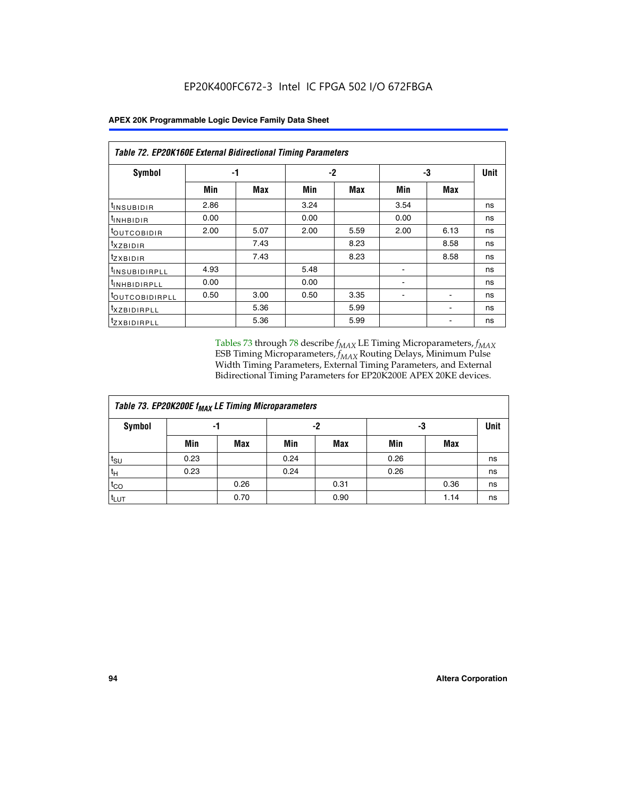|                                | Table 72. EP20K160E External Bidirectional Timing Parameters |      |      |      |      |             |    |  |  |  |
|--------------------------------|--------------------------------------------------------------|------|------|------|------|-------------|----|--|--|--|
| Symbol                         |                                                              | -1   |      | $-2$ | -3   | <b>Unit</b> |    |  |  |  |
|                                | Min                                                          | Max  | Min  | Max  | Min  | Max         |    |  |  |  |
| <sup>t</sup> INSUB <u>IDIR</u> | 2.86                                                         |      | 3.24 |      | 3.54 |             | ns |  |  |  |
| <b>UNHBIDIR</b>                | 0.00                                                         |      | 0.00 |      | 0.00 |             | ns |  |  |  |
| <b>LOUTCOBIDIR</b>             | 2.00                                                         | 5.07 | 2.00 | 5.59 | 2.00 | 6.13        | ns |  |  |  |
| KZBIDIR                        |                                                              | 7.43 |      | 8.23 |      | 8.58        | ns |  |  |  |
| <sup>t</sup> zxbidir           |                                                              | 7.43 |      | 8.23 |      | 8.58        | ns |  |  |  |
| <sup>t</sup> INSUBIDIRPLL      | 4.93                                                         |      | 5.48 |      |      |             | ns |  |  |  |
| <sup>I</sup> INHBIDIRPLL       | 0.00                                                         |      | 0.00 |      | ۰    |             | ns |  |  |  |
| <b><i>LOUTCOBIDIRPLL</i></b>   | 0.50                                                         | 3.00 | 0.50 | 3.35 |      |             | ns |  |  |  |
| <sup>T</sup> XZBIDIRPLL        |                                                              | 5.36 |      | 5.99 |      |             | ns |  |  |  |
| <sup>t</sup> ZXBIDIRPLL        |                                                              | 5.36 |      | 5.99 |      |             | ns |  |  |  |

Tables 73 through 78 describe  $f_{MAX}$  LE Timing Microparameters,  $f_{MAX}$ ESB Timing Microparameters, *f<sub>MAX</sub>* Routing Delays, Minimum Pulse Width Timing Parameters, External Timing Parameters, and External Bidirectional Timing Parameters for EP20K200E APEX 20KE devices.

| Table 73. EP20K200E f <sub>MAX</sub> LE Timing Microparameters |      |      |      |      |      |             |    |  |  |  |  |
|----------------------------------------------------------------|------|------|------|------|------|-------------|----|--|--|--|--|
| <b>Symbol</b>                                                  |      | -1   |      | -2   | -3   | <b>Unit</b> |    |  |  |  |  |
|                                                                | Min  | Max  | Min  | Max  | Min  | Max         |    |  |  |  |  |
| $t_{\text{SU}}$                                                | 0.23 |      | 0.24 |      | 0.26 |             | ns |  |  |  |  |
| tμ                                                             | 0.23 |      | 0.24 |      | 0.26 |             | ns |  |  |  |  |
| $t_{CO}$                                                       |      | 0.26 |      | 0.31 |      | 0.36        | ns |  |  |  |  |
| t <sub>LUT</sub>                                               |      | 0.70 |      | 0.90 |      | 1.14        | ns |  |  |  |  |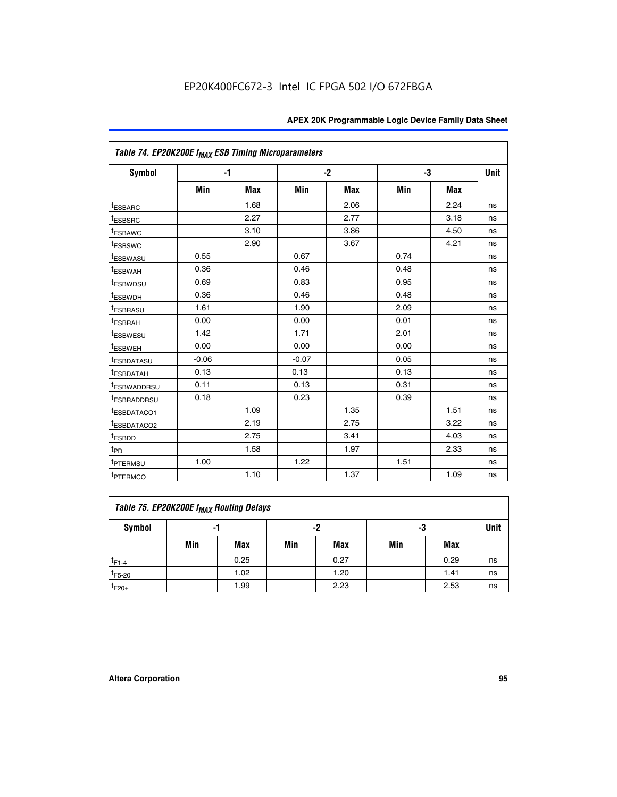| Table 74. EP20K200E f <sub>MAX</sub> ESB Timing Microparameters |         |            |         |            |      |      |             |
|-----------------------------------------------------------------|---------|------------|---------|------------|------|------|-------------|
| <b>Symbol</b>                                                   |         | $-1$       |         | $-2$       | -3   |      | <b>Unit</b> |
|                                                                 | Min     | <b>Max</b> | Min     | <b>Max</b> | Min  | Max  |             |
| <sup>t</sup> ESBARC                                             |         | 1.68       |         | 2.06       |      | 2.24 | ns          |
| <sup>t</sup> ESBSRC                                             |         | 2.27       |         | 2.77       |      | 3.18 | ns          |
| <sup>t</sup> ESBAWC                                             |         | 3.10       |         | 3.86       |      | 4.50 | ns          |
| <sup>t</sup> ESBSWC                                             |         | 2.90       |         | 3.67       |      | 4.21 | ns          |
| <b><i>ESBWASU</i></b>                                           | 0.55    |            | 0.67    |            | 0.74 |      | ns          |
| <sup>t</sup> ESBWAH                                             | 0.36    |            | 0.46    |            | 0.48 |      | ns          |
| <sup>t</sup> ESBWDSU                                            | 0.69    |            | 0.83    |            | 0.95 |      | ns          |
| <sup>t</sup> ESBWDH                                             | 0.36    |            | 0.46    |            | 0.48 |      | ns          |
| <sup>t</sup> ESBRASU                                            | 1.61    |            | 1.90    |            | 2.09 |      | ns          |
| <sup>t</sup> ESBRAH                                             | 0.00    |            | 0.00    |            | 0.01 |      | ns          |
| <sup>t</sup> ESBWESU                                            | 1.42    |            | 1.71    |            | 2.01 |      | ns          |
| <sup>t</sup> ESBWEH                                             | 0.00    |            | 0.00    |            | 0.00 |      | ns          |
| <sup>t</sup> ESBDATASU                                          | $-0.06$ |            | $-0.07$ |            | 0.05 |      | ns          |
| <sup>t</sup> ESBDATAH                                           | 0.13    |            | 0.13    |            | 0.13 |      | ns          |
| <sup>t</sup> ESBWADDRSU                                         | 0.11    |            | 0.13    |            | 0.31 |      | ns          |
| <sup>I</sup> ESBRADDRSU                                         | 0.18    |            | 0.23    |            | 0.39 |      | ns          |
| <sup>t</sup> ESBDATACO1                                         |         | 1.09       |         | 1.35       |      | 1.51 | ns          |
| <sup>t</sup> ESBDATACO2                                         |         | 2.19       |         | 2.75       |      | 3.22 | ns          |
| t <sub>ESBDD</sub>                                              |         | 2.75       |         | 3.41       |      | 4.03 | ns          |
| $t_{PD}$                                                        |         | 1.58       |         | 1.97       |      | 2.33 | ns          |
| t <sub>PTERMSU</sub>                                            | 1.00    |            | 1.22    |            | 1.51 |      | ns          |
| <sup>t</sup> PTERMCO                                            |         | 1.10       |         | 1.37       |      | 1.09 | ns          |

| Table 75. EP20K200E f <sub>MAX</sub> Routing Delays |     |      |     |            |     |      |             |  |  |  |
|-----------------------------------------------------|-----|------|-----|------------|-----|------|-------------|--|--|--|
| Symbol                                              |     | -1   |     | -2         | -3  |      | <b>Unit</b> |  |  |  |
|                                                     | Min | Max  | Min | <b>Max</b> | Min | Max  |             |  |  |  |
| $t_{F1-4}$                                          |     | 0.25 |     | 0.27       |     | 0.29 | ns          |  |  |  |
| $t_{F5-20}$                                         |     | 1.02 |     | 1.20       |     | 1.41 | ns          |  |  |  |
| $t_{F20+}$                                          |     | 1.99 |     | 2.23       |     | 2.53 | ns          |  |  |  |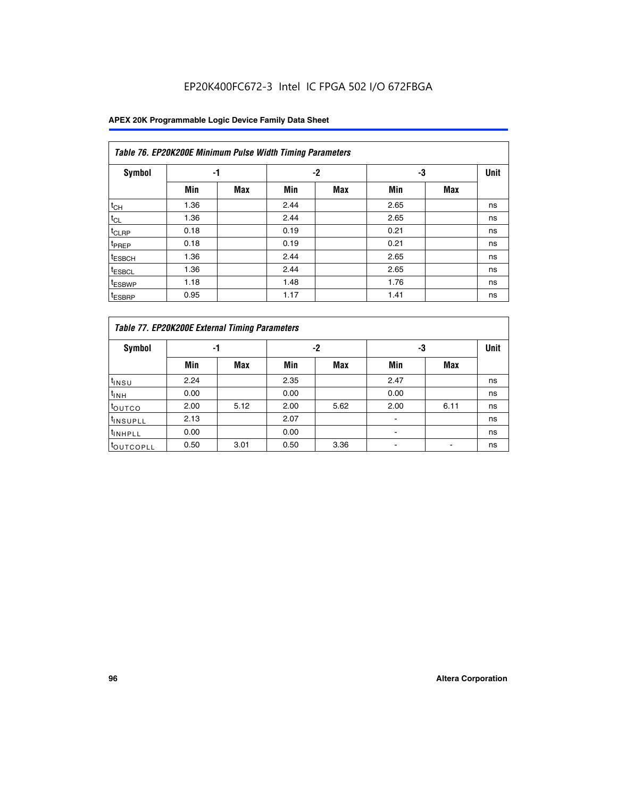## EP20K400FC672-3 Intel IC FPGA 502 I/O 672FBGA

|                    | Table 76. EP20K200E Minimum Pulse Width Timing Parameters |            |      |            |      |            |             |  |  |  |  |  |
|--------------------|-----------------------------------------------------------|------------|------|------------|------|------------|-------------|--|--|--|--|--|
| <b>Symbol</b>      | -1                                                        |            |      | $-2$       | -3   |            | <b>Unit</b> |  |  |  |  |  |
|                    | Min                                                       | <b>Max</b> | Min  | <b>Max</b> | Min  | <b>Max</b> |             |  |  |  |  |  |
| $t_{CH}$           | 1.36                                                      |            | 2.44 |            | 2.65 |            | ns          |  |  |  |  |  |
| $t_{CL}$           | 1.36                                                      |            | 2.44 |            | 2.65 |            | ns          |  |  |  |  |  |
| $t_{CLRP}$         | 0.18                                                      |            | 0.19 |            | 0.21 |            | ns          |  |  |  |  |  |
| t <sub>PREP</sub>  | 0.18                                                      |            | 0.19 |            | 0.21 |            | ns          |  |  |  |  |  |
| <sup>t</sup> ESBCH | 1.36                                                      |            | 2.44 |            | 2.65 |            | ns          |  |  |  |  |  |
| <sup>t</sup> ESBCL | 1.36                                                      |            | 2.44 |            | 2.65 |            | ns          |  |  |  |  |  |
| <sup>t</sup> ESBWP | 1.18                                                      |            | 1.48 |            | 1.76 |            | ns          |  |  |  |  |  |
| <sup>t</sup> ESBRP | 0.95                                                      |            | 1.17 |            | 1.41 |            | ns          |  |  |  |  |  |

|                       | Table 77. EP20K200E External Timing Parameters |            |      |            |      |      |             |  |  |  |  |  |  |
|-----------------------|------------------------------------------------|------------|------|------------|------|------|-------------|--|--|--|--|--|--|
| <b>Symbol</b>         |                                                | -1         |      | -2         |      | -3   | <b>Unit</b> |  |  |  |  |  |  |
|                       | Min                                            | <b>Max</b> | Min  | <b>Max</b> | Min  | Max  |             |  |  |  |  |  |  |
| t <sub>INSU</sub>     | 2.24                                           |            | 2.35 |            | 2.47 |      | ns          |  |  |  |  |  |  |
| $t_{\text{INH}}$      | 0.00                                           |            | 0.00 |            | 0.00 |      | ns          |  |  |  |  |  |  |
| toutco                | 2.00                                           | 5.12       | 2.00 | 5.62       | 2.00 | 6.11 | ns          |  |  |  |  |  |  |
| <sup>t</sup> INSUPLL  | 2.13                                           |            | 2.07 |            |      |      | ns          |  |  |  |  |  |  |
| <sup>t</sup> INHPLL   | 0.00                                           |            | 0.00 |            | -    |      | ns          |  |  |  |  |  |  |
| <sup>I</sup> OUTCOPLL | 0.50                                           | 3.01       | 0.50 | 3.36       |      |      | ns          |  |  |  |  |  |  |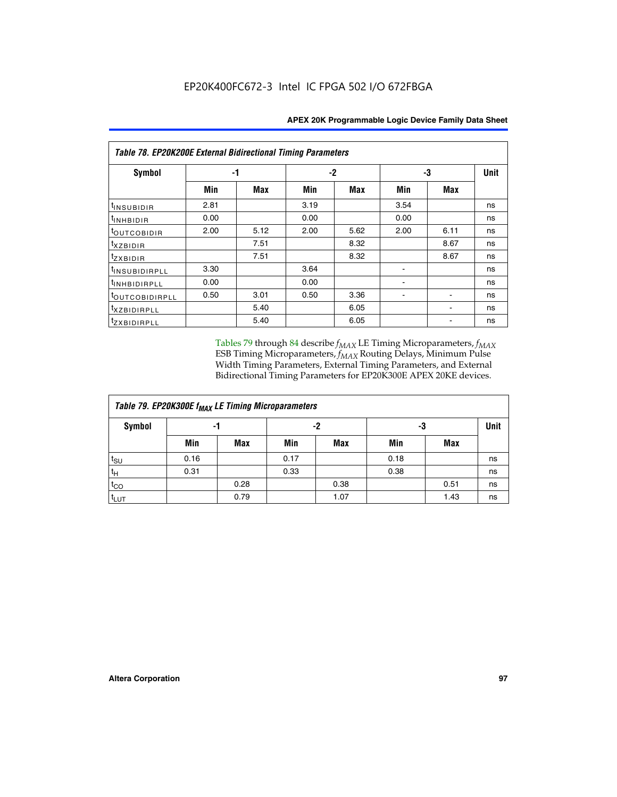|                           | <b>Table 78. EP20K200E External Bidirectional Timing Parameters</b> |      |      |      |      |            |             |  |  |  |  |
|---------------------------|---------------------------------------------------------------------|------|------|------|------|------------|-------------|--|--|--|--|
| Symbol                    |                                                                     | -1   |      | $-2$ |      | -3         | <b>Unit</b> |  |  |  |  |
|                           | Min                                                                 | Max  | Min  | Max  | Min  | <b>Max</b> |             |  |  |  |  |
| t <sub>INSUBIDIR</sub>    | 2.81                                                                |      | 3.19 |      | 3.54 |            | ns          |  |  |  |  |
| t <sub>INHBIDIR</sub>     | 0.00                                                                |      | 0.00 |      | 0.00 |            | ns          |  |  |  |  |
| t <sub>outcobidir</sub>   | 2.00                                                                | 5.12 | 2.00 | 5.62 | 2.00 | 6.11       | ns          |  |  |  |  |
| <i>txzbidir</i>           |                                                                     | 7.51 |      | 8.32 |      | 8.67       | ns          |  |  |  |  |
| tzxbidir                  |                                                                     | 7.51 |      | 8.32 |      | 8.67       | ns          |  |  |  |  |
| t <sub>INSUBIDIRPLL</sub> | 3.30                                                                |      | 3.64 |      |      |            | ns          |  |  |  |  |
| tINHBIDIRPLL              | 0.00                                                                |      | 0.00 |      |      |            | ns          |  |  |  |  |
| toutcobidirpll            | 0.50                                                                | 3.01 | 0.50 | 3.36 |      |            | ns          |  |  |  |  |
| <i>txzbidirpll</i>        |                                                                     | 5.40 |      | 6.05 |      |            | ns          |  |  |  |  |
| <i>tzxBIDIRPLL</i>        |                                                                     | 5.40 |      | 6.05 |      |            | ns          |  |  |  |  |

Tables 79 through 84 describe  $f_{MAX}$  LE Timing Microparameters,  $f_{MAX}$ ESB Timing Microparameters, *f<sub>MAX</sub>* Routing Delays, Minimum Pulse Width Timing Parameters, External Timing Parameters, and External Bidirectional Timing Parameters for EP20K300E APEX 20KE devices.

| Table 79. EP20K300E f <sub>MAX</sub> LE Timing Microparameters |      |            |      |            |      |      |      |  |  |  |  |
|----------------------------------------------------------------|------|------------|------|------------|------|------|------|--|--|--|--|
| <b>Symbol</b>                                                  |      | -1         | -2   |            | -3   |      | Unit |  |  |  |  |
|                                                                | Min  | <b>Max</b> | Min  | <b>Max</b> | Min  | Max  |      |  |  |  |  |
| $t_{\text{SU}}$                                                | 0.16 |            | 0.17 |            | 0.18 |      | ns   |  |  |  |  |
| $t_H$                                                          | 0.31 |            | 0.33 |            | 0.38 |      | ns   |  |  |  |  |
| $t_{CO}$                                                       |      | 0.28       |      | 0.38       |      | 0.51 | ns   |  |  |  |  |
| $t_{LUT}$                                                      |      | 0.79       |      | 1.07       |      | 1.43 | ns   |  |  |  |  |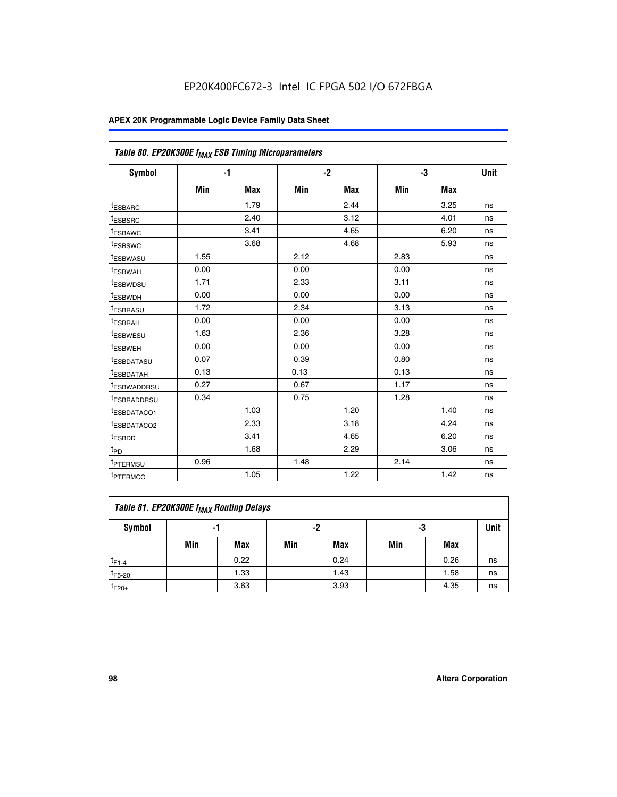| Table 80. EP20K300E f <sub>MAX</sub> ESB Timing Microparameters |      |      |      |      |      |      |      |
|-----------------------------------------------------------------|------|------|------|------|------|------|------|
| <b>Symbol</b>                                                   |      | $-1$ |      | $-2$ |      | -3   | Unit |
|                                                                 | Min  | Max  | Min  | Max  | Min  | Max  |      |
| <sup>t</sup> ESBARC                                             |      | 1.79 |      | 2.44 |      | 3.25 | ns   |
| t <sub>ESBSRC</sub>                                             |      | 2.40 |      | 3.12 |      | 4.01 | ns   |
| t <sub>ESBAWC</sub>                                             |      | 3.41 |      | 4.65 |      | 6.20 | ns   |
| <sup>t</sup> ESBSWC                                             |      | 3.68 |      | 4.68 |      | 5.93 | ns   |
| t <sub>ESBWASU</sub>                                            | 1.55 |      | 2.12 |      | 2.83 |      | ns   |
| t <sub>ESBWAH</sub>                                             | 0.00 |      | 0.00 |      | 0.00 |      | ns   |
| <sup>t</sup> ESBWDSU                                            | 1.71 |      | 2.33 |      | 3.11 |      | ns   |
| <sup>t</sup> ESBWDH                                             | 0.00 |      | 0.00 |      | 0.00 |      | ns   |
| t <sub>ESBRASU</sub>                                            | 1.72 |      | 2.34 |      | 3.13 |      | ns   |
| <sup>t</sup> ESBRAH                                             | 0.00 |      | 0.00 |      | 0.00 |      | ns   |
| t <sub>ESBWESU</sub>                                            | 1.63 |      | 2.36 |      | 3.28 |      | ns   |
| <sup>t</sup> ESBWEH                                             | 0.00 |      | 0.00 |      | 0.00 |      | ns   |
| <sup>t</sup> ESBDATASU                                          | 0.07 |      | 0.39 |      | 0.80 |      | ns   |
| <sup>t</sup> ESBDATAH                                           | 0.13 |      | 0.13 |      | 0.13 |      | ns   |
| <sup>t</sup> ESBWADDRSU                                         | 0.27 |      | 0.67 |      | 1.17 |      | ns   |
| tESBRADDRSU                                                     | 0.34 |      | 0.75 |      | 1.28 |      | ns   |
| <sup>I</sup> ESBDATACO1                                         |      | 1.03 |      | 1.20 |      | 1.40 | ns   |
| <sup>t</sup> ESBDATACO2                                         |      | 2.33 |      | 3.18 |      | 4.24 | ns   |
| <sup>t</sup> ESBDD                                              |      | 3.41 |      | 4.65 |      | 6.20 | ns   |
| t <sub>PD</sub>                                                 |      | 1.68 |      | 2.29 |      | 3.06 | ns   |
| t <sub>PTERMSU</sub>                                            | 0.96 |      | 1.48 |      | 2.14 |      | ns   |
| t <sub>PTERMCO</sub>                                            |      | 1.05 |      | 1.22 |      | 1.42 | ns   |

| Table 81. EP20K300E f <sub>MAX</sub> Routing Delays |                |      |     |      |     |      |    |  |  |  |
|-----------------------------------------------------|----------------|------|-----|------|-----|------|----|--|--|--|
| Symbol                                              | -2<br>-3<br>-1 |      |     |      |     |      |    |  |  |  |
|                                                     | Min            | Max  | Min | Max  | Min | Max  |    |  |  |  |
| $t_{F1-4}$                                          |                | 0.22 |     | 0.24 |     | 0.26 | ns |  |  |  |
| $t_{F5-20}$                                         |                | 1.33 |     | 1.43 |     | 1.58 | ns |  |  |  |
| $t_{F20+}$                                          |                | 3.63 |     | 3.93 |     | 4.35 | ns |  |  |  |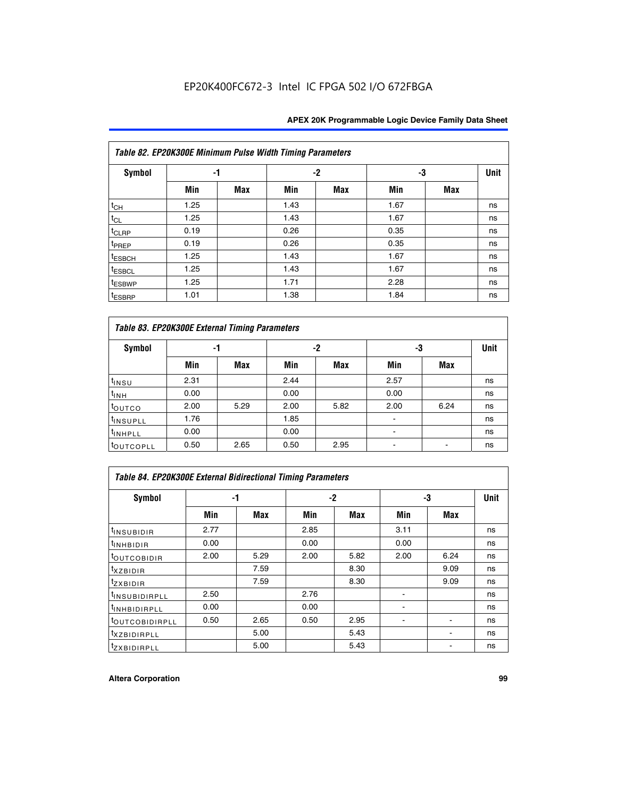|                    | Table 82. EP20K300E Minimum Pulse Width Timing Parameters |            |      |      |      |     |             |  |  |  |  |  |
|--------------------|-----------------------------------------------------------|------------|------|------|------|-----|-------------|--|--|--|--|--|
| <b>Symbol</b>      | -1                                                        |            |      | $-2$ | -3   |     | <b>Unit</b> |  |  |  |  |  |
|                    | Min                                                       | <b>Max</b> | Min  | Max  | Min  | Max |             |  |  |  |  |  |
| $t_{CH}$           | 1.25                                                      |            | 1.43 |      | 1.67 |     | ns          |  |  |  |  |  |
| $t_{CL}$           | 1.25                                                      |            | 1.43 |      | 1.67 |     | ns          |  |  |  |  |  |
| t <sub>CLRP</sub>  | 0.19                                                      |            | 0.26 |      | 0.35 |     | ns          |  |  |  |  |  |
| t <sub>PREP</sub>  | 0.19                                                      |            | 0.26 |      | 0.35 |     | ns          |  |  |  |  |  |
| t <sub>ESBCH</sub> | 1.25                                                      |            | 1.43 |      | 1.67 |     | ns          |  |  |  |  |  |
| <sup>t</sup> ESBCL | 1.25                                                      |            | 1.43 |      | 1.67 |     | ns          |  |  |  |  |  |
| <sup>t</sup> ESBWP | 1.25                                                      |            | 1.71 |      | 2.28 |     | ns          |  |  |  |  |  |
| <sup>t</sup> ESBRP | 1.01                                                      |            | 1.38 |      | 1.84 |     | ns          |  |  |  |  |  |

| Table 83. EP20K300E External Timing Parameters |      |      |      |      |      |            |             |  |  |  |  |  |
|------------------------------------------------|------|------|------|------|------|------------|-------------|--|--|--|--|--|
| Symbol                                         |      | -1   |      | -2   |      | -3         | <b>Unit</b> |  |  |  |  |  |
|                                                | Min  | Max  | Min  | Max  | Min  | <b>Max</b> |             |  |  |  |  |  |
| t <sub>INSU</sub>                              | 2.31 |      | 2.44 |      | 2.57 |            | ns          |  |  |  |  |  |
| $t_{INH}$                                      | 0.00 |      | 0.00 |      | 0.00 |            | ns          |  |  |  |  |  |
| toutco                                         | 2.00 | 5.29 | 2.00 | 5.82 | 2.00 | 6.24       | ns          |  |  |  |  |  |
| <sup>t</sup> INSUPLL                           | 1.76 |      | 1.85 |      |      |            | ns          |  |  |  |  |  |
| <sup>t</sup> INHPLL                            | 0.00 |      | 0.00 |      | -    |            | ns          |  |  |  |  |  |
| <sup>t</sup> OUTCOPLL                          | 0.50 | 2.65 | 0.50 | 2.95 |      |            | ns          |  |  |  |  |  |

| Table 84. EP20K300E External Bidirectional Timing Parameters |      |      |      |      |      |             |    |  |  |  |
|--------------------------------------------------------------|------|------|------|------|------|-------------|----|--|--|--|
| Symbol                                                       |      | -1   | -2   |      | -3   | <b>Unit</b> |    |  |  |  |
|                                                              | Min  | Max  | Min  | Max  | Min  | Max         |    |  |  |  |
| <sup>t</sup> INSUBIDIR                                       | 2.77 |      | 2.85 |      | 3.11 |             | ns |  |  |  |
| <b>TINHBIDIR</b>                                             | 0.00 |      | 0.00 |      | 0.00 |             | ns |  |  |  |
| <sup>t</sup> OUTCOBIDIR                                      | 2.00 | 5.29 | 2.00 | 5.82 | 2.00 | 6.24        | ns |  |  |  |
| KZBIDIR                                                      |      | 7.59 |      | 8.30 |      | 9.09        | ns |  |  |  |
| $t_{Z}$ <i>x</i> BIDIR                                       |      | 7.59 |      | 8.30 |      | 9.09        | ns |  |  |  |
| <sup>I</sup> INSUBIDIRPLL                                    | 2.50 |      | 2.76 |      |      |             | ns |  |  |  |
| <sup>t</sup> INHBIDIRPLL                                     | 0.00 |      | 0.00 |      |      |             | ns |  |  |  |
| <b><i>LOUTCOBIDIRPLL</i></b>                                 | 0.50 | 2.65 | 0.50 | 2.95 |      |             | ns |  |  |  |
| <sup>T</sup> XZBIDIRPLL                                      |      | 5.00 |      | 5.43 |      |             | ns |  |  |  |
| <sup>t</sup> ZXBIDIRPLL                                      |      | 5.00 |      | 5.43 |      |             | ns |  |  |  |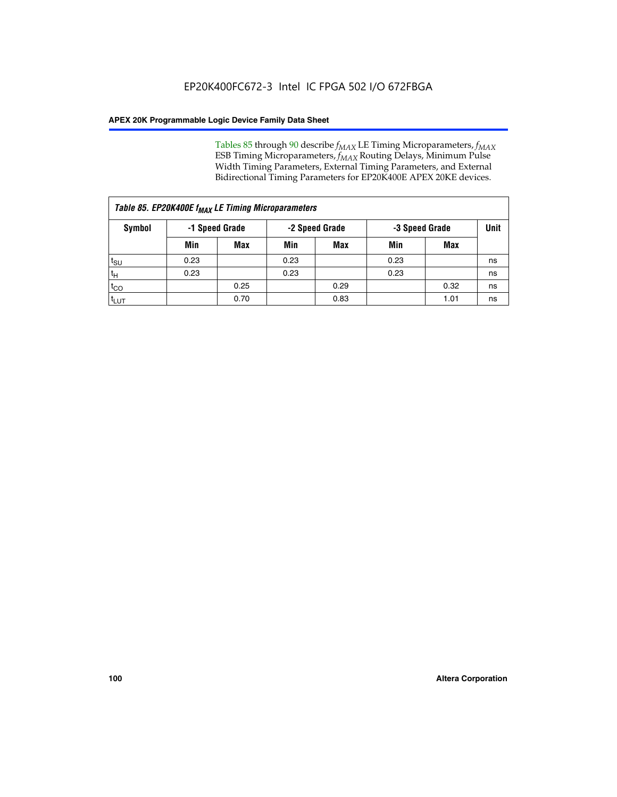Tables 85 through 90 describe  $f_{MAX}$  LE Timing Microparameters,  $f_{MAX}$ ESB Timing Microparameters, *f<sub>MAX</sub>* Routing Delays, Minimum Pulse Width Timing Parameters, External Timing Parameters, and External Bidirectional Timing Parameters for EP20K400E APEX 20KE devices.

| Table 85. EP20K400E f <sub>MAX</sub> LE Timing Microparameters |                |            |                |            |                |      |             |  |  |  |  |
|----------------------------------------------------------------|----------------|------------|----------------|------------|----------------|------|-------------|--|--|--|--|
| Symbol                                                         | -1 Speed Grade |            | -2 Speed Grade |            | -3 Speed Grade |      | <b>Unit</b> |  |  |  |  |
|                                                                | Min            | <b>Max</b> | Min            | <b>Max</b> | Min            | Max  |             |  |  |  |  |
| $t_{\text{SU}}$                                                | 0.23           |            | 0.23           |            | 0.23           |      | ns          |  |  |  |  |
| $t_H$                                                          | 0.23           |            | 0.23           |            | 0.23           |      | ns          |  |  |  |  |
| $t_{CO}$                                                       |                | 0.25       |                | 0.29       |                | 0.32 | ns          |  |  |  |  |
| ι <sup>t</sup> ιυτ                                             |                | 0.70       |                | 0.83       |                | 1.01 | ns          |  |  |  |  |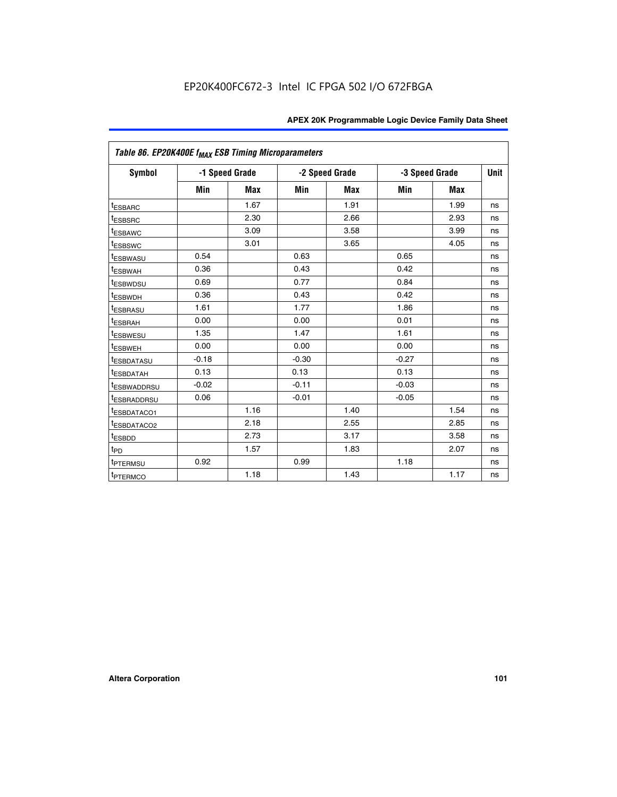|                         | Table 86. EP20K400E f <sub>MAX</sub> ESB Timing Microparameters |                |         |                |         |                |             |  |  |  |  |
|-------------------------|-----------------------------------------------------------------|----------------|---------|----------------|---------|----------------|-------------|--|--|--|--|
| <b>Symbol</b>           |                                                                 | -1 Speed Grade |         | -2 Speed Grade |         | -3 Speed Grade | <b>Unit</b> |  |  |  |  |
|                         | Min                                                             | <b>Max</b>     | Min     | Max            | Min     | <b>Max</b>     |             |  |  |  |  |
| <sup>t</sup> ESBARC     |                                                                 | 1.67           |         | 1.91           |         | 1.99           | ns          |  |  |  |  |
| <sup>t</sup> ESBSRC     |                                                                 | 2.30           |         | 2.66           |         | 2.93           | ns          |  |  |  |  |
| <sup>t</sup> ESBAWC     |                                                                 | 3.09           |         | 3.58           |         | 3.99           | ns          |  |  |  |  |
| <sup>t</sup> ESBSWC     |                                                                 | 3.01           |         | 3.65           |         | 4.05           | ns          |  |  |  |  |
| <sup>t</sup> ESBWASU    | 0.54                                                            |                | 0.63    |                | 0.65    |                | ns          |  |  |  |  |
| t <sub>ESBWAH</sub>     | 0.36                                                            |                | 0.43    |                | 0.42    |                | ns          |  |  |  |  |
| <sup>t</sup> ESBWDSU    | 0.69                                                            |                | 0.77    |                | 0.84    |                | ns          |  |  |  |  |
| <sup>I</sup> ESBWDH     | 0.36                                                            |                | 0.43    |                | 0.42    |                | ns          |  |  |  |  |
| t <sub>ESBRASU</sub>    | 1.61                                                            |                | 1.77    |                | 1.86    |                | ns          |  |  |  |  |
| t <sub>ESBRAH</sub>     | 0.00                                                            |                | 0.00    |                | 0.01    |                | ns          |  |  |  |  |
| <sup>t</sup> ESBWESU    | 1.35                                                            |                | 1.47    |                | 1.61    |                | ns          |  |  |  |  |
| t <sub>ESBWEH</sub>     | 0.00                                                            |                | 0.00    |                | 0.00    |                | ns          |  |  |  |  |
| <sup>I</sup> ESBDATASU  | $-0.18$                                                         |                | $-0.30$ |                | $-0.27$ |                | ns          |  |  |  |  |
| <b>ESBDATAH</b>         | 0.13                                                            |                | 0.13    |                | 0.13    |                | ns          |  |  |  |  |
| <sup>T</sup> ESBWADDRSU | $-0.02$                                                         |                | $-0.11$ |                | $-0.03$ |                | ns          |  |  |  |  |
| <sup>T</sup> ESBRADDRSU | 0.06                                                            |                | $-0.01$ |                | $-0.05$ |                | ns          |  |  |  |  |
| <sup>t</sup> ESBDATACO1 |                                                                 | 1.16           |         | 1.40           |         | 1.54           | ns          |  |  |  |  |
| <sup>t</sup> ESBDATACO2 |                                                                 | 2.18           |         | 2.55           |         | 2.85           | ns          |  |  |  |  |
| <sup>t</sup> ESBDD      |                                                                 | 2.73           |         | 3.17           |         | 3.58           | ns          |  |  |  |  |
| $t_{P\underline{D}}$    |                                                                 | 1.57           |         | 1.83           |         | 2.07           | ns          |  |  |  |  |
| t <sub>PTERMSU</sub>    | 0.92                                                            |                | 0.99    |                | 1.18    |                | ns          |  |  |  |  |
| <sup>t</sup> PTERMCO    |                                                                 | 1.18           |         | 1.43           |         | 1.17           | ns          |  |  |  |  |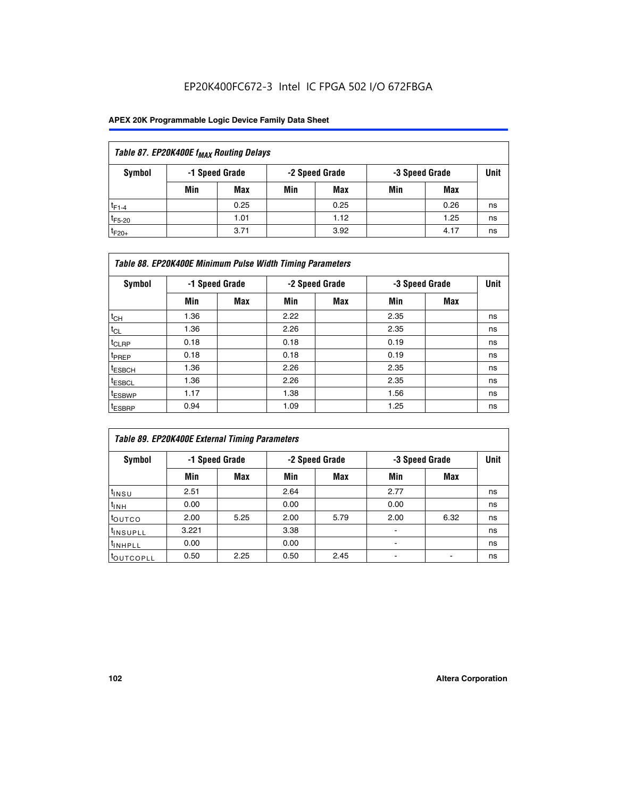## EP20K400FC672-3 Intel IC FPGA 502 I/O 672FBGA

| Table 87. EP20K400E f <sub>MAX</sub> Routing Delays |                                                    |            |     |      |     |      |    |  |  |  |  |
|-----------------------------------------------------|----------------------------------------------------|------------|-----|------|-----|------|----|--|--|--|--|
| Symbol                                              | -1 Speed Grade<br>-2 Speed Grade<br>-3 Speed Grade |            |     |      |     |      |    |  |  |  |  |
|                                                     | Min                                                | <b>Max</b> | Min | Max  | Min | Max  |    |  |  |  |  |
| $t_{F1-4}$                                          |                                                    | 0.25       |     | 0.25 |     | 0.26 | ns |  |  |  |  |
| $t_{F5-20}$                                         |                                                    | 1.01       |     | 1.12 |     | 1.25 | ns |  |  |  |  |
| $t_{F20+}$                                          |                                                    | 3.71       |     | 3.92 |     | 4.17 | ns |  |  |  |  |

|                    | Table 88. EP20K400E Minimum Pulse Width Timing Parameters |                |      |                |      |                |    |  |  |  |  |  |
|--------------------|-----------------------------------------------------------|----------------|------|----------------|------|----------------|----|--|--|--|--|--|
| Symbol             |                                                           | -1 Speed Grade |      | -2 Speed Grade |      | -3 Speed Grade |    |  |  |  |  |  |
|                    | Min                                                       | Max            | Min  | Max            | Min  | Max            |    |  |  |  |  |  |
| $t_{CH}$           | 1.36                                                      |                | 2.22 |                | 2.35 |                | ns |  |  |  |  |  |
| $t_{CL}$           | 1.36                                                      |                | 2.26 |                | 2.35 |                | ns |  |  |  |  |  |
| $t_{CLRP}$         | 0.18                                                      |                | 0.18 |                | 0.19 |                | ns |  |  |  |  |  |
| <sup>t</sup> PREP  | 0.18                                                      |                | 0.18 |                | 0.19 |                | ns |  |  |  |  |  |
| <sup>t</sup> ESBCH | 1.36                                                      |                | 2.26 |                | 2.35 |                | ns |  |  |  |  |  |
| <sup>t</sup> ESBCL | 1.36                                                      |                | 2.26 |                | 2.35 |                | ns |  |  |  |  |  |
| <sup>t</sup> ESBWP | 1.17                                                      |                | 1.38 |                | 1.56 |                | ns |  |  |  |  |  |
| <sup>t</sup> ESBRP | 0.94                                                      |                | 1.09 |                | 1.25 |                | ns |  |  |  |  |  |

|                      | Table 89. EP20K400E External Timing Parameters |                |      |                |                          |                |    |  |  |  |  |  |
|----------------------|------------------------------------------------|----------------|------|----------------|--------------------------|----------------|----|--|--|--|--|--|
| Symbol               |                                                | -1 Speed Grade |      | -2 Speed Grade |                          | -3 Speed Grade |    |  |  |  |  |  |
|                      | Min                                            | Max            | Min  | Max            | Min                      | Max            |    |  |  |  |  |  |
| $t_{INSU}$           | 2.51                                           |                | 2.64 |                | 2.77                     |                | ns |  |  |  |  |  |
| $t_{INH}$            | 0.00                                           |                | 0.00 |                | 0.00                     |                | ns |  |  |  |  |  |
| <b>toutco</b>        | 2.00                                           | 5.25           | 2.00 | 5.79           | 2.00                     | 6.32           | ns |  |  |  |  |  |
| <sup>t</sup> INSUPLL | 3.221                                          |                | 3.38 |                |                          |                | ns |  |  |  |  |  |
| <sup>t</sup> INHPLL  | 0.00                                           |                | 0.00 |                | $\overline{\phantom{0}}$ |                | ns |  |  |  |  |  |
| toutcopll            | 0.50                                           | 2.25           | 0.50 | 2.45           |                          |                | ns |  |  |  |  |  |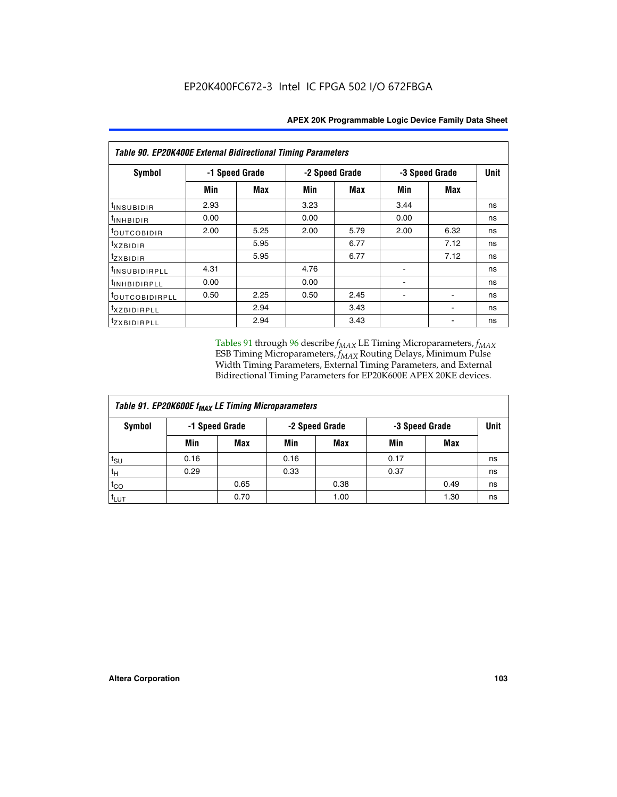|                           | <b>Table 90. EP20K400E External Bidirectional Timing Parameters</b> |                |                |            |                |      |    |  |  |  |  |  |
|---------------------------|---------------------------------------------------------------------|----------------|----------------|------------|----------------|------|----|--|--|--|--|--|
| Symbol                    |                                                                     | -1 Speed Grade | -2 Speed Grade |            | -3 Speed Grade | Unit |    |  |  |  |  |  |
|                           | Min                                                                 | Max            | Min            | <b>Max</b> | Min            | Max  |    |  |  |  |  |  |
| t <sub>INSUBIDIR</sub>    | 2.93                                                                |                | 3.23           |            | 3.44           |      | ns |  |  |  |  |  |
| tINHBIDIR                 | 0.00                                                                |                | 0.00           |            | 0.00           |      | ns |  |  |  |  |  |
| t <sub>outcobidir</sub>   | 2.00                                                                | 5.25           | 2.00           | 5.79       | 2.00           | 6.32 | ns |  |  |  |  |  |
| <i>txzbidir</i>           |                                                                     | 5.95           |                | 6.77       |                | 7.12 | ns |  |  |  |  |  |
| tzxbidir                  |                                                                     | 5.95           |                | 6.77       |                | 7.12 | ns |  |  |  |  |  |
| t <sub>INSUBIDIRPLL</sub> | 4.31                                                                |                | 4.76           |            |                |      | ns |  |  |  |  |  |
| <sup>t</sup> INHBIDIRPLL  | 0.00                                                                |                | 0.00           |            |                |      | ns |  |  |  |  |  |
| tout COBIDIRPLL           | 0.50                                                                | 2.25           | 0.50           | 2.45       |                |      | ns |  |  |  |  |  |
| <i>txzBIDIRPLL</i>        |                                                                     | 2.94           |                | 3.43       |                |      | ns |  |  |  |  |  |
| tzxBIDIRPLL               |                                                                     | 2.94           |                | 3.43       |                |      | ns |  |  |  |  |  |

Tables 91 through 96 describe  $f_{MAX}$  LE Timing Microparameters,  $f_{MAX}$ ESB Timing Microparameters, *f<sub>MAX</sub>* Routing Delays, Minimum Pulse Width Timing Parameters, External Timing Parameters, and External Bidirectional Timing Parameters for EP20K600E APEX 20KE devices.

| Table 91. EP20K600E f <sub>MAX</sub> LE Timing Microparameters |                |            |                |            |                |      |             |  |  |  |  |
|----------------------------------------------------------------|----------------|------------|----------------|------------|----------------|------|-------------|--|--|--|--|
| Symbol                                                         | -1 Speed Grade |            | -2 Speed Grade |            | -3 Speed Grade |      | <b>Unit</b> |  |  |  |  |
|                                                                | Min            | <b>Max</b> | Min            | <b>Max</b> | Min            | Max  |             |  |  |  |  |
| $t_{\text{SU}}$                                                | 0.16           |            | 0.16           |            | 0.17           |      | ns          |  |  |  |  |
| $t_H$                                                          | 0.29           |            | 0.33           |            | 0.37           |      | ns          |  |  |  |  |
| $t_{CO}$                                                       |                | 0.65       |                | 0.38       |                | 0.49 | ns          |  |  |  |  |
| <sup>t</sup> LUT                                               |                | 0.70       |                | 1.00       |                | 1.30 | ns          |  |  |  |  |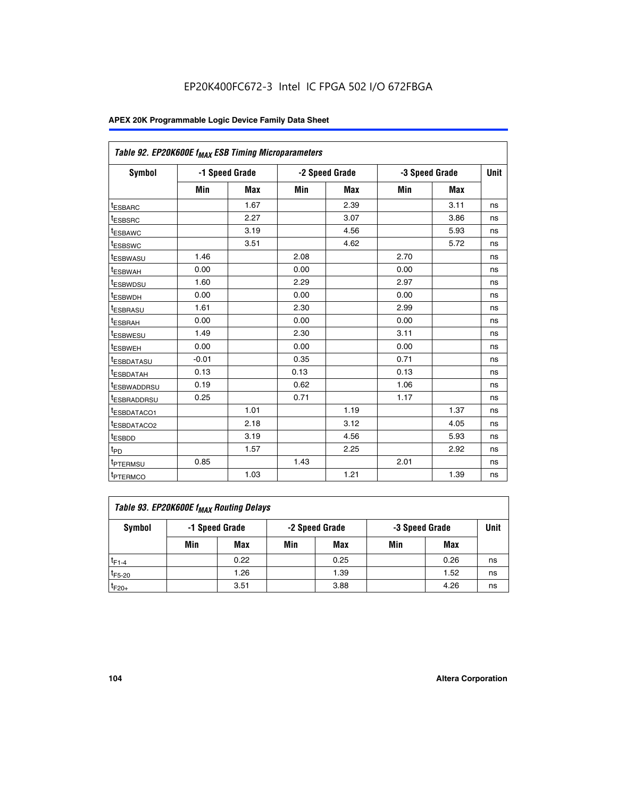| Table 92. EP20K600E f <sub>MAX</sub> ESB Timing Microparameters |         |                |      |                |      |                |             |
|-----------------------------------------------------------------|---------|----------------|------|----------------|------|----------------|-------------|
| <b>Symbol</b>                                                   |         | -1 Speed Grade |      | -2 Speed Grade |      | -3 Speed Grade | <b>Unit</b> |
|                                                                 | Min     | <b>Max</b>     | Min  | <b>Max</b>     | Min  | <b>Max</b>     |             |
| t <sub>ESBARC</sub>                                             |         | 1.67           |      | 2.39           |      | 3.11           | ns          |
| t <sub>ESBSRC</sub>                                             |         | 2.27           |      | 3.07           |      | 3.86           | ns          |
| <sup>t</sup> ESBAWC                                             |         | 3.19           |      | 4.56           |      | 5.93           | ns          |
| t <sub>ESBSWC</sub>                                             |         | 3.51           |      | 4.62           |      | 5.72           | ns          |
| <sup>t</sup> ESBWASU                                            | 1.46    |                | 2.08 |                | 2.70 |                | ns          |
| t <sub>ESBWAH</sub>                                             | 0.00    |                | 0.00 |                | 0.00 |                | ns          |
| t <sub>ESBWDSU</sub>                                            | 1.60    |                | 2.29 |                | 2.97 |                | ns          |
| <sup>t</sup> ESBWDH                                             | 0.00    |                | 0.00 |                | 0.00 |                | ns          |
| <sup>t</sup> ESBRASU                                            | 1.61    |                | 2.30 |                | 2.99 |                | ns          |
| t <sub>ESBRAH</sub>                                             | 0.00    |                | 0.00 |                | 0.00 |                | ns          |
| t <sub>ESBWESU</sub>                                            | 1.49    |                | 2.30 |                | 3.11 |                | ns          |
| <sup>t</sup> ESBWEH                                             | 0.00    |                | 0.00 |                | 0.00 |                | ns          |
| <sup>t</sup> ESBDATASU                                          | $-0.01$ |                | 0.35 |                | 0.71 |                | ns          |
| <sup>t</sup> ESBDATAH                                           | 0.13    |                | 0.13 |                | 0.13 |                | ns          |
| <sup>t</sup> ESBWADDRSU                                         | 0.19    |                | 0.62 |                | 1.06 |                | ns          |
| <sup>t</sup> ESBRADDRSU                                         | 0.25    |                | 0.71 |                | 1.17 |                | ns          |
| <sup>I</sup> ESBDATACO1                                         |         | 1.01           |      | 1.19           |      | 1.37           | ns          |
| <sup>t</sup> ESBDATACO2                                         |         | 2.18           |      | 3.12           |      | 4.05           | ns          |
| <sup>t</sup> ESBDD                                              |         | 3.19           |      | 4.56           |      | 5.93           | ns          |
| t <sub>PD</sub>                                                 |         | 1.57           |      | 2.25           |      | 2.92           | ns          |
| t <sub>PTERMSU</sub>                                            | 0.85    |                | 1.43 |                | 2.01 |                | ns          |
| t <sub>PTERMCO</sub>                                            |         | 1.03           |      | 1.21           |      | 1.39           | ns          |

| Table 93. EP20K600E f <sub>MAX</sub> Routing Delays |     |                |     |                |     |                |             |  |  |  |  |
|-----------------------------------------------------|-----|----------------|-----|----------------|-----|----------------|-------------|--|--|--|--|
| Symbol                                              |     | -1 Speed Grade |     | -2 Speed Grade |     | -3 Speed Grade | <b>Unit</b> |  |  |  |  |
|                                                     | Min | Max            | Min | Max            | Min | Max            |             |  |  |  |  |
| $t_{F1-4}$                                          |     | 0.22           |     | 0.25           |     | 0.26           | ns          |  |  |  |  |
| $t_{F5-20}$                                         |     | 1.26           |     | 1.39           |     | 1.52           | ns          |  |  |  |  |
| $t_{F20+}$                                          |     | 3.51           |     | 3.88           |     | 4.26           | ns          |  |  |  |  |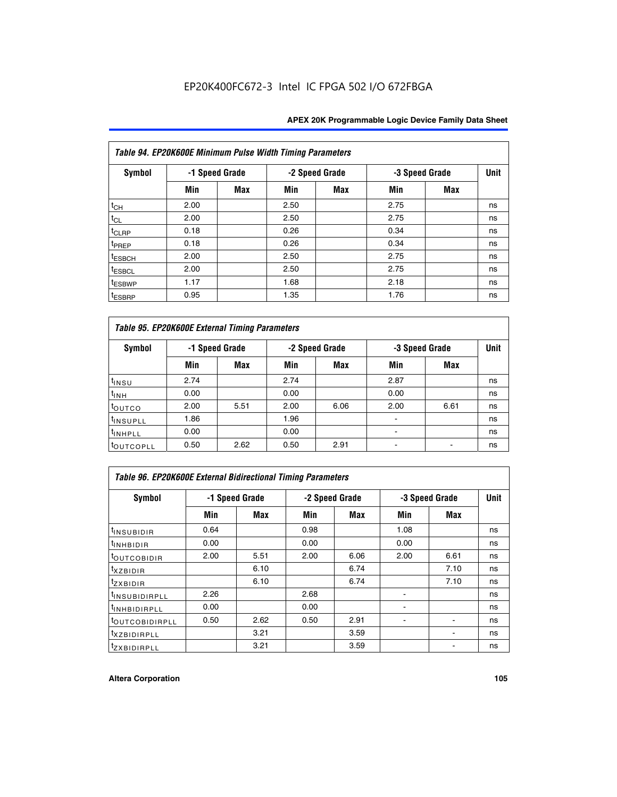|                    | Table 94. EP20K600E Minimum Pulse Width Timing Parameters |                |      |                |                |            |             |  |  |  |  |  |
|--------------------|-----------------------------------------------------------|----------------|------|----------------|----------------|------------|-------------|--|--|--|--|--|
| <b>Symbol</b>      |                                                           | -1 Speed Grade |      | -2 Speed Grade | -3 Speed Grade |            | <b>Unit</b> |  |  |  |  |  |
|                    | Min                                                       | Max            | Min  | Max            | Min            | <b>Max</b> |             |  |  |  |  |  |
| $t_{CH}$           | 2.00                                                      |                | 2.50 |                | 2.75           |            | ns          |  |  |  |  |  |
| $t_{CL}$           | 2.00                                                      |                | 2.50 |                | 2.75           |            | ns          |  |  |  |  |  |
| t <sub>CLRP</sub>  | 0.18                                                      |                | 0.26 |                | 0.34           |            | ns          |  |  |  |  |  |
| t <sub>PREP</sub>  | 0.18                                                      |                | 0.26 |                | 0.34           |            | ns          |  |  |  |  |  |
| <sup>t</sup> ESBCH | 2.00                                                      |                | 2.50 |                | 2.75           |            | ns          |  |  |  |  |  |
| <sup>t</sup> ESBCL | 2.00                                                      |                | 2.50 |                | 2.75           |            | ns          |  |  |  |  |  |
| <sup>t</sup> ESBWP | 1.17                                                      |                | 1.68 |                | 2.18           |            | ns          |  |  |  |  |  |
| <sup>t</sup> ESBRP | 0.95                                                      |                | 1.35 |                | 1.76           |            | ns          |  |  |  |  |  |

|                      | Table 95. EP20K600E External Timing Parameters |                |      |                |                          |                |    |  |  |  |  |  |
|----------------------|------------------------------------------------|----------------|------|----------------|--------------------------|----------------|----|--|--|--|--|--|
| <b>Symbol</b>        |                                                | -1 Speed Grade |      | -2 Speed Grade |                          | -3 Speed Grade |    |  |  |  |  |  |
|                      | Min                                            | Max            | Min  | <b>Max</b>     | Min                      | <b>Max</b>     |    |  |  |  |  |  |
| t <sub>insu</sub>    | 2.74                                           |                | 2.74 |                | 2.87                     |                | ns |  |  |  |  |  |
| $t_{INH}$            | 0.00                                           |                | 0.00 |                | 0.00                     |                | ns |  |  |  |  |  |
| toutco               | 2.00                                           | 5.51           | 2.00 | 6.06           | 2.00                     | 6.61           | ns |  |  |  |  |  |
| <sup>t</sup> INSUPLL | 1.86                                           |                | 1.96 |                |                          |                | ns |  |  |  |  |  |
| <sup>t</sup> INHPLL  | 0.00                                           |                | 0.00 |                | $\overline{\phantom{a}}$ |                | ns |  |  |  |  |  |
| <b>LOUTCOPLL</b>     | 0.50                                           | 2.62           | 0.50 | 2.91           |                          |                | ns |  |  |  |  |  |

| <b>Table 96. EP20K600E External Bidirectional Timing Parameters</b> |                |            |      |                |                |             |    |  |  |  |
|---------------------------------------------------------------------|----------------|------------|------|----------------|----------------|-------------|----|--|--|--|
| Symbol                                                              | -1 Speed Grade |            |      | -2 Speed Grade | -3 Speed Grade | <b>Unit</b> |    |  |  |  |
|                                                                     | Min            | <b>Max</b> | Min  | <b>Max</b>     | Min            | <b>Max</b>  |    |  |  |  |
| t <sub>insubidir</sub>                                              | 0.64           |            | 0.98 |                | 1.08           |             | ns |  |  |  |
| $t_{\rm INHBIDIR}$                                                  | 0.00           |            | 0.00 |                | 0.00           |             | ns |  |  |  |
| <sup>t</sup> OUTCOBIDIR                                             | 2.00           | 5.51       | 2.00 | 6.06           | 2.00           | 6.61        | ns |  |  |  |
| <sup>t</sup> xzbidir                                                |                | 6.10       |      | 6.74           |                | 7.10        | ns |  |  |  |
| $t_{Z}$ <i>x</i> BIDIR                                              |                | 6.10       |      | 6.74           |                | 7.10        | ns |  |  |  |
| <sup>t</sup> INSUBIDIRPLL                                           | 2.26           |            | 2.68 |                |                |             | ns |  |  |  |
| <sup>t</sup> INHBIDIRPLL                                            | 0.00           |            | 0.00 |                |                |             | ns |  |  |  |
| <b><i>LOUTCOBIDIRPLL</i></b>                                        | 0.50           | 2.62       | 0.50 | 2.91           |                |             | ns |  |  |  |
| <sup>t</sup> xzbidirpll                                             |                | 3.21       |      | 3.59           |                |             | ns |  |  |  |
| <i>t</i> zxBIDIRPLL                                                 |                | 3.21       |      | 3.59           |                |             | ns |  |  |  |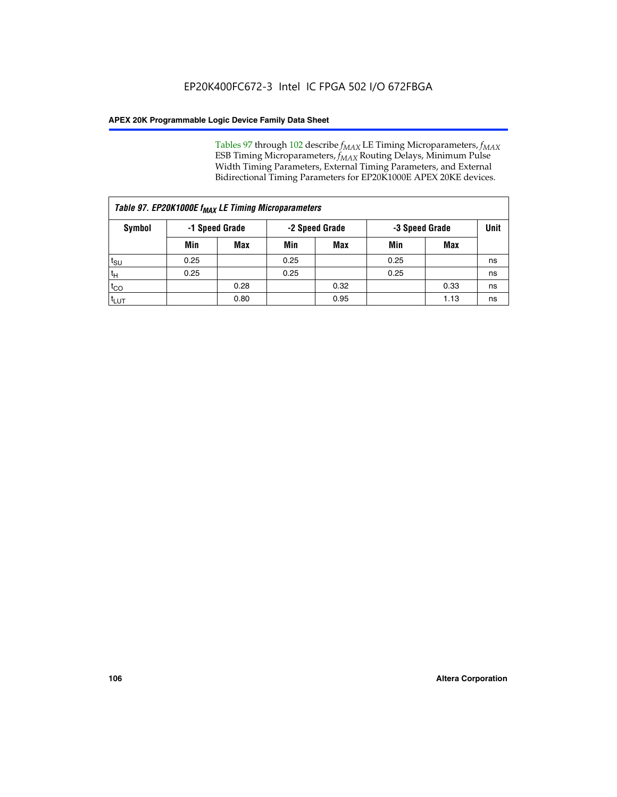Tables 97 through 102 describe  $f_{MAX}$  LE Timing Microparameters,  $f_{MAX}$ ESB Timing Microparameters, *f<sub>MAX</sub>* Routing Delays, Minimum Pulse Width Timing Parameters, External Timing Parameters, and External Bidirectional Timing Parameters for EP20K1000E APEX 20KE devices.

|                  | Table 97. EP20K1000E f <sub>MAX</sub> LE Timing Microparameters |                |                                  |            |      |             |    |  |  |  |  |  |
|------------------|-----------------------------------------------------------------|----------------|----------------------------------|------------|------|-------------|----|--|--|--|--|--|
| Symbol           |                                                                 | -1 Speed Grade | -2 Speed Grade<br>-3 Speed Grade |            |      | <b>Unit</b> |    |  |  |  |  |  |
|                  | Min                                                             | <b>Max</b>     | Min                              | <b>Max</b> | Min  | Max         |    |  |  |  |  |  |
| $t_{\text{SU}}$  | 0.25                                                            |                | 0.25                             |            | 0.25 |             | ns |  |  |  |  |  |
| $t_H$            | 0.25                                                            |                | 0.25                             |            | 0.25 |             | ns |  |  |  |  |  |
| $t_{CO}$         |                                                                 | 0.28           |                                  | 0.32       |      | 0.33        | ns |  |  |  |  |  |
| t <sub>LUT</sub> |                                                                 | 0.80           |                                  | 0.95       |      | 1.13        | ns |  |  |  |  |  |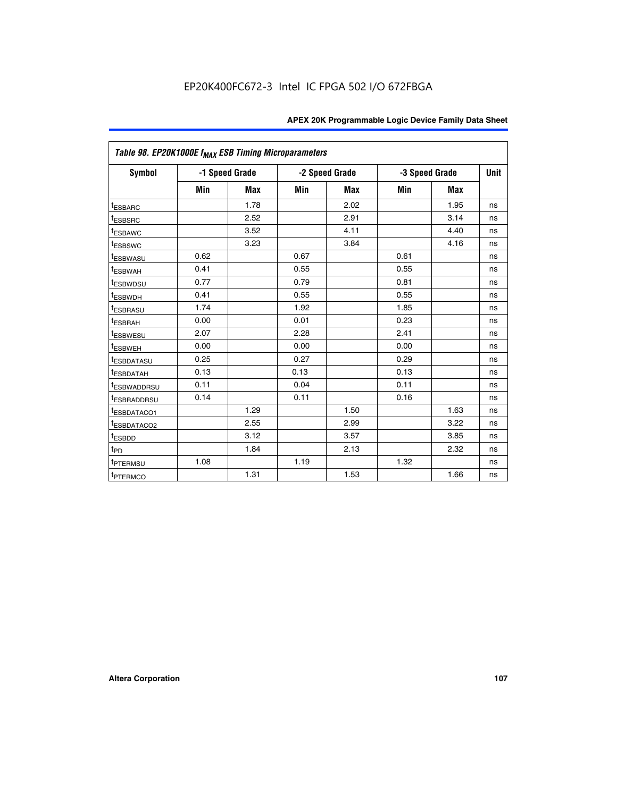|                          | Table 98. EP20K1000E f <sub>MAX</sub> ESB Timing Microparameters |                |      |                |      |                |    |  |  |  |  |
|--------------------------|------------------------------------------------------------------|----------------|------|----------------|------|----------------|----|--|--|--|--|
| <b>Symbol</b>            |                                                                  | -1 Speed Grade |      | -2 Speed Grade |      | -3 Speed Grade |    |  |  |  |  |
|                          | Min                                                              | <b>Max</b>     | Min  | Max            | Min  | <b>Max</b>     |    |  |  |  |  |
| <sup>t</sup> ESBARC      |                                                                  | 1.78           |      | 2.02           |      | 1.95           | ns |  |  |  |  |
| <sup>t</sup> ESBSRC      |                                                                  | 2.52           |      | 2.91           |      | 3.14           | ns |  |  |  |  |
| <sup>t</sup> ESBAWC      |                                                                  | 3.52           |      | 4.11           |      | 4.40           | ns |  |  |  |  |
| <sup>t</sup> ESBSWC      |                                                                  | 3.23           |      | 3.84           |      | 4.16           | ns |  |  |  |  |
| <b>ESBWASU</b>           | 0.62                                                             |                | 0.67 |                | 0.61 |                | ns |  |  |  |  |
| t <sub>ESBWAH</sub>      | 0.41                                                             |                | 0.55 |                | 0.55 |                | ns |  |  |  |  |
| <sup>t</sup> ESBWDSU     | 0.77                                                             |                | 0.79 |                | 0.81 |                | ns |  |  |  |  |
| <sup>T</sup> ESBWDH      | 0.41                                                             |                | 0.55 |                | 0.55 |                | ns |  |  |  |  |
| t <sub>ESBRASU</sub>     | 1.74                                                             |                | 1.92 |                | 1.85 |                | ns |  |  |  |  |
| t <sub>ESBRAH</sub>      | 0.00                                                             |                | 0.01 |                | 0.23 |                | ns |  |  |  |  |
| t <sub>ESBWESU</sub>     | 2.07                                                             |                | 2.28 |                | 2.41 |                | ns |  |  |  |  |
| t <sub>ESBWEH</sub>      | 0.00                                                             |                | 0.00 |                | 0.00 |                | ns |  |  |  |  |
| <sup>I</sup> ESBDATASU   | 0.25                                                             |                | 0.27 |                | 0.29 |                | ns |  |  |  |  |
| <sup>t</sup> ESBDATAH    | 0.13                                                             |                | 0.13 |                | 0.13 |                | ns |  |  |  |  |
| <b><i>ESBWADDRSU</i></b> | 0.11                                                             |                | 0.04 |                | 0.11 |                | ns |  |  |  |  |
| <sup>I</sup> ESBRADDRSU  | 0.14                                                             |                | 0.11 |                | 0.16 |                | ns |  |  |  |  |
| <b><i>ESBDATACO1</i></b> |                                                                  | 1.29           |      | 1.50           |      | 1.63           | ns |  |  |  |  |
| <sup>t</sup> ESBDATACO2  |                                                                  | 2.55           |      | 2.99           |      | 3.22           | ns |  |  |  |  |
| t <sub>ESBDD</sub>       |                                                                  | 3.12           |      | 3.57           |      | 3.85           | ns |  |  |  |  |
| $t_{\mathsf{PD}}$        |                                                                  | 1.84           |      | 2.13           |      | 2.32           | ns |  |  |  |  |
| t <sub>PTERMSU</sub>     | 1.08                                                             |                | 1.19 |                | 1.32 |                | ns |  |  |  |  |
| <sup>t</sup> PTERMCO     |                                                                  | 1.31           |      | 1.53           |      | 1.66           | ns |  |  |  |  |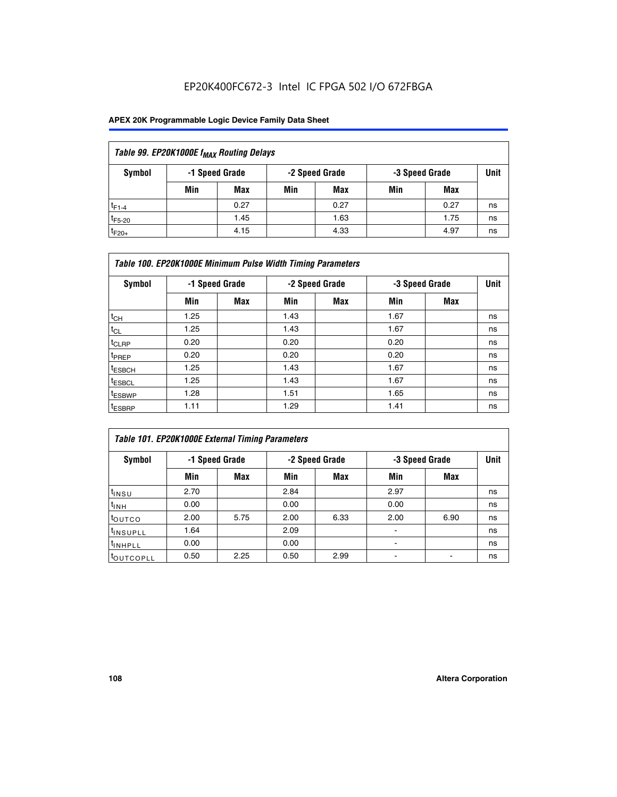## EP20K400FC672-3 Intel IC FPGA 502 I/O 672FBGA

## **APEX 20K Programmable Logic Device Family Data Sheet**

| Table 99. EP20K1000E f <sub>MAX</sub> Routing Delays |                                                    |            |     |      |     |      |    |  |  |  |  |
|------------------------------------------------------|----------------------------------------------------|------------|-----|------|-----|------|----|--|--|--|--|
| Symbol                                               | -1 Speed Grade<br>-2 Speed Grade<br>-3 Speed Grade |            |     |      |     |      |    |  |  |  |  |
|                                                      | Min                                                | <b>Max</b> | Min | Max  | Min | Max  |    |  |  |  |  |
| $t_{F1-4}$                                           |                                                    | 0.27       |     | 0.27 |     | 0.27 | ns |  |  |  |  |
| $t_{F5-20}$                                          |                                                    | 1.45       |     | 1.63 |     | 1.75 | ns |  |  |  |  |
| $t_{F20+}$                                           |                                                    | 4.15       |     | 4.33 |     | 4.97 | ns |  |  |  |  |

|                    | Table 100. EP20K1000E Minimum Pulse Width Timing Parameters |                |      |                |      |                |             |  |  |  |  |  |
|--------------------|-------------------------------------------------------------|----------------|------|----------------|------|----------------|-------------|--|--|--|--|--|
| Symbol             |                                                             | -1 Speed Grade |      | -2 Speed Grade |      | -3 Speed Grade | <b>Unit</b> |  |  |  |  |  |
|                    | Min                                                         | <b>Max</b>     | Min  | Max            | Min  | Max            |             |  |  |  |  |  |
| $t_{CH}$           | 1.25                                                        |                | 1.43 |                | 1.67 |                | ns          |  |  |  |  |  |
| $t_{CL}$           | 1.25                                                        |                | 1.43 |                | 1.67 |                | ns          |  |  |  |  |  |
| t <sub>CLRP</sub>  | 0.20                                                        |                | 0.20 |                | 0.20 |                | ns          |  |  |  |  |  |
| <sup>t</sup> PREP  | 0.20                                                        |                | 0.20 |                | 0.20 |                | ns          |  |  |  |  |  |
| <sup>t</sup> ESBCH | 1.25                                                        |                | 1.43 |                | 1.67 |                | ns          |  |  |  |  |  |
| <sup>t</sup> ESBCL | 1.25                                                        |                | 1.43 |                | 1.67 |                | ns          |  |  |  |  |  |
| <sup>t</sup> ESBWP | 1.28                                                        |                | 1.51 |                | 1.65 |                | ns          |  |  |  |  |  |
| <sup>t</sup> ESBRP | 1.11                                                        |                | 1.29 |                | 1.41 |                | ns          |  |  |  |  |  |

| Table 101. EP20K1000E External Timing Parameters |      |                |      |                |      |                |             |  |  |  |  |  |
|--------------------------------------------------|------|----------------|------|----------------|------|----------------|-------------|--|--|--|--|--|
| Symbol                                           |      | -1 Speed Grade |      | -2 Speed Grade |      | -3 Speed Grade | <b>Unit</b> |  |  |  |  |  |
|                                                  | Min  | <b>Max</b>     | Min  | <b>Max</b>     | Min  | Max            |             |  |  |  |  |  |
| t <sub>INSU</sub>                                | 2.70 |                | 2.84 |                | 2.97 |                | ns          |  |  |  |  |  |
| $t_{INH}$                                        | 0.00 |                | 0.00 |                | 0.00 |                | ns          |  |  |  |  |  |
| toutco                                           | 2.00 | 5.75           | 2.00 | 6.33           | 2.00 | 6.90           | ns          |  |  |  |  |  |
| tinsupll                                         | 1.64 |                | 2.09 |                |      |                | ns          |  |  |  |  |  |
| <sup>t</sup> INHPLL                              | 0.00 |                | 0.00 |                | -    |                | ns          |  |  |  |  |  |
| toutcopll                                        | 0.50 | 2.25           | 0.50 | 2.99           | -    |                | ns          |  |  |  |  |  |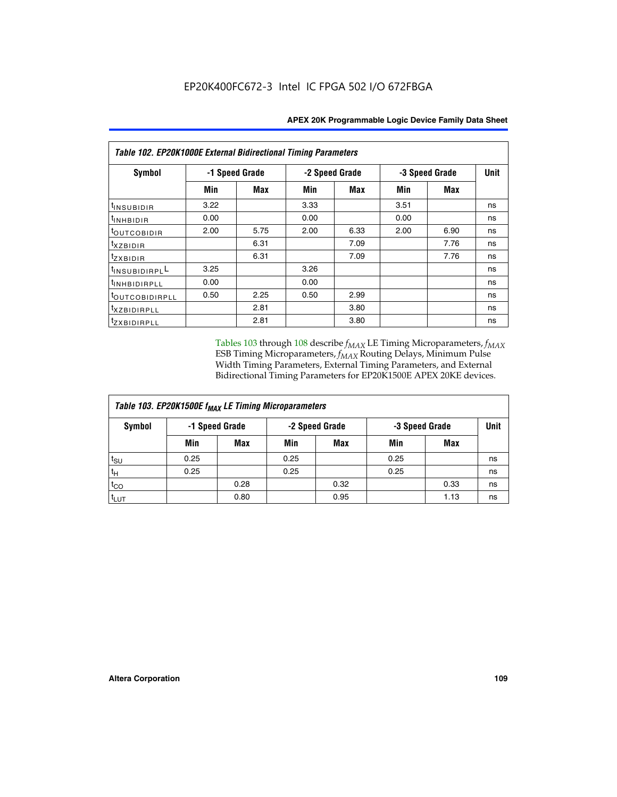| Table 102. EP20K1000E External Bidirectional Timing Parameters |      |                |                |            |                |             |    |  |  |  |
|----------------------------------------------------------------|------|----------------|----------------|------------|----------------|-------------|----|--|--|--|
| Symbol                                                         |      | -1 Speed Grade | -2 Speed Grade |            | -3 Speed Grade | <b>Unit</b> |    |  |  |  |
|                                                                | Min  | Max            | Min            | <b>Max</b> | Min            | <b>Max</b>  |    |  |  |  |
| $t_{INSUBIDIR}$                                                | 3.22 |                | 3.33           |            | 3.51           |             | ns |  |  |  |
| t <sub>INHBIDIR</sub>                                          | 0.00 |                | 0.00           |            | 0.00           |             | ns |  |  |  |
| t <sub>outcobidir</sub>                                        | 2.00 | 5.75           | 2.00           | 6.33       | 2.00           | 6.90        | ns |  |  |  |
| <i>txzbidir</i>                                                |      | 6.31           |                | 7.09       |                | 7.76        | ns |  |  |  |
| tzxbidir                                                       |      | 6.31           |                | 7.09       |                | 7.76        | ns |  |  |  |
| tINSUBIDIRPLL                                                  | 3.25 |                | 3.26           |            |                |             | ns |  |  |  |
| t <sub>INHBIDIRPLL</sub>                                       | 0.00 |                | 0.00           |            |                |             | ns |  |  |  |
| tout COBIDIRPLL                                                | 0.50 | 2.25           | 0.50           | 2.99       |                |             | ns |  |  |  |
| <sup>t</sup> xzbidirpll                                        |      | 2.81           |                | 3.80       |                |             | ns |  |  |  |
| tzxBIDIRPLL                                                    |      | 2.81           |                | 3.80       |                |             | ns |  |  |  |

Tables 103 through 108 describe  $f_{MAX}$  LE Timing Microparameters,  $f_{MAX}$ ESB Timing Microparameters, *f<sub>MAX</sub>* Routing Delays, Minimum Pulse Width Timing Parameters, External Timing Parameters, and External Bidirectional Timing Parameters for EP20K1500E APEX 20KE devices.

| Table 103. EP20K1500E f <sub>MAX</sub> LE Timing Microparameters |      |                |                |            |                |      |             |  |  |  |  |
|------------------------------------------------------------------|------|----------------|----------------|------------|----------------|------|-------------|--|--|--|--|
| Symbol                                                           |      | -1 Speed Grade | -2 Speed Grade |            | -3 Speed Grade |      | <b>Unit</b> |  |  |  |  |
|                                                                  | Min  | <b>Max</b>     | Min            | <b>Max</b> | Min            | Max  |             |  |  |  |  |
| $t_{\text{SU}}$                                                  | 0.25 |                | 0.25           |            | 0.25           |      | ns          |  |  |  |  |
| $t_H$                                                            | 0.25 |                | 0.25           |            | 0.25           |      | ns          |  |  |  |  |
| $t_{CO}$                                                         |      | 0.28           |                | 0.32       |                | 0.33 | ns          |  |  |  |  |
| t <sub>lut</sub>                                                 |      | 0.80           |                | 0.95       |                | 1.13 | ns          |  |  |  |  |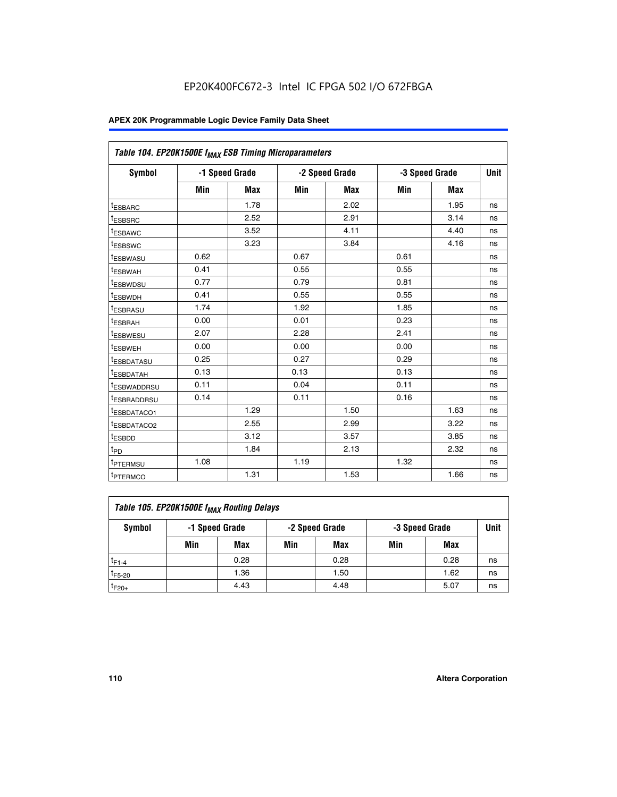|                         | Table 104. EP20K1500E f <sub>MAX</sub> ESB Timing Microparameters |            |      |                |            |                |             |  |  |  |  |  |
|-------------------------|-------------------------------------------------------------------|------------|------|----------------|------------|----------------|-------------|--|--|--|--|--|
| <b>Symbol</b>           | -1 Speed Grade                                                    |            |      | -2 Speed Grade |            | -3 Speed Grade | <b>Unit</b> |  |  |  |  |  |
|                         | Min                                                               | <b>Max</b> | Min  | <b>Max</b>     | <b>Min</b> | <b>Max</b>     |             |  |  |  |  |  |
| t <sub>ESBARC</sub>     |                                                                   | 1.78       |      | 2.02           |            | 1.95           | ns          |  |  |  |  |  |
| t <sub>ESBSRC</sub>     |                                                                   | 2.52       |      | 2.91           |            | 3.14           | ns          |  |  |  |  |  |
| <sup>t</sup> ESBAWC     |                                                                   | 3.52       |      | 4.11           |            | 4.40           | ns          |  |  |  |  |  |
| t <sub>ESBSWC</sub>     |                                                                   | 3.23       |      | 3.84           |            | 4.16           | ns          |  |  |  |  |  |
| <sup>t</sup> ESBWASU    | 0.62                                                              |            | 0.67 |                | 0.61       |                | ns          |  |  |  |  |  |
| <sup>t</sup> ESBWAH     | 0.41                                                              |            | 0.55 |                | 0.55       |                | ns          |  |  |  |  |  |
| t <sub>ESBWDSU</sub>    | 0.77                                                              |            | 0.79 |                | 0.81       |                | ns          |  |  |  |  |  |
| <sup>t</sup> ESBWDH     | 0.41                                                              |            | 0.55 |                | 0.55       |                | ns          |  |  |  |  |  |
| <sup>t</sup> ESBRASU    | 1.74                                                              |            | 1.92 |                | 1.85       |                | ns          |  |  |  |  |  |
| <sup>t</sup> ESBRAH     | 0.00                                                              |            | 0.01 |                | 0.23       |                | ns          |  |  |  |  |  |
| <sup>t</sup> ESBWESU    | 2.07                                                              |            | 2.28 |                | 2.41       |                | ns          |  |  |  |  |  |
| t <sub>ESBWEH</sub>     | 0.00                                                              |            | 0.00 |                | 0.00       |                | ns          |  |  |  |  |  |
| <sup>t</sup> ESBDATASU  | 0.25                                                              |            | 0.27 |                | 0.29       |                | ns          |  |  |  |  |  |
| <sup>t</sup> ESBDATAH   | 0.13                                                              |            | 0.13 |                | 0.13       |                | ns          |  |  |  |  |  |
| <sup>t</sup> ESBWADDRSU | 0.11                                                              |            | 0.04 |                | 0.11       |                | ns          |  |  |  |  |  |
| <sup>t</sup> ESBRADDRSU | 0.14                                                              |            | 0.11 |                | 0.16       |                | ns          |  |  |  |  |  |
| <sup>t</sup> ESBDATACO1 |                                                                   | 1.29       |      | 1.50           |            | 1.63           | ns          |  |  |  |  |  |
| t <sub>ESBDATACO2</sub> |                                                                   | 2.55       |      | 2.99           |            | 3.22           | ns          |  |  |  |  |  |
| <sup>t</sup> ESBDD      |                                                                   | 3.12       |      | 3.57           |            | 3.85           | ns          |  |  |  |  |  |
| t <sub>PD</sub>         |                                                                   | 1.84       |      | 2.13           |            | 2.32           | ns          |  |  |  |  |  |
| t <sub>PTERMSU</sub>    | 1.08                                                              |            | 1.19 |                | 1.32       |                | ns          |  |  |  |  |  |
| t <sub>PTERMCO</sub>    |                                                                   | 1.31       |      | 1.53           |            | 1.66           | ns          |  |  |  |  |  |

| Table 105. EP20K1500E f <sub>MAX</sub> Routing Delays |                                                    |      |     |      |     |      |    |  |  |  |
|-------------------------------------------------------|----------------------------------------------------|------|-----|------|-----|------|----|--|--|--|
| Symbol                                                | -1 Speed Grade<br>-2 Speed Grade<br>-3 Speed Grade |      |     |      |     |      |    |  |  |  |
|                                                       | Min                                                | Max  | Min | Max  | Min | Max  |    |  |  |  |
| $t_{F1-4}$                                            |                                                    | 0.28 |     | 0.28 |     | 0.28 | ns |  |  |  |
| $t_{F5-20}$                                           |                                                    | 1.36 |     | 1.50 |     | 1.62 | ns |  |  |  |
| $t_{F20+}$                                            |                                                    | 4.43 |     | 4.48 |     | 5.07 | ns |  |  |  |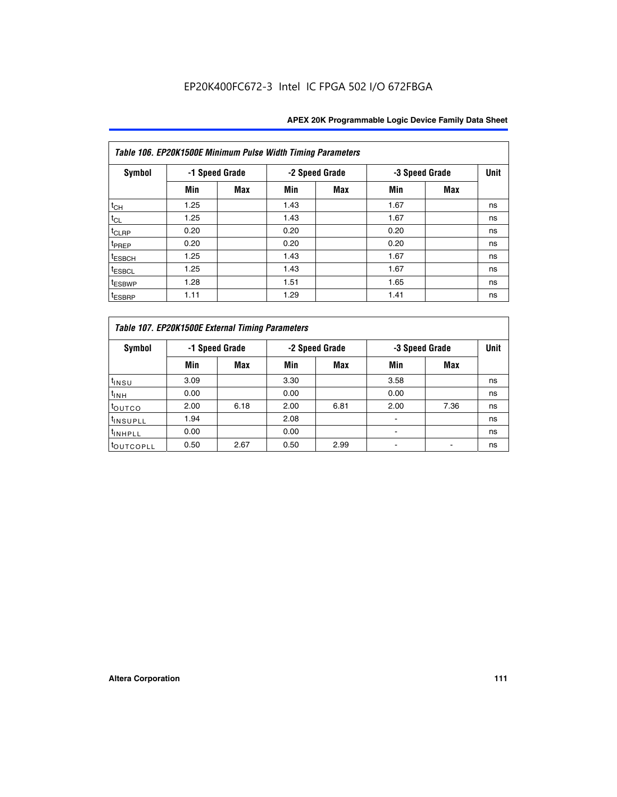|                    | Table 106. EP20K1500E Minimum Pulse Width Timing Parameters |                |      |                |      |                |             |  |  |  |  |  |
|--------------------|-------------------------------------------------------------|----------------|------|----------------|------|----------------|-------------|--|--|--|--|--|
| <b>Symbol</b>      |                                                             | -1 Speed Grade |      | -2 Speed Grade |      | -3 Speed Grade | <b>Unit</b> |  |  |  |  |  |
|                    | Min                                                         | <b>Max</b>     | Min  | Max            | Min  | <b>Max</b>     |             |  |  |  |  |  |
| $t_{CH}$           | 1.25                                                        |                | 1.43 |                | 1.67 |                | ns          |  |  |  |  |  |
| $t_{CL}$           | 1.25                                                        |                | 1.43 |                | 1.67 |                | ns          |  |  |  |  |  |
| $t_{CLRP}$         | 0.20                                                        |                | 0.20 |                | 0.20 |                | ns          |  |  |  |  |  |
| t <sub>PREP</sub>  | 0.20                                                        |                | 0.20 |                | 0.20 |                | ns          |  |  |  |  |  |
| <sup>t</sup> ESBCH | 1.25                                                        |                | 1.43 |                | 1.67 |                | ns          |  |  |  |  |  |
| <sup>t</sup> ESBCL | 1.25                                                        |                | 1.43 |                | 1.67 |                | ns          |  |  |  |  |  |
| <sup>t</sup> ESBWP | 1.28                                                        |                | 1.51 |                | 1.65 |                | ns          |  |  |  |  |  |
| <sup>t</sup> ESBRP | 1.11                                                        |                | 1.29 |                | 1.41 |                | ns          |  |  |  |  |  |

|                       | Table 107. EP20K1500E External Timing Parameters |      |      |                |      |                |             |  |  |  |  |  |
|-----------------------|--------------------------------------------------|------|------|----------------|------|----------------|-------------|--|--|--|--|--|
| Symbol                | -1 Speed Grade                                   |      |      | -2 Speed Grade |      | -3 Speed Grade | <b>Unit</b> |  |  |  |  |  |
|                       | Min                                              | Max  | Min  | Max            | Min  | Max            |             |  |  |  |  |  |
| t <sub>insu</sub>     | 3.09                                             |      | 3.30 |                | 3.58 |                | ns          |  |  |  |  |  |
| $t_{INH}$             | 0.00                                             |      | 0.00 |                | 0.00 |                | ns          |  |  |  |  |  |
| toutco                | 2.00                                             | 6.18 | 2.00 | 6.81           | 2.00 | 7.36           | ns          |  |  |  |  |  |
| <sup>t</sup> INSUPLL  | 1.94                                             |      | 2.08 |                |      |                | ns          |  |  |  |  |  |
| <sup>t</sup> INHPLL   | 0.00                                             |      | 0.00 |                |      |                | ns          |  |  |  |  |  |
| <sup>t</sup> OUTCOPLL | 0.50                                             | 2.67 | 0.50 | 2.99           |      |                | ns          |  |  |  |  |  |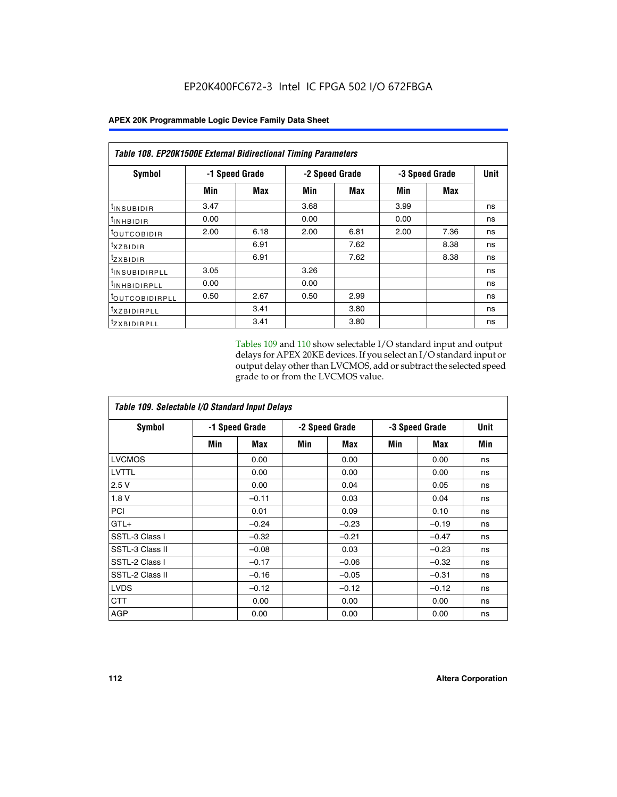|                            | <b>Table 108. EP20K1500E External Bidirectional Timing Parameters</b> |      |      |                |                |             |    |  |  |  |  |
|----------------------------|-----------------------------------------------------------------------|------|------|----------------|----------------|-------------|----|--|--|--|--|
| Symbol                     | -1 Speed Grade                                                        |      |      | -2 Speed Grade | -3 Speed Grade | <b>Unit</b> |    |  |  |  |  |
|                            | Min                                                                   | Max  | Min  | Max            | Min            | Max         |    |  |  |  |  |
| <sup>t</sup> INSUBIDIR     | 3.47                                                                  |      | 3.68 |                | 3.99           |             | ns |  |  |  |  |
| <sup>t</sup> INHBIDIR      | 0.00                                                                  |      | 0.00 |                | 0.00           |             | ns |  |  |  |  |
| <sup>t</sup> OUTCOBIDIR    | 2.00                                                                  | 6.18 | 2.00 | 6.81           | 2.00           | 7.36        | ns |  |  |  |  |
| txzBIDIR                   |                                                                       | 6.91 |      | 7.62           |                | 8.38        | ns |  |  |  |  |
| <sup>t</sup> zxbidir       |                                                                       | 6.91 |      | 7.62           |                | 8.38        | ns |  |  |  |  |
| <sup>t</sup> INSUBIDIRPLL  | 3.05                                                                  |      | 3.26 |                |                |             | ns |  |  |  |  |
| <sup>t</sup> INHBIDIRPLL   | 0.00                                                                  |      | 0.00 |                |                |             | ns |  |  |  |  |
| <sup>t</sup> OUTCOBIDIRPLL | 0.50                                                                  | 2.67 | 0.50 | 2.99           |                |             | ns |  |  |  |  |
| <sup>t</sup> XZBIDIRPLL    |                                                                       | 3.41 |      | 3.80           |                |             | ns |  |  |  |  |
| <sup>t</sup> zxbidirpll    |                                                                       | 3.41 |      | 3.80           |                |             | ns |  |  |  |  |

Tables 109 and 110 show selectable I/O standard input and output delays for APEX 20KE devices. If you select an I/O standard input or output delay other than LVCMOS, add or subtract the selected speed grade to or from the LVCMOS value.

| Table 109. Selectable I/O Standard Input Delays |                |         |     |                |     |                |     |  |  |  |
|-------------------------------------------------|----------------|---------|-----|----------------|-----|----------------|-----|--|--|--|
| <b>Symbol</b>                                   | -1 Speed Grade |         |     | -2 Speed Grade |     | -3 Speed Grade |     |  |  |  |
|                                                 | Min            | Max     | Min | Max            | Min | Max            | Min |  |  |  |
| <b>LVCMOS</b>                                   |                | 0.00    |     | 0.00           |     | 0.00           | ns  |  |  |  |
| LVTTL                                           |                | 0.00    |     | 0.00           |     | 0.00           | ns  |  |  |  |
| 2.5V                                            |                | 0.00    |     | 0.04           |     | 0.05           | ns  |  |  |  |
| 1.8V                                            |                | $-0.11$ |     | 0.03           |     | 0.04           | ns  |  |  |  |
| PCI                                             |                | 0.01    |     | 0.09           |     | 0.10           | ns  |  |  |  |
| $GTL+$                                          |                | $-0.24$ |     | $-0.23$        |     | $-0.19$        | ns  |  |  |  |
| SSTL-3 Class I                                  |                | $-0.32$ |     | $-0.21$        |     | $-0.47$        | ns  |  |  |  |
| SSTL-3 Class II                                 |                | $-0.08$ |     | 0.03           |     | $-0.23$        | ns  |  |  |  |
| SSTL-2 Class I                                  |                | $-0.17$ |     | $-0.06$        |     | $-0.32$        | ns  |  |  |  |
| SSTL-2 Class II                                 |                | $-0.16$ |     | $-0.05$        |     | $-0.31$        | ns  |  |  |  |
| <b>LVDS</b>                                     |                | $-0.12$ |     | $-0.12$        |     | $-0.12$        | ns  |  |  |  |
| <b>CTT</b>                                      |                | 0.00    |     | 0.00           |     | 0.00           | ns  |  |  |  |
| <b>AGP</b>                                      |                | 0.00    |     | 0.00           |     | 0.00           | ns  |  |  |  |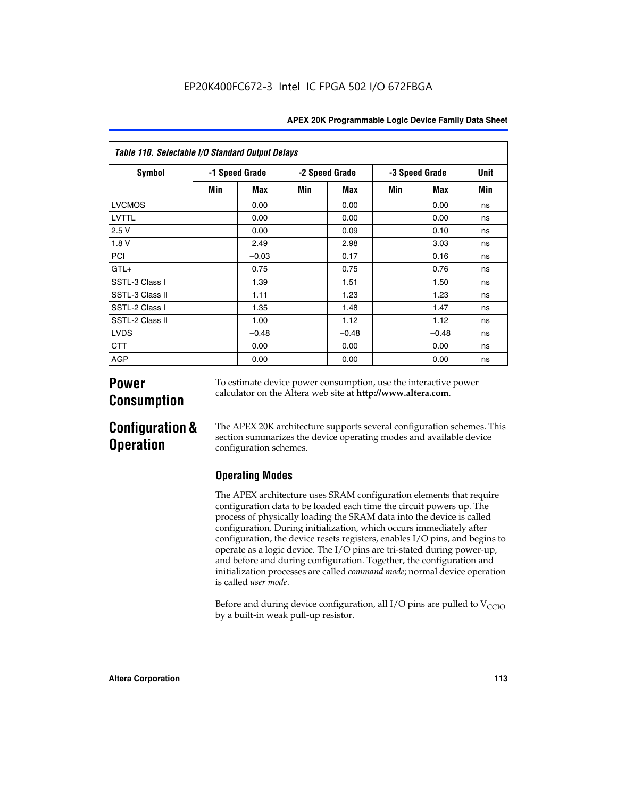| Table 110. Selectable I/O Standard Output Delays |                |         |     |                |                |         |      |  |  |  |  |
|--------------------------------------------------|----------------|---------|-----|----------------|----------------|---------|------|--|--|--|--|
| Symbol                                           | -1 Speed Grade |         |     | -2 Speed Grade | -3 Speed Grade |         | Unit |  |  |  |  |
|                                                  | Min            | Max     | Min | Max            | Min            | Max     | Min  |  |  |  |  |
| <b>LVCMOS</b>                                    |                | 0.00    |     | 0.00           |                | 0.00    | ns   |  |  |  |  |
| <b>LVTTL</b>                                     |                | 0.00    |     | 0.00           |                | 0.00    | ns   |  |  |  |  |
| 2.5V                                             |                | 0.00    |     | 0.09           |                | 0.10    | ns   |  |  |  |  |
| 1.8 V                                            |                | 2.49    |     | 2.98           |                | 3.03    | ns   |  |  |  |  |
| <b>PCI</b>                                       |                | $-0.03$ |     | 0.17           |                | 0.16    | ns   |  |  |  |  |
| $GTL+$                                           |                | 0.75    |     | 0.75           |                | 0.76    | ns   |  |  |  |  |
| SSTL-3 Class I                                   |                | 1.39    |     | 1.51           |                | 1.50    | ns   |  |  |  |  |
| SSTL-3 Class II                                  |                | 1.11    |     | 1.23           |                | 1.23    | ns   |  |  |  |  |
| SSTL-2 Class I                                   |                | 1.35    |     | 1.48           |                | 1.47    | ns   |  |  |  |  |
| SSTL-2 Class II                                  |                | 1.00    |     | 1.12           |                | 1.12    | ns   |  |  |  |  |
| <b>LVDS</b>                                      |                | $-0.48$ |     | $-0.48$        |                | $-0.48$ | ns   |  |  |  |  |
| <b>CTT</b>                                       |                | 0.00    |     | 0.00           |                | 0.00    | ns   |  |  |  |  |
| <b>AGP</b>                                       |                | 0.00    |     | 0.00           |                | 0.00    | ns   |  |  |  |  |

# **Power Consumption**

To estimate device power consumption, use the interactive power calculator on the Altera web site at **http://www.altera.com**.

# **Configuration & Operation**

The APEX 20K architecture supports several configuration schemes. This section summarizes the device operating modes and available device configuration schemes.

## **Operating Modes**

The APEX architecture uses SRAM configuration elements that require configuration data to be loaded each time the circuit powers up. The process of physically loading the SRAM data into the device is called configuration. During initialization, which occurs immediately after configuration, the device resets registers, enables I/O pins, and begins to operate as a logic device. The I/O pins are tri-stated during power-up, and before and during configuration. Together, the configuration and initialization processes are called *command mode*; normal device operation is called *user mode*.

Before and during device configuration, all I/O pins are pulled to  $V_{\text{CCIO}}$ by a built-in weak pull-up resistor.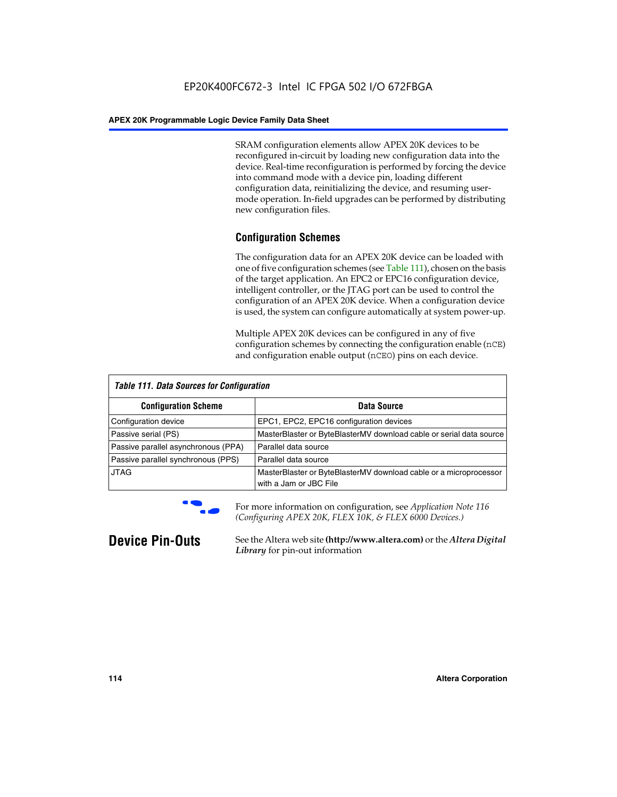SRAM configuration elements allow APEX 20K devices to be reconfigured in-circuit by loading new configuration data into the device. Real-time reconfiguration is performed by forcing the device into command mode with a device pin, loading different configuration data, reinitializing the device, and resuming usermode operation. In-field upgrades can be performed by distributing new configuration files.

## **Configuration Schemes**

The configuration data for an APEX 20K device can be loaded with one of five configuration schemes (see Table 111), chosen on the basis of the target application. An EPC2 or EPC16 configuration device, intelligent controller, or the JTAG port can be used to control the configuration of an APEX 20K device. When a configuration device is used, the system can configure automatically at system power-up.

Multiple APEX 20K devices can be configured in any of five configuration schemes by connecting the configuration enable (nCE) and configuration enable output (nCEO) pins on each device.

| <b>Table 111. Data Sources for Configuration</b> |                                                                                             |
|--------------------------------------------------|---------------------------------------------------------------------------------------------|
| <b>Configuration Scheme</b>                      | Data Source                                                                                 |
| Configuration device                             | EPC1, EPC2, EPC16 configuration devices                                                     |
| Passive serial (PS)                              | MasterBlaster or ByteBlasterMV download cable or serial data source                         |
| Passive parallel asynchronous (PPA)              | Parallel data source                                                                        |
| Passive parallel synchronous (PPS)               | Parallel data source                                                                        |
| <b>JTAG</b>                                      | MasterBlaster or ByteBlasterMV download cable or a microprocessor<br>with a Jam or JBC File |



**For more information on configuration, see Application Note 116** *(Configuring APEX 20K, FLEX 10K, & FLEX 6000 Devices.)*

**Device Pin-Outs** See the Altera web site **(http://www.altera.com)** or the *Altera Digital Library* for pin-out information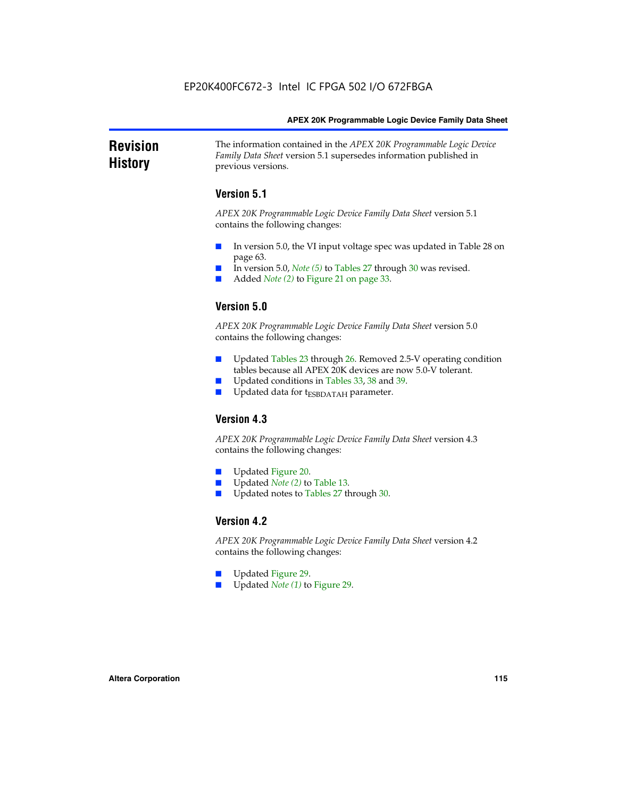### **Revision History** The information contained in the *APEX 20K Programmable Logic Device Family Data Sheet* version 5.1 supersedes information published in previous versions.

## **Version 5.1**

*APEX 20K Programmable Logic Device Family Data Sheet* version 5.1 contains the following changes:

- In version 5.0, the VI input voltage spec was updated in Table 28 on page 63.
- In version 5.0, *Note* (5) to Tables 27 through 30 was revised.
- Added *Note* (2) to Figure 21 on page 33.

## **Version 5.0**

*APEX 20K Programmable Logic Device Family Data Sheet* version 5.0 contains the following changes:

- Updated Tables 23 through 26. Removed 2.5-V operating condition tables because all APEX 20K devices are now 5.0-V tolerant.
- Updated conditions in Tables 33, 38 and 39.
- Updated data for t<sub>ESBDATAH</sub> parameter.

## **Version 4.3**

*APEX 20K Programmable Logic Device Family Data Sheet* version 4.3 contains the following changes:

- Updated Figure 20.
- Updated *Note (2)* to Table 13.
- Updated notes to Tables 27 through 30.

## **Version 4.2**

*APEX 20K Programmable Logic Device Family Data Sheet* version 4.2 contains the following changes:

- Updated Figure 29.
- Updated *Note (1)* to Figure 29.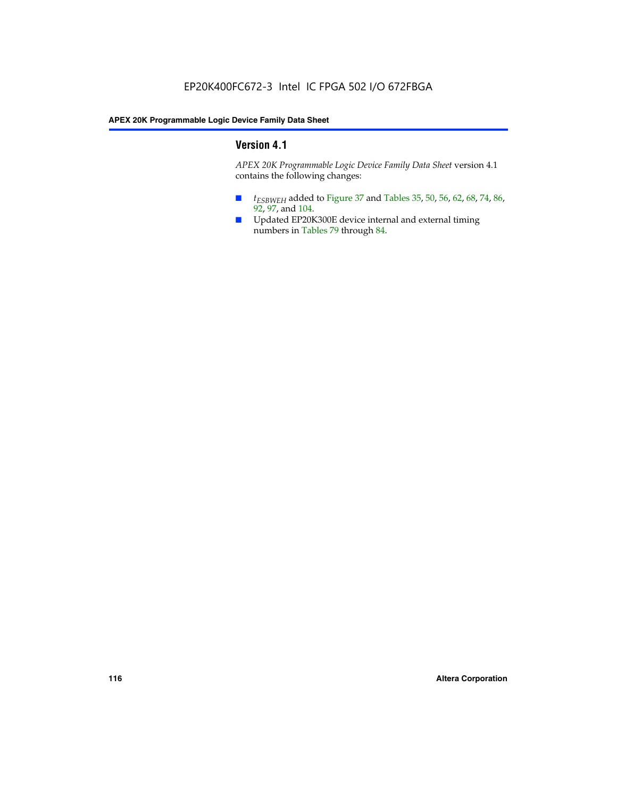## **Version 4.1**

*APEX 20K Programmable Logic Device Family Data Sheet* version 4.1 contains the following changes:

- *t<sub>ESBWEH</sub>* added to Figure 37 and Tables 35, 50, 56, 62, 68, 74, 86, 92, 97, and 104.
- Updated EP20K300E device internal and external timing numbers in Tables 79 through 84.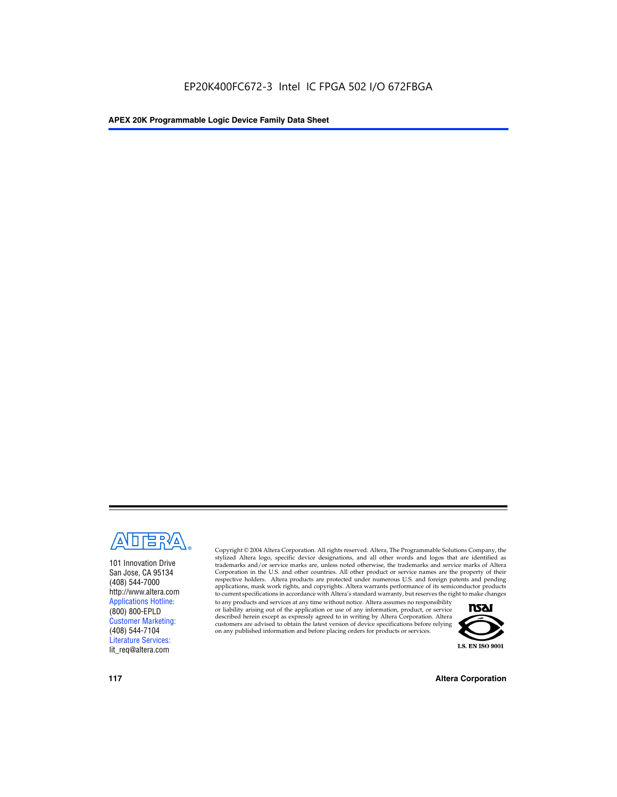

101 Innovation Drive San Jose, CA 95134 (408) 544-7000 http://www.altera.com Applications Hotline: (800) 800-EPLD Customer Marketing: (408) 544-7104 Literature Services: lit\_req@altera.com

Copyright © 2004 Altera Corporation. All rights reserved. Altera, The Programmable Solutions Company, the stylized Altera logo, specific device designations, and all other words and logos that are identified as trademarks and/or service marks are, unless noted otherwise, the trademarks and service marks of Altera Corporation in the U.S. and other countries. All other product or service names are the property of their respective holders. Altera products are protected under numerous U.S. and foreign patents and pending applications, mask work rights, and copyrights. Altera warrants performance of its semiconductor products to current specifications in accordance with Altera's standard warranty, but reserves the right to make changes

to any products and services at any time without notice. Altera assumes no responsibility or liability arising out of the application or use of any information, product, or service described herein except as expressly agreed to in writing by Altera Corporation. Altera customers are advised to obtain the latest version of device specifications before relying on any published information and before placing orders for products or services.



**117 Altera Corporation**